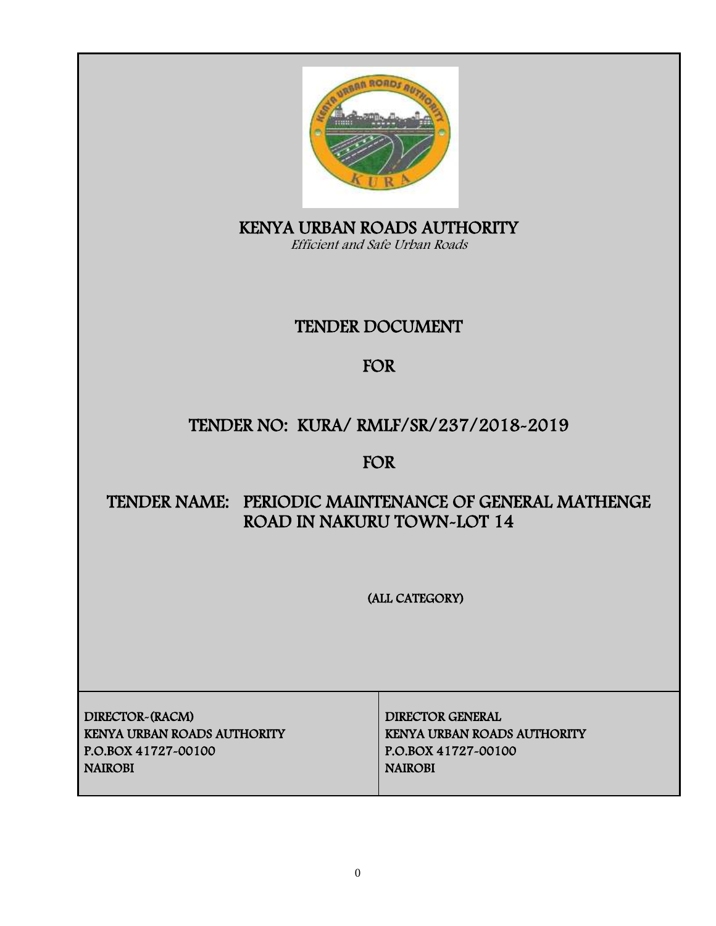j KENYA URBAN ROADS AUTHORITY Efficient and Safe Urban Roads

# TENDER DOCUMENT

# FOR

# TENDER NO: KURA/ RMLF/SR/237/2018-2019

# FOR

# TENDER NAME: PERIODIC MAINTENANCE OF GENERAL MATHENGE ROAD IN NAKURU TOWN-LOT 14

(ALL CATEGORY)

DIRECTOR-(RACM) DIRECTOR GENERAL KENYA URBAN ROADS AUTHORITY KENYA URBAN ROADS AUTHORITY P.O.BOX 41727-00100 P.O.BOX 41727-00100 NAIROBI NAIROBI NAIROBI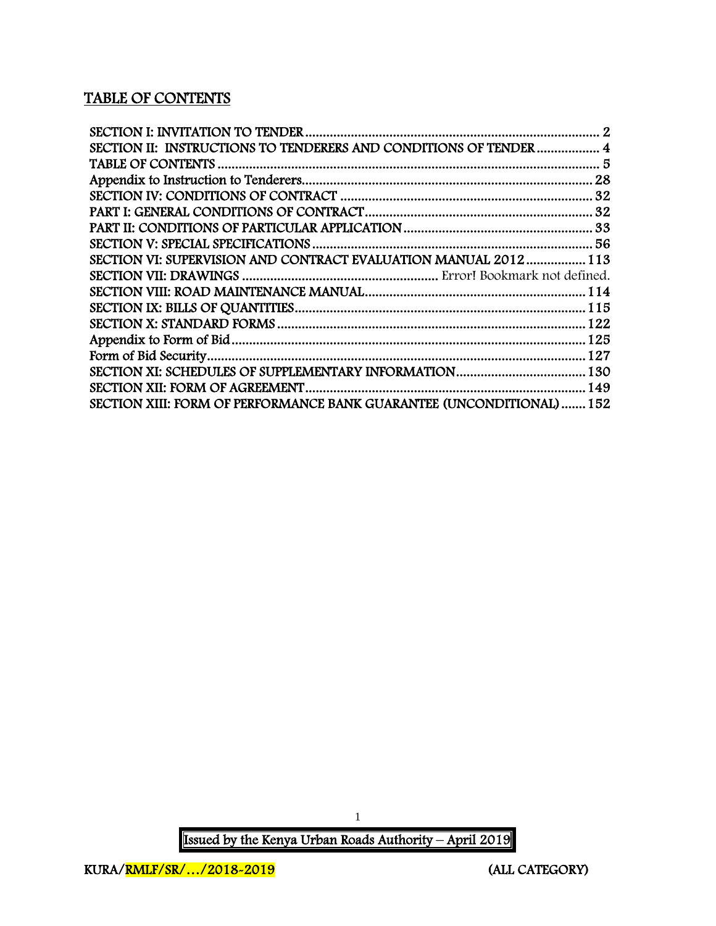# TABLE OF CONTENTS

| <b>SECTION I: INVITATION TO TENDER.</b>                              |       |
|----------------------------------------------------------------------|-------|
| SECTION II: INSTRUCTIONS TO TENDERERS AND CONDITIONS OF TENDER       |       |
| <b>TABLE OF CONTENTS</b>                                             | 5     |
| Appendix to Instruction to Tenderers                                 | 28    |
|                                                                      |       |
|                                                                      |       |
|                                                                      |       |
| <b>SECTION V: SPECIAL SPECIFICATIONS</b>                             |       |
| SECTION VI: SUPERVISION AND CONTRACT EVALUATION MANUAL 2012 113      |       |
| SECTION VII: DRAWINGS.                                               |       |
|                                                                      |       |
| SECTION IX: BILLS OF QUANTITIES.                                     |       |
| SECTION X: STANDARD FORMS.                                           | .122  |
| Appendix to Form of Bid.                                             | . 125 |
| Form of Bid Security.                                                | 127   |
|                                                                      | 130   |
| SECTION XII: FORM OF AGREEMENT.                                      | 149   |
| SECTION XIII: FORM OF PERFORMANCE BANK GUARANTEE (UNCONDITIONAL) 152 |       |

 Issued by the Kenya Urban Roads Authority – April 2019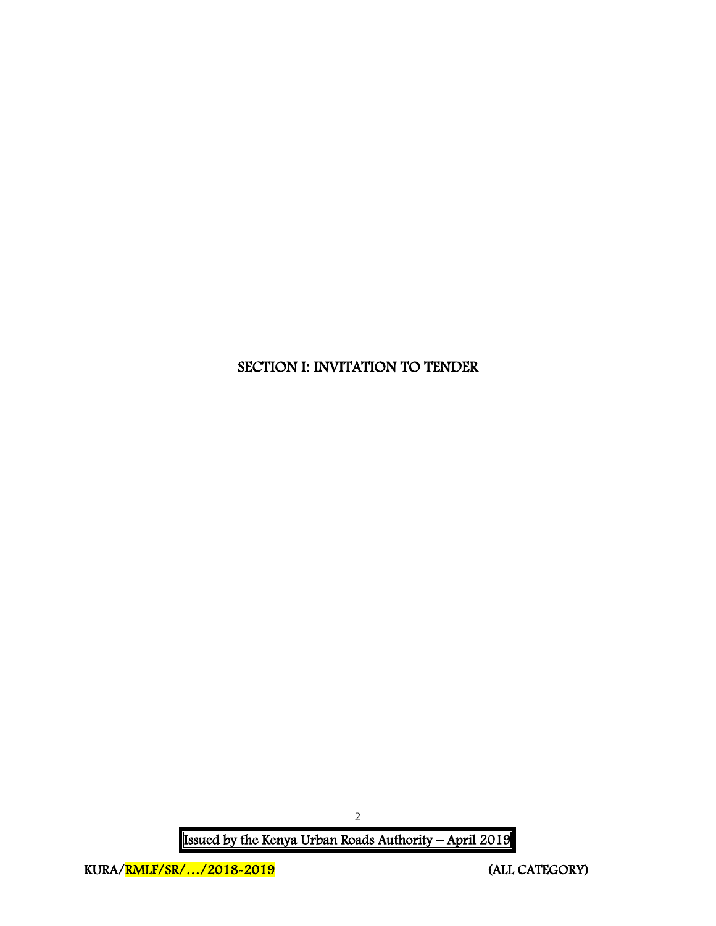# <span id="page-2-0"></span>SECTION I: INVITATION TO TENDER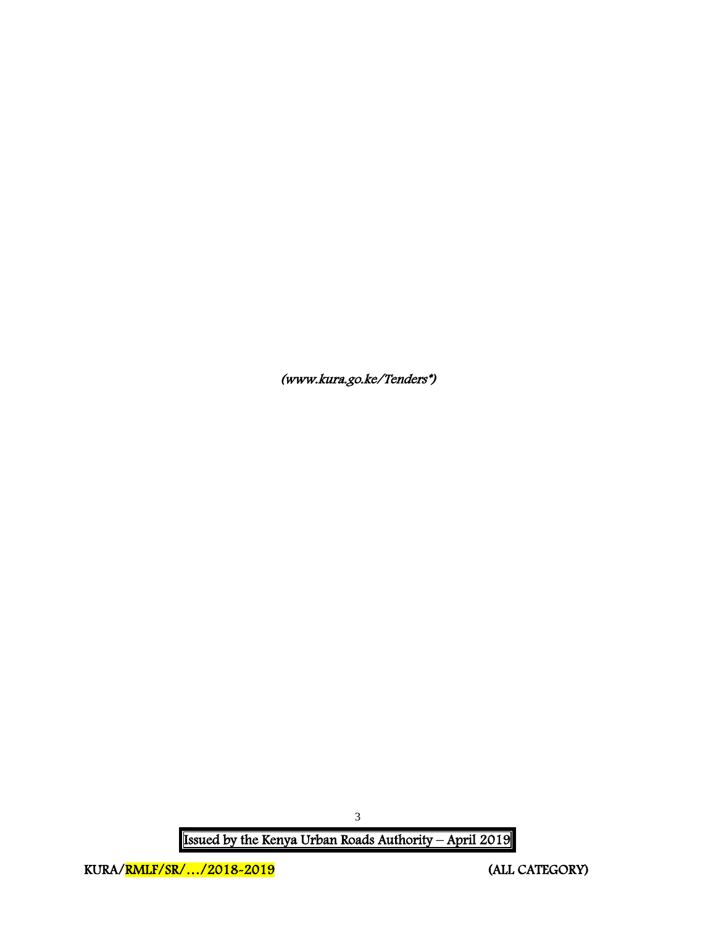(www.kura.go.ke/Tenders\*)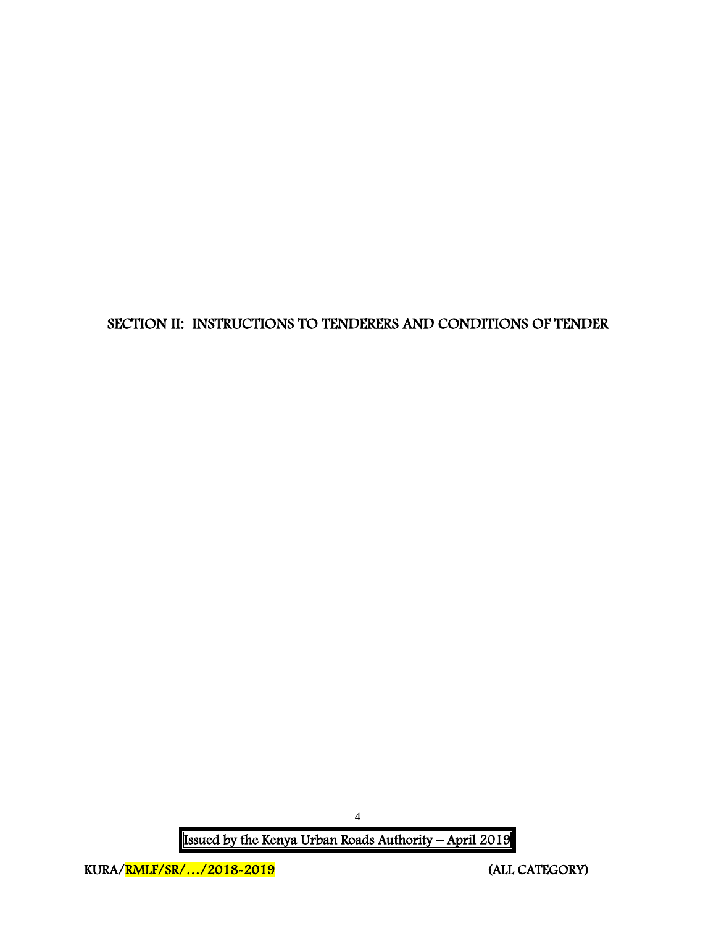<span id="page-4-0"></span>SECTION II: INSTRUCTIONS TO TENDERERS AND CONDITIONS OF TENDER

Issued by the Kenya Urban Roads Authority – April 2019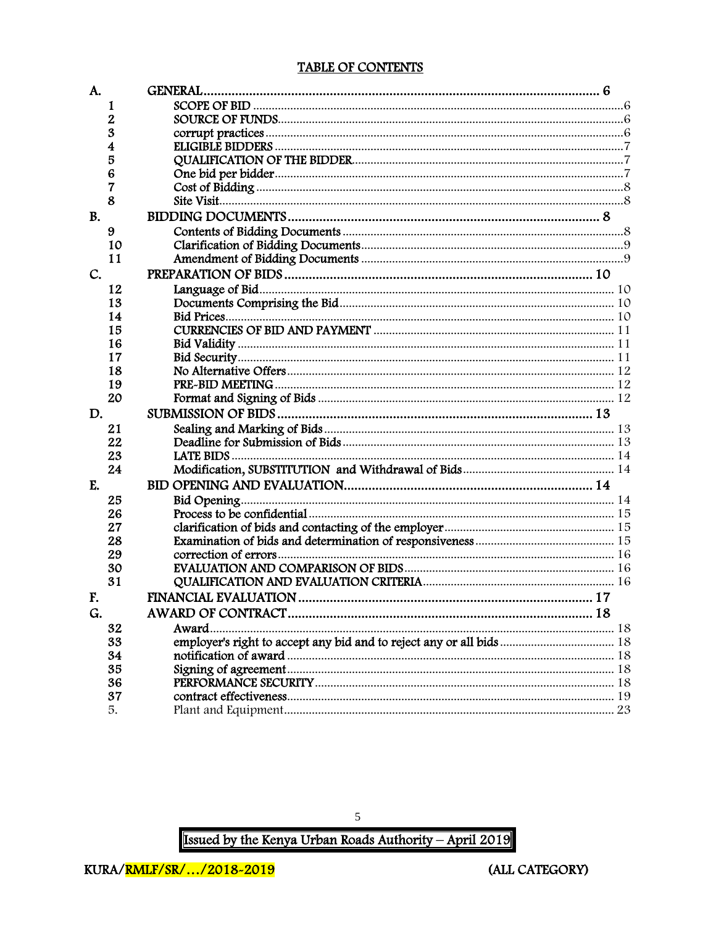# TABLE OF CONTENTS

<span id="page-5-0"></span>

| A.        |    | <b>GENERAL</b>                                                       |  |
|-----------|----|----------------------------------------------------------------------|--|
|           | 1  |                                                                      |  |
|           | 2  |                                                                      |  |
|           | 3  |                                                                      |  |
|           | 4  |                                                                      |  |
|           | 5  |                                                                      |  |
|           | 6  |                                                                      |  |
|           | 7  |                                                                      |  |
|           | 8  |                                                                      |  |
| <b>B.</b> |    |                                                                      |  |
|           | 9  |                                                                      |  |
|           | 10 |                                                                      |  |
|           | 11 |                                                                      |  |
| C.        |    |                                                                      |  |
|           | 12 |                                                                      |  |
|           | 13 |                                                                      |  |
|           | 14 |                                                                      |  |
|           | 15 |                                                                      |  |
|           | 16 |                                                                      |  |
|           | 17 |                                                                      |  |
|           | 18 |                                                                      |  |
|           | 19 |                                                                      |  |
|           | 20 |                                                                      |  |
| D.        |    |                                                                      |  |
|           | 21 |                                                                      |  |
|           | 22 |                                                                      |  |
|           | 23 |                                                                      |  |
|           | 24 |                                                                      |  |
| E.        |    |                                                                      |  |
|           | 25 |                                                                      |  |
|           | 26 |                                                                      |  |
|           | 27 |                                                                      |  |
|           | 28 |                                                                      |  |
|           | 29 |                                                                      |  |
|           | 30 |                                                                      |  |
|           | 31 |                                                                      |  |
| F.        |    |                                                                      |  |
| G.        |    |                                                                      |  |
|           | 32 | Award                                                                |  |
|           | 33 | employer's right to accept any bid and to reject any or all bids  18 |  |
|           | 34 |                                                                      |  |
|           | 35 |                                                                      |  |
|           | 36 |                                                                      |  |
|           | 37 |                                                                      |  |
|           | 5. |                                                                      |  |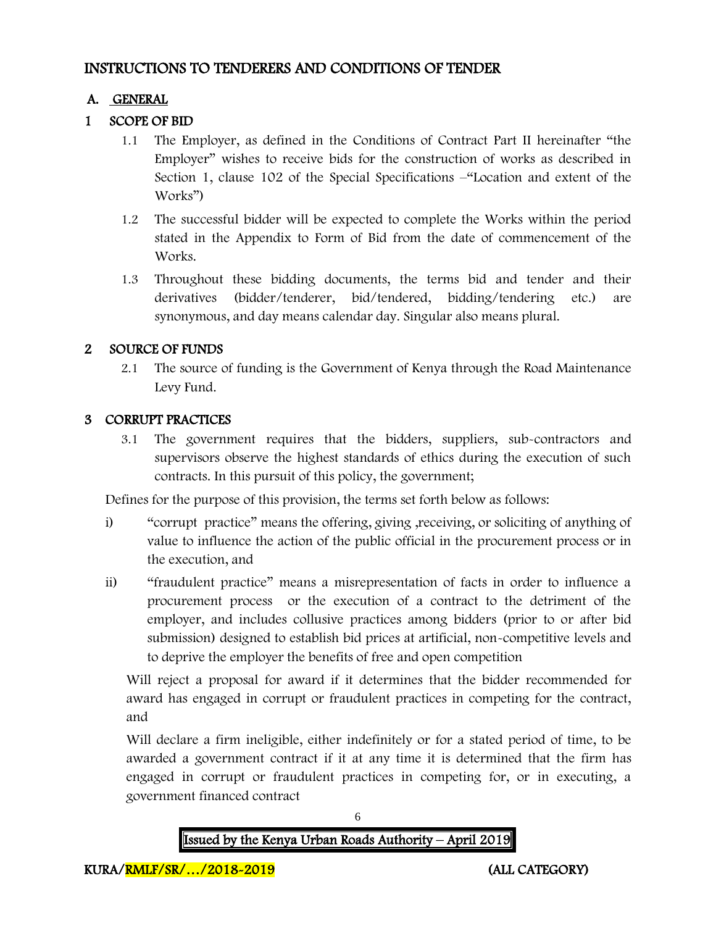# INSTRUCTIONS TO TENDERERS AND CONDITIONS OF TENDER

# A. GENERAL

# 1 SCOPE OF BID

- 1.1 The Employer, as defined in the Conditions of Contract Part II hereinafter "the Employer" wishes to receive bids for the construction of works as described in Section 1, clause 102 of the Special Specifications –"Location and extent of the Works")
- 1.2 The successful bidder will be expected to complete the Works within the period stated in the Appendix to Form of Bid from the date of commencement of the Works.
- 1.3 Throughout these bidding documents, the terms bid and tender and their derivatives (bidder/tenderer, bid/tendered, bidding/tendering etc.) are synonymous, and day means calendar day. Singular also means plural.

# 2 SOURCE OF FUNDS

2.1 The source of funding is the Government of Kenya through the Road Maintenance Levy Fund.

# 3 CORRUPT PRACTICES

3.1 The government requires that the bidders, suppliers, sub-contractors and supervisors observe the highest standards of ethics during the execution of such contracts. In this pursuit of this policy, the government;

Defines for the purpose of this provision, the terms set forth below as follows:

- i) "corrupt practice" means the offering, giving ,receiving, or soliciting of anything of value to influence the action of the public official in the procurement process or in the execution, and
- ii) "fraudulent practice" means a misrepresentation of facts in order to influence a procurement process or the execution of a contract to the detriment of the employer, and includes collusive practices among bidders (prior to or after bid submission) designed to establish bid prices at artificial, non-competitive levels and to deprive the employer the benefits of free and open competition

Will reject a proposal for award if it determines that the bidder recommended for award has engaged in corrupt or fraudulent practices in competing for the contract, and

Will declare a firm ineligible, either indefinitely or for a stated period of time, to be awarded a government contract if it at any time it is determined that the firm has engaged in corrupt or fraudulent practices in competing for, or in executing, a government financed contract

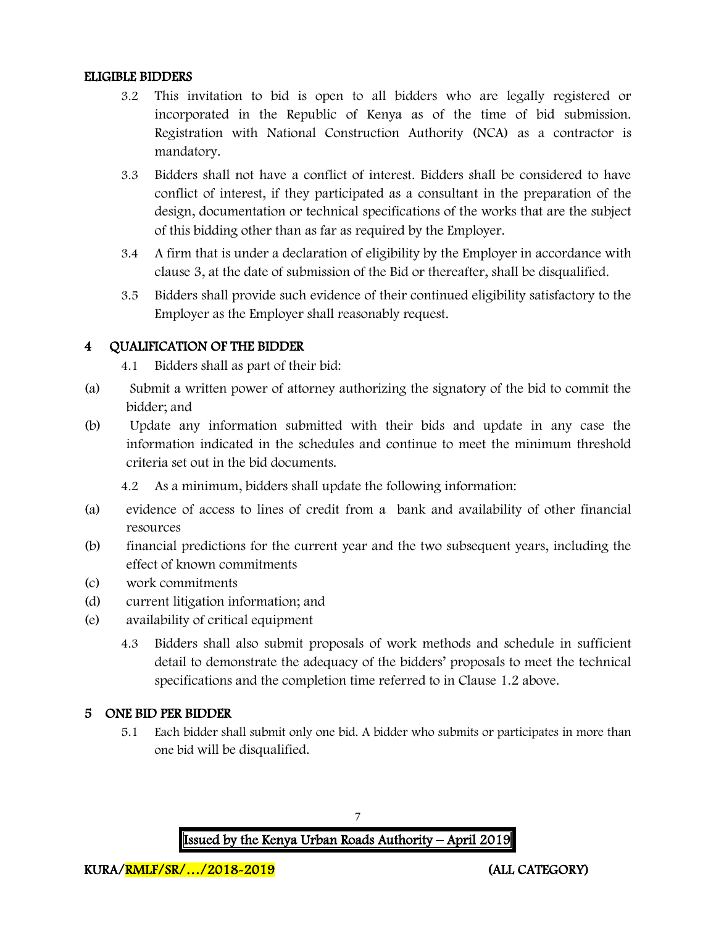#### ELIGIBLE BIDDERS

- 3.2 This invitation to bid is open to all bidders who are legally registered or incorporated in the Republic of Kenya as of the time of bid submission. Registration with National Construction Authority (NCA) as a contractor is mandatory.
- 3.3 Bidders shall not have a conflict of interest. Bidders shall be considered to have conflict of interest, if they participated as a consultant in the preparation of the design, documentation or technical specifications of the works that are the subject of this bidding other than as far as required by the Employer.
- 3.4 A firm that is under a declaration of eligibility by the Employer in accordance with clause 3, at the date of submission of the Bid or thereafter, shall be disqualified.
- 3.5 Bidders shall provide such evidence of their continued eligibility satisfactory to the Employer as the Employer shall reasonably request.

#### 4 QUALIFICATION OF THE BIDDER

- 4.1 Bidders shall as part of their bid:
- (a) Submit a written power of attorney authorizing the signatory of the bid to commit the bidder; and
- (b) Update any information submitted with their bids and update in any case the information indicated in the schedules and continue to meet the minimum threshold criteria set out in the bid documents.
	- 4.2 As a minimum, bidders shall update the following information:
- (a) evidence of access to lines of credit from a bank and availability of other financial resources
- (b) financial predictions for the current year and the two subsequent years, including the effect of known commitments
- (c) work commitments
- (d) current litigation information; and
- (e) availability of critical equipment
	- 4.3 Bidders shall also submit proposals of work methods and schedule in sufficient detail to demonstrate the adequacy of the bidders' proposals to meet the technical specifications and the completion time referred to in Clause 1.2 above.

#### 5 ONE BID PER BIDDER

5.1 Each bidder shall submit only one bid. A bidder who submits or participates in more than one bid will be disqualified.

> Issued by the Kenya Urban Roads Authority – April 2019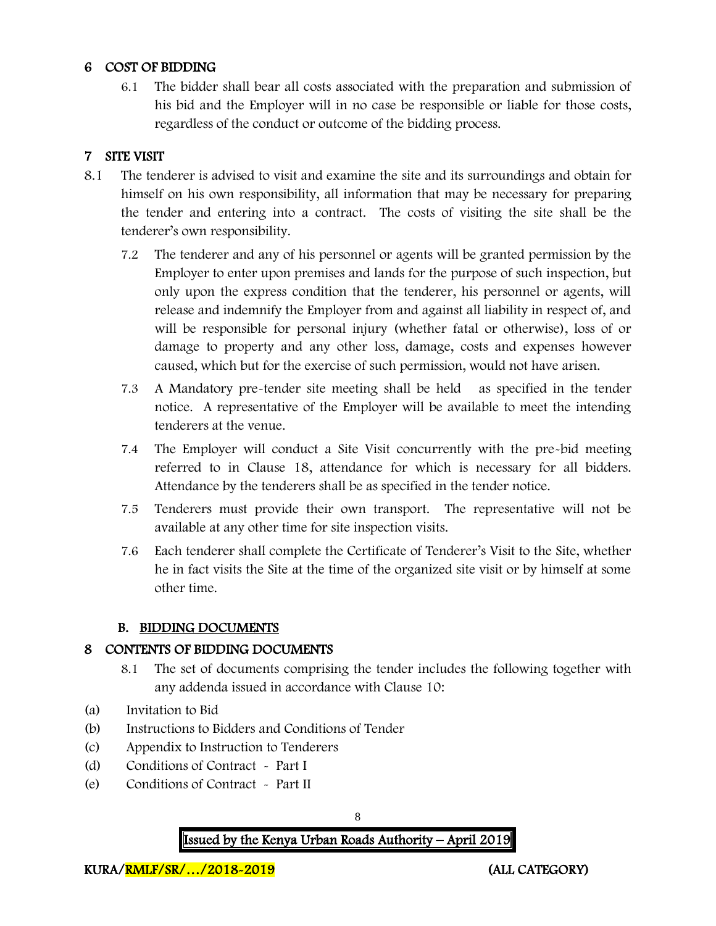#### 6 COST OF BIDDING

6.1 The bidder shall bear all costs associated with the preparation and submission of his bid and the Employer will in no case be responsible or liable for those costs, regardless of the conduct or outcome of the bidding process.

# 7 SITE VISIT

- 8.1 The tenderer is advised to visit and examine the site and its surroundings and obtain for himself on his own responsibility, all information that may be necessary for preparing the tender and entering into a contract. The costs of visiting the site shall be the tenderer's own responsibility.
	- 7.2 The tenderer and any of his personnel or agents will be granted permission by the Employer to enter upon premises and lands for the purpose of such inspection, but only upon the express condition that the tenderer, his personnel or agents, will release and indemnify the Employer from and against all liability in respect of, and will be responsible for personal injury (whether fatal or otherwise), loss of or damage to property and any other loss, damage, costs and expenses however caused, which but for the exercise of such permission, would not have arisen.
	- 7.3 A Mandatory pre-tender site meeting shall be held as specified in the tender notice. A representative of the Employer will be available to meet the intending tenderers at the venue.
	- 7.4 The Employer will conduct a Site Visit concurrently with the pre-bid meeting referred to in Clause 18, attendance for which is necessary for all bidders. Attendance by the tenderers shall be as specified in the tender notice.
	- 7.5 Tenderers must provide their own transport. The representative will not be available at any other time for site inspection visits.
	- 7.6 Each tenderer shall complete the Certificate of Tenderer's Visit to the Site, whether he in fact visits the Site at the time of the organized site visit or by himself at some other time.

#### B. BIDDING DOCUMENTS

#### 8 CONTENTS OF BIDDING DOCUMENTS

- 8.1 The set of documents comprising the tender includes the following together with any addenda issued in accordance with Clause 10:
- (a) Invitation to Bid
- (b) Instructions to Bidders and Conditions of Tender
- (c) Appendix to Instruction to Tenderers
- (d) Conditions of Contract Part I
- (e) Conditions of Contract Part II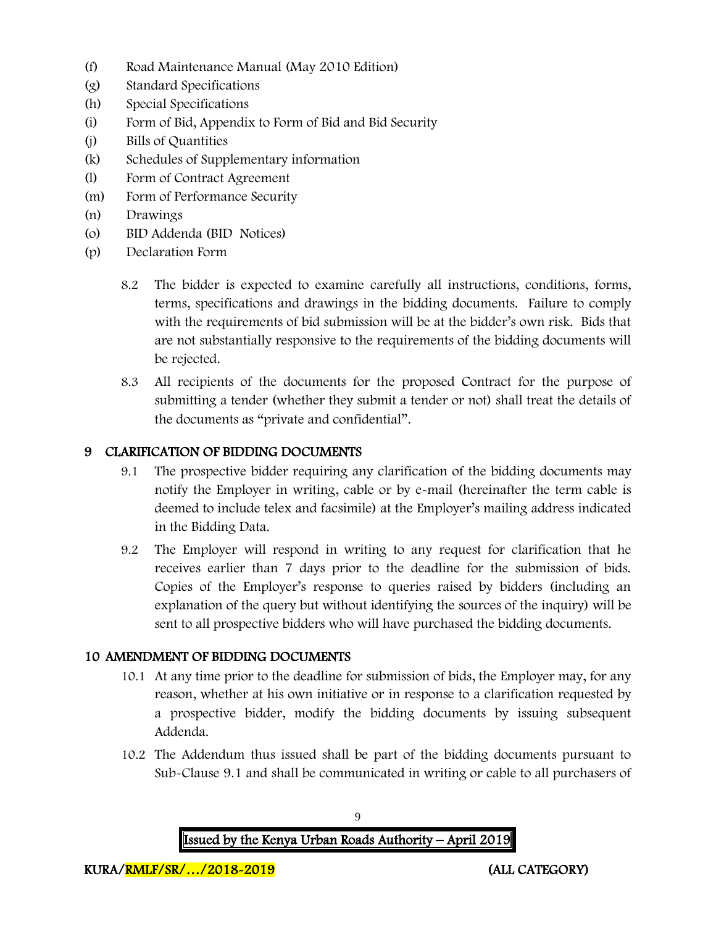- (f) Road Maintenance Manual (May 2010 Edition)
- (g) Standard Specifications
- (h) Special Specifications
- (i) Form of Bid, Appendix to Form of Bid and Bid Security
- (j) Bills of Quantities
- (k) Schedules of Supplementary information
- (l) Form of Contract Agreement
- (m) Form of Performance Security
- (n) Drawings
- (o) BID Addenda (BID Notices)
- (p) Declaration Form
	- 8.2 The bidder is expected to examine carefully all instructions, conditions, forms, terms, specifications and drawings in the bidding documents. Failure to comply with the requirements of bid submission will be at the bidder's own risk. Bids that are not substantially responsive to the requirements of the bidding documents will be rejected.
	- 8.3 All recipients of the documents for the proposed Contract for the purpose of submitting a tender (whether they submit a tender or not) shall treat the details of the documents as "private and confidential".

## 9 CLARIFICATION OF BIDDING DOCUMENTS

- 9.1 The prospective bidder requiring any clarification of the bidding documents may notify the Employer in writing, cable or by e-mail (hereinafter the term cable is deemed to include telex and facsimile) at the Employer's mailing address indicated in the Bidding Data.
- 9.2 The Employer will respond in writing to any request for clarification that he receives earlier than 7 days prior to the deadline for the submission of bids. Copies of the Employer's response to queries raised by bidders (including an explanation of the query but without identifying the sources of the inquiry) will be sent to all prospective bidders who will have purchased the bidding documents.

#### 10 AMENDMENT OF BIDDING DOCUMENTS

- 10.1 At any time prior to the deadline for submission of bids, the Employer may, for any reason, whether at his own initiative or in response to a clarification requested by a prospective bidder, modify the bidding documents by issuing subsequent Addenda.
- 10.2 The Addendum thus issued shall be part of the bidding documents pursuant to Sub-Clause 9.1 and shall be communicated in writing or cable to all purchasers of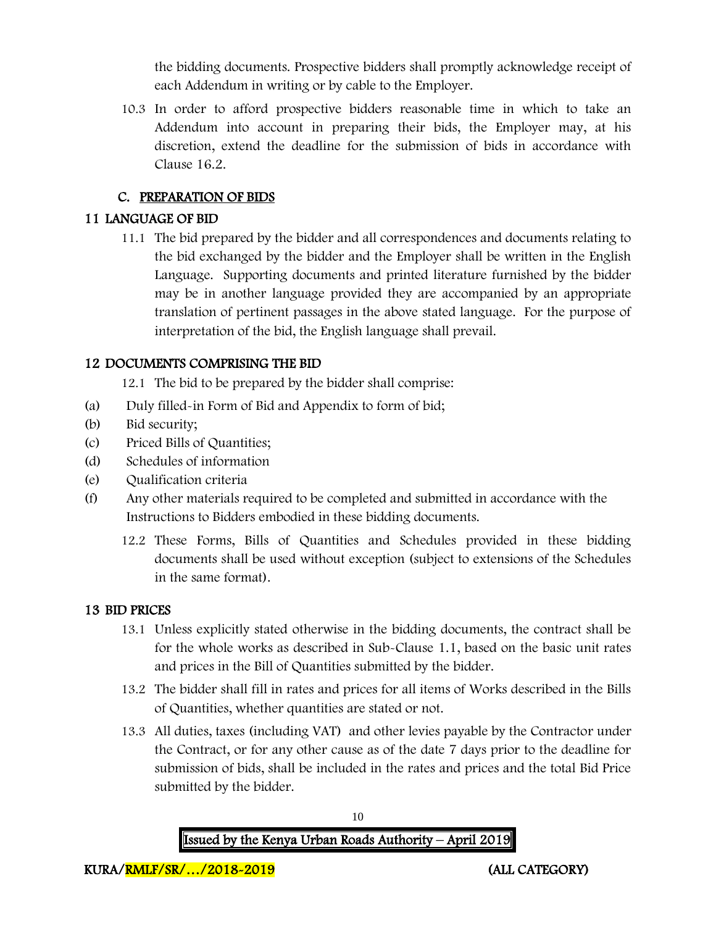the bidding documents. Prospective bidders shall promptly acknowledge receipt of each Addendum in writing or by cable to the Employer.

10.3 In order to afford prospective bidders reasonable time in which to take an Addendum into account in preparing their bids, the Employer may, at his discretion, extend the deadline for the submission of bids in accordance with Clause 16.2.

# C. PREPARATION OF BIDS

# 11 LANGUAGE OF BID

11.1 The bid prepared by the bidder and all correspondences and documents relating to the bid exchanged by the bidder and the Employer shall be written in the English Language. Supporting documents and printed literature furnished by the bidder may be in another language provided they are accompanied by an appropriate translation of pertinent passages in the above stated language. For the purpose of interpretation of the bid, the English language shall prevail.

# 12 DOCUMENTS COMPRISING THE BID

12.1 The bid to be prepared by the bidder shall comprise:

- (a) Duly filled-in Form of Bid and Appendix to form of bid;
- (b) Bid security;
- (c) Priced Bills of Quantities;
- (d) Schedules of information
- (e) Qualification criteria
- (f) Any other materials required to be completed and submitted in accordance with the Instructions to Bidders embodied in these bidding documents.
	- 12.2 These Forms, Bills of Quantities and Schedules provided in these bidding documents shall be used without exception (subject to extensions of the Schedules in the same format).

# 13 BID PRICES

- 13.1 Unless explicitly stated otherwise in the bidding documents, the contract shall be for the whole works as described in Sub-Clause 1.1, based on the basic unit rates and prices in the Bill of Quantities submitted by the bidder.
- 13.2 The bidder shall fill in rates and prices for all items of Works described in the Bills of Quantities, whether quantities are stated or not.
- 13.3 All duties, taxes (including VAT) and other levies payable by the Contractor under the Contract, or for any other cause as of the date 7 days prior to the deadline for submission of bids, shall be included in the rates and prices and the total Bid Price submitted by the bidder.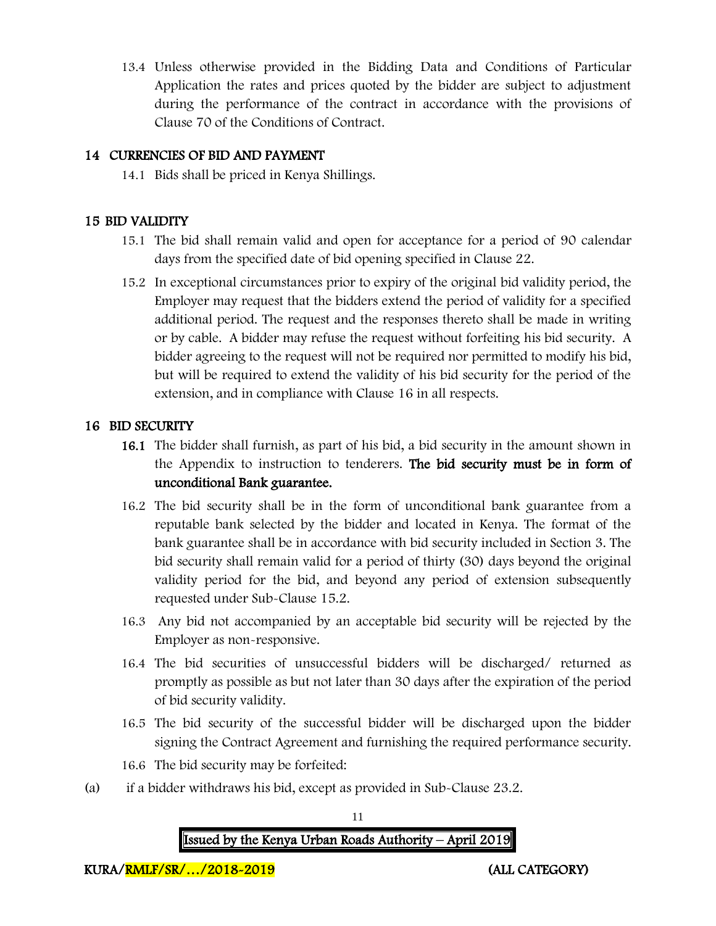13.4 Unless otherwise provided in the Bidding Data and Conditions of Particular Application the rates and prices quoted by the bidder are subject to adjustment during the performance of the contract in accordance with the provisions of Clause 70 of the Conditions of Contract.

# 14 CURRENCIES OF BID AND PAYMENT

14.1 Bids shall be priced in Kenya Shillings.

#### 15 BID VALIDITY

- 15.1 The bid shall remain valid and open for acceptance for a period of 90 calendar days from the specified date of bid opening specified in Clause 22.
- 15.2 In exceptional circumstances prior to expiry of the original bid validity period, the Employer may request that the bidders extend the period of validity for a specified additional period. The request and the responses thereto shall be made in writing or by cable. A bidder may refuse the request without forfeiting his bid security. A bidder agreeing to the request will not be required nor permitted to modify his bid, but will be required to extend the validity of his bid security for the period of the extension, and in compliance with Clause 16 in all respects.

#### 16 BID SECURITY

- 16.1 The bidder shall furnish, as part of his bid, a bid security in the amount shown in the Appendix to instruction to tenderers. The bid security must be in form of unconditional Bank guarantee.
- 16.2 The bid security shall be in the form of unconditional bank guarantee from a reputable bank selected by the bidder and located in Kenya. The format of the bank guarantee shall be in accordance with bid security included in Section 3. The bid security shall remain valid for a period of thirty (30) days beyond the original validity period for the bid, and beyond any period of extension subsequently requested under Sub-Clause 15.2.
- 16.3 Any bid not accompanied by an acceptable bid security will be rejected by the Employer as non-responsive.
- 16.4 The bid securities of unsuccessful bidders will be discharged/ returned as promptly as possible as but not later than 30 days after the expiration of the period of bid security validity.
- 16.5 The bid security of the successful bidder will be discharged upon the bidder signing the Contract Agreement and furnishing the required performance security.
- 16.6 The bid security may be forfeited:
- (a) if a bidder withdraws his bid, except as provided in Sub-Clause 23.2.

# Issued by the Kenya Urban Roads Authority – April 2019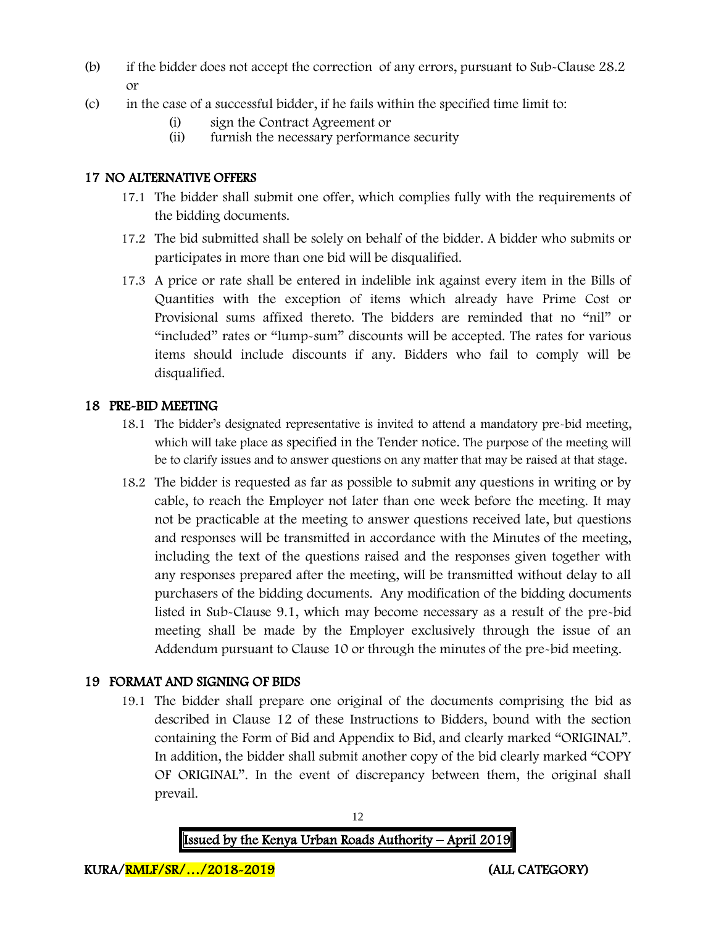- (b) if the bidder does not accept the correction of any errors, pursuant to Sub-Clause 28.2 or
- (c) in the case of a successful bidder, if he fails within the specified time limit to:
	- (i) sign the Contract Agreement or
	- (ii) furnish the necessary performance security

## 17 NO ALTERNATIVE OFFERS

- 17.1 The bidder shall submit one offer, which complies fully with the requirements of the bidding documents.
- 17.2 The bid submitted shall be solely on behalf of the bidder. A bidder who submits or participates in more than one bid will be disqualified.
- 17.3 A price or rate shall be entered in indelible ink against every item in the Bills of Quantities with the exception of items which already have Prime Cost or Provisional sums affixed thereto. The bidders are reminded that no "nil" or "included" rates or "lump-sum" discounts will be accepted. The rates for various items should include discounts if any. Bidders who fail to comply will be disqualified.

## 18 PRE-BID MEETING

- 18.1 The bidder's designated representative is invited to attend a mandatory pre-bid meeting, which will take place as specified in the Tender notice. The purpose of the meeting will be to clarify issues and to answer questions on any matter that may be raised at that stage.
- 18.2 The bidder is requested as far as possible to submit any questions in writing or by cable, to reach the Employer not later than one week before the meeting. It may not be practicable at the meeting to answer questions received late, but questions and responses will be transmitted in accordance with the Minutes of the meeting, including the text of the questions raised and the responses given together with any responses prepared after the meeting, will be transmitted without delay to all purchasers of the bidding documents. Any modification of the bidding documents listed in Sub-Clause 9.1, which may become necessary as a result of the pre-bid meeting shall be made by the Employer exclusively through the issue of an Addendum pursuant to Clause 10 or through the minutes of the pre-bid meeting.

# 19 FORMAT AND SIGNING OF BIDS

19.1 The bidder shall prepare one original of the documents comprising the bid as described in Clause 12 of these Instructions to Bidders, bound with the section containing the Form of Bid and Appendix to Bid, and clearly marked "ORIGINAL". In addition, the bidder shall submit another copy of the bid clearly marked "COPY OF ORIGINAL". In the event of discrepancy between them, the original shall prevail.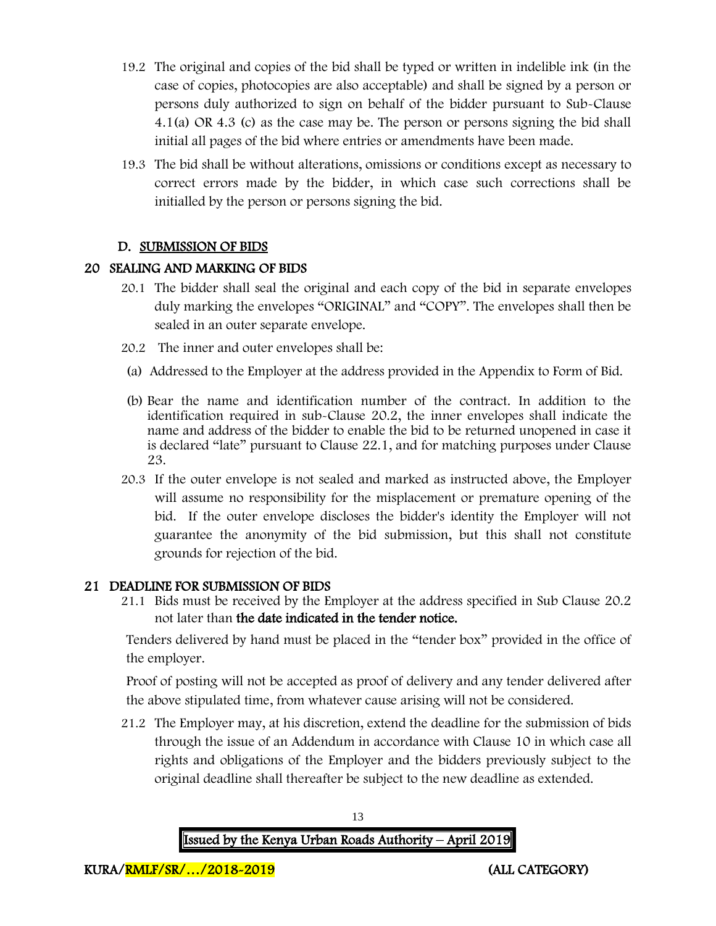- 19.2 The original and copies of the bid shall be typed or written in indelible ink (in the case of copies, photocopies are also acceptable) and shall be signed by a person or persons duly authorized to sign on behalf of the bidder pursuant to Sub-Clause 4.1(a) OR 4.3 (c) as the case may be. The person or persons signing the bid shall initial all pages of the bid where entries or amendments have been made.
- 19.3 The bid shall be without alterations, omissions or conditions except as necessary to correct errors made by the bidder, in which case such corrections shall be initialled by the person or persons signing the bid.

## D. SUBMISSION OF BIDS

## 20 SEALING AND MARKING OF BIDS

- 20.1 The bidder shall seal the original and each copy of the bid in separate envelopes duly marking the envelopes "ORIGINAL" and "COPY". The envelopes shall then be sealed in an outer separate envelope.
- 20.2 The inner and outer envelopes shall be:
- (a) Addressed to the Employer at the address provided in the Appendix to Form of Bid.
- (b) Bear the name and identification number of the contract. In addition to the identification required in sub-Clause 20.2, the inner envelopes shall indicate the name and address of the bidder to enable the bid to be returned unopened in case it is declared "late" pursuant to Clause 22.1, and for matching purposes under Clause 23.
- 20.3 If the outer envelope is not sealed and marked as instructed above, the Employer will assume no responsibility for the misplacement or premature opening of the bid. If the outer envelope discloses the bidder's identity the Employer will not guarantee the anonymity of the bid submission, but this shall not constitute grounds for rejection of the bid.

# 21 DEADLINE FOR SUBMISSION OF BIDS

21.1 Bids must be received by the Employer at the address specified in Sub Clause 20.2 not later than the date indicated in the tender notice.

Tenders delivered by hand must be placed in the "tender box" provided in the office of the employer.

Proof of posting will not be accepted as proof of delivery and any tender delivered after the above stipulated time, from whatever cause arising will not be considered.

21.2 The Employer may, at his discretion, extend the deadline for the submission of bids through the issue of an Addendum in accordance with Clause 10 in which case all rights and obligations of the Employer and the bidders previously subject to the original deadline shall thereafter be subject to the new deadline as extended.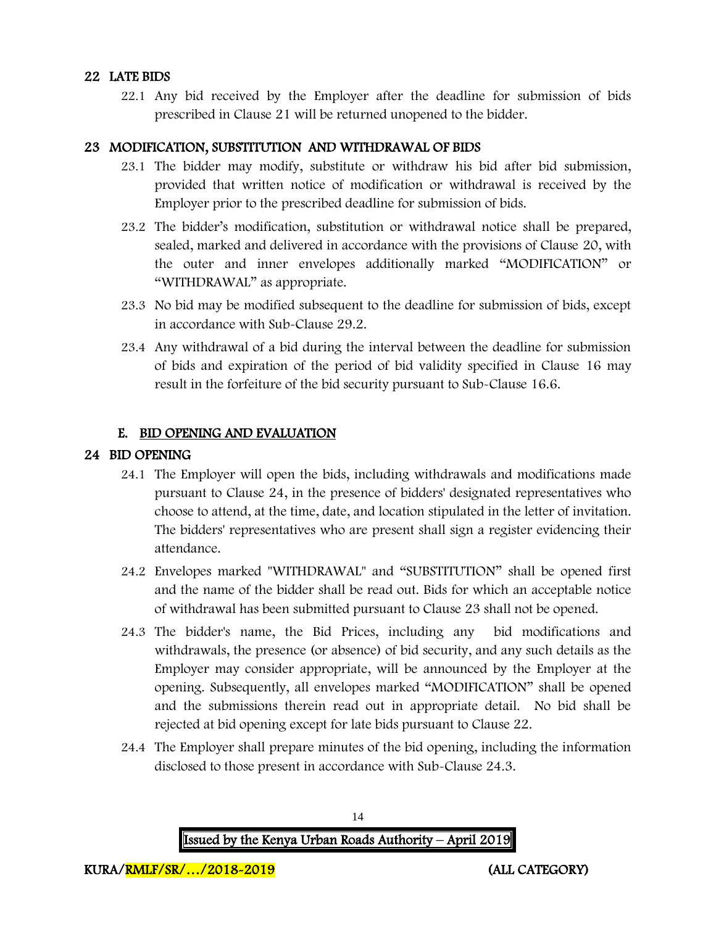#### 22 LATE BIDS

22.1 Any bid received by the Employer after the deadline for submission of bids prescribed in Clause 21 will be returned unopened to the bidder.

#### 23 MODIFICATION, SUBSTITUTION AND WITHDRAWAL OF BIDS

- 23.1 The bidder may modify, substitute or withdraw his bid after bid submission, provided that written notice of modification or withdrawal is received by the Employer prior to the prescribed deadline for submission of bids.
- 23.2 The bidder's modification, substitution or withdrawal notice shall be prepared, sealed, marked and delivered in accordance with the provisions of Clause 20, with the outer and inner envelopes additionally marked "MODIFICATION" or "WITHDRAWAL" as appropriate.
- 23.3 No bid may be modified subsequent to the deadline for submission of bids, except in accordance with Sub-Clause 29.2.
- 23.4 Any withdrawal of a bid during the interval between the deadline for submission of bids and expiration of the period of bid validity specified in Clause 16 may result in the forfeiture of the bid security pursuant to Sub-Clause 16.6.

#### E. BID OPENING AND EVALUATION

#### 24 BID OPENING

- 24.1 The Employer will open the bids, including withdrawals and modifications made pursuant to Clause 24, in the presence of bidders' designated representatives who choose to attend, at the time, date, and location stipulated in the letter of invitation. The bidders' representatives who are present shall sign a register evidencing their attendance.
- 24.2 Envelopes marked "WITHDRAWAL" and "SUBSTITUTION" shall be opened first and the name of the bidder shall be read out. Bids for which an acceptable notice of withdrawal has been submitted pursuant to Clause 23 shall not be opened.
- 24.3 The bidder's name, the Bid Prices, including any bid modifications and withdrawals, the presence (or absence) of bid security, and any such details as the Employer may consider appropriate, will be announced by the Employer at the opening. Subsequently, all envelopes marked "MODIFICATION" shall be opened and the submissions therein read out in appropriate detail. No bid shall be rejected at bid opening except for late bids pursuant to Clause 22.
- 24.4 The Employer shall prepare minutes of the bid opening, including the information disclosed to those present in accordance with Sub-Clause 24.3.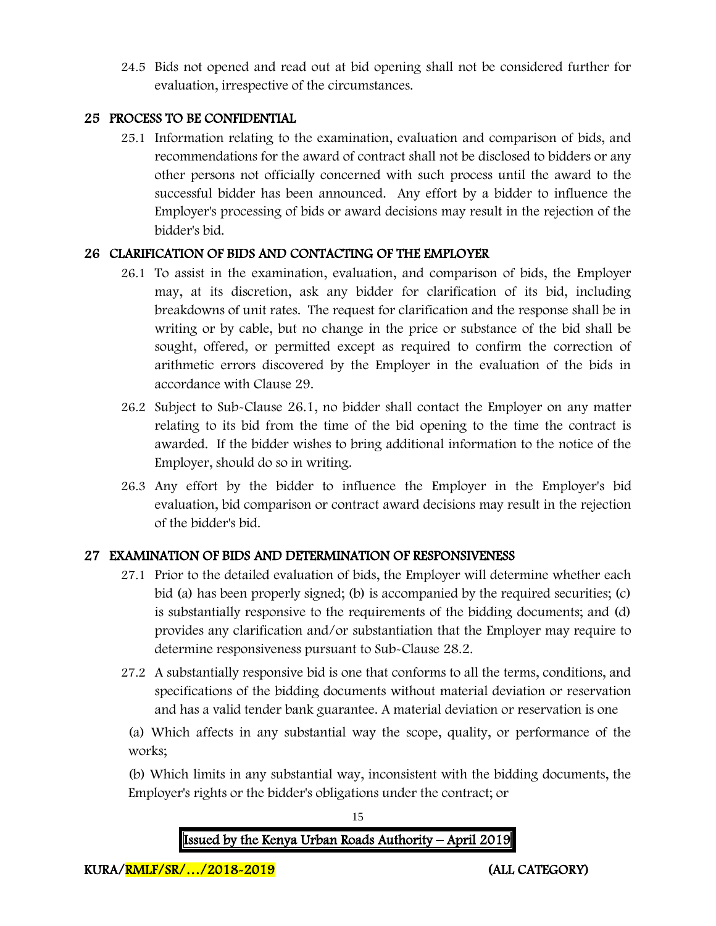24.5 Bids not opened and read out at bid opening shall not be considered further for evaluation, irrespective of the circumstances.

# 25 PROCESS TO BE CONFIDENTIAL

25.1 Information relating to the examination, evaluation and comparison of bids, and recommendations for the award of contract shall not be disclosed to bidders or any other persons not officially concerned with such process until the award to the successful bidder has been announced. Any effort by a bidder to influence the Employer's processing of bids or award decisions may result in the rejection of the bidder's bid.

## 26 CLARIFICATION OF BIDS AND CONTACTING OF THE EMPLOYER

- 26.1 To assist in the examination, evaluation, and comparison of bids, the Employer may, at its discretion, ask any bidder for clarification of its bid, including breakdowns of unit rates. The request for clarification and the response shall be in writing or by cable, but no change in the price or substance of the bid shall be sought, offered, or permitted except as required to confirm the correction of arithmetic errors discovered by the Employer in the evaluation of the bids in accordance with Clause 29.
- 26.2 Subject to Sub-Clause 26.1, no bidder shall contact the Employer on any matter relating to its bid from the time of the bid opening to the time the contract is awarded. If the bidder wishes to bring additional information to the notice of the Employer, should do so in writing.
- 26.3 Any effort by the bidder to influence the Employer in the Employer's bid evaluation, bid comparison or contract award decisions may result in the rejection of the bidder's bid.

# 27 EXAMINATION OF BIDS AND DETERMINATION OF RESPONSIVENESS

- 27.1 Prior to the detailed evaluation of bids, the Employer will determine whether each bid (a) has been properly signed; (b) is accompanied by the required securities; (c) is substantially responsive to the requirements of the bidding documents; and (d) provides any clarification and/or substantiation that the Employer may require to determine responsiveness pursuant to Sub-Clause 28.2.
- 27.2 A substantially responsive bid is one that conforms to all the terms, conditions, and specifications of the bidding documents without material deviation or reservation and has a valid tender bank guarantee. A material deviation or reservation is one

(a) Which affects in any substantial way the scope, quality, or performance of the works;

(b) Which limits in any substantial way, inconsistent with the bidding documents, the Employer's rights or the bidder's obligations under the contract; or

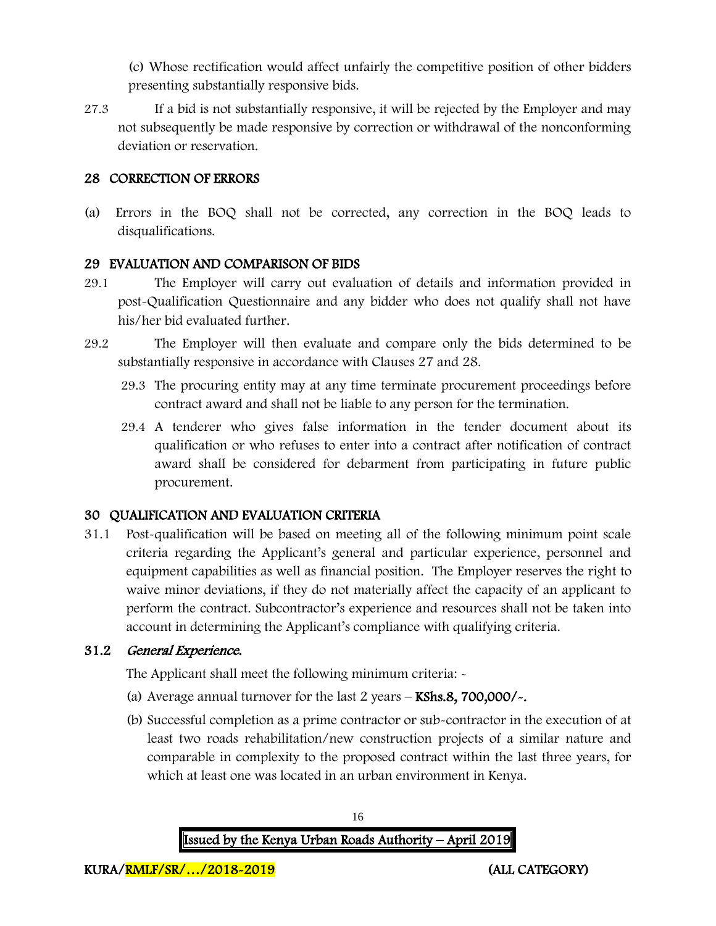(c) Whose rectification would affect unfairly the competitive position of other bidders presenting substantially responsive bids.

27.3 If a bid is not substantially responsive, it will be rejected by the Employer and may not subsequently be made responsive by correction or withdrawal of the nonconforming deviation or reservation.

#### 28 CORRECTION OF ERRORS

(a) Errors in the BOQ shall not be corrected, any correction in the BOQ leads to disqualifications.

## 29 EVALUATION AND COMPARISON OF BIDS

- 29.1 The Employer will carry out evaluation of details and information provided in post-Qualification Questionnaire and any bidder who does not qualify shall not have his/her bid evaluated further.
- 29.2 The Employer will then evaluate and compare only the bids determined to be substantially responsive in accordance with Clauses 27 and 28.
	- 29.3 The procuring entity may at any time terminate procurement proceedings before contract award and shall not be liable to any person for the termination.
	- 29.4 A tenderer who gives false information in the tender document about its qualification or who refuses to enter into a contract after notification of contract award shall be considered for debarment from participating in future public procurement.

# 30 QUALIFICATION AND EVALUATION CRITERIA

31.1 Post-qualification will be based on meeting all of the following minimum point scale criteria regarding the Applicant's general and particular experience, personnel and equipment capabilities as well as financial position. The Employer reserves the right to waive minor deviations, if they do not materially affect the capacity of an applicant to perform the contract. Subcontractor's experience and resources shall not be taken into account in determining the Applicant's compliance with qualifying criteria.

# 31.2 General Experience.

The Applicant shall meet the following minimum criteria: -

- (a) Average annual turnover for the last  $2$  years  $-$  KShs.8, 700,000/ $\sim$ .
- (b) Successful completion as a prime contractor or sub-contractor in the execution of at least two roads rehabilitation/new construction projects of a similar nature and comparable in complexity to the proposed contract within the last three years, for which at least one was located in an urban environment in Kenya.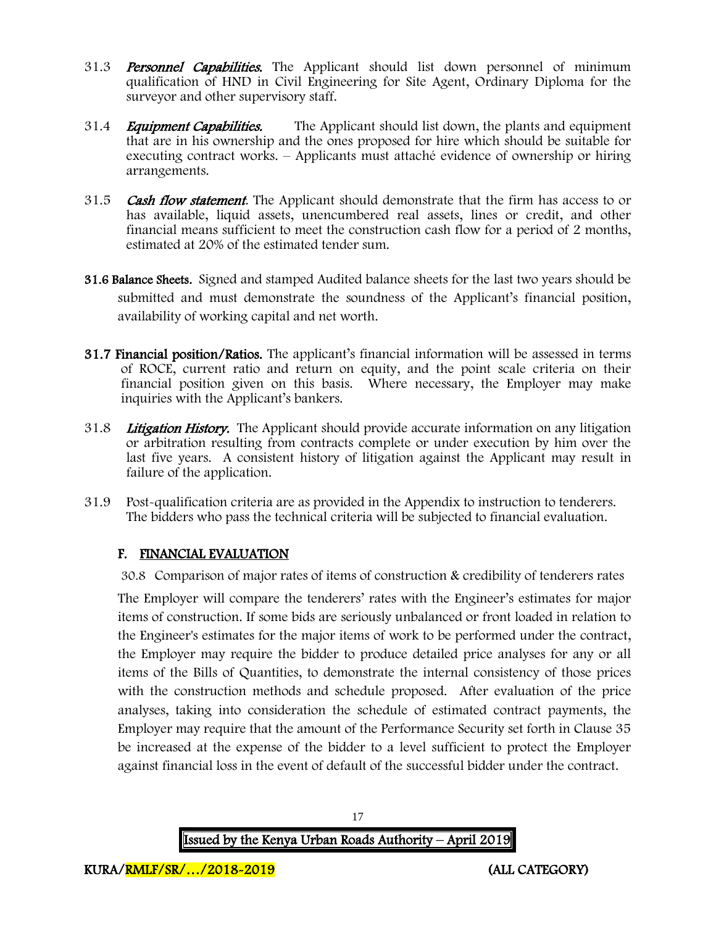- 31.3 **Personnel Capabilities.** The Applicant should list down personnel of minimum qualification of HND in Civil Engineering for Site Agent, Ordinary Diploma for the surveyor and other supervisory staff.
- 31.4 *Equipment Capabilities.* The Applicant should list down, the plants and equipment that are in his ownership and the ones proposed for hire which should be suitable for executing contract works. – Applicants must attaché evidence of ownership or hiring arrangements.
- 31.5 **Cash flow statement**. The Applicant should demonstrate that the firm has access to or has available, liquid assets, unencumbered real assets, lines or credit, and other financial means sufficient to meet the construction cash flow for a period of 2 months, estimated at 20% of the estimated tender sum.
- 31.6 Balance Sheets. Signed and stamped Audited balance sheets for the last two years should be submitted and must demonstrate the soundness of the Applicant's financial position, availability of working capital and net worth.
- 31.7 Financial position/Ratios. The applicant's financial information will be assessed in terms of ROCE, current ratio and return on equity, and the point scale criteria on their financial position given on this basis. Where necessary, the Employer may make inquiries with the Applicant's bankers.
- 31.8 Litigation History. The Applicant should provide accurate information on any litigation or arbitration resulting from contracts complete or under execution by him over the last five years. A consistent history of litigation against the Applicant may result in failure of the application.
- 31.9 Post-qualification criteria are as provided in the Appendix to instruction to tenderers. The bidders who pass the technical criteria will be subjected to financial evaluation.

# F. FINANCIAL EVALUATION

30.8 Comparison of major rates of items of construction & credibility of tenderers rates

The Employer will compare the tenderers' rates with the Engineer's estimates for major items of construction. If some bids are seriously unbalanced or front loaded in relation to the Engineer's estimates for the major items of work to be performed under the contract, the Employer may require the bidder to produce detailed price analyses for any or all items of the Bills of Quantities, to demonstrate the internal consistency of those prices with the construction methods and schedule proposed. After evaluation of the price analyses, taking into consideration the schedule of estimated contract payments, the Employer may require that the amount of the Performance Security set forth in Clause 35 be increased at the expense of the bidder to a level sufficient to protect the Employer against financial loss in the event of default of the successful bidder under the contract.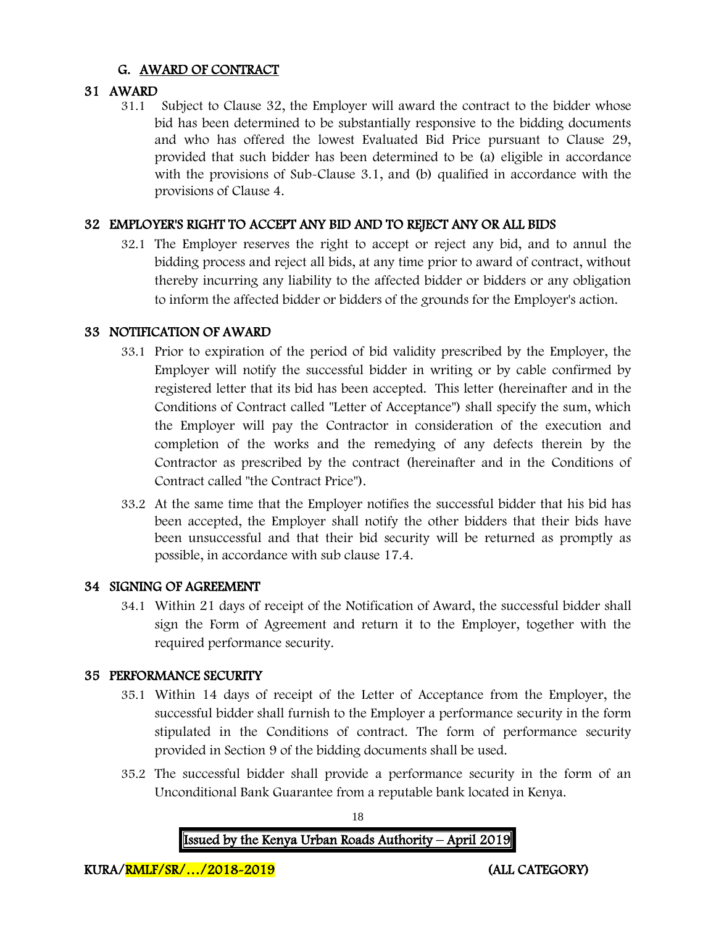# G. AWARD OF CONTRACT

# 31 AWARD

31.1 Subject to Clause 32, the Employer will award the contract to the bidder whose bid has been determined to be substantially responsive to the bidding documents and who has offered the lowest Evaluated Bid Price pursuant to Clause 29, provided that such bidder has been determined to be (a) eligible in accordance with the provisions of Sub-Clause 3.1, and (b) qualified in accordance with the provisions of Clause 4.

## 32 EMPLOYER'S RIGHT TO ACCEPT ANY BID AND TO REJECT ANY OR ALL BIDS

32.1 The Employer reserves the right to accept or reject any bid, and to annul the bidding process and reject all bids, at any time prior to award of contract, without thereby incurring any liability to the affected bidder or bidders or any obligation to inform the affected bidder or bidders of the grounds for the Employer's action.

## 33 NOTIFICATION OF AWARD

- 33.1 Prior to expiration of the period of bid validity prescribed by the Employer, the Employer will notify the successful bidder in writing or by cable confirmed by registered letter that its bid has been accepted. This letter (hereinafter and in the Conditions of Contract called "Letter of Acceptance") shall specify the sum, which the Employer will pay the Contractor in consideration of the execution and completion of the works and the remedying of any defects therein by the Contractor as prescribed by the contract (hereinafter and in the Conditions of Contract called "the Contract Price").
- 33.2 At the same time that the Employer notifies the successful bidder that his bid has been accepted, the Employer shall notify the other bidders that their bids have been unsuccessful and that their bid security will be returned as promptly as possible, in accordance with sub clause 17.4.

# 34 SIGNING OF AGREEMENT

34.1 Within 21 days of receipt of the Notification of Award, the successful bidder shall sign the Form of Agreement and return it to the Employer, together with the required performance security.

#### 35 PERFORMANCE SECURITY

- 35.1 Within 14 days of receipt of the Letter of Acceptance from the Employer, the successful bidder shall furnish to the Employer a performance security in the form stipulated in the Conditions of contract. The form of performance security provided in Section 9 of the bidding documents shall be used.
- 35.2 The successful bidder shall provide a performance security in the form of an Unconditional Bank Guarantee from a reputable bank located in Kenya.

 Issued by the Kenya Urban Roads Authority – April 2019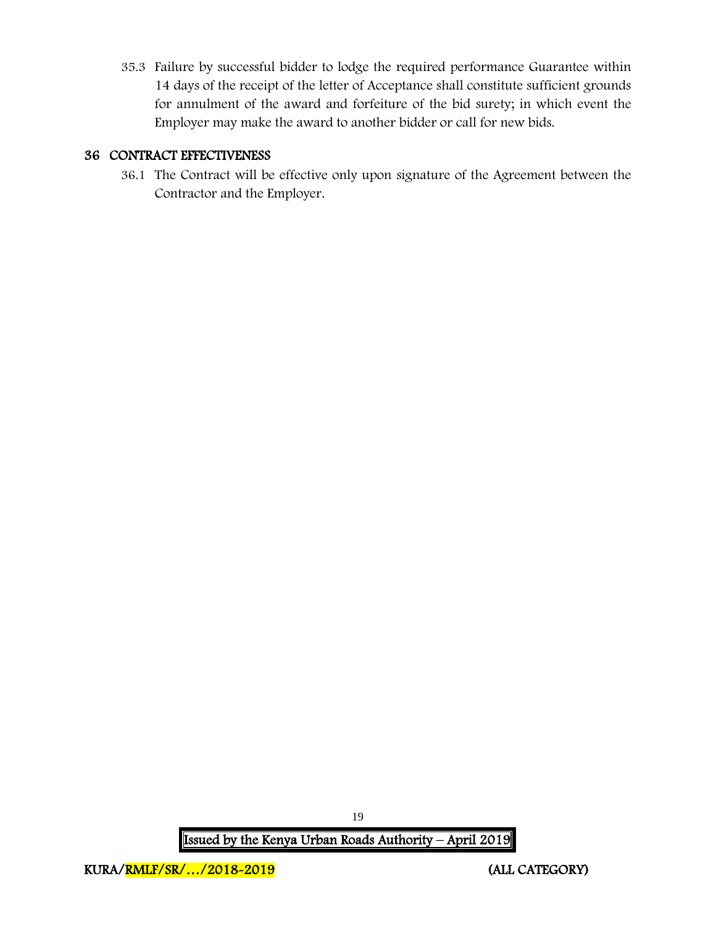35.3 Failure by successful bidder to lodge the required performance Guarantee within 14 days of the receipt of the letter of Acceptance shall constitute sufficient grounds for annulment of the award and forfeiture of the bid surety; in which event the Employer may make the award to another bidder or call for new bids.

## 36 CONTRACT EFFECTIVENESS

36.1 The Contract will be effective only upon signature of the Agreement between the Contractor and the Employer.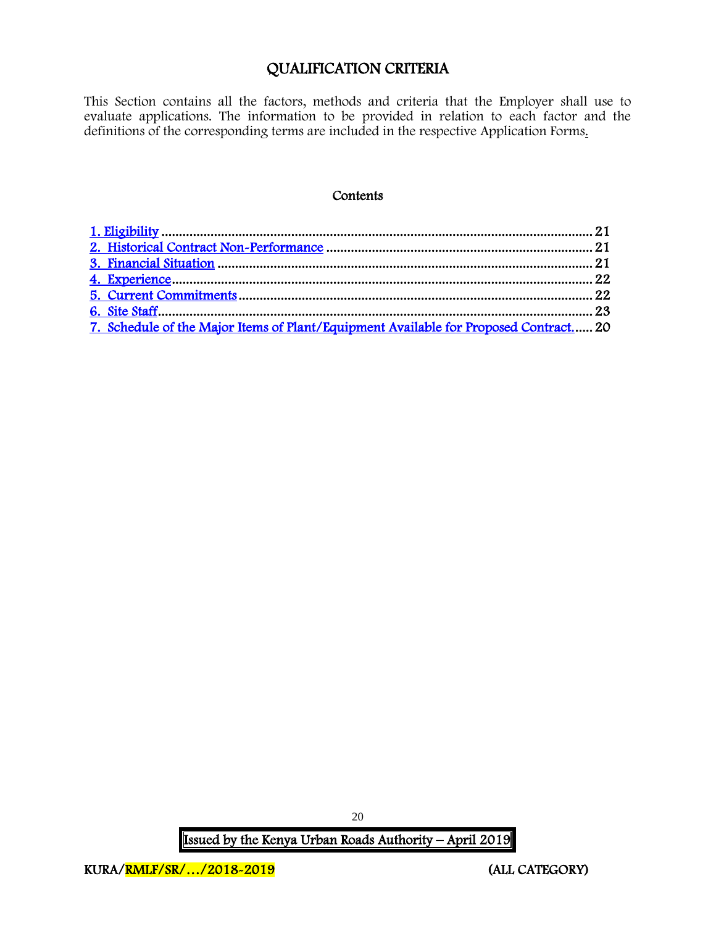# QUALIFICATION CRITERIA

<span id="page-20-0"></span>This Section contains all the factors, methods and criteria that the Employer shall use to evaluate applications. The information to be provided in relation to each factor and the definitions of the corresponding terms are included in the respective Application Forms.

#### **Contents**

| 7. Schedule of the Major Items of Plant/Equipment Available for Proposed Contract 20 |  |
|--------------------------------------------------------------------------------------|--|

Issued by the Kenya Urban Roads Authority – April 2019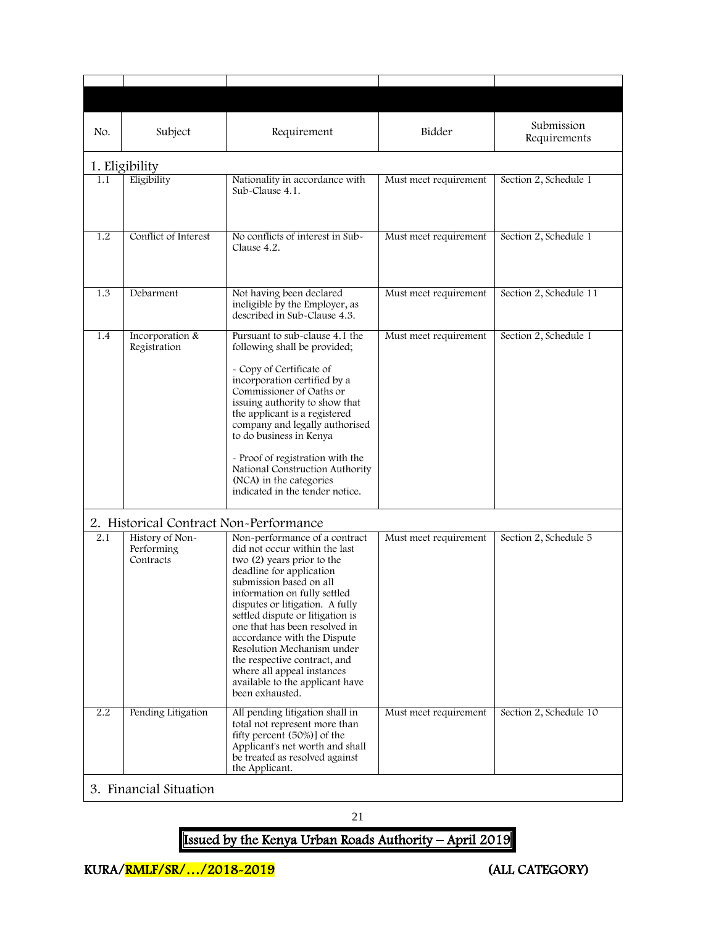<span id="page-21-0"></span>

| No.            | Subject                                    | Requirement                                                                                                                                                                                                                                                                                                                                                                                                                                                                  | Bidder                | Submission<br>Requirements |
|----------------|--------------------------------------------|------------------------------------------------------------------------------------------------------------------------------------------------------------------------------------------------------------------------------------------------------------------------------------------------------------------------------------------------------------------------------------------------------------------------------------------------------------------------------|-----------------------|----------------------------|
| 1. Eligibility |                                            |                                                                                                                                                                                                                                                                                                                                                                                                                                                                              |                       |                            |
| 1.1            | Eligibility                                | Nationality in accordance with<br>Sub-Clause 4.1.                                                                                                                                                                                                                                                                                                                                                                                                                            | Must meet requirement | Section 2, Schedule 1      |
| 1.2            | Conflict of Interest                       | No conflicts of interest in Sub-<br>Clause 4.2.                                                                                                                                                                                                                                                                                                                                                                                                                              | Must meet requirement | Section 2, Schedule 1      |
| 1.3            | Debarment                                  | Not having been declared<br>ineligible by the Employer, as<br>described in Sub-Clause 4.3.                                                                                                                                                                                                                                                                                                                                                                                   | Must meet requirement | Section 2, Schedule 11     |
| 1.4            | Incorporation &<br>Registration            | Pursuant to sub-clause 4.1 the<br>following shall be provided;<br>- Copy of Certificate of<br>incorporation certified by a<br>Commissioner of Oaths or<br>issuing authority to show that<br>the applicant is a registered<br>company and legally authorised<br>to do business in Kenya<br>- Proof of registration with the<br>National Construction Authority<br>(NCA) in the categories<br>indicated in the tender notice.                                                  | Must meet requirement | Section 2, Schedule 1      |
|                | 2. Historical Contract Non-Performance     |                                                                                                                                                                                                                                                                                                                                                                                                                                                                              |                       |                            |
| 2.1            | History of Non-<br>Performing<br>Contracts | Non-performance of a contract<br>did not occur within the last<br>two (2) years prior to the<br>deadline for application<br>submission based on all<br>information on fully settled<br>disputes or litigation. A fully<br>settled dispute or litigation is<br>one that has been resolved in<br>accordance with the Dispute<br>Resolution Mechanism under<br>the respective contract, and<br>where all appeal instances<br>available to the applicant have<br>been exhausted. | Must meet requirement | Section 2, Schedule 5      |
| 2.2            | Pending Litigation                         | All pending litigation shall in<br>total not represent more than<br>fifty percent (50%)] of the<br>Applicant's net worth and shall<br>be treated as resolved against<br>the Applicant.                                                                                                                                                                                                                                                                                       | Must meet requirement | Section 2, Schedule 10     |
|                | 3. Financial Situation                     |                                                                                                                                                                                                                                                                                                                                                                                                                                                                              |                       |                            |

<span id="page-21-2"></span><span id="page-21-1"></span>Issued by the Kenya Urban Roads Authority – April 2019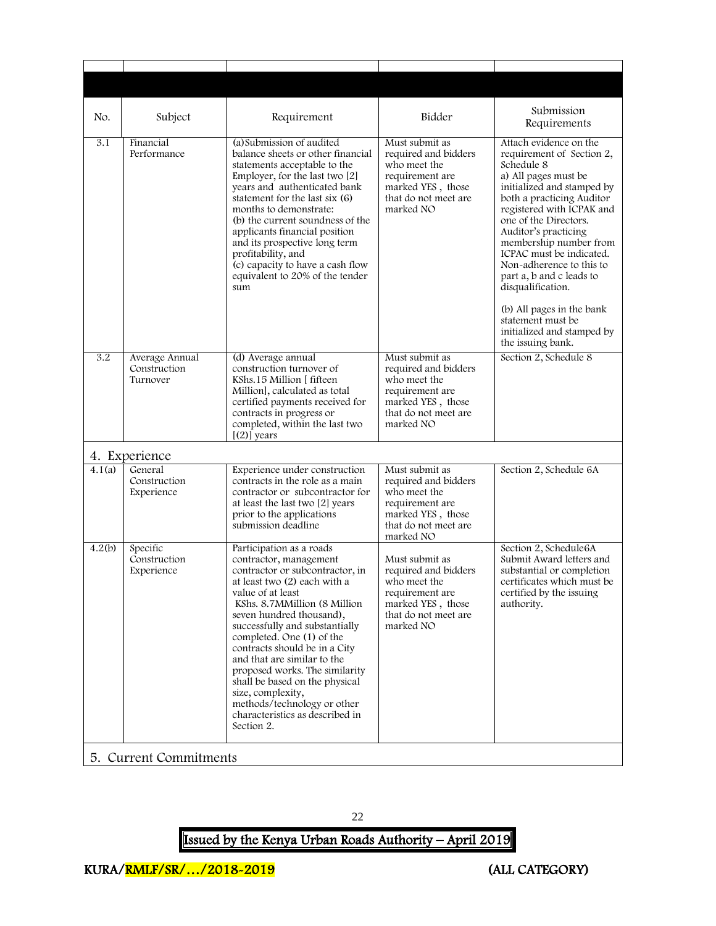<span id="page-22-0"></span>

| No.              | Subject                                    | Requirement                                                                                                                                                                                                                                                                                                                                                                                                                                                                                                    | Bidder                                                                                                                              | Submission<br>Requirements                                                                                                                                                                                                                                                                                                                                                                                                                                                 |  |  |  |
|------------------|--------------------------------------------|----------------------------------------------------------------------------------------------------------------------------------------------------------------------------------------------------------------------------------------------------------------------------------------------------------------------------------------------------------------------------------------------------------------------------------------------------------------------------------------------------------------|-------------------------------------------------------------------------------------------------------------------------------------|----------------------------------------------------------------------------------------------------------------------------------------------------------------------------------------------------------------------------------------------------------------------------------------------------------------------------------------------------------------------------------------------------------------------------------------------------------------------------|--|--|--|
| 3.1              | Financial<br>Performance                   | (a) Submission of audited<br>balance sheets or other financial<br>statements acceptable to the<br>Employer, for the last two [2]<br>years and authenticated bank<br>statement for the last six $(6)$<br>months to demonstrate:<br>(b) the current soundness of the<br>applicants financial position<br>and its prospective long term<br>profitability, and<br>(c) capacity to have a cash flow<br>equivalent to 20% of the tender<br>sum                                                                       | Must submit as<br>required and bidders<br>who meet the<br>requirement are<br>marked YES, those<br>that do not meet are<br>marked NO | Attach evidence on the<br>requirement of Section 2,<br>Schedule 8<br>a) All pages must be<br>initialized and stamped by<br>both a practicing Auditor<br>registered with ICPAK and<br>one of the Directors.<br>Auditor's practicing<br>membership number from<br>ICPAC must be indicated.<br>Non-adherence to this to<br>part a, b and c leads to<br>disqualification.<br>(b) All pages in the bank<br>statement must be<br>initialized and stamped by<br>the issuing bank. |  |  |  |
| $\overline{3.2}$ | Average Annual<br>Construction<br>Turnover | (d) Average annual<br>construction turnover of<br>KShs.15 Million [fifteen]<br>Million], calculated as total<br>certified payments received for<br>contracts in progress or<br>completed, within the last two<br>$[(2)]$ years                                                                                                                                                                                                                                                                                 | Must submit as<br>required and bidders<br>who meet the<br>requirement are<br>marked YES, those<br>that do not meet are<br>marked NO | Section 2, Schedule 8                                                                                                                                                                                                                                                                                                                                                                                                                                                      |  |  |  |
|                  | 4. Experience                              |                                                                                                                                                                                                                                                                                                                                                                                                                                                                                                                |                                                                                                                                     |                                                                                                                                                                                                                                                                                                                                                                                                                                                                            |  |  |  |
| 4.1(a)           | General<br>Construction<br>Experience      | Experience under construction<br>contracts in the role as a main<br>contractor or subcontractor for<br>at least the last two [2] years<br>prior to the applications<br>submission deadline                                                                                                                                                                                                                                                                                                                     | Must submit as<br>required and bidders<br>who meet the<br>requirement are<br>marked YES, those<br>that do not meet are<br>marked NO | Section 2, Schedule 6A                                                                                                                                                                                                                                                                                                                                                                                                                                                     |  |  |  |
| 4.2(b)           | Specific<br>Construction<br>Experience     | Participation as a roads<br>contractor, management<br>contractor or subcontractor, in<br>at least two (2) each with a<br>value of at least<br>KShs. 8.7MMillion (8 Million<br>seven hundred thousand),<br>successfully and substantially<br>completed. One (1) of the<br>contracts should be in a City<br>and that are similar to the<br>proposed works. The similarity<br>shall be based on the physical<br>size, complexity,<br>methods/technology or other<br>characteristics as described in<br>Section 2. | Must submit as<br>required and bidders<br>who meet the<br>requirement are<br>marked YES, those<br>that do not meet are<br>marked NO | Section 2, Schedule6A<br>Submit Award letters and<br>substantial or completion<br>certificates which must be<br>certified by the issuing<br>authority.                                                                                                                                                                                                                                                                                                                     |  |  |  |
|                  | 5. Current Commitments                     |                                                                                                                                                                                                                                                                                                                                                                                                                                                                                                                |                                                                                                                                     |                                                                                                                                                                                                                                                                                                                                                                                                                                                                            |  |  |  |

<span id="page-22-1"></span>22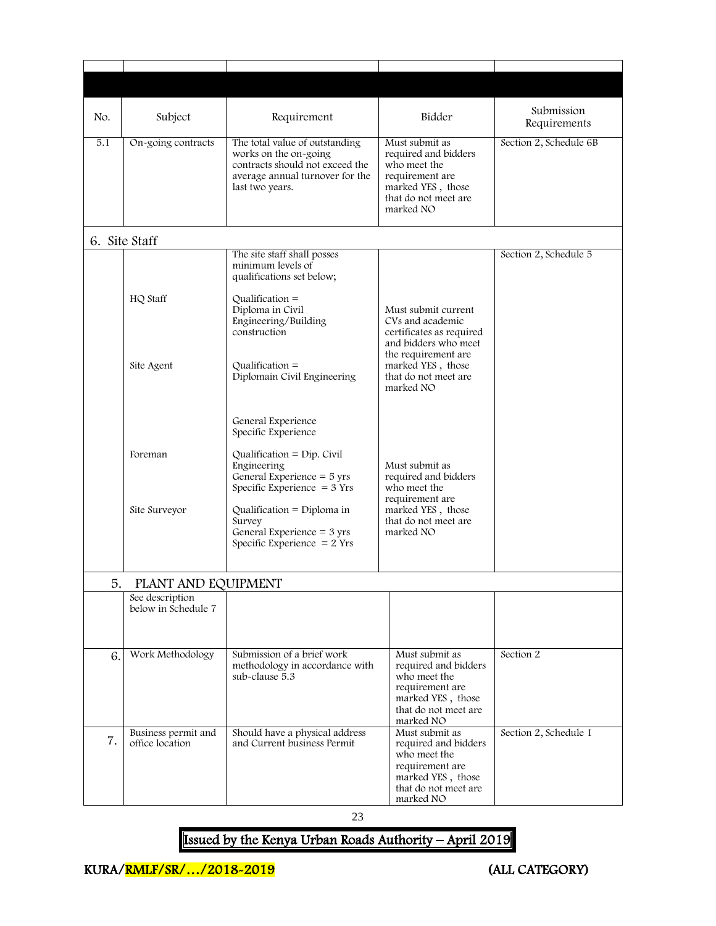<span id="page-23-0"></span>

| No. | Subject                                | Requirement                                                                                                                                      | Bidder                                                                                                                              | Submission<br>Requirements |
|-----|----------------------------------------|--------------------------------------------------------------------------------------------------------------------------------------------------|-------------------------------------------------------------------------------------------------------------------------------------|----------------------------|
| 5.1 | On-going contracts                     | The total value of outstanding<br>works on the on-going<br>contracts should not exceed the<br>average annual turnover for the<br>last two years. | Must submit as<br>required and bidders<br>who meet the<br>requirement are<br>marked YES, those<br>that do not meet are<br>marked NO | Section 2, Schedule 6B     |
|     | 6. Site Staff                          |                                                                                                                                                  |                                                                                                                                     |                            |
|     | HQ Staff                               | The site staff shall posses<br>minimum levels of<br>qualifications set below;<br>Qualification $=$<br>Diploma in Civil                           | Must submit current                                                                                                                 | Section 2, Schedule 5      |
|     |                                        | Engineering/Building<br>construction                                                                                                             | CVs and academic<br>certificates as required<br>and bidders who meet<br>the requirement are                                         |                            |
|     | Site Agent                             | Qualification $=$<br>Diplomain Civil Engineering                                                                                                 | marked YES, those<br>that do not meet are<br>marked NO                                                                              |                            |
|     | Foreman                                | General Experience<br>Specific Experience                                                                                                        |                                                                                                                                     |                            |
|     |                                        | $Qualification = Dip. Civil$<br>Engineering<br>General Experience = 5 yrs<br>Specific Experience $=$ 3 Yrs                                       | Must submit as<br>required and bidders<br>who meet the                                                                              |                            |
|     | Site Surveyor                          | Qualification = $Diploma$ in<br>Survey<br>General Experience $=$ 3 yrs<br>Specific Experience $= 2$ Yrs                                          | requirement are<br>marked YES, those<br>that do not meet are<br>marked NO                                                           |                            |
| 5.  | PLANT AND EQUIPMENT                    |                                                                                                                                                  |                                                                                                                                     |                            |
|     | See description<br>below in Schedule 7 |                                                                                                                                                  |                                                                                                                                     |                            |
| 6.  | Work Methodology                       | Submission of a brief work<br>methodology in accordance with<br>sub-clause 5.3                                                                   | Must submit as<br>required and bidders<br>who meet the<br>requirement are<br>marked YES, those<br>that do not meet are<br>marked NO | Section 2                  |
| 7.  | Business permit and<br>office location | Should have a physical address<br>and Current business Permit                                                                                    | Must submit as<br>required and bidders<br>who meet the<br>requirement are<br>marked YES, those<br>that do not meet are<br>marked NO | Section 2, Schedule 1      |

23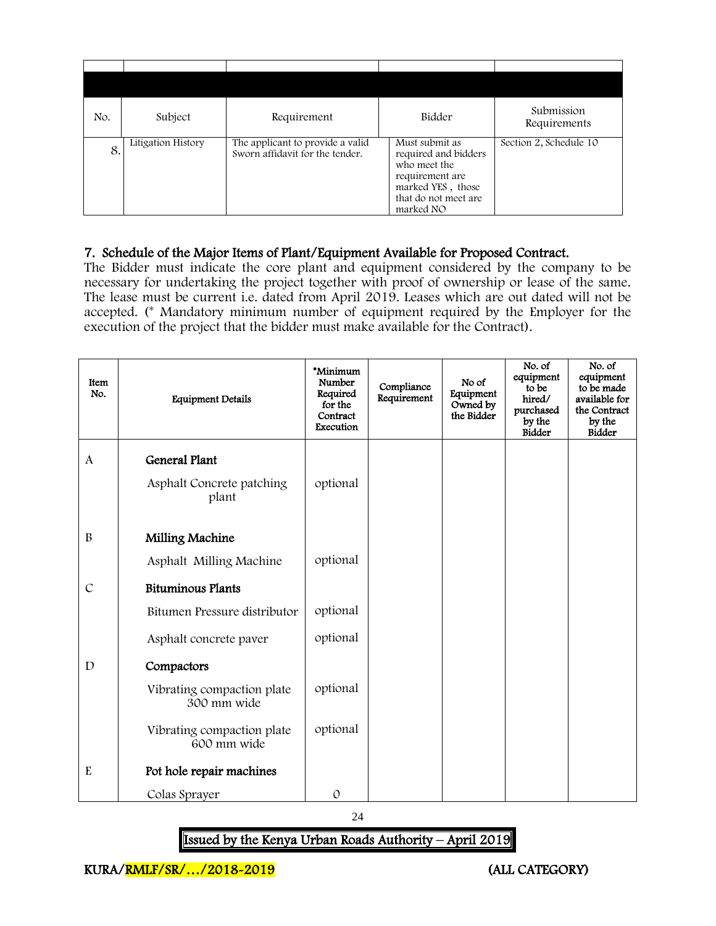| No. | Subject            | Requirement                                                         | Bidder                                                                                                                              | Submission<br>Requirements |
|-----|--------------------|---------------------------------------------------------------------|-------------------------------------------------------------------------------------------------------------------------------------|----------------------------|
| 8.  | Litigation History | The applicant to provide a valid<br>Sworn affidavit for the tender. | Must submit as<br>required and bidders<br>who meet the<br>requirement are<br>marked YES, those<br>that do not meet are<br>marked NO | Section 2, Schedule 10     |

## 7. Schedule of the Major Items of Plant/Equipment Available for Proposed Contract.

The Bidder must indicate the core plant and equipment considered by the company to be necessary for undertaking the project together with proof of ownership or lease of the same. The lease must be current i.e. dated from April 2019. Leases which are out dated will not be accepted. (\* Mandatory minimum number of equipment required by the Employer for the execution of the project that the bidder must make available for the Contract).

| Item<br>No.   | <b>Equipment Details</b>                  | *Minimum<br>Number<br>Required<br>for the<br>Contract<br>Execution | Compliance<br>Requirement | No of<br>Equipment<br>Owned by<br>the Bidder | No. of<br>equipment<br>to be<br>hired/<br>purchased<br>by the<br><b>Bidder</b> | No. of<br>equipment<br>to be made<br>available for<br>the Contract<br>by the<br><b>Bidder</b> |
|---------------|-------------------------------------------|--------------------------------------------------------------------|---------------------------|----------------------------------------------|--------------------------------------------------------------------------------|-----------------------------------------------------------------------------------------------|
| A             | <b>General Plant</b>                      |                                                                    |                           |                                              |                                                                                |                                                                                               |
|               | Asphalt Concrete patching<br>plant        | optional                                                           |                           |                                              |                                                                                |                                                                                               |
| B             | Milling Machine                           |                                                                    |                           |                                              |                                                                                |                                                                                               |
|               | Asphalt Milling Machine                   | optional                                                           |                           |                                              |                                                                                |                                                                                               |
| $\mathcal{C}$ | <b>Bituminous Plants</b>                  |                                                                    |                           |                                              |                                                                                |                                                                                               |
|               | Bitumen Pressure distributor              | optional                                                           |                           |                                              |                                                                                |                                                                                               |
|               | Asphalt concrete paver                    | optional                                                           |                           |                                              |                                                                                |                                                                                               |
| $\mathbf D$   | Compactors                                |                                                                    |                           |                                              |                                                                                |                                                                                               |
|               | Vibrating compaction plate<br>300 mm wide | optional                                                           |                           |                                              |                                                                                |                                                                                               |
|               | Vibrating compaction plate<br>600 mm wide | optional                                                           |                           |                                              |                                                                                |                                                                                               |
| E             | Pot hole repair machines                  |                                                                    |                           |                                              |                                                                                |                                                                                               |
|               | Colas Sprayer                             | $\mathcal{O}$                                                      |                           |                                              |                                                                                |                                                                                               |

24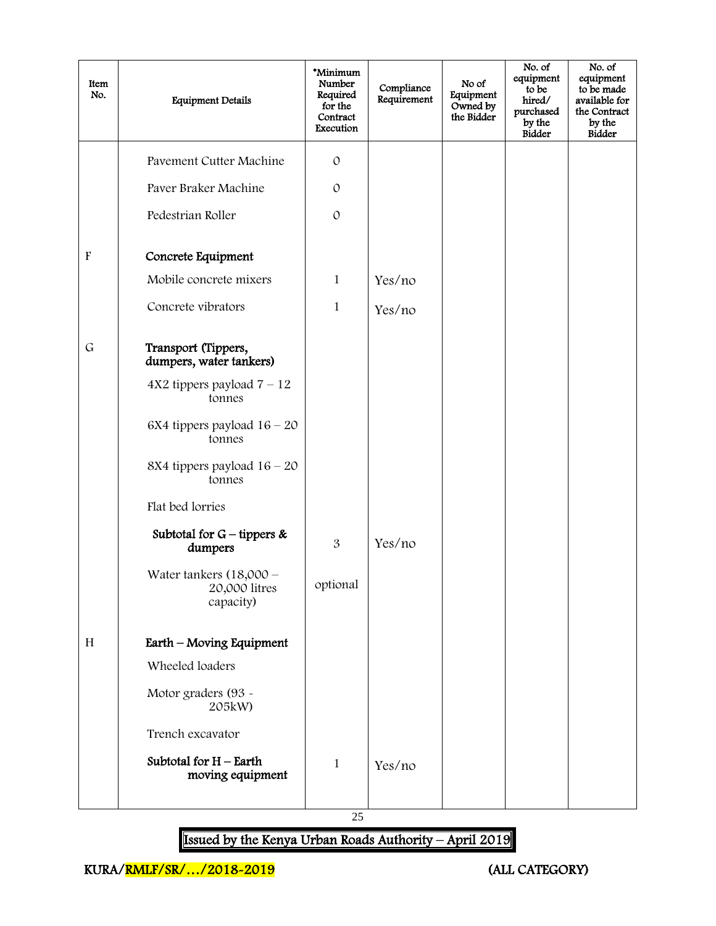| Item<br>No.               | <b>Equipment Details</b>                                | *Minimum<br>Number<br>Required<br>for the<br>Contract<br>Execution | Compliance<br>Requirement | No of<br>Equipment<br>Owned by<br>the Bidder | No. of<br>equipment<br>to be<br>hired/<br>purchased<br>by the<br><b>Bidder</b> | No. of<br>equipment<br>to be made<br>available for<br>the Contract<br>by the<br>Bidder |
|---------------------------|---------------------------------------------------------|--------------------------------------------------------------------|---------------------------|----------------------------------------------|--------------------------------------------------------------------------------|----------------------------------------------------------------------------------------|
|                           | Pavement Cutter Machine                                 | $\mathcal{O}$                                                      |                           |                                              |                                                                                |                                                                                        |
|                           | Paver Braker Machine                                    | $\mathcal{O}$                                                      |                           |                                              |                                                                                |                                                                                        |
|                           | Pedestrian Roller                                       | $\mathcal{O}$                                                      |                           |                                              |                                                                                |                                                                                        |
| $\boldsymbol{\mathrm{F}}$ | Concrete Equipment                                      |                                                                    |                           |                                              |                                                                                |                                                                                        |
|                           | Mobile concrete mixers                                  | $\mathbf{1}$                                                       | Yes/no                    |                                              |                                                                                |                                                                                        |
|                           | Concrete vibrators                                      | $\mathbf{1}$                                                       | Yes/no                    |                                              |                                                                                |                                                                                        |
| $\mathsf G$               | Transport (Tippers,<br>dumpers, water tankers)          |                                                                    |                           |                                              |                                                                                |                                                                                        |
|                           | $4X2$ tippers payload $7 - 12$<br>tonnes                |                                                                    |                           |                                              |                                                                                |                                                                                        |
|                           | 6X4 tippers payload $16 - 20$<br>tonnes                 |                                                                    |                           |                                              |                                                                                |                                                                                        |
|                           | 8X4 tippers payload $16 - 20$<br>tonnes                 |                                                                    |                           |                                              |                                                                                |                                                                                        |
|                           | Flat bed lorries                                        |                                                                    |                           |                                              |                                                                                |                                                                                        |
|                           | Subtotal for $G$ – tippers &<br>dumpers                 | 3                                                                  | Yes/no                    |                                              |                                                                                |                                                                                        |
|                           | Water tankers $(18,000 -$<br>20,000 litres<br>capacity) | optional                                                           |                           |                                              |                                                                                |                                                                                        |
| H                         | Earth – Moving Equipment                                |                                                                    |                           |                                              |                                                                                |                                                                                        |
|                           | Wheeled loaders                                         |                                                                    |                           |                                              |                                                                                |                                                                                        |
|                           | Motor graders (93 -<br>205kW)                           |                                                                    |                           |                                              |                                                                                |                                                                                        |
|                           | Trench excavator                                        |                                                                    |                           |                                              |                                                                                |                                                                                        |
|                           | Subtotal for $H$ – Earth<br>moving equipment            | $\mathbf{1}$                                                       | Yes/no                    |                                              |                                                                                |                                                                                        |
|                           |                                                         | $\sim$ $\sim$                                                      |                           |                                              |                                                                                |                                                                                        |

25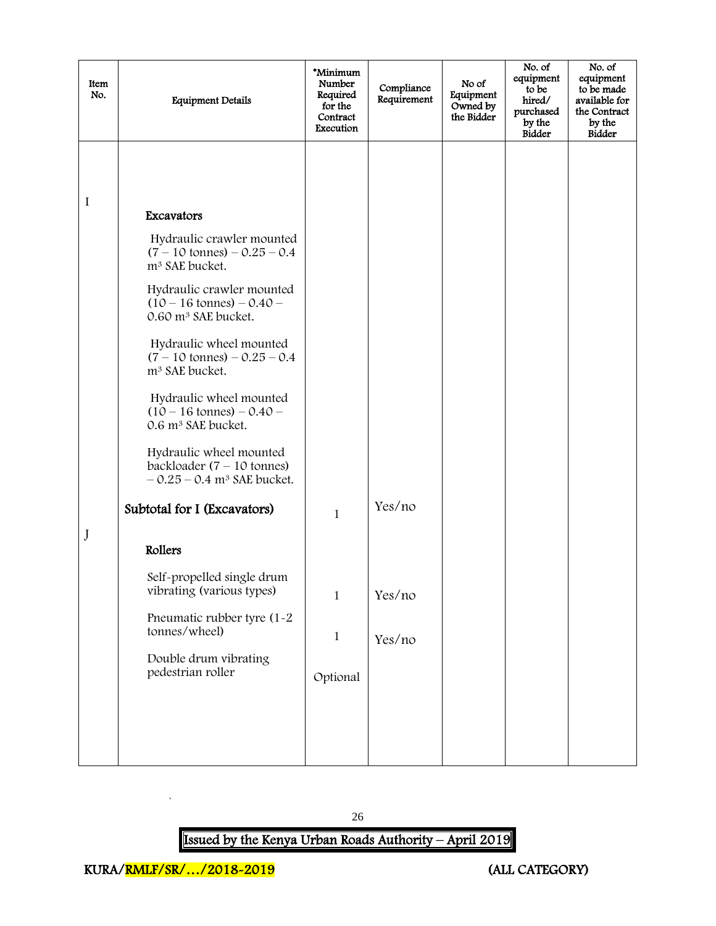| Item<br>No. | <b>Equipment Details</b>                                                                                                                                                                                                                                                                                                                                                                                                                                                                                                                                                                                                                                                                                                                        | *Minimum<br>Number<br>Required<br>for the<br>Contract<br>Execution | Compliance<br>Requirement  | No of<br>Equipment<br>Owned by<br>the Bidder | No. of<br>equipment<br>to be<br>hired/<br>purchased<br>by the<br>Bidder | No. of<br>equipment<br>to be made<br>available for<br>the Contract<br>by the<br><b>Bidder</b> |
|-------------|-------------------------------------------------------------------------------------------------------------------------------------------------------------------------------------------------------------------------------------------------------------------------------------------------------------------------------------------------------------------------------------------------------------------------------------------------------------------------------------------------------------------------------------------------------------------------------------------------------------------------------------------------------------------------------------------------------------------------------------------------|--------------------------------------------------------------------|----------------------------|----------------------------------------------|-------------------------------------------------------------------------|-----------------------------------------------------------------------------------------------|
| I<br>J      | Excavators<br>Hydraulic crawler mounted<br>$(7 - 10 \text{ tonnes}) - 0.25 - 0.4$<br>m <sup>3</sup> SAE bucket.<br>Hydraulic crawler mounted<br>$(10 - 16 \text{ tonnes}) - 0.40 -$<br>0.60 m <sup>3</sup> SAE bucket.<br>Hydraulic wheel mounted<br>$(7 - 10 \text{ tonnes}) - 0.25 - 0.4$<br>m <sup>3</sup> SAE bucket.<br>Hydraulic wheel mounted<br>$(10 - 16 \text{ tonnes}) - 0.40 -$<br>0.6 m <sup>3</sup> SAE bucket.<br>Hydraulic wheel mounted<br>backloader $(7 - 10 \text{ tonnes})$<br>$-0.25 - 0.4$ m <sup>3</sup> SAE bucket.<br>Subtotal for I (Excavators)<br>Rollers<br>Self-propelled single drum<br>vibrating (various types)<br>Pneumatic rubber tyre (1-2)<br>tonnes/wheel)<br>Double drum vibrating<br>pedestrian roller | $\mathbf{1}$<br>$\mathbf{1}$<br>$\mathbf{1}$<br>Optional           | Yes/no<br>Yes/no<br>Yes/no |                                              |                                                                         |                                                                                               |
|             |                                                                                                                                                                                                                                                                                                                                                                                                                                                                                                                                                                                                                                                                                                                                                 |                                                                    |                            |                                              |                                                                         |                                                                                               |

Issued by the Kenya Urban Roads Authority – April 2019

 $\bar{\mathbf{v}}$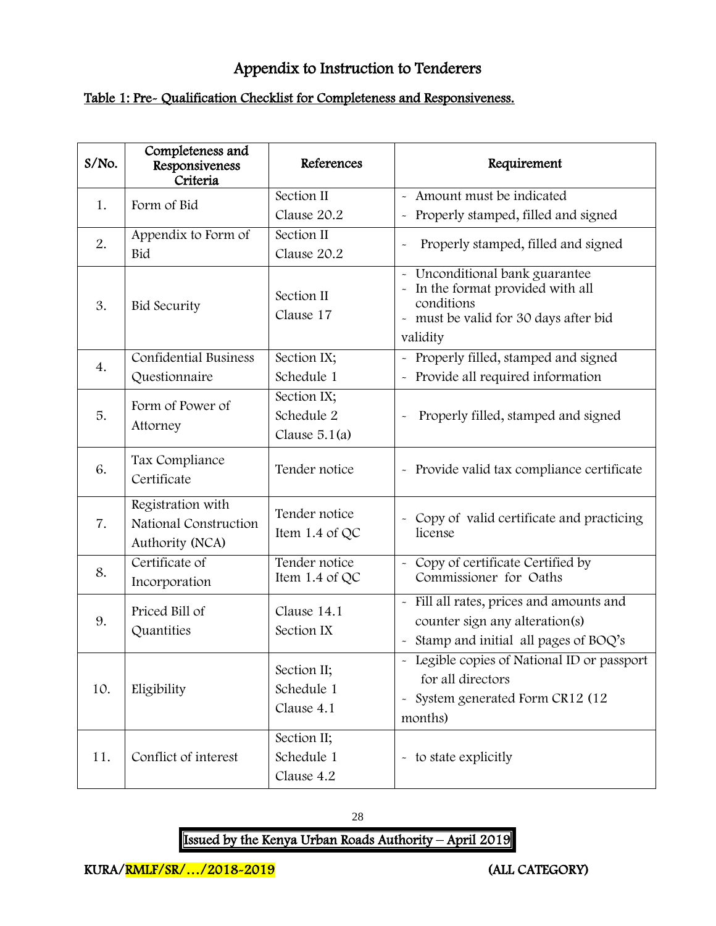# Appendix to Instruction to Tenderers

# Table 1: Pre- Qualification Checklist for Completeness and Responsiveness.

| S/No. | Completeness and<br>Responsiveness<br>Criteria                | References                                   | Requirement                                                                                                                        |
|-------|---------------------------------------------------------------|----------------------------------------------|------------------------------------------------------------------------------------------------------------------------------------|
| 1.    | Form of Bid                                                   | Section II<br>Clause 20.2                    | - Amount must be indicated<br>- Properly stamped, filled and signed                                                                |
| 2.    | Appendix to Form of<br>Bid                                    | Section II<br>Clause 20.2                    | Properly stamped, filled and signed                                                                                                |
| 3.    | <b>Bid Security</b>                                           | Section II<br>Clause 17                      | Unconditional bank guarantee<br>In the format provided with all<br>conditions<br>- must be valid for 30 days after bid<br>validity |
| 4.    | <b>Confidential Business</b><br>Questionnaire                 | Section IX;<br>Schedule 1                    | - Properly filled, stamped and signed<br>- Provide all required information                                                        |
| 5.    | Form of Power of<br>Attorney                                  | Section IX;<br>Schedule 2<br>Clause $5.1(a)$ | Properly filled, stamped and signed                                                                                                |
| 6.    | Tax Compliance<br>Certificate                                 | Tender notice                                | - Provide valid tax compliance certificate                                                                                         |
| 7.    | Registration with<br>National Construction<br>Authority (NCA) | Tender notice<br>Item 1.4 of QC              | - Copy of valid certificate and practicing<br>license                                                                              |
| 8.    | Certificate of<br>Incorporation                               | Tender notice<br>Item 1.4 of $QC$            | Copy of certificate Certified by<br>Commissioner for Oaths                                                                         |
| 9.    | Priced Bill of<br>Quantities                                  | Clause 14.1<br>Section IX                    | - Fill all rates, prices and amounts and<br>counter sign any alteration(s)<br>Stamp and initial all pages of BOQ's                 |
| 10.   | Eligibility                                                   | Section II;<br>Schedule 1<br>Clause 4.1      | - Legible copies of National ID or passport<br>for all directors<br>- System generated Form CR12 (12<br>months)                    |
| 11.   | Conflict of interest                                          | Section II;<br>Schedule 1<br>Clause 4.2      | - to state explicitly                                                                                                              |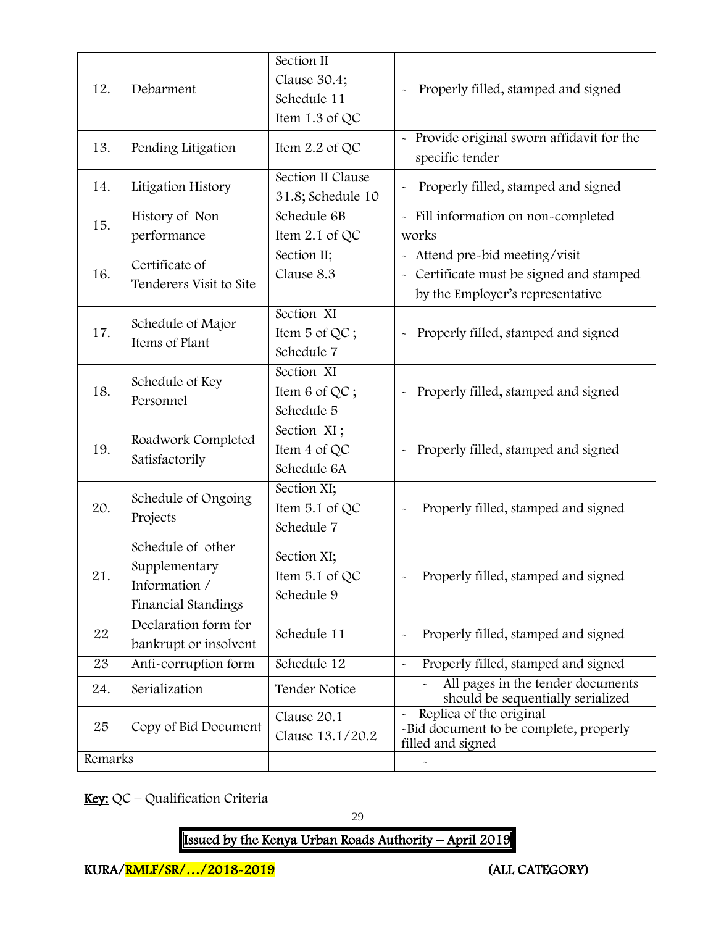| 12.     | Debarment                                                                  | Section II<br>Clause 30.4;<br>Schedule 11<br>Item 1.3 of QC | Properly filled, stamped and signed                                                                                                       |
|---------|----------------------------------------------------------------------------|-------------------------------------------------------------|-------------------------------------------------------------------------------------------------------------------------------------------|
| 13.     | Pending Litigation                                                         | Item $2.2$ of QC                                            | Provide original sworn affidavit for the<br>$\sim$<br>specific tender                                                                     |
| 14.     | Litigation History                                                         | Section II Clause<br>31.8; Schedule 10                      | Properly filled, stamped and signed                                                                                                       |
| 15.     | History of Non<br>performance                                              | Schedule 6B<br>Item 2.1 of QC                               | - Fill information on non-completed<br>works                                                                                              |
| 16.     | Certificate of<br>Tenderers Visit to Site                                  | Section II;<br>Clause 8.3                                   | - Attend pre-bid meeting/visit<br>Certificate must be signed and stamped<br>$\widetilde{\phantom{m}}$<br>by the Employer's representative |
| 17.     | Schedule of Major<br>Items of Plant                                        | Section XI<br>Item 5 of QC;<br>Schedule 7                   | Properly filled, stamped and signed<br>$\ddot{\phantom{1}}$                                                                               |
| 18.     | Schedule of Key<br>Personnel                                               | Section XI<br>Item 6 of QC;<br>Schedule 5                   | Properly filled, stamped and signed                                                                                                       |
| 19.     | Roadwork Completed<br>Satisfactorily                                       | Section XI;<br>Item 4 of QC<br>Schedule 6A                  | Properly filled, stamped and signed                                                                                                       |
| 20.     | Schedule of Ongoing<br>Projects                                            | Section XI;<br>Item 5.1 of QC<br>Schedule 7                 | Properly filled, stamped and signed                                                                                                       |
| 21.     | Schedule of other<br>Supplementary<br>Information /<br>Financial Standings | Section XI;<br>Item 5.1 of QC<br>Schedule 9                 | Properly filled, stamped and signed                                                                                                       |
| 22      | Declaration form for<br>bankrupt or insolvent                              | Schedule 11                                                 | Properly filled, stamped and signed<br>$\ddot{\phantom{0}}$                                                                               |
| 23      | Anti-corruption form                                                       | Schedule 12                                                 | Properly filled, stamped and signed<br>$\tilde{\phantom{a}}$                                                                              |
| 24.     | Serialization                                                              | <b>Tender Notice</b>                                        | All pages in the tender documents<br>should be sequentially serialized                                                                    |
| 25      | Copy of Bid Document                                                       | Clause 20.1<br>Clause 13.1/20.2                             | Replica of the original<br>$\ddot{\phantom{0}}$<br>-Bid document to be complete, properly<br>filled and signed                            |
| Remarks |                                                                            |                                                             |                                                                                                                                           |

Key: QC – Qualification Criteria

29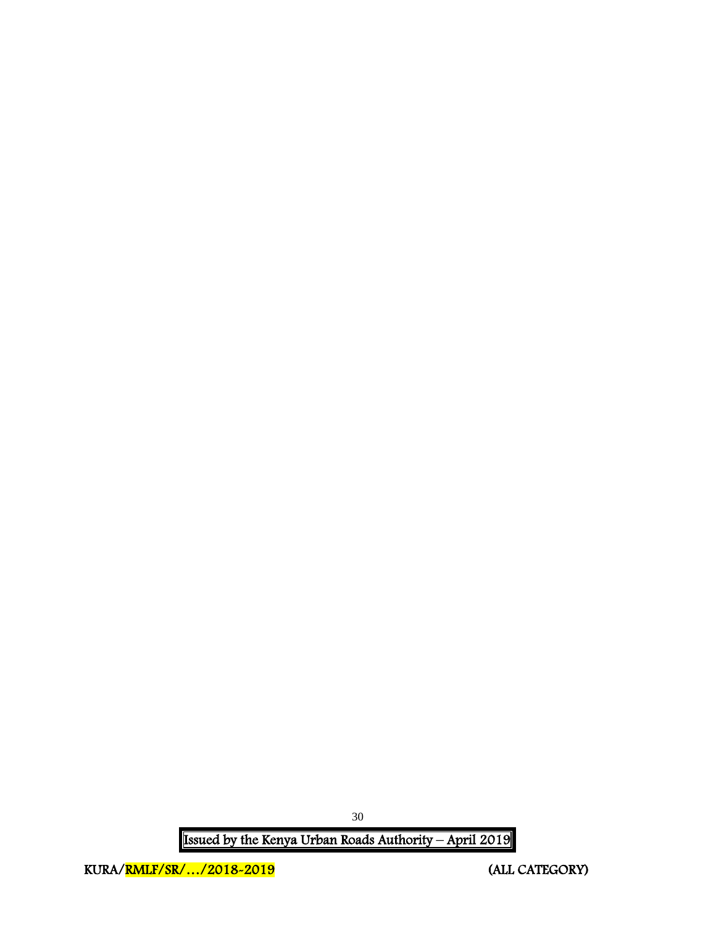Issued by the Kenya Urban Roads Authority – April 2019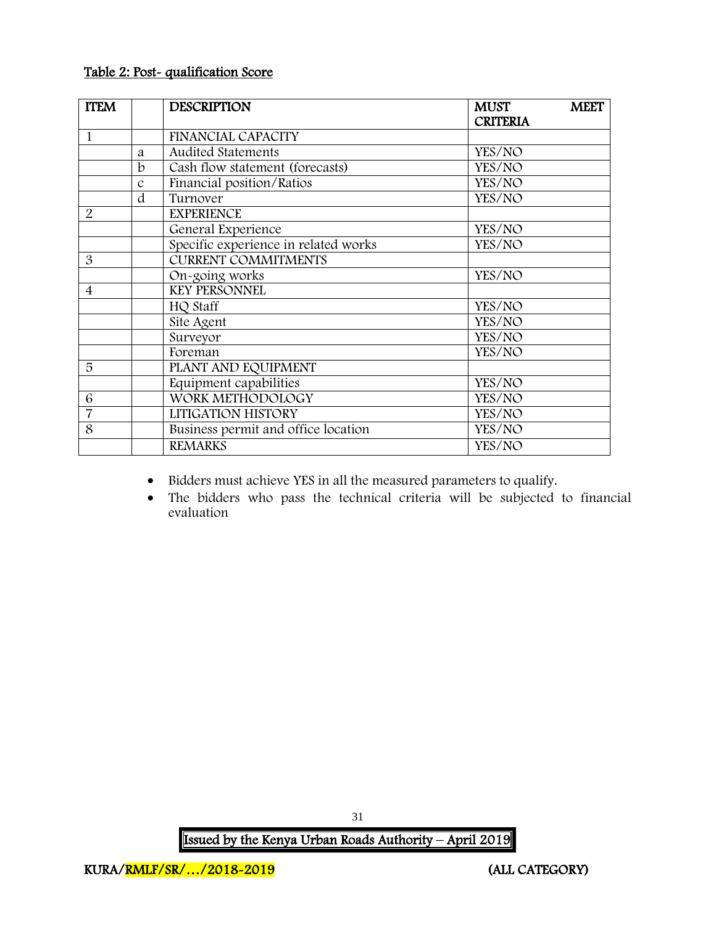#### Table 2: Post- qualification Score

| <b>ITEM</b>              |               | <b>DESCRIPTION</b>                   | <b>MUST</b>     | <b>MEET</b> |
|--------------------------|---------------|--------------------------------------|-----------------|-------------|
|                          |               |                                      | <b>CRITERIA</b> |             |
| $\mathbf{1}$             |               | <b>FINANCIAL CAPACITY</b>            |                 |             |
|                          | a             | <b>Audited Statements</b>            | YES/NO          |             |
|                          | b             | Cash flow statement (forecasts)      | YES/NO          |             |
|                          | $\mathcal{C}$ | Financial position/Ratios            | YES/NO          |             |
|                          | d             | Turnover                             | YES/NO          |             |
| $\overline{2}$           |               | <b>EXPERIENCE</b>                    |                 |             |
|                          |               | General Experience                   | YES/NO          |             |
|                          |               | Specific experience in related works | YES/NO          |             |
| 3                        |               | <b>CURRENT COMMITMENTS</b>           |                 |             |
|                          |               | On-going works                       | YES/NO          |             |
| $\overline{\mathcal{A}}$ |               | <b>KEY PERSONNEL</b>                 |                 |             |
|                          |               | HQ Staff                             | YES/NO          |             |
|                          |               | Site Agent                           | YES/NO          |             |
|                          |               | Surveyor                             | YES/NO          |             |
|                          |               | Foreman                              | YES/NO          |             |
| 5                        |               | PLANT AND EQUIPMENT                  |                 |             |
|                          |               | Equipment capabilities               | YES/NO          |             |
| 6                        |               | WORK METHODOLOGY                     | YES/NO          |             |
| $\overline{7}$           |               | LITIGATION HISTORY                   | YES/NO          |             |
| 8                        |               | Business permit and office location  | YES/NO          |             |
|                          |               | <b>REMARKS</b>                       | YES/NO          |             |

- Bidders must achieve YES in all the measured parameters to qualify.
- The bidders who pass the technical criteria will be subjected to financial evaluation

Issued by the Kenya Urban Roads Authority – April 2019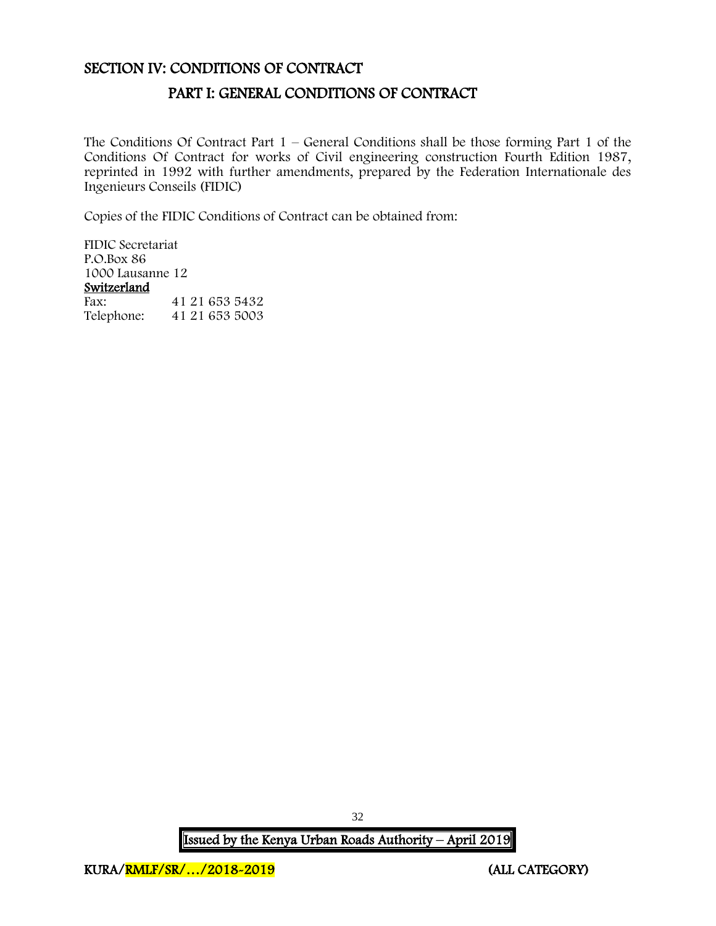# <span id="page-32-1"></span><span id="page-32-0"></span>SECTION IV: CONDITIONS OF CONTRACT

# PART I: GENERAL CONDITIONS OF CONTRACT

The Conditions Of Contract Part  $1$  – General Conditions shall be those forming Part 1 of the Conditions Of Contract for works of Civil engineering construction Fourth Edition 1987, reprinted in 1992 with further amendments, prepared by the Federation Internationale des Ingenieurs Conseils (FIDIC)

Copies of the FIDIC Conditions of Contract can be obtained from:

FIDIC Secretariat P.O.Box 86 1000 Lausanne 12 Switzerland<br>Fax: Fax: 41 21 653 5432 Telephone: 41 21 653 5003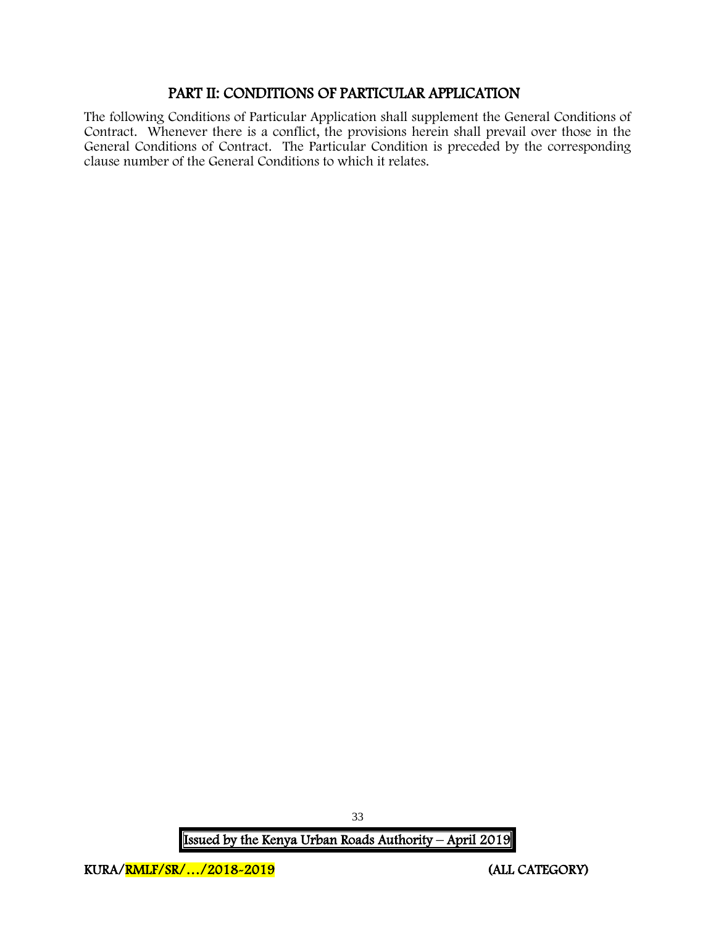# PART II: CONDITIONS OF PARTICULAR APPLICATION

<span id="page-33-0"></span>The following Conditions of Particular Application shall supplement the General Conditions of Contract. Whenever there is a conflict, the provisions herein shall prevail over those in the General Conditions of Contract. The Particular Condition is preceded by the corresponding clause number of the General Conditions to which it relates.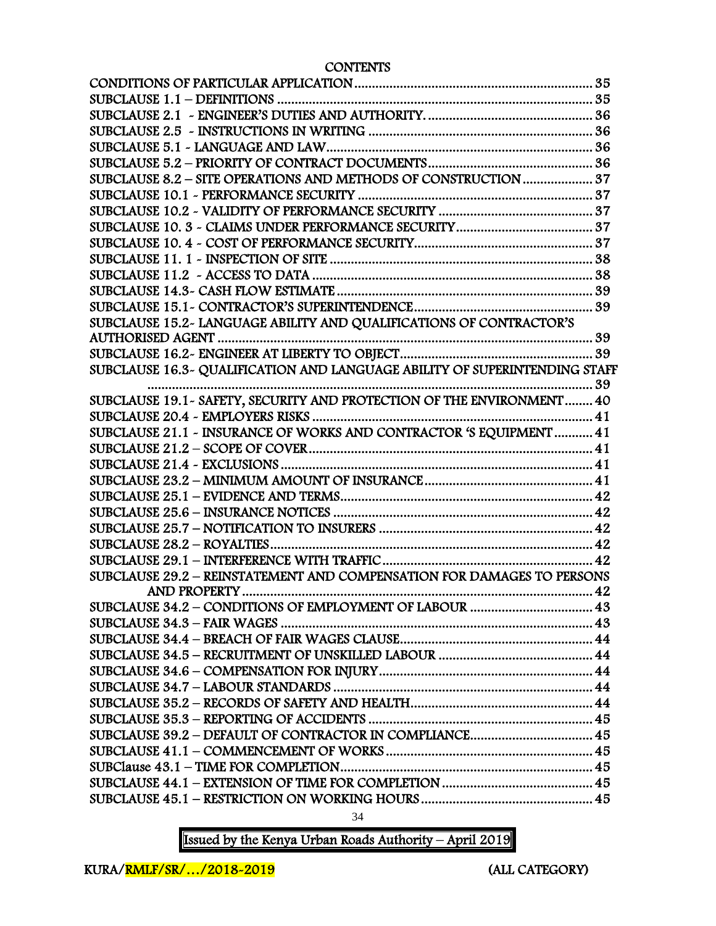**CONTENTS** 

| SUBCLAUSE 8.2 - SITE OPERATIONS AND METHODS OF CONSTRUCTION  37        |  |
|------------------------------------------------------------------------|--|
|                                                                        |  |
|                                                                        |  |
|                                                                        |  |
|                                                                        |  |
|                                                                        |  |
|                                                                        |  |
|                                                                        |  |
|                                                                        |  |
| SUBCLAUSE 15.2~ LANGUAGE ABILITY AND QUALIFICATIONS OF CONTRACTOR'S    |  |
|                                                                        |  |
|                                                                        |  |
|                                                                        |  |
|                                                                        |  |
| SUBCLAUSE 19.1 - SAFETY, SECURITY AND PROTECTION OF THE ENVIRONMENT 40 |  |
|                                                                        |  |
| SUBCLAUSE 21.1 - INSURANCE OF WORKS AND CONTRACTOR 'S EQUIPMENT  41    |  |
|                                                                        |  |
|                                                                        |  |
|                                                                        |  |
|                                                                        |  |
|                                                                        |  |
|                                                                        |  |
|                                                                        |  |
|                                                                        |  |
| SUBCLAUSE 29.2 - REINSTATEMENT AND COMPENSATION FOR DAMAGES TO PERSONS |  |
|                                                                        |  |
| SUBCLAUSE 34.2 - CONDITIONS OF EMPLOYMENT OF LABOUR  43                |  |
|                                                                        |  |
|                                                                        |  |
|                                                                        |  |
|                                                                        |  |
|                                                                        |  |
|                                                                        |  |
|                                                                        |  |
| SUBCLAUSE 39.2 - DEFAULT OF CONTRACTOR IN COMPLIANCE 45                |  |
|                                                                        |  |
|                                                                        |  |
|                                                                        |  |
|                                                                        |  |
|                                                                        |  |

34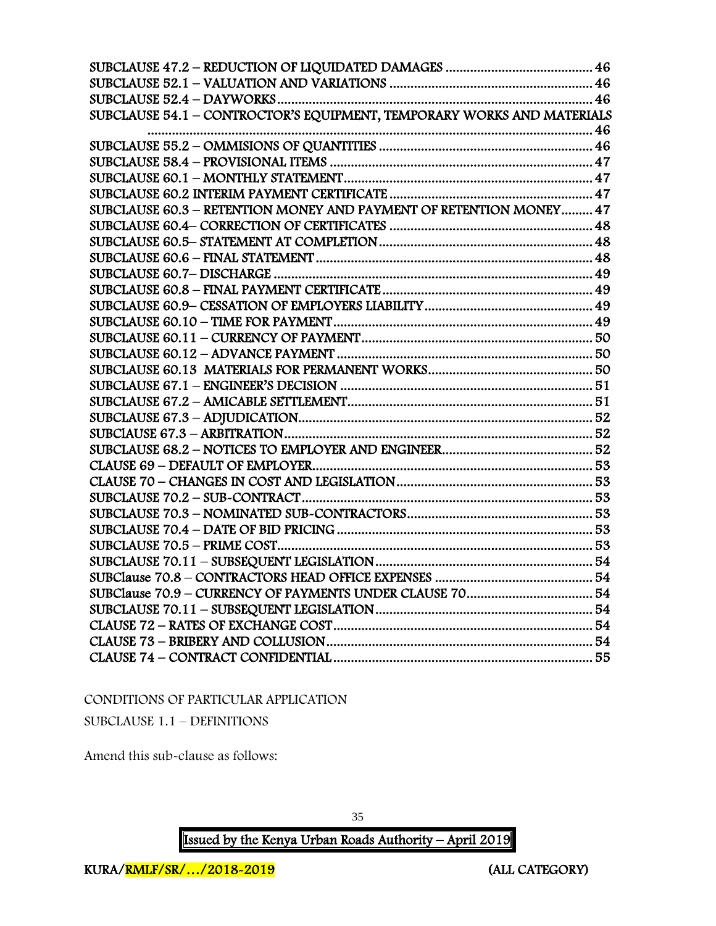| SUBCLAUSE 54.1 - CONTROCTOR'S EQUIPMENT, TEMPORARY WORKS AND MATERIALS |
|------------------------------------------------------------------------|
|                                                                        |
|                                                                        |
|                                                                        |
|                                                                        |
|                                                                        |
| SUBCLAUSE 60.3 - RETENTION MONEY AND PAYMENT OF RETENTION MONEY 47     |
|                                                                        |
|                                                                        |
|                                                                        |
|                                                                        |
|                                                                        |
|                                                                        |
|                                                                        |
|                                                                        |
|                                                                        |
|                                                                        |
|                                                                        |
|                                                                        |
|                                                                        |
|                                                                        |
|                                                                        |
|                                                                        |
|                                                                        |
|                                                                        |
|                                                                        |
|                                                                        |
|                                                                        |
|                                                                        |
|                                                                        |
|                                                                        |
|                                                                        |
|                                                                        |
|                                                                        |
|                                                                        |

CONDITIONS OF PARTICULAR APPLICATION

SUBCLAUSE 1.1 – DEFINITIONS

Amend this sub-clause as follows: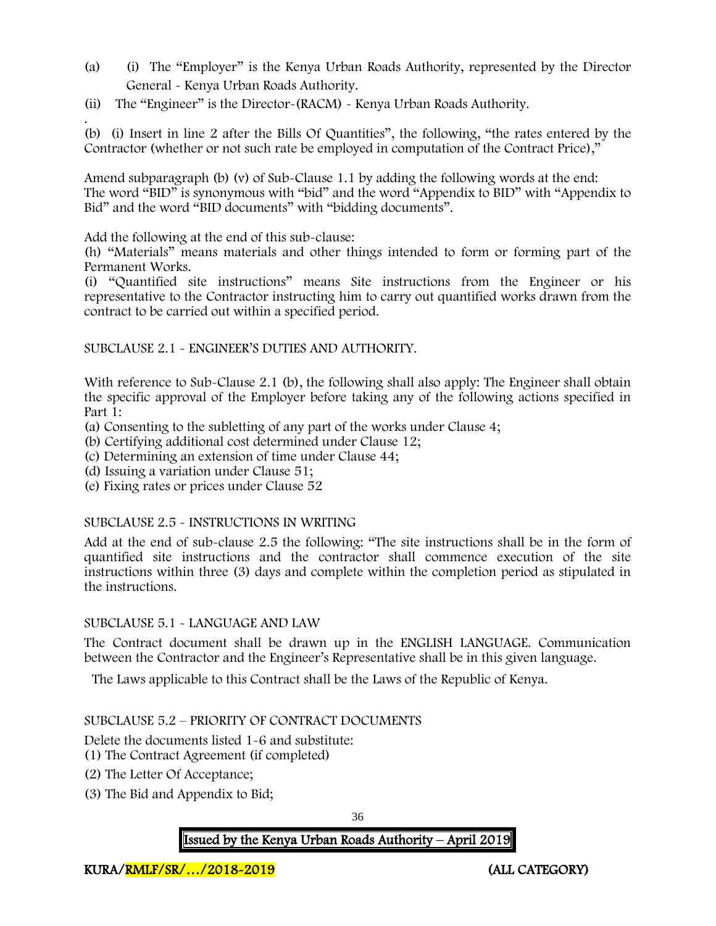- (a) (i) The "Employer" is the Kenya Urban Roads Authority, represented by the Director General - Kenya Urban Roads Authority.
- (ii) The "Engineer" is the Director-(RACM) Kenya Urban Roads Authority.

. (b) (i) Insert in line 2 after the Bills Of Quantities", the following, "the rates entered by the Contractor (whether or not such rate be employed in computation of the Contract Price),"

Amend subparagraph (b) (v) of Sub-Clause 1.1 by adding the following words at the end: The word "BID" is synonymous with "bid" and the word "Appendix to BID" with "Appendix to Bid" and the word "BID documents" with "bidding documents".

Add the following at the end of this sub-clause:

(h) "Materials" means materials and other things intended to form or forming part of the Permanent Works.

(i) "Quantified site instructions" means Site instructions from the Engineer or his representative to the Contractor instructing him to carry out quantified works drawn from the contract to be carried out within a specified period.

SUBCLAUSE 2.1 - ENGINEER'S DUTIES AND AUTHORITY.

With reference to Sub-Clause 2.1 (b), the following shall also apply: The Engineer shall obtain the specific approval of the Employer before taking any of the following actions specified in Part 1:

(a) Consenting to the subletting of any part of the works under Clause 4;

(b) Certifying additional cost determined under Clause 12;

(c) Determining an extension of time under Clause 44;

(d) Issuing a variation under Clause 51;

(e) Fixing rates or prices under Clause 52

# SUBCLAUSE 2.5 - INSTRUCTIONS IN WRITING

Add at the end of sub-clause 2.5 the following: "The site instructions shall be in the form of quantified site instructions and the contractor shall commence execution of the site instructions within three (3) days and complete within the completion period as stipulated in the instructions.

# SUBCLAUSE 5.1 - LANGUAGE AND LAW

The Contract document shall be drawn up in the ENGLISH LANGUAGE. Communication between the Contractor and the Engineer's Representative shall be in this given language.

The Laws applicable to this Contract shall be the Laws of the Republic of Kenya.

# SUBCLAUSE 5.2 – PRIORITY OF CONTRACT DOCUMENTS

Delete the documents listed 1-6 and substitute:

- (1) The Contract Agreement (if completed)
- (2) The Letter Of Acceptance;
- (3) The Bid and Appendix to Bid;

 36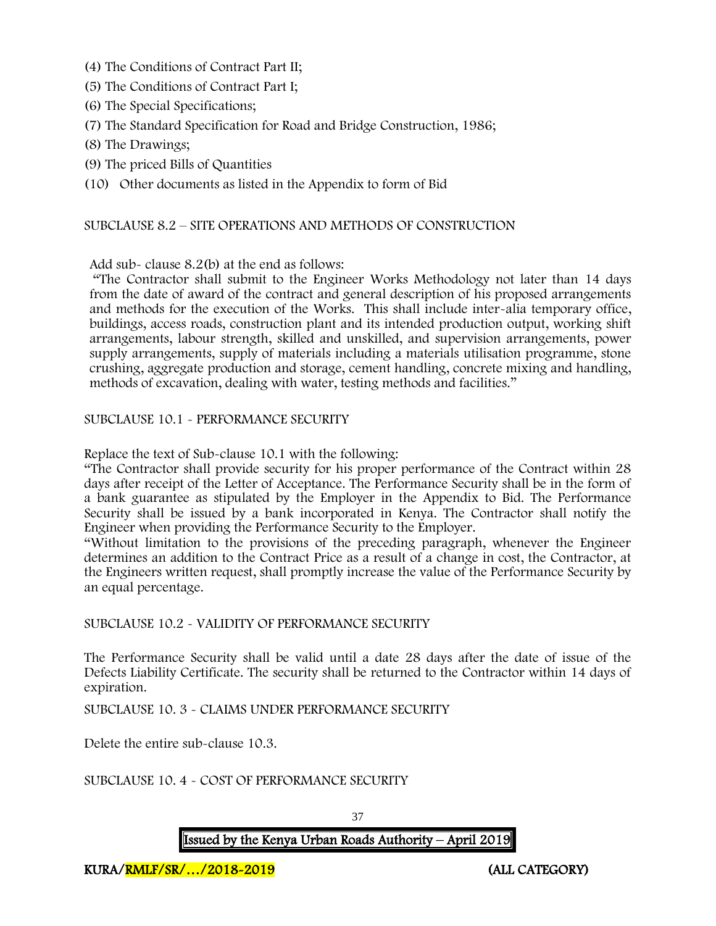- (4) The Conditions of Contract Part II;
- (5) The Conditions of Contract Part I;
- (6) The Special Specifications;
- (7) The Standard Specification for Road and Bridge Construction, 1986;
- (8) The Drawings;
- (9) The priced Bills of Quantities
- (10) Other documents as listed in the Appendix to form of Bid

# SUBCLAUSE 8.2 – SITE OPERATIONS AND METHODS OF CONSTRUCTION

Add sub- clause 8.2(b) at the end as follows:

"The Contractor shall submit to the Engineer Works Methodology not later than 14 days from the date of award of the contract and general description of his proposed arrangements and methods for the execution of the Works. This shall include inter-alia temporary office, buildings, access roads, construction plant and its intended production output, working shift arrangements, labour strength, skilled and unskilled, and supervision arrangements, power supply arrangements, supply of materials including a materials utilisation programme, stone crushing, aggregate production and storage, cement handling, concrete mixing and handling, methods of excavation, dealing with water, testing methods and facilities."

SUBCLAUSE 10.1 - PERFORMANCE SECURITY

Replace the text of Sub-clause 10.1 with the following:

"The Contractor shall provide security for his proper performance of the Contract within 28 days after receipt of the Letter of Acceptance. The Performance Security shall be in the form of a bank guarantee as stipulated by the Employer in the Appendix to Bid. The Performance Security shall be issued by a bank incorporated in Kenya. The Contractor shall notify the Engineer when providing the Performance Security to the Employer.

"Without limitation to the provisions of the preceding paragraph, whenever the Engineer determines an addition to the Contract Price as a result of a change in cost, the Contractor, at the Engineers written request, shall promptly increase the value of the Performance Security by an equal percentage.

SUBCLAUSE 10.2 - VALIDITY OF PERFORMANCE SECURITY

The Performance Security shall be valid until a date 28 days after the date of issue of the Defects Liability Certificate. The security shall be returned to the Contractor within 14 days of expiration.

SUBCLAUSE 10. 3 - CLAIMS UNDER PERFORMANCE SECURITY

Delete the entire sub-clause 10.3.

SUBCLAUSE 10. 4 - COST OF PERFORMANCE SECURITY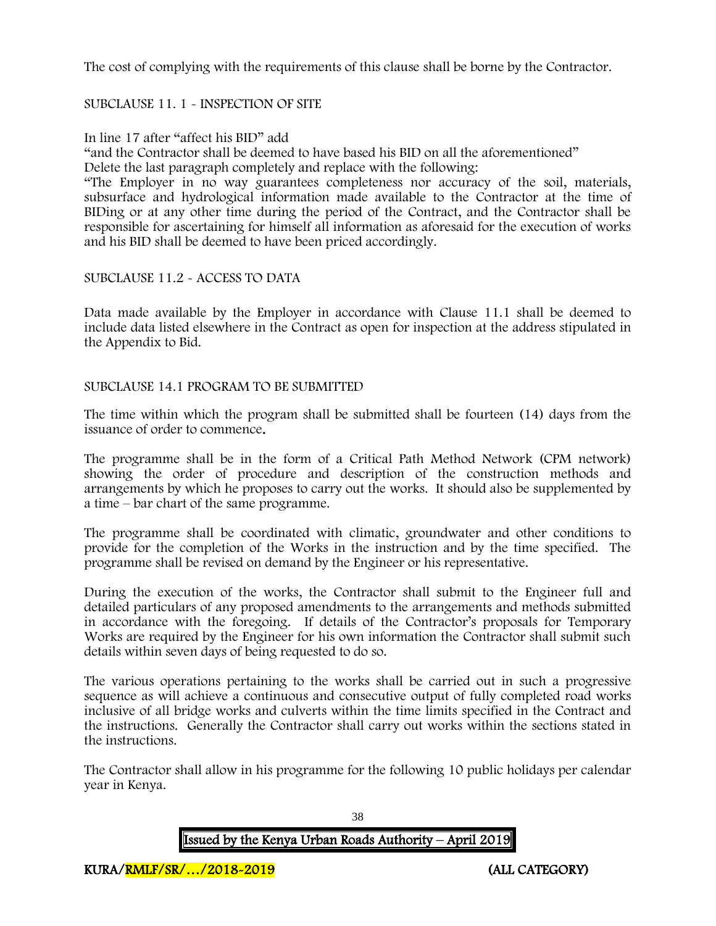The cost of complying with the requirements of this clause shall be borne by the Contractor.

SUBCLAUSE 11. 1 - INSPECTION OF SITE

# In line 17 after "affect his BID" add

"and the Contractor shall be deemed to have based his BID on all the aforementioned"

Delete the last paragraph completely and replace with the following:

"The Employer in no way guarantees completeness nor accuracy of the soil, materials, subsurface and hydrological information made available to the Contractor at the time of BIDing or at any other time during the period of the Contract, and the Contractor shall be responsible for ascertaining for himself all information as aforesaid for the execution of works and his BID shall be deemed to have been priced accordingly.

## SUBCLAUSE 11.2 - ACCESS TO DATA

Data made available by the Employer in accordance with Clause 11.1 shall be deemed to include data listed elsewhere in the Contract as open for inspection at the address stipulated in the Appendix to Bid.

## SUBCLAUSE 14.1 PROGRAM TO BE SUBMITTED

The time within which the program shall be submitted shall be fourteen (14) days from the issuance of order to commence.

The programme shall be in the form of a Critical Path Method Network (CPM network) showing the order of procedure and description of the construction methods and arrangements by which he proposes to carry out the works. It should also be supplemented by a time – bar chart of the same programme.

The programme shall be coordinated with climatic, groundwater and other conditions to provide for the completion of the Works in the instruction and by the time specified. The programme shall be revised on demand by the Engineer or his representative.

During the execution of the works, the Contractor shall submit to the Engineer full and detailed particulars of any proposed amendments to the arrangements and methods submitted in accordance with the foregoing. If details of the Contractor's proposals for Temporary Works are required by the Engineer for his own information the Contractor shall submit such details within seven days of being requested to do so.

The various operations pertaining to the works shall be carried out in such a progressive sequence as will achieve a continuous and consecutive output of fully completed road works inclusive of all bridge works and culverts within the time limits specified in the Contract and the instructions. Generally the Contractor shall carry out works within the sections stated in the instructions.

The Contractor shall allow in his programme for the following 10 public holidays per calendar year in Kenya.

38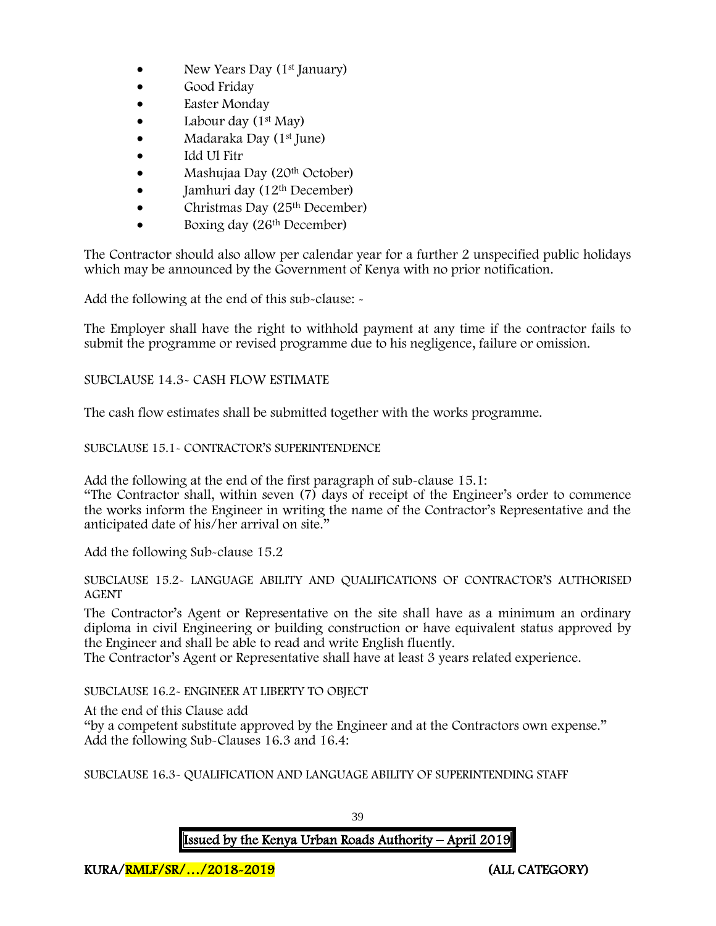- New Years Day (1<sup>st</sup> January)
- Good Friday
- **Easter Monday**
- Labour day  $(1<sup>st</sup> May)$
- Madaraka Day (1st June)
- Idd Ul Fitr
- Mashujaa Day (20th October)
- $\bullet$  Jamhuri day (12<sup>th</sup> December)
- Christmas Day (25th December)
- Boxing day (26<sup>th</sup> December)

The Contractor should also allow per calendar year for a further 2 unspecified public holidays which may be announced by the Government of Kenya with no prior notification.

Add the following at the end of this sub-clause: -

The Employer shall have the right to withhold payment at any time if the contractor fails to submit the programme or revised programme due to his negligence, failure or omission.

# SUBCLAUSE 14.3- CASH FLOW ESTIMATE

The cash flow estimates shall be submitted together with the works programme.

SUBCLAUSE 15.1- CONTRACTOR'S SUPERINTENDENCE

Add the following at the end of the first paragraph of sub-clause 15.1:

"The Contractor shall, within seven (7) days of receipt of the Engineer's order to commence the works inform the Engineer in writing the name of the Contractor's Representative and the anticipated date of his/her arrival on site."

Add the following Sub-clause 15.2

SUBCLAUSE 15.2- LANGUAGE ABILITY AND QUALIFICATIONS OF CONTRACTOR'S AUTHORISED AGENT

The Contractor's Agent or Representative on the site shall have as a minimum an ordinary diploma in civil Engineering or building construction or have equivalent status approved by the Engineer and shall be able to read and write English fluently.

The Contractor's Agent or Representative shall have at least 3 years related experience.

SUBCLAUSE 16.2- ENGINEER AT LIBERTY TO OBJECT

At the end of this Clause add "by a competent substitute approved by the Engineer and at the Contractors own expense." Add the following Sub-Clauses 16.3 and 16.4:

SUBCLAUSE 16.3- QUALIFICATION AND LANGUAGE ABILITY OF SUPERINTENDING STAFF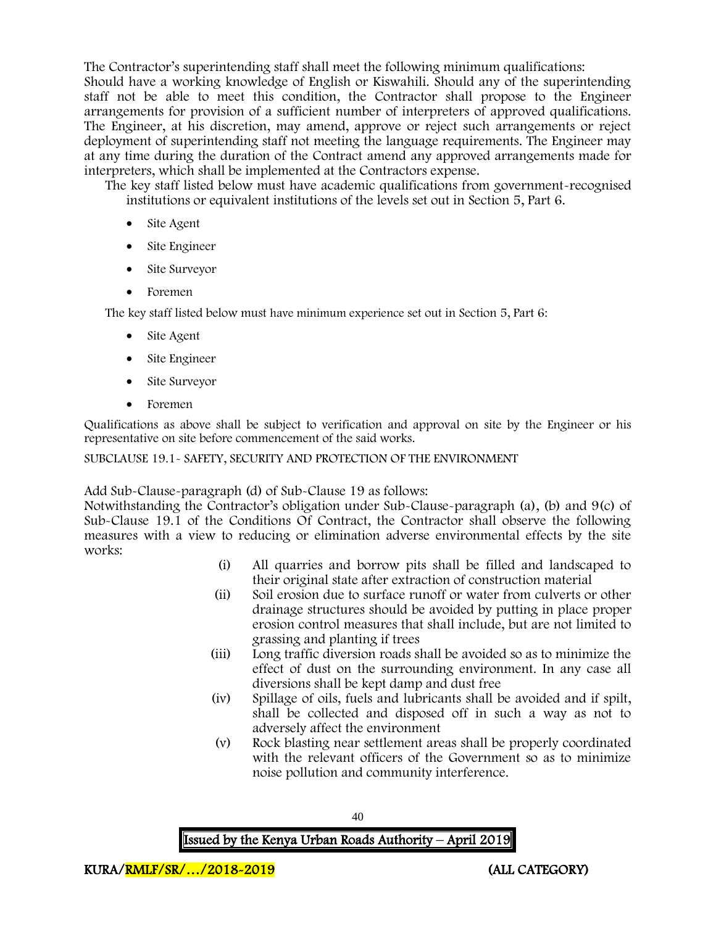The Contractor's superintending staff shall meet the following minimum qualifications: Should have a working knowledge of English or Kiswahili. Should any of the superintending staff not be able to meet this condition, the Contractor shall propose to the Engineer arrangements for provision of a sufficient number of interpreters of approved qualifications. The Engineer, at his discretion, may amend, approve or reject such arrangements or reject deployment of superintending staff not meeting the language requirements. The Engineer may at any time during the duration of the Contract amend any approved arrangements made for interpreters, which shall be implemented at the Contractors expense.

The key staff listed below must have academic qualifications from government-recognised institutions or equivalent institutions of the levels set out in Section 5, Part 6.

- Site Agent
- Site Engineer
- Site Surveyor
- Foremen

The key staff listed below must have minimum experience set out in Section 5, Part 6:

- Site Agent
- Site Engineer
- Site Surveyor
- Foremen

Qualifications as above shall be subject to verification and approval on site by the Engineer or his representative on site before commencement of the said works.

SUBCLAUSE 19.1- SAFETY, SECURITY AND PROTECTION OF THE ENVIRONMENT

Add Sub-Clause-paragraph (d) of Sub-Clause 19 as follows:

Notwithstanding the Contractor's obligation under Sub-Clause-paragraph (a), (b) and 9(c) of Sub-Clause 19.1 of the Conditions Of Contract, the Contractor shall observe the following measures with a view to reducing or elimination adverse environmental effects by the site works:

- (i) All quarries and borrow pits shall be filled and landscaped to their original state after extraction of construction material
- (ii) Soil erosion due to surface runoff or water from culverts or other drainage structures should be avoided by putting in place proper erosion control measures that shall include, but are not limited to grassing and planting if trees
- (iii) Long traffic diversion roads shall be avoided so as to minimize the effect of dust on the surrounding environment. In any case all diversions shall be kept damp and dust free
- (iv) Spillage of oils, fuels and lubricants shall be avoided and if spilt, shall be collected and disposed off in such a way as not to adversely affect the environment
- (v) Rock blasting near settlement areas shall be properly coordinated with the relevant officers of the Government so as to minimize noise pollution and community interference.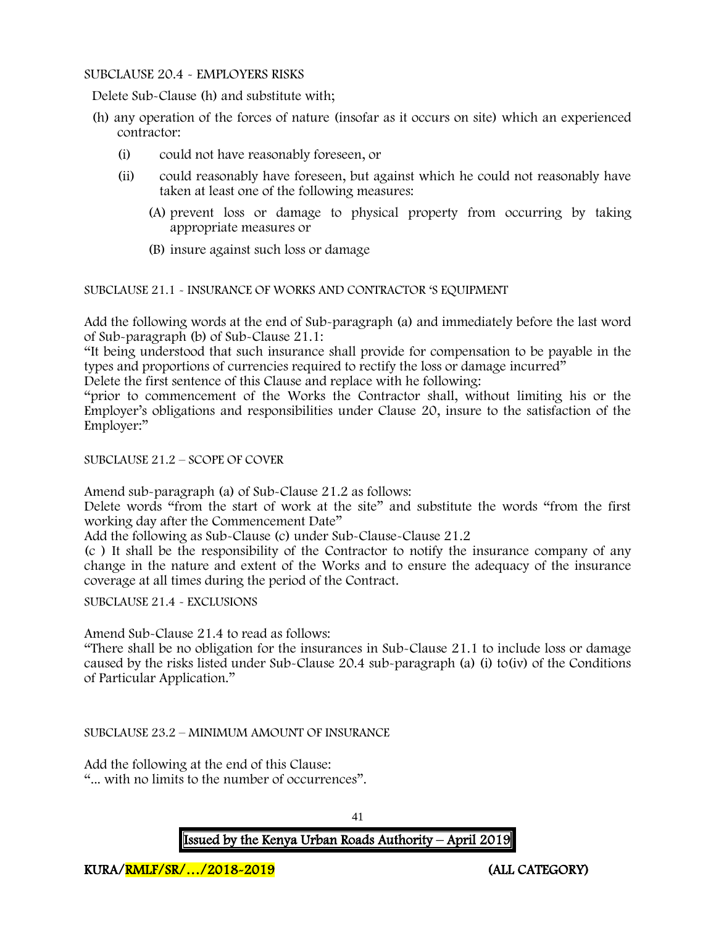# SUBCLAUSE 20.4 - EMPLOYERS RISKS

Delete Sub-Clause (h) and substitute with;

- (h) any operation of the forces of nature (insofar as it occurs on site) which an experienced contractor:
	- (i) could not have reasonably foreseen, or
	- (ii) could reasonably have foreseen, but against which he could not reasonably have taken at least one of the following measures:
		- (A) prevent loss or damage to physical property from occurring by taking appropriate measures or
		- (B) insure against such loss or damage

## SUBCLAUSE 21.1 - INSURANCE OF WORKS AND CONTRACTOR 'S EQUIPMENT

Add the following words at the end of Sub-paragraph (a) and immediately before the last word of Sub-paragraph (b) of Sub-Clause 21.1:

"It being understood that such insurance shall provide for compensation to be payable in the types and proportions of currencies required to rectify the loss or damage incurred"

Delete the first sentence of this Clause and replace with he following:

"prior to commencement of the Works the Contractor shall, without limiting his or the Employer's obligations and responsibilities under Clause 20, insure to the satisfaction of the Employer:"

SUBCLAUSE 21.2 – SCOPE OF COVER

Amend sub-paragraph (a) of Sub-Clause 21.2 as follows:

Delete words "from the start of work at the site" and substitute the words "from the first working day after the Commencement Date"

Add the following as Sub-Clause (c) under Sub-Clause-Clause 21.2

(c ) It shall be the responsibility of the Contractor to notify the insurance company of any change in the nature and extent of the Works and to ensure the adequacy of the insurance coverage at all times during the period of the Contract.

SUBCLAUSE 21.4 - EXCLUSIONS

Amend Sub-Clause 21.4 to read as follows:

"There shall be no obligation for the insurances in Sub-Clause 21.1 to include loss or damage caused by the risks listed under Sub-Clause 20.4 sub-paragraph (a) (i) to(iv) of the Conditions of Particular Application."

SUBCLAUSE 23.2 – MINIMUM AMOUNT OF INSURANCE

Add the following at the end of this Clause: "... with no limits to the number of occurrences".

41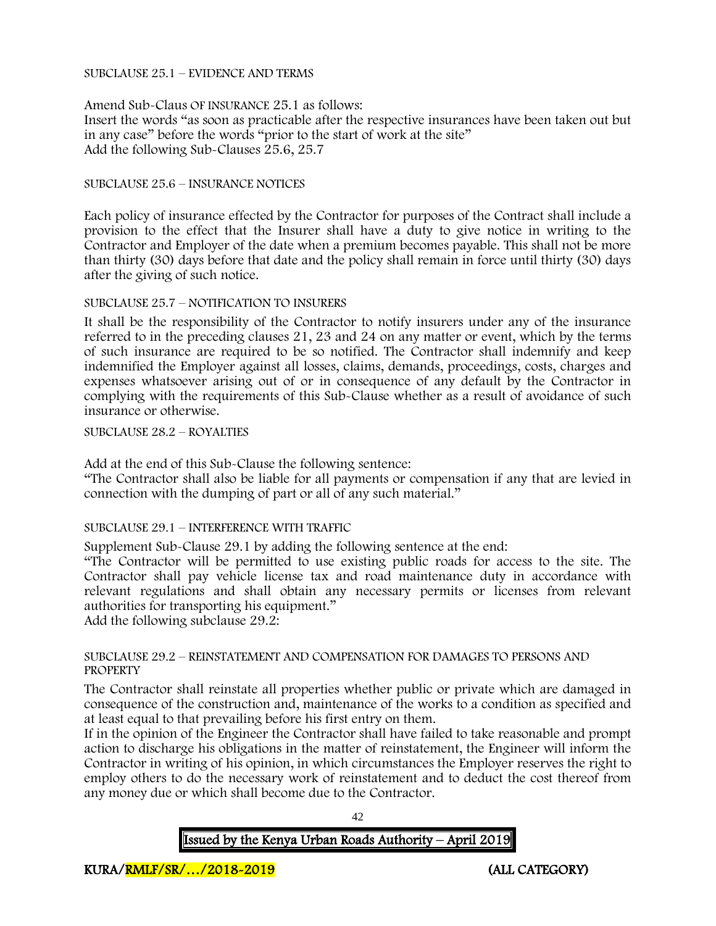SUBCLAUSE 25.1 – EVIDENCE AND TERMS

Amend Sub-Claus OF INSURANCE 25.1 as follows: Insert the words "as soon as practicable after the respective insurances have been taken out but in any case" before the words "prior to the start of work at the site" Add the following Sub-Clauses 25.6, 25.7

#### SUBCLAUSE 25.6 – INSURANCE NOTICES

Each policy of insurance effected by the Contractor for purposes of the Contract shall include a provision to the effect that the Insurer shall have a duty to give notice in writing to the Contractor and Employer of the date when a premium becomes payable. This shall not be more than thirty (30) days before that date and the policy shall remain in force until thirty (30) days after the giving of such notice.

## SUBCLAUSE 25.7 – NOTIFICATION TO INSURERS

It shall be the responsibility of the Contractor to notify insurers under any of the insurance referred to in the preceding clauses 21, 23 and 24 on any matter or event, which by the terms of such insurance are required to be so notified. The Contractor shall indemnify and keep indemnified the Employer against all losses, claims, demands, proceedings, costs, charges and expenses whatsoever arising out of or in consequence of any default by the Contractor in complying with the requirements of this Sub-Clause whether as a result of avoidance of such insurance or otherwise.

## SUBCLAUSE 28.2 – ROYALTIES

Add at the end of this Sub-Clause the following sentence:

"The Contractor shall also be liable for all payments or compensation if any that are levied in connection with the dumping of part or all of any such material."

# SUBCLAUSE 29.1 – INTERFERENCE WITH TRAFFIC

Supplement Sub-Clause 29.1 by adding the following sentence at the end:

"The Contractor will be permitted to use existing public roads for access to the site. The Contractor shall pay vehicle license tax and road maintenance duty in accordance with relevant regulations and shall obtain any necessary permits or licenses from relevant authorities for transporting his equipment."

Add the following subclause 29.2:

#### SUBCLAUSE 29.2 – REINSTATEMENT AND COMPENSATION FOR DAMAGES TO PERSONS AND **PROPERTY**

The Contractor shall reinstate all properties whether public or private which are damaged in consequence of the construction and, maintenance of the works to a condition as specified and at least equal to that prevailing before his first entry on them.

If in the opinion of the Engineer the Contractor shall have failed to take reasonable and prompt action to discharge his obligations in the matter of reinstatement, the Engineer will inform the Contractor in writing of his opinion, in which circumstances the Employer reserves the right to employ others to do the necessary work of reinstatement and to deduct the cost thereof from any money due or which shall become due to the Contractor.

42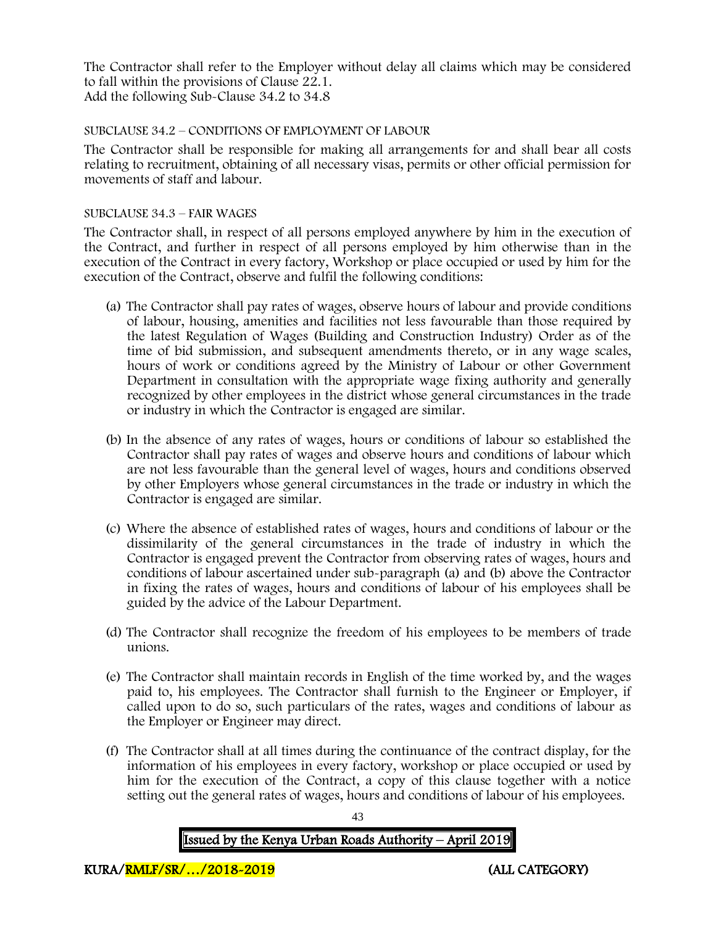The Contractor shall refer to the Employer without delay all claims which may be considered to fall within the provisions of Clause 22.1. Add the following Sub-Clause 34.2 to 34.8

## SUBCLAUSE 34.2 – CONDITIONS OF EMPLOYMENT OF LABOUR

The Contractor shall be responsible for making all arrangements for and shall bear all costs relating to recruitment, obtaining of all necessary visas, permits or other official permission for movements of staff and labour.

#### SUBCLAUSE 34.3 – FAIR WAGES

The Contractor shall, in respect of all persons employed anywhere by him in the execution of the Contract, and further in respect of all persons employed by him otherwise than in the execution of the Contract in every factory, Workshop or place occupied or used by him for the execution of the Contract, observe and fulfil the following conditions:

- (a) The Contractor shall pay rates of wages, observe hours of labour and provide conditions of labour, housing, amenities and facilities not less favourable than those required by the latest Regulation of Wages (Building and Construction Industry) Order as of the time of bid submission, and subsequent amendments thereto, or in any wage scales, hours of work or conditions agreed by the Ministry of Labour or other Government Department in consultation with the appropriate wage fixing authority and generally recognized by other employees in the district whose general circumstances in the trade or industry in which the Contractor is engaged are similar.
- (b) In the absence of any rates of wages, hours or conditions of labour so established the Contractor shall pay rates of wages and observe hours and conditions of labour which are not less favourable than the general level of wages, hours and conditions observed by other Employers whose general circumstances in the trade or industry in which the Contractor is engaged are similar.
- (c) Where the absence of established rates of wages, hours and conditions of labour or the dissimilarity of the general circumstances in the trade of industry in which the Contractor is engaged prevent the Contractor from observing rates of wages, hours and conditions of labour ascertained under sub-paragraph (a) and (b) above the Contractor in fixing the rates of wages, hours and conditions of labour of his employees shall be guided by the advice of the Labour Department.
- (d) The Contractor shall recognize the freedom of his employees to be members of trade unions.
- (e) The Contractor shall maintain records in English of the time worked by, and the wages paid to, his employees. The Contractor shall furnish to the Engineer or Employer, if called upon to do so, such particulars of the rates, wages and conditions of labour as the Employer or Engineer may direct.
- (f) The Contractor shall at all times during the continuance of the contract display, for the information of his employees in every factory, workshop or place occupied or used by him for the execution of the Contract, a copy of this clause together with a notice setting out the general rates of wages, hours and conditions of labour of his employees.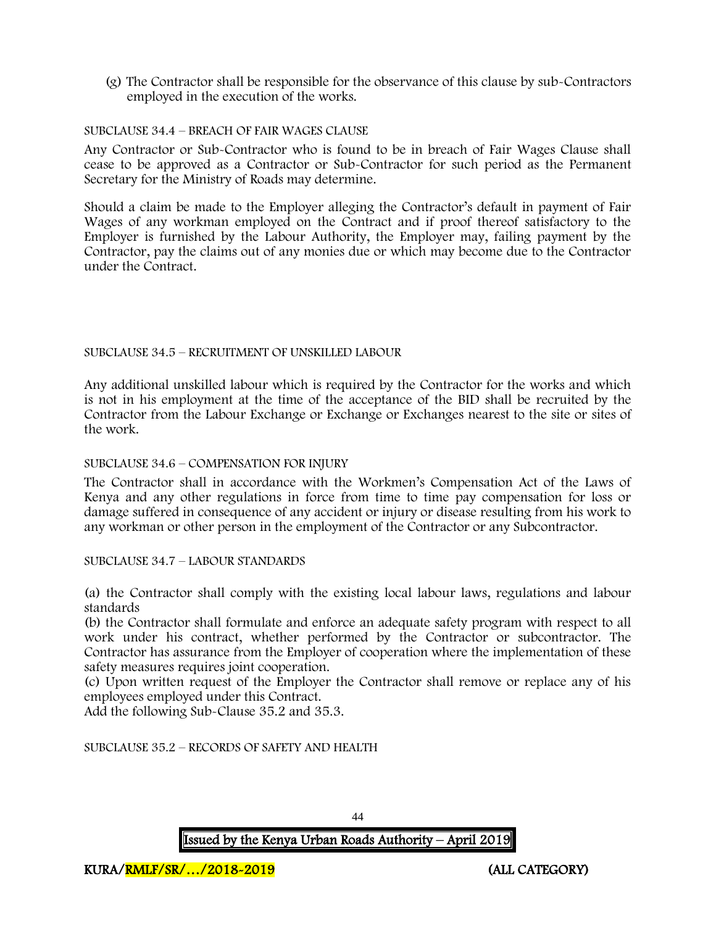(g) The Contractor shall be responsible for the observance of this clause by sub-Contractors employed in the execution of the works.

# SUBCLAUSE 34.4 – BREACH OF FAIR WAGES CLAUSE

Any Contractor or Sub-Contractor who is found to be in breach of Fair Wages Clause shall cease to be approved as a Contractor or Sub-Contractor for such period as the Permanent Secretary for the Ministry of Roads may determine.

Should a claim be made to the Employer alleging the Contractor's default in payment of Fair Wages of any workman employed on the Contract and if proof thereof satisfactory to the Employer is furnished by the Labour Authority, the Employer may, failing payment by the Contractor, pay the claims out of any monies due or which may become due to the Contractor under the Contract.

#### SUBCLAUSE 34.5 – RECRUITMENT OF UNSKILLED LABOUR

Any additional unskilled labour which is required by the Contractor for the works and which is not in his employment at the time of the acceptance of the BID shall be recruited by the Contractor from the Labour Exchange or Exchange or Exchanges nearest to the site or sites of the work.

#### SUBCLAUSE 34.6 – COMPENSATION FOR INJURY

The Contractor shall in accordance with the Workmen's Compensation Act of the Laws of Kenya and any other regulations in force from time to time pay compensation for loss or damage suffered in consequence of any accident or injury or disease resulting from his work to any workman or other person in the employment of the Contractor or any Subcontractor.

SUBCLAUSE 34.7 – LABOUR STANDARDS

(a) the Contractor shall comply with the existing local labour laws, regulations and labour standards

(b) the Contractor shall formulate and enforce an adequate safety program with respect to all work under his contract, whether performed by the Contractor or subcontractor. The Contractor has assurance from the Employer of cooperation where the implementation of these safety measures requires joint cooperation.

(c) Upon written request of the Employer the Contractor shall remove or replace any of his employees employed under this Contract.

Add the following Sub-Clause 35.2 and 35.3.

SUBCLAUSE 35.2 – RECORDS OF SAFETY AND HEALTH

44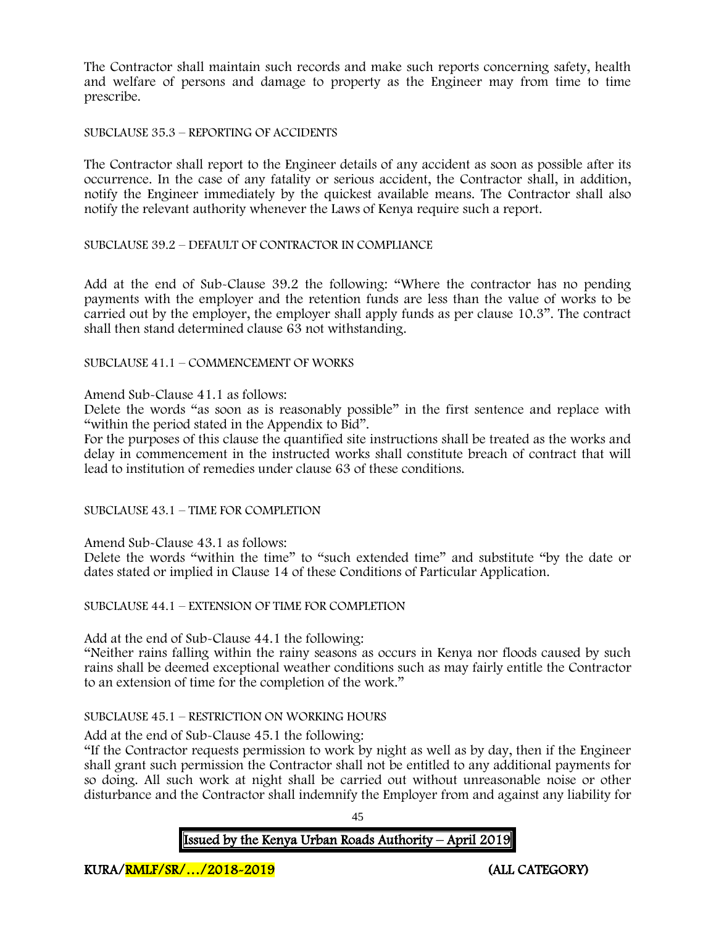The Contractor shall maintain such records and make such reports concerning safety, health and welfare of persons and damage to property as the Engineer may from time to time prescribe.

# SUBCLAUSE 35.3 – REPORTING OF ACCIDENTS

The Contractor shall report to the Engineer details of any accident as soon as possible after its occurrence. In the case of any fatality or serious accident, the Contractor shall, in addition, notify the Engineer immediately by the quickest available means. The Contractor shall also notify the relevant authority whenever the Laws of Kenya require such a report.

## SUBCLAUSE 39.2 – DEFAULT OF CONTRACTOR IN COMPLIANCE

Add at the end of Sub-Clause 39.2 the following: "Where the contractor has no pending payments with the employer and the retention funds are less than the value of works to be carried out by the employer, the employer shall apply funds as per clause 10.3". The contract shall then stand determined clause 63 not withstanding.

## SUBCLAUSE 41.1 – COMMENCEMENT OF WORKS

Amend Sub-Clause 41.1 as follows:

Delete the words "as soon as is reasonably possible" in the first sentence and replace with "within the period stated in the Appendix to Bid".

For the purposes of this clause the quantified site instructions shall be treated as the works and delay in commencement in the instructed works shall constitute breach of contract that will lead to institution of remedies under clause 63 of these conditions.

SUBCLAUSE 43.1 – TIME FOR COMPLETION

Amend Sub-Clause 43.1 as follows:

Delete the words "within the time" to "such extended time" and substitute "by the date or dates stated or implied in Clause 14 of these Conditions of Particular Application.

SUBCLAUSE 44.1 – EXTENSION OF TIME FOR COMPLETION

Add at the end of Sub-Clause 44.1 the following:

"Neither rains falling within the rainy seasons as occurs in Kenya nor floods caused by such rains shall be deemed exceptional weather conditions such as may fairly entitle the Contractor to an extension of time for the completion of the work."

SUBCLAUSE 45.1 – RESTRICTION ON WORKING HOURS

Add at the end of Sub-Clause 45.1 the following:

"If the Contractor requests permission to work by night as well as by day, then if the Engineer shall grant such permission the Contractor shall not be entitled to any additional payments for so doing. All such work at night shall be carried out without unreasonable noise or other disturbance and the Contractor shall indemnify the Employer from and against any liability for

> 45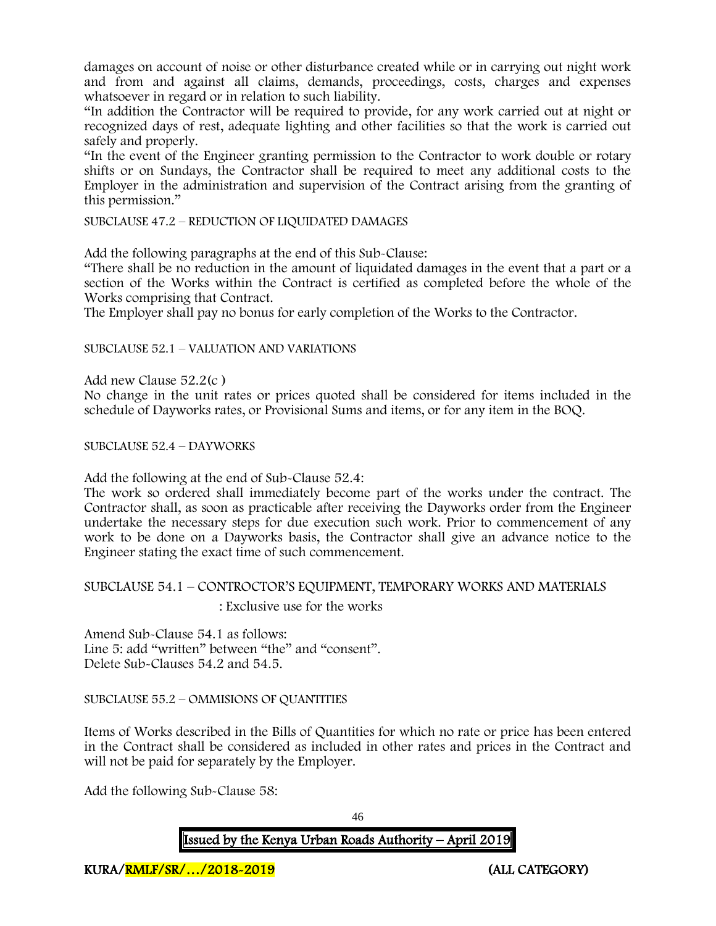damages on account of noise or other disturbance created while or in carrying out night work and from and against all claims, demands, proceedings, costs, charges and expenses whatsoever in regard or in relation to such liability.

"In addition the Contractor will be required to provide, for any work carried out at night or recognized days of rest, adequate lighting and other facilities so that the work is carried out safely and properly.

"In the event of the Engineer granting permission to the Contractor to work double or rotary shifts or on Sundays, the Contractor shall be required to meet any additional costs to the Employer in the administration and supervision of the Contract arising from the granting of this permission."

SUBCLAUSE 47.2 – REDUCTION OF LIQUIDATED DAMAGES

Add the following paragraphs at the end of this Sub-Clause:

"There shall be no reduction in the amount of liquidated damages in the event that a part or a section of the Works within the Contract is certified as completed before the whole of the Works comprising that Contract.

The Employer shall pay no bonus for early completion of the Works to the Contractor.

SUBCLAUSE 52.1 – VALUATION AND VARIATIONS

Add new Clause 52.2(c )

No change in the unit rates or prices quoted shall be considered for items included in the schedule of Dayworks rates, or Provisional Sums and items, or for any item in the BOQ.

SUBCLAUSE 52.4 – DAYWORKS

Add the following at the end of Sub-Clause 52.4:

The work so ordered shall immediately become part of the works under the contract. The Contractor shall, as soon as practicable after receiving the Dayworks order from the Engineer undertake the necessary steps for due execution such work. Prior to commencement of any work to be done on a Dayworks basis, the Contractor shall give an advance notice to the Engineer stating the exact time of such commencement.

SUBCLAUSE 54.1 – CONTROCTOR'S EQUIPMENT, TEMPORARY WORKS AND MATERIALS : Exclusive use for the works

Amend Sub-Clause 54.1 as follows: Line 5: add "written" between "the" and "consent". Delete Sub-Clauses 54.2 and 54.5.

SUBCLAUSE 55.2 – OMMISIONS OF QUANTITIES

Items of Works described in the Bills of Quantities for which no rate or price has been entered in the Contract shall be considered as included in other rates and prices in the Contract and will not be paid for separately by the Employer.

Add the following Sub-Clause 58:

46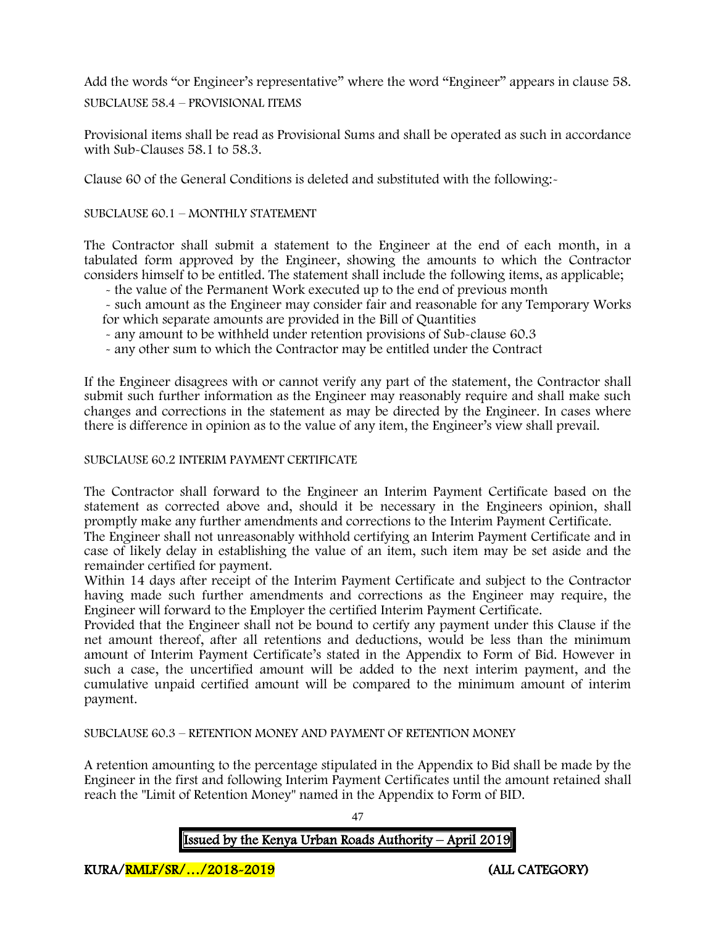Add the words "or Engineer's representative" where the word "Engineer" appears in clause 58.

SUBCLAUSE 58.4 – PROVISIONAL ITEMS

Provisional items shall be read as Provisional Sums and shall be operated as such in accordance with Sub-Clauses 58.1 to 58.3.

Clause 60 of the General Conditions is deleted and substituted with the following:-

# SUBCLAUSE 60.1 – MONTHLY STATEMENT

The Contractor shall submit a statement to the Engineer at the end of each month, in a tabulated form approved by the Engineer, showing the amounts to which the Contractor considers himself to be entitled. The statement shall include the following items, as applicable;

- the value of the Permanent Work executed up to the end of previous month

- such amount as the Engineer may consider fair and reasonable for any Temporary Works for which separate amounts are provided in the Bill of Quantities

- any amount to be withheld under retention provisions of Sub-clause 60.3
- any other sum to which the Contractor may be entitled under the Contract

If the Engineer disagrees with or cannot verify any part of the statement, the Contractor shall submit such further information as the Engineer may reasonably require and shall make such changes and corrections in the statement as may be directed by the Engineer. In cases where there is difference in opinion as to the value of any item, the Engineer's view shall prevail.

# SUBCLAUSE 60.2 INTERIM PAYMENT CERTIFICATE

The Contractor shall forward to the Engineer an Interim Payment Certificate based on the statement as corrected above and, should it be necessary in the Engineers opinion, shall promptly make any further amendments and corrections to the Interim Payment Certificate.

The Engineer shall not unreasonably withhold certifying an Interim Payment Certificate and in case of likely delay in establishing the value of an item, such item may be set aside and the remainder certified for payment.

Within 14 days after receipt of the Interim Payment Certificate and subject to the Contractor having made such further amendments and corrections as the Engineer may require, the Engineer will forward to the Employer the certified Interim Payment Certificate.

Provided that the Engineer shall not be bound to certify any payment under this Clause if the net amount thereof, after all retentions and deductions, would be less than the minimum amount of Interim Payment Certificate's stated in the Appendix to Form of Bid. However in such a case, the uncertified amount will be added to the next interim payment, and the cumulative unpaid certified amount will be compared to the minimum amount of interim payment.

SUBCLAUSE 60.3 – RETENTION MONEY AND PAYMENT OF RETENTION MONEY

A retention amounting to the percentage stipulated in the Appendix to Bid shall be made by the Engineer in the first and following Interim Payment Certificates until the amount retained shall reach the "Limit of Retention Money" named in the Appendix to Form of BID.

Issued by the Kenya Urban Roads Authority – April 2019

47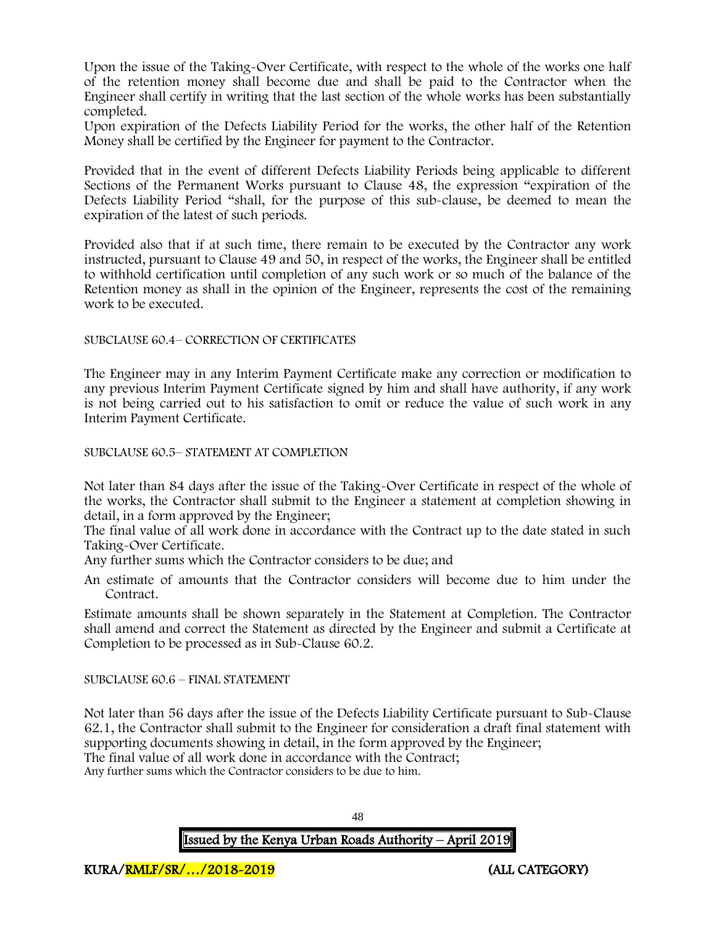Upon the issue of the Taking-Over Certificate, with respect to the whole of the works one half of the retention money shall become due and shall be paid to the Contractor when the Engineer shall certify in writing that the last section of the whole works has been substantially completed.

Upon expiration of the Defects Liability Period for the works, the other half of the Retention Money shall be certified by the Engineer for payment to the Contractor.

Provided that in the event of different Defects Liability Periods being applicable to different Sections of the Permanent Works pursuant to Clause 48, the expression "expiration of the Defects Liability Period "shall, for the purpose of this sub-clause, be deemed to mean the expiration of the latest of such periods.

Provided also that if at such time, there remain to be executed by the Contractor any work instructed, pursuant to Clause 49 and 50, in respect of the works, the Engineer shall be entitled to withhold certification until completion of any such work or so much of the balance of the Retention money as shall in the opinion of the Engineer, represents the cost of the remaining work to be executed.

SUBCLAUSE 60.4– CORRECTION OF CERTIFICATES

The Engineer may in any Interim Payment Certificate make any correction or modification to any previous Interim Payment Certificate signed by him and shall have authority, if any work is not being carried out to his satisfaction to omit or reduce the value of such work in any Interim Payment Certificate.

SUBCLAUSE 60.5– STATEMENT AT COMPLETION

Not later than 84 days after the issue of the Taking-Over Certificate in respect of the whole of the works, the Contractor shall submit to the Engineer a statement at completion showing in detail, in a form approved by the Engineer;

The final value of all work done in accordance with the Contract up to the date stated in such Taking-Over Certificate.

Any further sums which the Contractor considers to be due; and

An estimate of amounts that the Contractor considers will become due to him under the Contract.

Estimate amounts shall be shown separately in the Statement at Completion. The Contractor shall amend and correct the Statement as directed by the Engineer and submit a Certificate at Completion to be processed as in Sub-Clause 60.2.

SUBCLAUSE 60.6 – FINAL STATEMENT

Not later than 56 days after the issue of the Defects Liability Certificate pursuant to Sub-Clause 62.1, the Contractor shall submit to the Engineer for consideration a draft final statement with supporting documents showing in detail, in the form approved by the Engineer; The final value of all work done in accordance with the Contract; Any further sums which the Contractor considers to be due to him.

48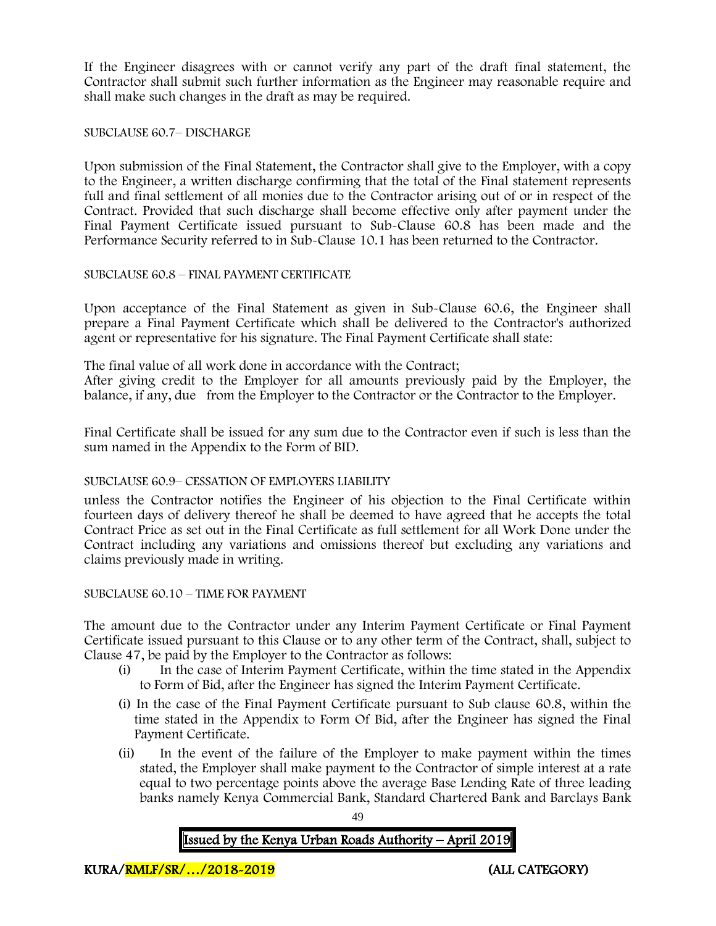If the Engineer disagrees with or cannot verify any part of the draft final statement, the Contractor shall submit such further information as the Engineer may reasonable require and shall make such changes in the draft as may be required.

## SUBCLAUSE 60.7– DISCHARGE

Upon submission of the Final Statement, the Contractor shall give to the Employer, with a copy to the Engineer, a written discharge confirming that the total of the Final statement represents full and final settlement of all monies due to the Contractor arising out of or in respect of the Contract. Provided that such discharge shall become effective only after payment under the Final Payment Certificate issued pursuant to Sub-Clause 60.8 has been made and the Performance Security referred to in Sub-Clause 10.1 has been returned to the Contractor.

## SUBCLAUSE 60.8 – FINAL PAYMENT CERTIFICATE

Upon acceptance of the Final Statement as given in Sub-Clause 60.6, the Engineer shall prepare a Final Payment Certificate which shall be delivered to the Contractor's authorized agent or representative for his signature. The Final Payment Certificate shall state:

The final value of all work done in accordance with the Contract;

After giving credit to the Employer for all amounts previously paid by the Employer, the balance, if any, due from the Employer to the Contractor or the Contractor to the Employer.

Final Certificate shall be issued for any sum due to the Contractor even if such is less than the sum named in the Appendix to the Form of BID.

#### SUBCLAUSE 60.9– CESSATION OF EMPLOYERS LIABILITY

unless the Contractor notifies the Engineer of his objection to the Final Certificate within fourteen days of delivery thereof he shall be deemed to have agreed that he accepts the total Contract Price as set out in the Final Certificate as full settlement for all Work Done under the Contract including any variations and omissions thereof but excluding any variations and claims previously made in writing.

#### SUBCLAUSE 60.10 – TIME FOR PAYMENT

The amount due to the Contractor under any Interim Payment Certificate or Final Payment Certificate issued pursuant to this Clause or to any other term of the Contract, shall, subject to Clause 47, be paid by the Employer to the Contractor as follows:

- (i) In the case of Interim Payment Certificate, within the time stated in the Appendix to Form of Bid, after the Engineer has signed the Interim Payment Certificate.
- (i) In the case of the Final Payment Certificate pursuant to Sub clause 60.8, within the time stated in the Appendix to Form Of Bid, after the Engineer has signed the Final Payment Certificate.
- (ii) In the event of the failure of the Employer to make payment within the times stated, the Employer shall make payment to the Contractor of simple interest at a rate equal to two percentage points above the average Base Lending Rate of three leading banks namely Kenya Commercial Bank, Standard Chartered Bank and Barclays Bank

49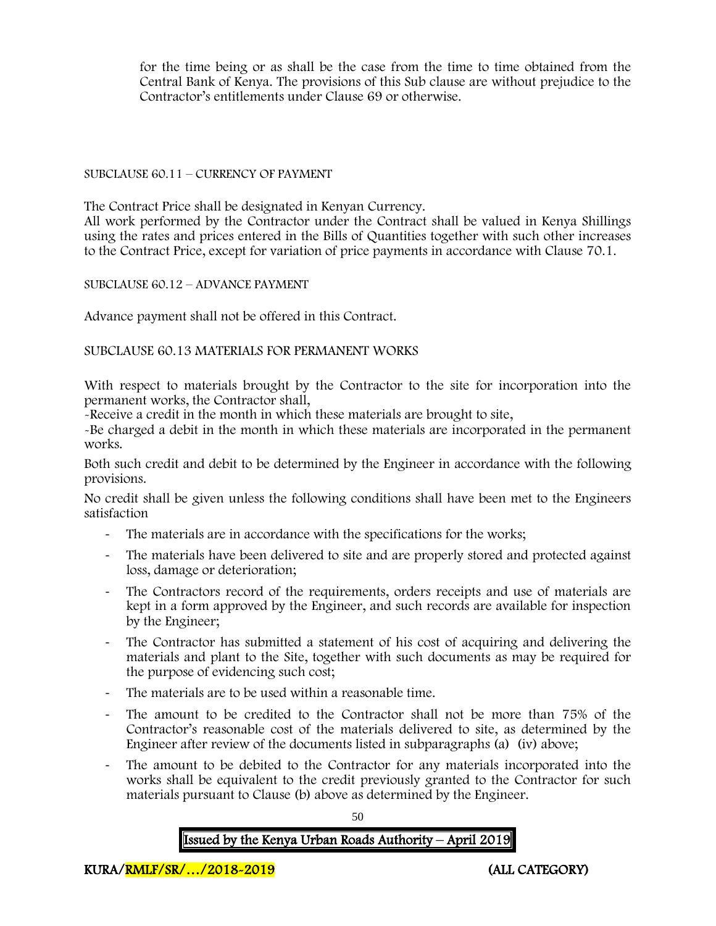for the time being or as shall be the case from the time to time obtained from the Central Bank of Kenya. The provisions of this Sub clause are without prejudice to the Contractor's entitlements under Clause 69 or otherwise.

## SUBCLAUSE 60.11 – CURRENCY OF PAYMENT

The Contract Price shall be designated in Kenyan Currency.

All work performed by the Contractor under the Contract shall be valued in Kenya Shillings using the rates and prices entered in the Bills of Quantities together with such other increases to the Contract Price, except for variation of price payments in accordance with Clause 70.1.

#### SUBCLAUSE 60.12 – ADVANCE PAYMENT

Advance payment shall not be offered in this Contract.

## SUBCLAUSE 60.13 MATERIALS FOR PERMANENT WORKS

With respect to materials brought by the Contractor to the site for incorporation into the permanent works, the Contractor shall,

-Receive a credit in the month in which these materials are brought to site,

-Be charged a debit in the month in which these materials are incorporated in the permanent works.

Both such credit and debit to be determined by the Engineer in accordance with the following provisions.

No credit shall be given unless the following conditions shall have been met to the Engineers satisfaction

- The materials are in accordance with the specifications for the works;
- The materials have been delivered to site and are properly stored and protected against loss, damage or deterioration;
- The Contractors record of the requirements, orders receipts and use of materials are kept in a form approved by the Engineer, and such records are available for inspection by the Engineer;
- The Contractor has submitted a statement of his cost of acquiring and delivering the materials and plant to the Site, together with such documents as may be required for the purpose of evidencing such cost;
- The materials are to be used within a reasonable time.
- The amount to be credited to the Contractor shall not be more than 75% of the Contractor's reasonable cost of the materials delivered to site, as determined by the Engineer after review of the documents listed in subparagraphs (a) (iv) above;
- The amount to be debited to the Contractor for any materials incorporated into the works shall be equivalent to the credit previously granted to the Contractor for such materials pursuant to Clause (b) above as determined by the Engineer.

 50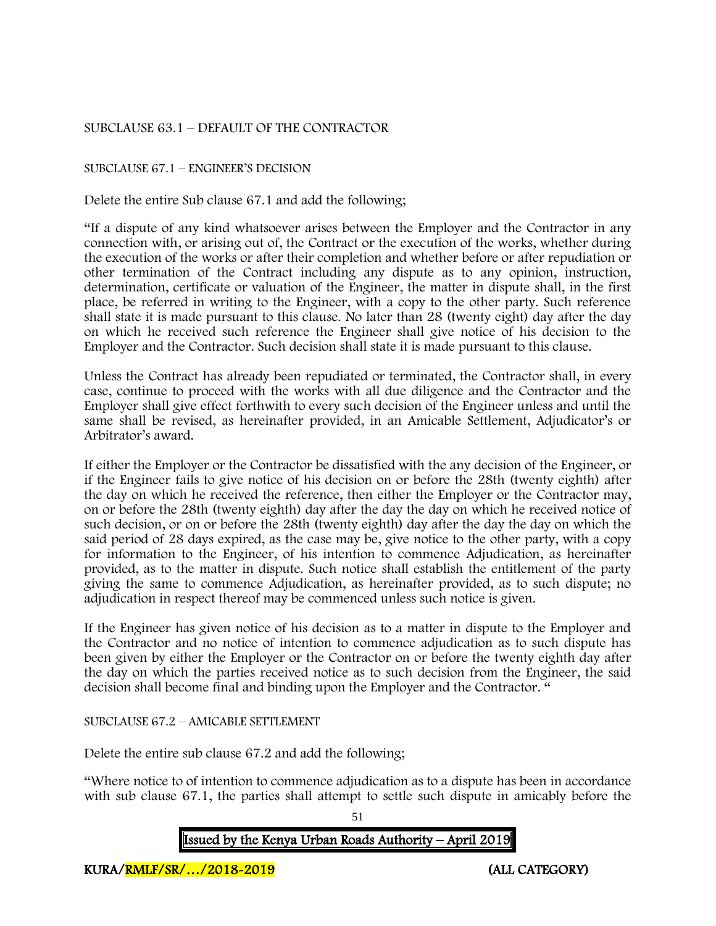# SUBCLAUSE 63.1 – DEFAULT OF THE CONTRACTOR

SUBCLAUSE 67.1 – ENGINEER'S DECISION

Delete the entire Sub clause 67.1 and add the following;

"If a dispute of any kind whatsoever arises between the Employer and the Contractor in any connection with, or arising out of, the Contract or the execution of the works, whether during the execution of the works or after their completion and whether before or after repudiation or other termination of the Contract including any dispute as to any opinion, instruction, determination, certificate or valuation of the Engineer, the matter in dispute shall, in the first place, be referred in writing to the Engineer, with a copy to the other party. Such reference shall state it is made pursuant to this clause. No later than 28 (twenty eight) day after the day on which he received such reference the Engineer shall give notice of his decision to the Employer and the Contractor. Such decision shall state it is made pursuant to this clause.

Unless the Contract has already been repudiated or terminated, the Contractor shall, in every case, continue to proceed with the works with all due diligence and the Contractor and the Employer shall give effect forthwith to every such decision of the Engineer unless and until the same shall be revised, as hereinafter provided, in an Amicable Settlement, Adjudicator's or Arbitrator's award.

If either the Employer or the Contractor be dissatisfied with the any decision of the Engineer, or if the Engineer fails to give notice of his decision on or before the 28th (twenty eighth) after the day on which he received the reference, then either the Employer or the Contractor may, on or before the 28th (twenty eighth) day after the day the day on which he received notice of such decision, or on or before the 28th (twenty eighth) day after the day the day on which the said period of 28 days expired, as the case may be, give notice to the other party, with a copy for information to the Engineer, of his intention to commence Adjudication, as hereinafter provided, as to the matter in dispute. Such notice shall establish the entitlement of the party giving the same to commence Adjudication, as hereinafter provided, as to such dispute; no adjudication in respect thereof may be commenced unless such notice is given.

If the Engineer has given notice of his decision as to a matter in dispute to the Employer and the Contractor and no notice of intention to commence adjudication as to such dispute has been given by either the Employer or the Contractor on or before the twenty eighth day after the day on which the parties received notice as to such decision from the Engineer, the said decision shall become final and binding upon the Employer and the Contractor. "

SUBCLAUSE 67.2 – AMICABLE SETTLEMENT

Delete the entire sub clause 67.2 and add the following;

"Where notice to of intention to commence adjudication as to a dispute has been in accordance with sub clause 67.1, the parties shall attempt to settle such dispute in amicably before the

51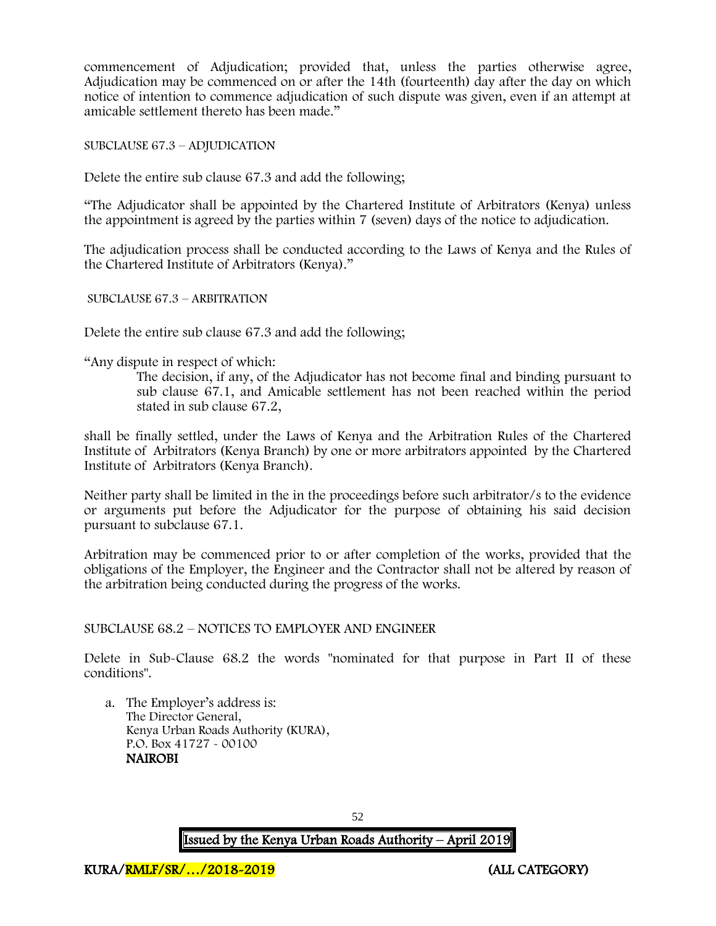commencement of Adjudication; provided that, unless the parties otherwise agree, Adjudication may be commenced on or after the 14th (fourteenth) day after the day on which notice of intention to commence adjudication of such dispute was given, even if an attempt at amicable settlement thereto has been made."

SUBCLAUSE 67.3 – ADJUDICATION

Delete the entire sub clause 67.3 and add the following;

"The Adjudicator shall be appointed by the Chartered Institute of Arbitrators (Kenya) unless the appointment is agreed by the parties within 7 (seven) days of the notice to adjudication.

The adjudication process shall be conducted according to the Laws of Kenya and the Rules of the Chartered Institute of Arbitrators (Kenya)."

SUBCLAUSE 67.3 – ARBITRATION

Delete the entire sub clause 67.3 and add the following;

"Any dispute in respect of which:

The decision, if any, of the Adjudicator has not become final and binding pursuant to sub clause 67.1, and Amicable settlement has not been reached within the period stated in sub clause 67.2,

shall be finally settled, under the Laws of Kenya and the Arbitration Rules of the Chartered Institute of Arbitrators (Kenya Branch) by one or more arbitrators appointed by the Chartered Institute of Arbitrators (Kenya Branch).

Neither party shall be limited in the in the proceedings before such arbitrator/s to the evidence or arguments put before the Adjudicator for the purpose of obtaining his said decision pursuant to subclause 67.1.

Arbitration may be commenced prior to or after completion of the works, provided that the obligations of the Employer, the Engineer and the Contractor shall not be altered by reason of the arbitration being conducted during the progress of the works.

#### SUBCLAUSE 68.2 – NOTICES TO EMPLOYER AND ENGINEER

Delete in Sub-Clause 68.2 the words "nominated for that purpose in Part II of these conditions".

a. The Employer's address is: The Director General, Kenya Urban Roads Authority (KURA), P.O. Box 41727 - 00100 NAIROBI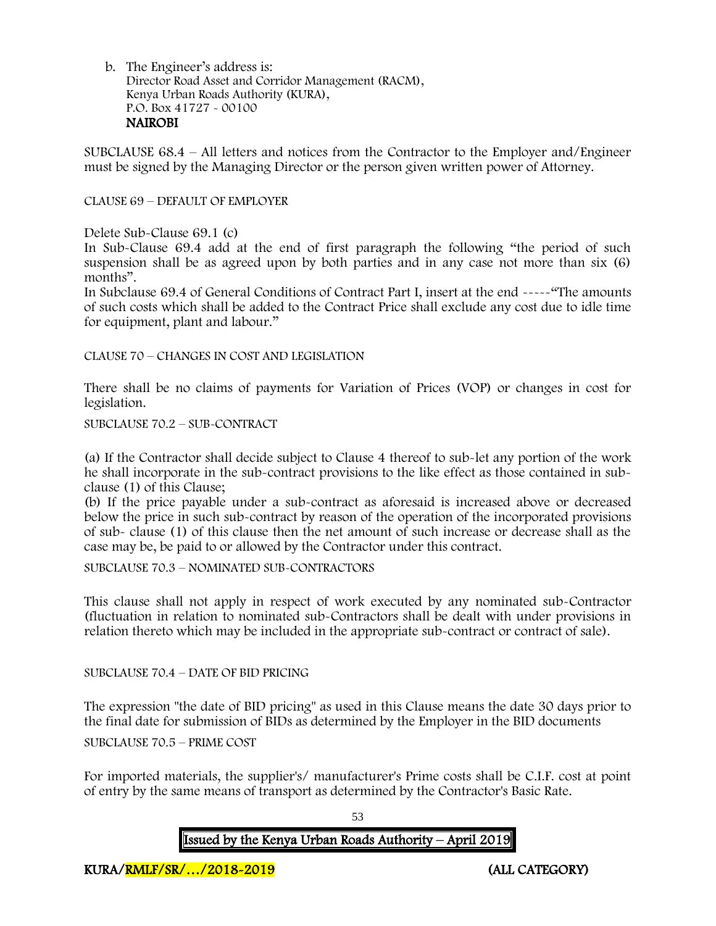b. The Engineer's address is: Director Road Asset and Corridor Management (RACM), Kenya Urban Roads Authority (KURA), P.O. Box 41727 - 00100 NAIROBI

SUBCLAUSE 68.4 – All letters and notices from the Contractor to the Employer and/Engineer must be signed by the Managing Director or the person given written power of Attorney.

CLAUSE 69 – DEFAULT OF EMPLOYER

Delete Sub-Clause 69.1 (c)

In Sub-Clause 69.4 add at the end of first paragraph the following "the period of such suspension shall be as agreed upon by both parties and in any case not more than six (6) months".

In Subclause 69.4 of General Conditions of Contract Part I, insert at the end -----"The amounts of such costs which shall be added to the Contract Price shall exclude any cost due to idle time for equipment, plant and labour."

CLAUSE 70 – CHANGES IN COST AND LEGISLATION

There shall be no claims of payments for Variation of Prices (VOP) or changes in cost for legislation.

SUBCLAUSE 70.2 – SUB-CONTRACT

(a) If the Contractor shall decide subject to Clause 4 thereof to sub-let any portion of the work he shall incorporate in the sub-contract provisions to the like effect as those contained in subclause (1) of this Clause;

(b) If the price payable under a sub-contract as aforesaid is increased above or decreased below the price in such sub-contract by reason of the operation of the incorporated provisions of sub- clause (1) of this clause then the net amount of such increase or decrease shall as the case may be, be paid to or allowed by the Contractor under this contract.

SUBCLAUSE 70.3 – NOMINATED SUB-CONTRACTORS

This clause shall not apply in respect of work executed by any nominated sub-Contractor (fluctuation in relation to nominated sub-Contractors shall be dealt with under provisions in relation thereto which may be included in the appropriate sub-contract or contract of sale).

SUBCLAUSE 70.4 – DATE OF BID PRICING

The expression "the date of BID pricing" as used in this Clause means the date 30 days prior to the final date for submission of BIDs as determined by the Employer in the BID documents

SUBCLAUSE 70.5 – PRIME COST

For imported materials, the supplier's/ manufacturer's Prime costs shall be C.I.F. cost at point of entry by the same means of transport as determined by the Contractor's Basic Rate.

53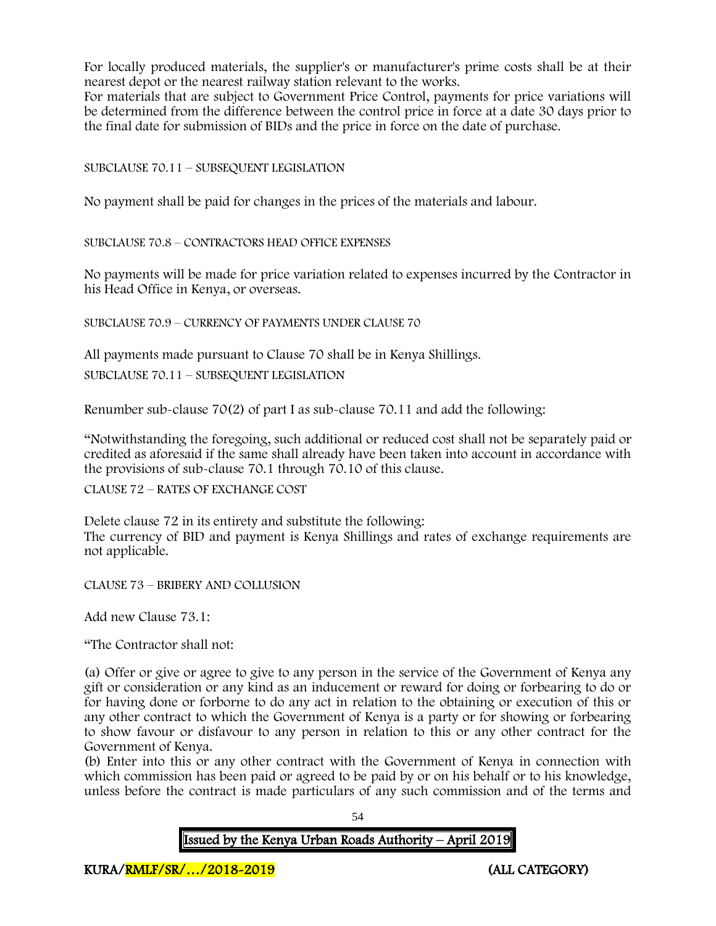For locally produced materials, the supplier's or manufacturer's prime costs shall be at their nearest depot or the nearest railway station relevant to the works.

For materials that are subject to Government Price Control, payments for price variations will be determined from the difference between the control price in force at a date 30 days prior to the final date for submission of BIDs and the price in force on the date of purchase.

# SUBCLAUSE 70.11 – SUBSEQUENT LEGISLATION

No payment shall be paid for changes in the prices of the materials and labour.

SUBCLAUSE 70.8 – CONTRACTORS HEAD OFFICE EXPENSES

No payments will be made for price variation related to expenses incurred by the Contractor in his Head Office in Kenya, or overseas.

SUBCLAUSE 70.9 – CURRENCY OF PAYMENTS UNDER CLAUSE 70

All payments made pursuant to Clause 70 shall be in Kenya Shillings.

SUBCLAUSE 70.11 – SUBSEQUENT LEGISLATION

Renumber sub-clause 70(2) of part I as sub-clause 70.11 and add the following:

"Notwithstanding the foregoing, such additional or reduced cost shall not be separately paid or credited as aforesaid if the same shall already have been taken into account in accordance with the provisions of sub-clause 70.1 through 70.10 of this clause.

CLAUSE 72 – RATES OF EXCHANGE COST

Delete clause 72 in its entirety and substitute the following: The currency of BID and payment is Kenya Shillings and rates of exchange requirements are not applicable.

CLAUSE 73 – BRIBERY AND COLLUSION

Add new Clause 73.1:

"The Contractor shall not:

(a) Offer or give or agree to give to any person in the service of the Government of Kenya any gift or consideration or any kind as an inducement or reward for doing or forbearing to do or for having done or forborne to do any act in relation to the obtaining or execution of this or any other contract to which the Government of Kenya is a party or for showing or forbearing to show favour or disfavour to any person in relation to this or any other contract for the Government of Kenya.

(b) Enter into this or any other contract with the Government of Kenya in connection with which commission has been paid or agreed to be paid by or on his behalf or to his knowledge, unless before the contract is made particulars of any such commission and of the terms and

> 54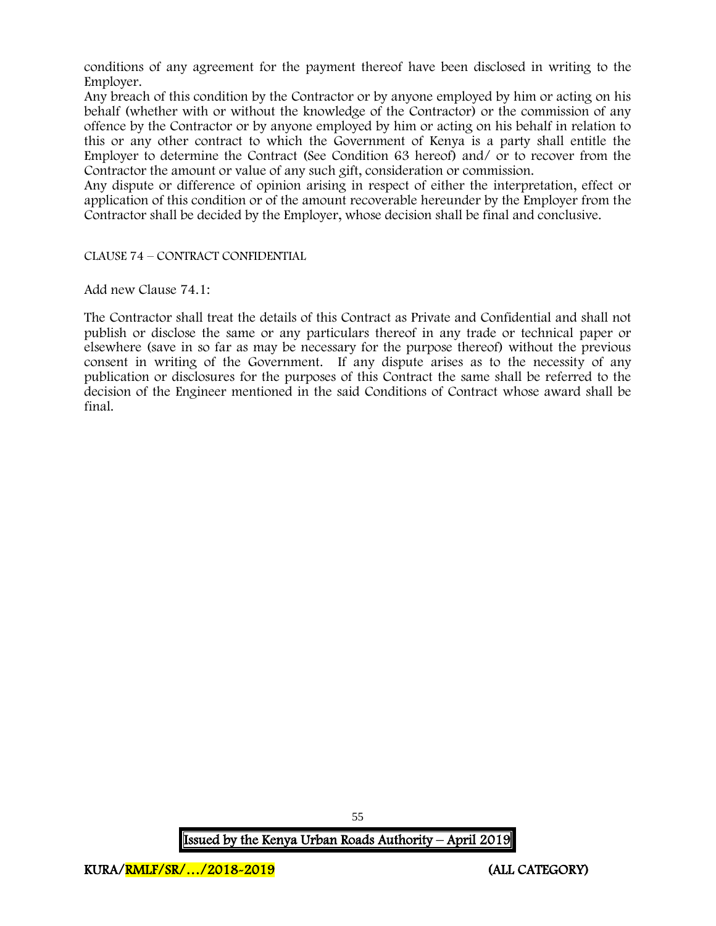conditions of any agreement for the payment thereof have been disclosed in writing to the Employer.

Any breach of this condition by the Contractor or by anyone employed by him or acting on his behalf (whether with or without the knowledge of the Contractor) or the commission of any offence by the Contractor or by anyone employed by him or acting on his behalf in relation to this or any other contract to which the Government of Kenya is a party shall entitle the Employer to determine the Contract (See Condition 63 hereof) and/ or to recover from the Contractor the amount or value of any such gift, consideration or commission.

Any dispute or difference of opinion arising in respect of either the interpretation, effect or application of this condition or of the amount recoverable hereunder by the Employer from the Contractor shall be decided by the Employer, whose decision shall be final and conclusive.

CLAUSE 74 – CONTRACT CONFIDENTIAL

Add new Clause 74.1:

The Contractor shall treat the details of this Contract as Private and Confidential and shall not publish or disclose the same or any particulars thereof in any trade or technical paper or elsewhere (save in so far as may be necessary for the purpose thereof) without the previous consent in writing of the Government. If any dispute arises as to the necessity of any publication or disclosures for the purposes of this Contract the same shall be referred to the decision of the Engineer mentioned in the said Conditions of Contract whose award shall be final.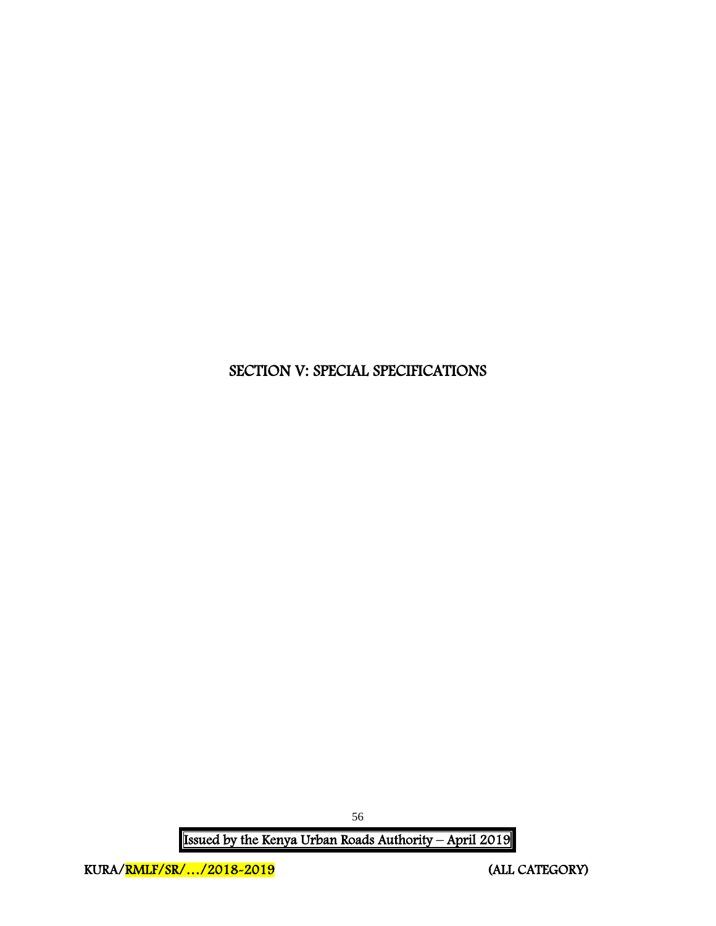# SECTION V: SPECIAL SPECIFICATIONS

Issued by the Kenya Urban Roads Authority – April 2019

56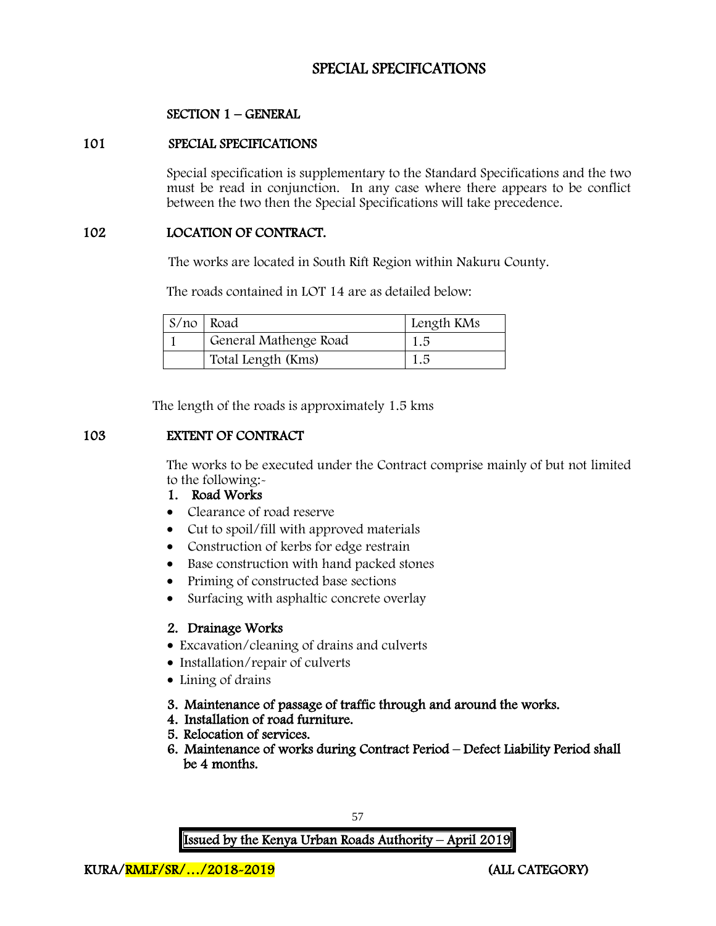# SPECIAL SPECIFICATIONS

# SECTION 1 – GENERAL

# 101 SPECIAL SPECIFICATIONS

Special specification is supplementary to the Standard Specifications and the two must be read in conjunction. In any case where there appears to be conflict between the two then the Special Specifications will take precedence.

## 102 LOCATION OF CONTRACT.

The works are located in South Rift Region within Nakuru County.

The roads contained in LOT 14 are as detailed below:

| $S/no$ Road |                       | Length KMs |
|-------------|-----------------------|------------|
|             | General Mathenge Road | 1.5        |
|             | Total Length (Kms)    | 1.5        |

The length of the roads is approximately 1.5 kms

# 103 EXTENT OF CONTRACT

The works to be executed under the Contract comprise mainly of but not limited to the following:-

# 1. Road Works

- Clearance of road reserve
- Cut to spoil/fill with approved materials
- Construction of kerbs for edge restrain
- Base construction with hand packed stones
- Priming of constructed base sections
- Surfacing with asphaltic concrete overlay

# 2. Drainage Works

- Excavation/cleaning of drains and culverts
- Installation/repair of culverts
- Lining of drains
- 3. Maintenance of passage of traffic through and around the works.
- 4. Installation of road furniture.
- 5. Relocation of services.
- 6. Maintenance of works during Contract Period Defect Liability Period shall be 4 months.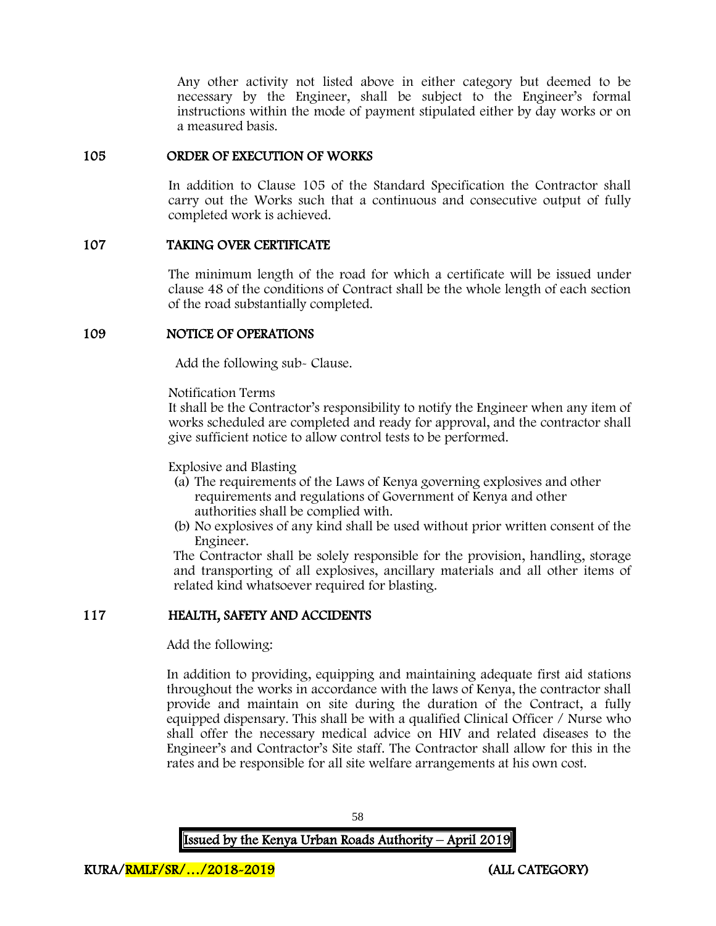Any other activity not listed above in either category but deemed to be necessary by the Engineer, shall be subject to the Engineer's formal instructions within the mode of payment stipulated either by day works or on a measured basis.

## 105 ORDER OF EXECUTION OF WORKS

In addition to Clause 105 of the Standard Specification the Contractor shall carry out the Works such that a continuous and consecutive output of fully completed work is achieved.

# 107 TAKING OVER CERTIFICATE

The minimum length of the road for which a certificate will be issued under clause 48 of the conditions of Contract shall be the whole length of each section of the road substantially completed.

## 109 NOTICE OF OPERATIONS

Add the following sub- Clause.

Notification Terms

It shall be the Contractor's responsibility to notify the Engineer when any item of works scheduled are completed and ready for approval, and the contractor shall give sufficient notice to allow control tests to be performed.

Explosive and Blasting

- (a) The requirements of the Laws of Kenya governing explosives and other requirements and regulations of Government of Kenya and other authorities shall be complied with.
- (b) No explosives of any kind shall be used without prior written consent of the Engineer.

The Contractor shall be solely responsible for the provision, handling, storage and transporting of all explosives, ancillary materials and all other items of related kind whatsoever required for blasting.

# 117 HEALTH, SAFETY AND ACCIDENTS

Add the following:

In addition to providing, equipping and maintaining adequate first aid stations throughout the works in accordance with the laws of Kenya, the contractor shall provide and maintain on site during the duration of the Contract, a fully equipped dispensary. This shall be with a qualified Clinical Officer / Nurse who shall offer the necessary medical advice on HIV and related diseases to the Engineer's and Contractor's Site staff. The Contractor shall allow for this in the rates and be responsible for all site welfare arrangements at his own cost.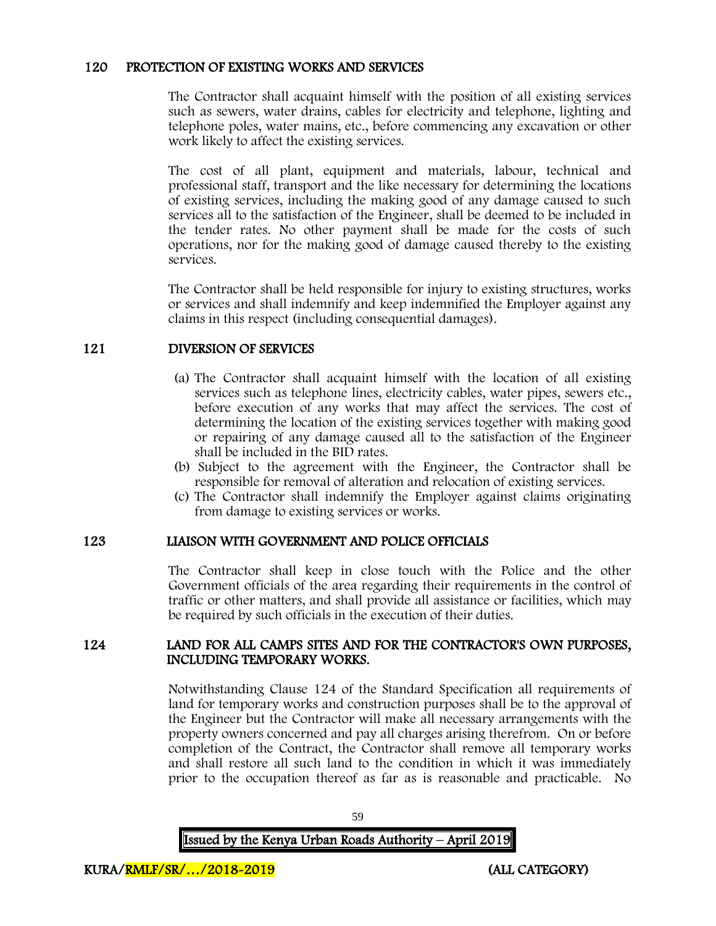# 120 PROTECTION OF EXISTING WORKS AND SERVICES

The Contractor shall acquaint himself with the position of all existing services such as sewers, water drains, cables for electricity and telephone, lighting and telephone poles, water mains, etc., before commencing any excavation or other work likely to affect the existing services.

The cost of all plant, equipment and materials, labour, technical and professional staff, transport and the like necessary for determining the locations of existing services, including the making good of any damage caused to such services all to the satisfaction of the Engineer, shall be deemed to be included in the tender rates. No other payment shall be made for the costs of such operations, nor for the making good of damage caused thereby to the existing services.

The Contractor shall be held responsible for injury to existing structures, works or services and shall indemnify and keep indemnified the Employer against any claims in this respect (including consequential damages).

# 121 DIVERSION OF SERVICES

- (a) The Contractor shall acquaint himself with the location of all existing services such as telephone lines, electricity cables, water pipes, sewers etc., before execution of any works that may affect the services. The cost of determining the location of the existing services together with making good or repairing of any damage caused all to the satisfaction of the Engineer shall be included in the BID rates.
- (b) Subject to the agreement with the Engineer, the Contractor shall be responsible for removal of alteration and relocation of existing services.
- (c) The Contractor shall indemnify the Employer against claims originating from damage to existing services or works.

# 123 LIAISON WITH GOVERNMENT AND POLICE OFFICIALS

The Contractor shall keep in close touch with the Police and the other Government officials of the area regarding their requirements in the control of traffic or other matters, and shall provide all assistance or facilities, which may be required by such officials in the execution of their duties.

## 124 LAND FOR ALL CAMPS SITES AND FOR THE CONTRACTOR'S OWN PURPOSES, INCLUDING TEMPORARY WORKS.

Notwithstanding Clause 124 of the Standard Specification all requirements of land for temporary works and construction purposes shall be to the approval of the Engineer but the Contractor will make all necessary arrangements with the property owners concerned and pay all charges arising therefrom. On or before completion of the Contract, the Contractor shall remove all temporary works and shall restore all such land to the condition in which it was immediately prior to the occupation thereof as far as is reasonable and practicable. No

 Issued by the Kenya Urban Roads Authority – April 2019

59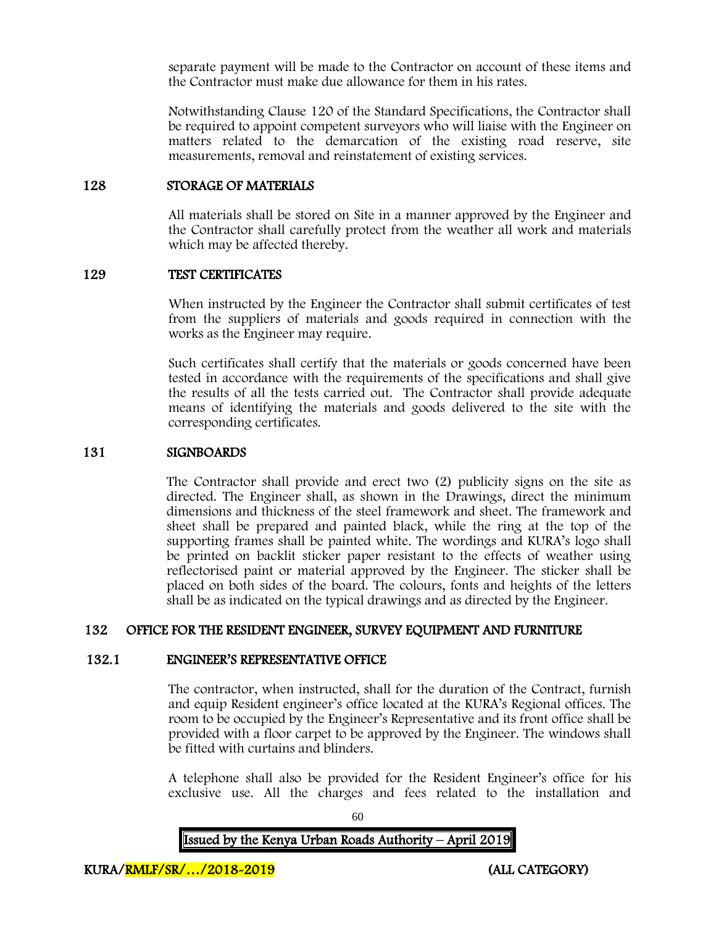separate payment will be made to the Contractor on account of these items and the Contractor must make due allowance for them in his rates.

Notwithstanding Clause 120 of the Standard Specifications, the Contractor shall be required to appoint competent surveyors who will liaise with the Engineer on matters related to the demarcation of the existing road reserve, site measurements, removal and reinstatement of existing services.

#### 128 STORAGE OF MATERIALS

All materials shall be stored on Site in a manner approved by the Engineer and the Contractor shall carefully protect from the weather all work and materials which may be affected thereby.

## 129 TEST CERTIFICATES

When instructed by the Engineer the Contractor shall submit certificates of test from the suppliers of materials and goods required in connection with the works as the Engineer may require.

Such certificates shall certify that the materials or goods concerned have been tested in accordance with the requirements of the specifications and shall give the results of all the tests carried out. The Contractor shall provide adequate means of identifying the materials and goods delivered to the site with the corresponding certificates.

## 131 SIGNBOARDS

The Contractor shall provide and erect two (2) publicity signs on the site as directed. The Engineer shall, as shown in the Drawings, direct the minimum dimensions and thickness of the steel framework and sheet. The framework and sheet shall be prepared and painted black, while the ring at the top of the supporting frames shall be painted white. The wordings and KURA's logo shall be printed on backlit sticker paper resistant to the effects of weather using reflectorised paint or material approved by the Engineer. The sticker shall be placed on both sides of the board. The colours, fonts and heights of the letters shall be as indicated on the typical drawings and as directed by the Engineer.

# 132 OFFICE FOR THE RESIDENT ENGINEER, SURVEY EQUIPMENT AND FURNITURE

# 132.1 ENGINEER'S REPRESENTATIVE OFFICE

The contractor, when instructed, shall for the duration of the Contract, furnish and equip Resident engineer's office located at the KURA's Regional offices. The room to be occupied by the Engineer's Representative and its front office shall be provided with a floor carpet to be approved by the Engineer. The windows shall be fitted with curtains and blinders.

A telephone shall also be provided for the Resident Engineer's office for his exclusive use. All the charges and fees related to the installation and



60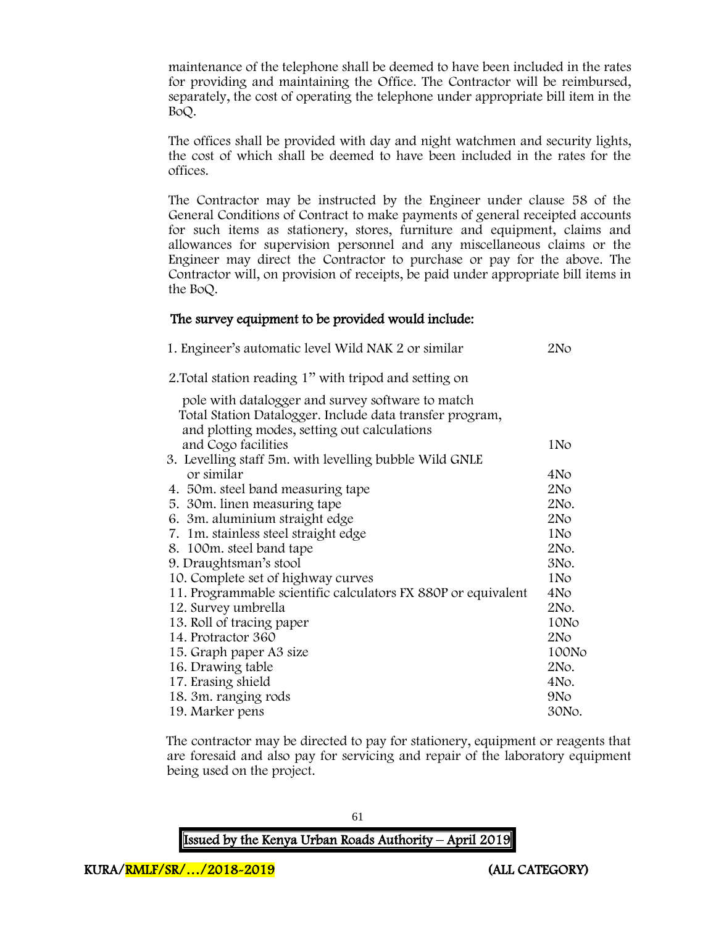maintenance of the telephone shall be deemed to have been included in the rates for providing and maintaining the Office. The Contractor will be reimbursed, separately, the cost of operating the telephone under appropriate bill item in the BoQ.

The offices shall be provided with day and night watchmen and security lights, the cost of which shall be deemed to have been included in the rates for the offices.

The Contractor may be instructed by the Engineer under clause 58 of the General Conditions of Contract to make payments of general receipted accounts for such items as stationery, stores, furniture and equipment, claims and allowances for supervision personnel and any miscellaneous claims or the Engineer may direct the Contractor to purchase or pay for the above. The Contractor will, on provision of receipts, be paid under appropriate bill items in the BoQ.

## The survey equipment to be provided would include:

| 1. Engineer's automatic level Wild NAK 2 or similar           | 2N <sub>O</sub> |
|---------------------------------------------------------------|-----------------|
| 2. Total station reading 1" with tripod and setting on        |                 |
| pole with datalogger and survey software to match             |                 |
| Total Station Datalogger. Include data transfer program,      |                 |
| and plotting modes, setting out calculations                  |                 |
| and Cogo facilities                                           | 1N <sub>o</sub> |
| 3. Levelling staff 5m. with levelling bubble Wild GNLE        |                 |
| or similar                                                    | 4No             |
| 4. 50m. steel band measuring tape                             | 2N <sub>O</sub> |
| 5. 30 m. linen measuring tape                                 | 2No.            |
| 6. 3m. aluminium straight edge                                | 2N <sub>O</sub> |
| 7. 1m. stainless steel straight edge                          | 1N <sub>o</sub> |
| 8. 100m. steel band tape                                      | 2No.            |
| 9. Draughtsman's stool                                        | 3No.            |
| 10. Complete set of highway curves                            | 1N <sub>o</sub> |
| 11. Programmable scientific calculators FX 880P or equivalent | 4No             |
| 12. Survey umbrella                                           | 2No.            |
| 13. Roll of tracing paper                                     | 10No            |
| 14. Protractor 360                                            | 2N <sub>O</sub> |
| 15. Graph paper A3 size                                       | 100No           |
| 16. Drawing table                                             | 2No.            |
| 17. Erasing shield                                            | 4No.            |
| 18. 3m. ranging rods                                          | 9N <sub>o</sub> |
| 19. Marker pens                                               | 30No.           |
|                                                               |                 |

The contractor may be directed to pay for stationery, equipment or reagents that are foresaid and also pay for servicing and repair of the laboratory equipment being used on the project.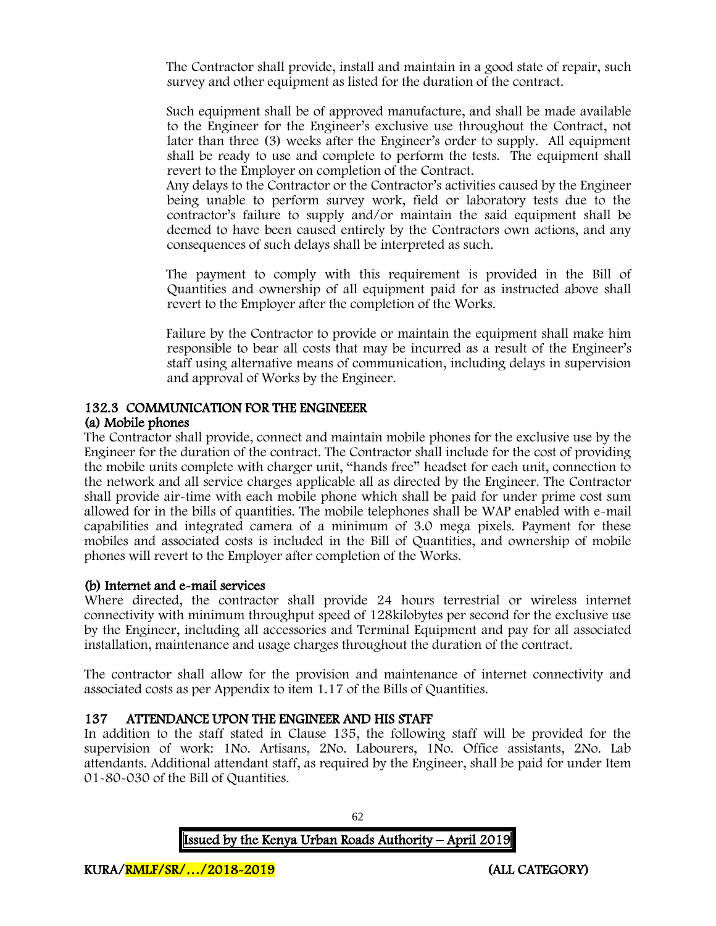The Contractor shall provide, install and maintain in a good state of repair, such survey and other equipment as listed for the duration of the contract.

Such equipment shall be of approved manufacture, and shall be made available to the Engineer for the Engineer's exclusive use throughout the Contract, not later than three (3) weeks after the Engineer's order to supply. All equipment shall be ready to use and complete to perform the tests. The equipment shall revert to the Employer on completion of the Contract.

Any delays to the Contractor or the Contractor's activities caused by the Engineer being unable to perform survey work, field or laboratory tests due to the contractor's failure to supply and/or maintain the said equipment shall be deemed to have been caused entirely by the Contractors own actions, and any consequences of such delays shall be interpreted as such.

The payment to comply with this requirement is provided in the Bill of Quantities and ownership of all equipment paid for as instructed above shall revert to the Employer after the completion of the Works.

Failure by the Contractor to provide or maintain the equipment shall make him responsible to bear all costs that may be incurred as a result of the Engineer's staff using alternative means of communication, including delays in supervision and approval of Works by the Engineer.

# 132.3 COMMUNICATION FOR THE ENGINEEER

# (a) Mobile phones

The Contractor shall provide, connect and maintain mobile phones for the exclusive use by the Engineer for the duration of the contract. The Contractor shall include for the cost of providing the mobile units complete with charger unit, "hands free" headset for each unit, connection to the network and all service charges applicable all as directed by the Engineer. The Contractor shall provide air-time with each mobile phone which shall be paid for under prime cost sum allowed for in the bills of quantities. The mobile telephones shall be WAP enabled with e-mail capabilities and integrated camera of a minimum of 3.0 mega pixels. Payment for these mobiles and associated costs is included in the Bill of Quantities, and ownership of mobile phones will revert to the Employer after completion of the Works.

# (b) Internet and e-mail services

Where directed, the contractor shall provide 24 hours terrestrial or wireless internet connectivity with minimum throughput speed of 128kilobytes per second for the exclusive use by the Engineer, including all accessories and Terminal Equipment and pay for all associated installation, maintenance and usage charges throughout the duration of the contract.

The contractor shall allow for the provision and maintenance of internet connectivity and associated costs as per Appendix to item 1.17 of the Bills of Quantities.

# 137 ATTENDANCE UPON THE ENGINEER AND HIS STAFF

In addition to the staff stated in Clause 135, the following staff will be provided for the supervision of work: 1No. Artisans, 2No. Labourers, 1No. Office assistants, 2No. Lab attendants. Additional attendant staff, as required by the Engineer, shall be paid for under Item 01-80-030 of the Bill of Quantities.

> Issued by the Kenya Urban Roads Authority – April 2019

62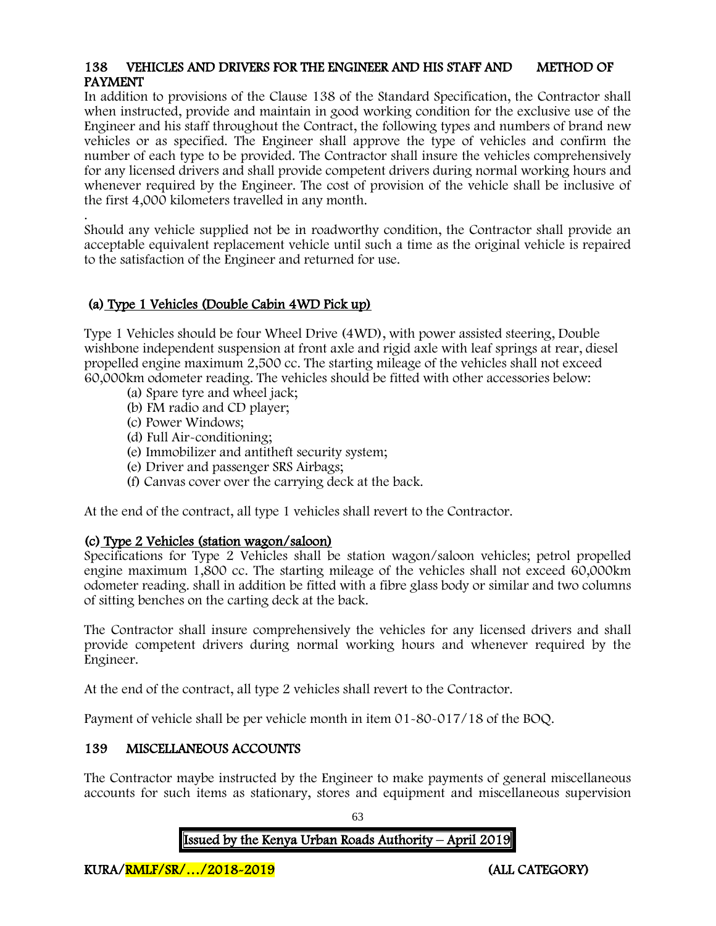# 138 VEHICLES AND DRIVERS FOR THE ENGINEER AND HIS STAFF AND METHOD OF PAYMENT

In addition to provisions of the Clause 138 of the Standard Specification, the Contractor shall when instructed, provide and maintain in good working condition for the exclusive use of the Engineer and his staff throughout the Contract, the following types and numbers of brand new vehicles or as specified. The Engineer shall approve the type of vehicles and confirm the number of each type to be provided. The Contractor shall insure the vehicles comprehensively for any licensed drivers and shall provide competent drivers during normal working hours and whenever required by the Engineer. The cost of provision of the vehicle shall be inclusive of the first 4,000 kilometers travelled in any month.

. Should any vehicle supplied not be in roadworthy condition, the Contractor shall provide an acceptable equivalent replacement vehicle until such a time as the original vehicle is repaired to the satisfaction of the Engineer and returned for use.

# (a) Type 1 Vehicles (Double Cabin 4WD Pick up)

Type 1 Vehicles should be four Wheel Drive (4WD), with power assisted steering, Double wishbone independent suspension at front axle and rigid axle with leaf springs at rear, diesel propelled engine maximum 2,500 cc. The starting mileage of the vehicles shall not exceed 60,000km odometer reading. The vehicles should be fitted with other accessories below:

- (a) Spare tyre and wheel jack;
- (b) FM radio and CD player;
- (c) Power Windows;
- (d) Full Air-conditioning;
- (e) Immobilizer and antitheft security system;
- (e) Driver and passenger SRS Airbags;
- (f) Canvas cover over the carrying deck at the back.

At the end of the contract, all type 1 vehicles shall revert to the Contractor.

# (c) Type 2 Vehicles (station wagon/saloon)

Specifications for Type 2 Vehicles shall be station wagon/saloon vehicles; petrol propelled engine maximum 1,800 cc. The starting mileage of the vehicles shall not exceed 60,000km odometer reading. shall in addition be fitted with a fibre glass body or similar and two columns of sitting benches on the carting deck at the back.

The Contractor shall insure comprehensively the vehicles for any licensed drivers and shall provide competent drivers during normal working hours and whenever required by the Engineer.

At the end of the contract, all type 2 vehicles shall revert to the Contractor.

Payment of vehicle shall be per vehicle month in item 01-80-017/18 of the BOQ.

# 139 MISCELLANEOUS ACCOUNTS

The Contractor maybe instructed by the Engineer to make payments of general miscellaneous accounts for such items as stationary, stores and equipment and miscellaneous supervision

63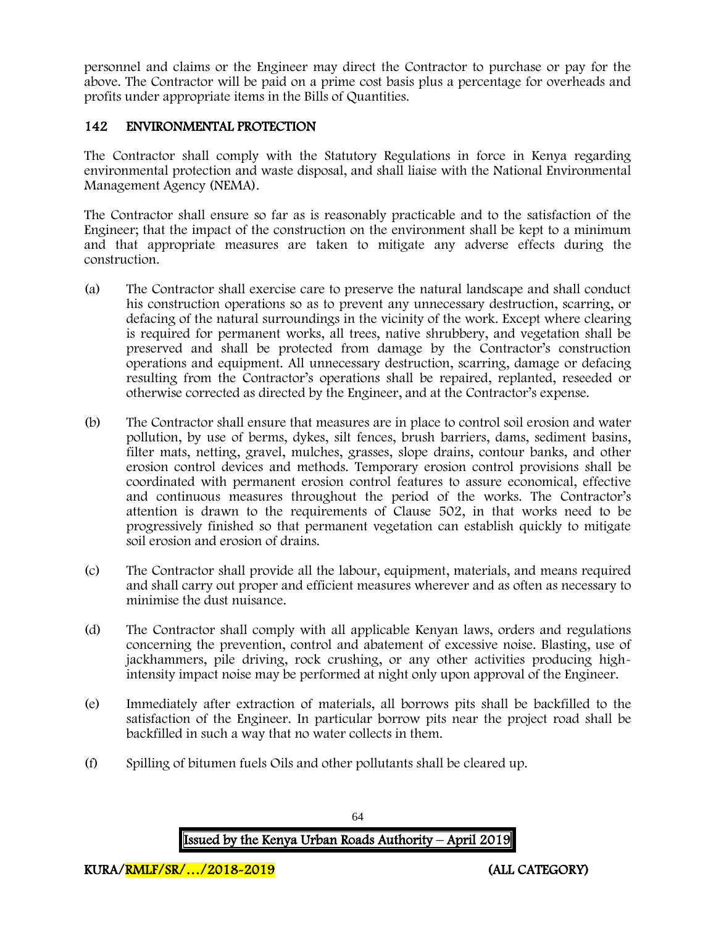personnel and claims or the Engineer may direct the Contractor to purchase or pay for the above. The Contractor will be paid on a prime cost basis plus a percentage for overheads and profits under appropriate items in the Bills of Quantities.

# 142 ENVIRONMENTAL PROTECTION

The Contractor shall comply with the Statutory Regulations in force in Kenya regarding environmental protection and waste disposal, and shall liaise with the National Environmental Management Agency (NEMA).

The Contractor shall ensure so far as is reasonably practicable and to the satisfaction of the Engineer; that the impact of the construction on the environment shall be kept to a minimum and that appropriate measures are taken to mitigate any adverse effects during the construction.

- (a) The Contractor shall exercise care to preserve the natural landscape and shall conduct his construction operations so as to prevent any unnecessary destruction, scarring, or defacing of the natural surroundings in the vicinity of the work. Except where clearing is required for permanent works, all trees, native shrubbery, and vegetation shall be preserved and shall be protected from damage by the Contractor's construction operations and equipment. All unnecessary destruction, scarring, damage or defacing resulting from the Contractor's operations shall be repaired, replanted, reseeded or otherwise corrected as directed by the Engineer, and at the Contractor's expense.
- (b) The Contractor shall ensure that measures are in place to control soil erosion and water pollution, by use of berms, dykes, silt fences, brush barriers, dams, sediment basins, filter mats, netting, gravel, mulches, grasses, slope drains, contour banks, and other erosion control devices and methods. Temporary erosion control provisions shall be coordinated with permanent erosion control features to assure economical, effective and continuous measures throughout the period of the works. The Contractor's attention is drawn to the requirements of Clause 502, in that works need to be progressively finished so that permanent vegetation can establish quickly to mitigate soil erosion and erosion of drains.
- (c) The Contractor shall provide all the labour, equipment, materials, and means required and shall carry out proper and efficient measures wherever and as often as necessary to minimise the dust nuisance.
- (d) The Contractor shall comply with all applicable Kenyan laws, orders and regulations concerning the prevention, control and abatement of excessive noise. Blasting, use of jackhammers, pile driving, rock crushing, or any other activities producing highintensity impact noise may be performed at night only upon approval of the Engineer.
- (e) Immediately after extraction of materials, all borrows pits shall be backfilled to the satisfaction of the Engineer. In particular borrow pits near the project road shall be backfilled in such a way that no water collects in them.
- (f) Spilling of bitumen fuels Oils and other pollutants shall be cleared up.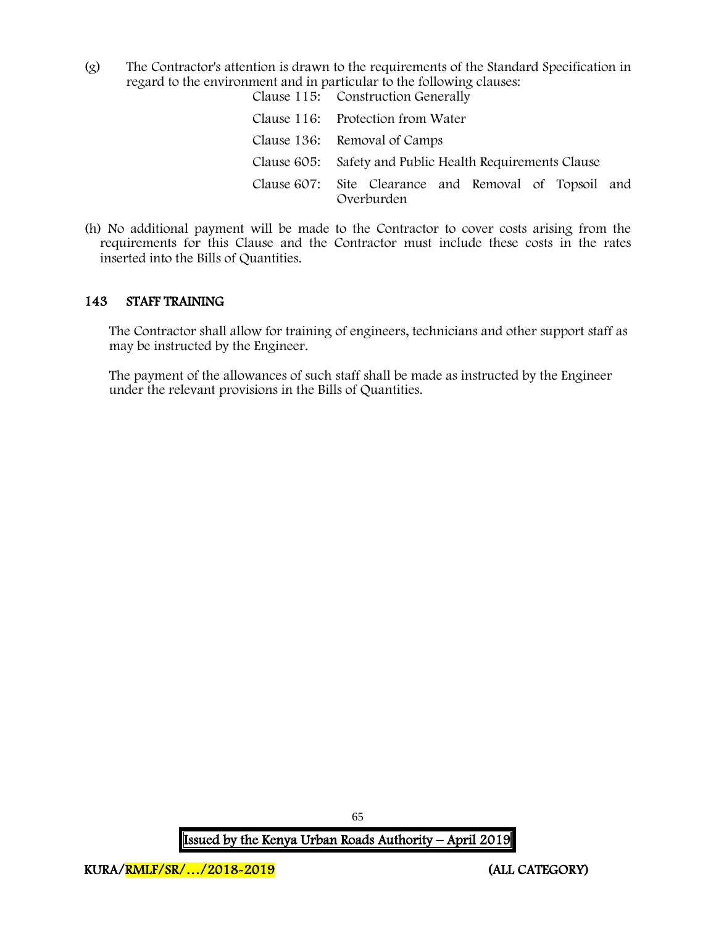(g) The Contractor's attention is drawn to the requirements of the Standard Specification in regard to the environment and in particular to the following clauses:

| Clause 115: Construction Generally                                  |
|---------------------------------------------------------------------|
| Clause 116: Protection from Water                                   |
| Clause 136: Removal of Camps                                        |
| Clause 605: Safety and Public Health Requirements Clause            |
| Clause 607: Site Clearance and Removal of Topsoil and<br>Overburden |

(h) No additional payment will be made to the Contractor to cover costs arising from the requirements for this Clause and the Contractor must include these costs in the rates inserted into the Bills of Quantities.

## 143 STAFF TRAINING

The Contractor shall allow for training of engineers, technicians and other support staff as may be instructed by the Engineer.

The payment of the allowances of such staff shall be made as instructed by the Engineer under the relevant provisions in the Bills of Quantities.

Issued by the Kenya Urban Roads Authority – April 2019

65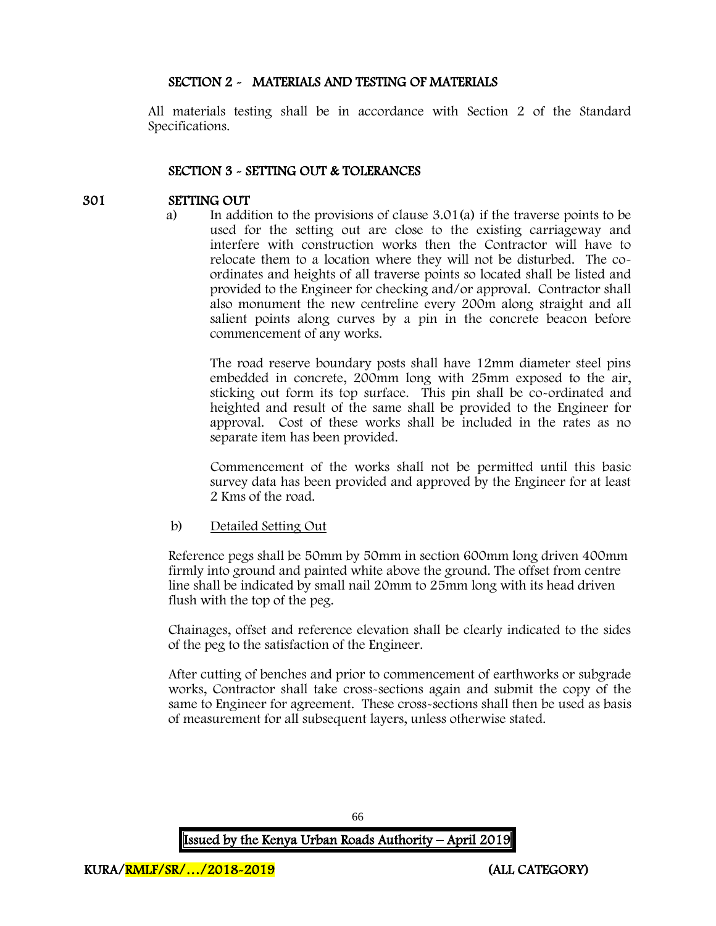# SECTION 2 - MATERIALS AND TESTING OF MATERIALS

All materials testing shall be in accordance with Section 2 of the Standard Specifications.

# SECTION 3 - SETTING OUT & TOLERANCES

# 301 SETTING OUT

a) In addition to the provisions of clause 3.01(a) if the traverse points to be used for the setting out are close to the existing carriageway and interfere with construction works then the Contractor will have to relocate them to a location where they will not be disturbed. The coordinates and heights of all traverse points so located shall be listed and provided to the Engineer for checking and/or approval. Contractor shall also monument the new centreline every 200m along straight and all salient points along curves by a pin in the concrete beacon before commencement of any works.

The road reserve boundary posts shall have 12mm diameter steel pins embedded in concrete, 200mm long with 25mm exposed to the air, sticking out form its top surface. This pin shall be co-ordinated and heighted and result of the same shall be provided to the Engineer for approval. Cost of these works shall be included in the rates as no separate item has been provided.

Commencement of the works shall not be permitted until this basic survey data has been provided and approved by the Engineer for at least 2 Kms of the road.

#### b) Detailed Setting Out

Reference pegs shall be 50mm by 50mm in section 600mm long driven 400mm firmly into ground and painted white above the ground. The offset from centre line shall be indicated by small nail 20mm to 25mm long with its head driven flush with the top of the peg.

Chainages, offset and reference elevation shall be clearly indicated to the sides of the peg to the satisfaction of the Engineer.

After cutting of benches and prior to commencement of earthworks or subgrade works, Contractor shall take cross-sections again and submit the copy of the same to Engineer for agreement. These cross-sections shall then be used as basis of measurement for all subsequent layers, unless otherwise stated.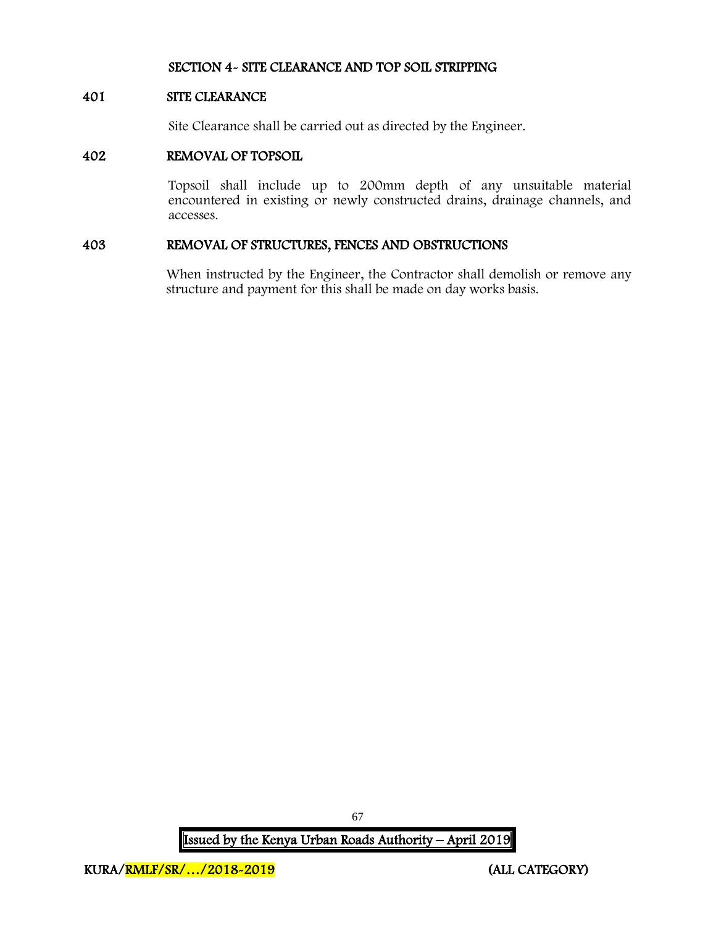# SECTION 4- SITE CLEARANCE AND TOP SOIL STRIPPING

#### 401 SITE CLEARANCE

Site Clearance shall be carried out as directed by the Engineer.

# 402 REMOVAL OF TOPSOIL

Topsoil shall include up to 200mm depth of any unsuitable material encountered in existing or newly constructed drains, drainage channels, and accesses.

#### 403 REMOVAL OF STRUCTURES, FENCES AND OBSTRUCTIONS

When instructed by the Engineer, the Contractor shall demolish or remove any structure and payment for this shall be made on day works basis.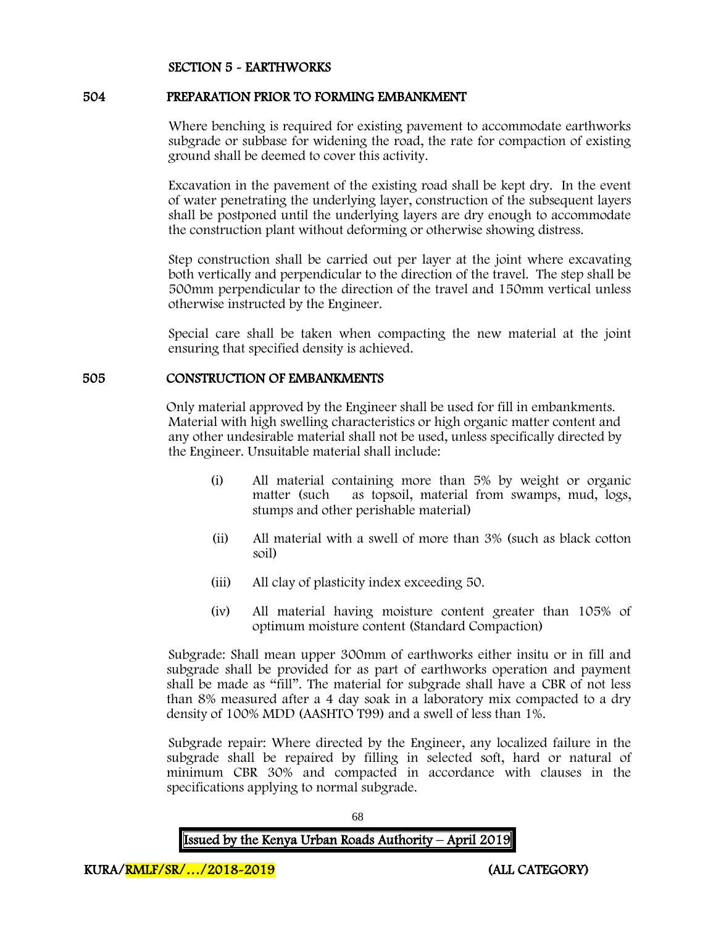## SECTION 5 - EARTHWORKS

#### 504 PREPARATION PRIOR TO FORMING EMBANKMENT

Where benching is required for existing pavement to accommodate earthworks subgrade or subbase for widening the road, the rate for compaction of existing ground shall be deemed to cover this activity.

Excavation in the pavement of the existing road shall be kept dry. In the event of water penetrating the underlying layer, construction of the subsequent layers shall be postponed until the underlying layers are dry enough to accommodate the construction plant without deforming or otherwise showing distress.

Step construction shall be carried out per layer at the joint where excavating both vertically and perpendicular to the direction of the travel. The step shall be 500mm perpendicular to the direction of the travel and 150mm vertical unless otherwise instructed by the Engineer.

Special care shall be taken when compacting the new material at the joint ensuring that specified density is achieved.

#### 505 CONSTRUCTION OF EMBANKMENTS

Only material approved by the Engineer shall be used for fill in embankments. Material with high swelling characteristics or high organic matter content and any other undesirable material shall not be used, unless specifically directed by the Engineer. Unsuitable material shall include:

- (i) All material containing more than 5% by weight or organic matter (such as topsoil, material from swamps, mud, logs, stumps and other perishable material)
- (ii) All material with a swell of more than 3% (such as black cotton soil)
- (iii) All clay of plasticity index exceeding 50.
- (iv) All material having moisture content greater than 105% of optimum moisture content (Standard Compaction)

Subgrade: Shall mean upper 300mm of earthworks either insitu or in fill and subgrade shall be provided for as part of earthworks operation and payment shall be made as "fill". The material for subgrade shall have a CBR of not less than 8% measured after a 4 day soak in a laboratory mix compacted to a dry density of 100% MDD (AASHTO T99) and a swell of less than 1%.

Subgrade repair: Where directed by the Engineer, any localized failure in the subgrade shall be repaired by filling in selected soft, hard or natural of minimum CBR 30% and compacted in accordance with clauses in the specifications applying to normal subgrade.

| <b>Issued by the Kenya Urban Roads Authority – April 2019</b> |
|---------------------------------------------------------------|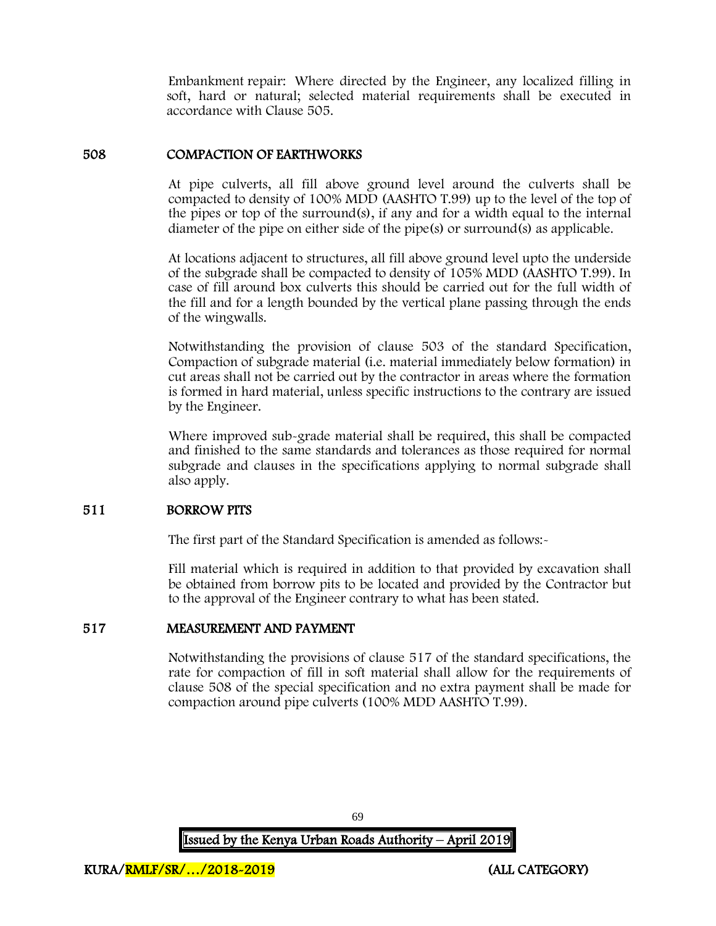Embankment repair: Where directed by the Engineer, any localized filling in soft, hard or natural; selected material requirements shall be executed in accordance with Clause 505.

## 508 COMPACTION OF EARTHWORKS

At pipe culverts, all fill above ground level around the culverts shall be compacted to density of 100% MDD (AASHTO T.99) up to the level of the top of the pipes or top of the surround(s), if any and for a width equal to the internal diameter of the pipe on either side of the pipe(s) or surround(s) as applicable.

At locations adjacent to structures, all fill above ground level upto the underside of the subgrade shall be compacted to density of 105% MDD (AASHTO T.99). In case of fill around box culverts this should be carried out for the full width of the fill and for a length bounded by the vertical plane passing through the ends of the wingwalls.

Notwithstanding the provision of clause 503 of the standard Specification, Compaction of subgrade material (i.e. material immediately below formation) in cut areas shall not be carried out by the contractor in areas where the formation is formed in hard material, unless specific instructions to the contrary are issued by the Engineer.

Where improved sub-grade material shall be required, this shall be compacted and finished to the same standards and tolerances as those required for normal subgrade and clauses in the specifications applying to normal subgrade shall also apply.

#### 511 BORROW PITS

The first part of the Standard Specification is amended as follows:-

Fill material which is required in addition to that provided by excavation shall be obtained from borrow pits to be located and provided by the Contractor but to the approval of the Engineer contrary to what has been stated.

#### 517 MEASUREMENT AND PAYMENT

Notwithstanding the provisions of clause 517 of the standard specifications, the rate for compaction of fill in soft material shall allow for the requirements of clause 508 of the special specification and no extra payment shall be made for compaction around pipe culverts (100% MDD AASHTO T.99).

69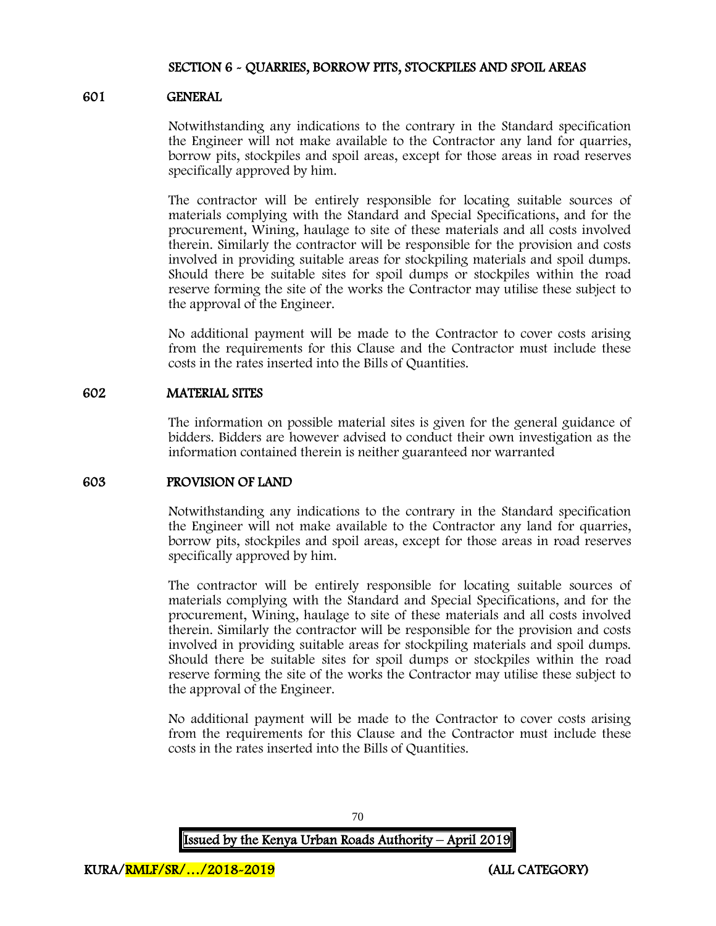# SECTION 6 - QUARRIES, BORROW PITS, STOCKPILES AND SPOIL AREAS

#### 601 GENERAL

Notwithstanding any indications to the contrary in the Standard specification the Engineer will not make available to the Contractor any land for quarries, borrow pits, stockpiles and spoil areas, except for those areas in road reserves specifically approved by him.

The contractor will be entirely responsible for locating suitable sources of materials complying with the Standard and Special Specifications, and for the procurement, Wining, haulage to site of these materials and all costs involved therein. Similarly the contractor will be responsible for the provision and costs involved in providing suitable areas for stockpiling materials and spoil dumps. Should there be suitable sites for spoil dumps or stockpiles within the road reserve forming the site of the works the Contractor may utilise these subject to the approval of the Engineer.

No additional payment will be made to the Contractor to cover costs arising from the requirements for this Clause and the Contractor must include these costs in the rates inserted into the Bills of Quantities.

#### 602 MATERIAL SITES

The information on possible material sites is given for the general guidance of bidders. Bidders are however advised to conduct their own investigation as the information contained therein is neither guaranteed nor warranted

## 603 PROVISION OF LAND

Notwithstanding any indications to the contrary in the Standard specification the Engineer will not make available to the Contractor any land for quarries, borrow pits, stockpiles and spoil areas, except for those areas in road reserves specifically approved by him.

The contractor will be entirely responsible for locating suitable sources of materials complying with the Standard and Special Specifications, and for the procurement, Wining, haulage to site of these materials and all costs involved therein. Similarly the contractor will be responsible for the provision and costs involved in providing suitable areas for stockpiling materials and spoil dumps. Should there be suitable sites for spoil dumps or stockpiles within the road reserve forming the site of the works the Contractor may utilise these subject to the approval of the Engineer.

No additional payment will be made to the Contractor to cover costs arising from the requirements for this Clause and the Contractor must include these costs in the rates inserted into the Bills of Quantities.

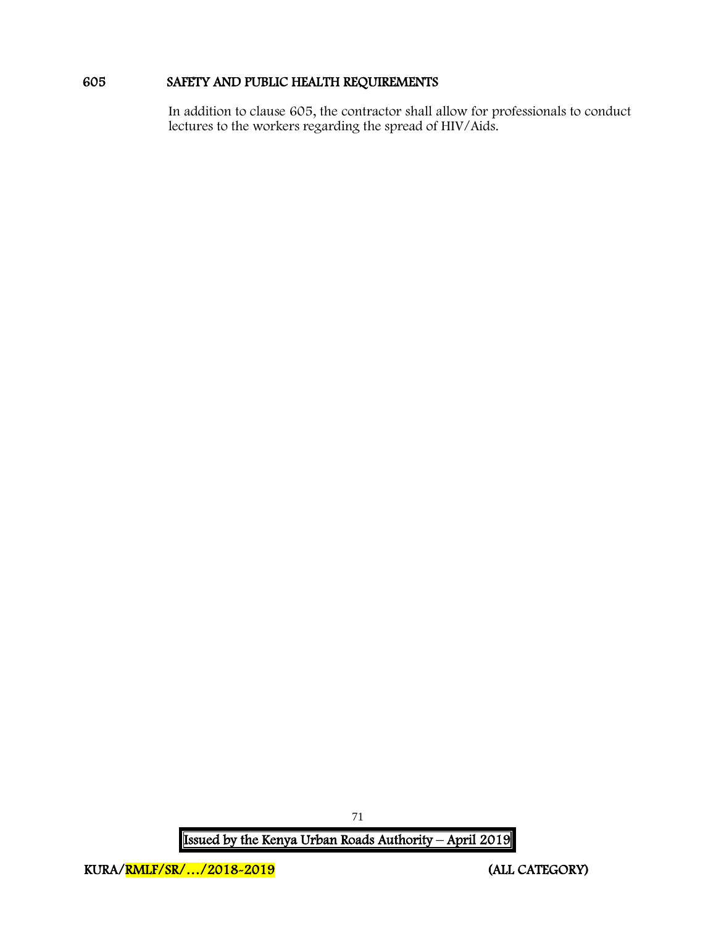# 605 SAFETY AND PUBLIC HEALTH REQUIREMENTS

In addition to clause 605, the contractor shall allow for professionals to conduct lectures to the workers regarding the spread of HIV/Aids.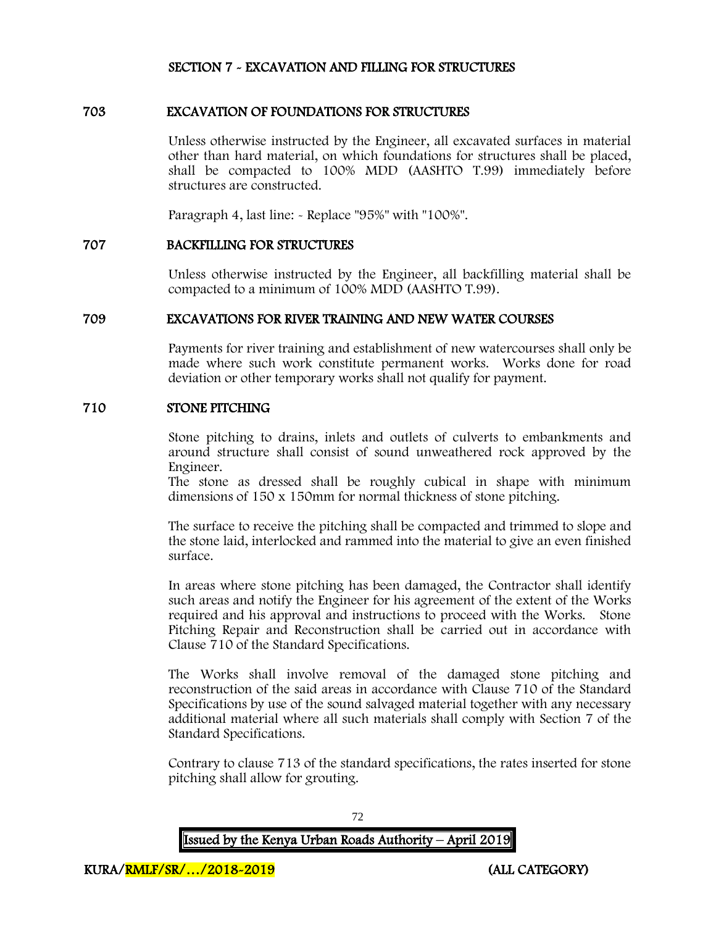## SECTION 7 - EXCAVATION AND FILLING FOR STRUCTURES

#### 703 EXCAVATION OF FOUNDATIONS FOR STRUCTURES

Unless otherwise instructed by the Engineer, all excavated surfaces in material other than hard material, on which foundations for structures shall be placed, shall be compacted to 100% MDD (AASHTO T.99) immediately before structures are constructed.

Paragraph 4, last line:  $\sim$  Replace "95%" with "100%".

#### 707 BACKFILLING FOR STRUCTURES

Unless otherwise instructed by the Engineer, all backfilling material shall be compacted to a minimum of 100% MDD (AASHTO T.99).

#### 709 EXCAVATIONS FOR RIVER TRAINING AND NEW WATER COURSES

Payments for river training and establishment of new watercourses shall only be made where such work constitute permanent works. Works done for road deviation or other temporary works shall not qualify for payment.

#### 710 STONE PITCHING

Stone pitching to drains, inlets and outlets of culverts to embankments and around structure shall consist of sound unweathered rock approved by the Engineer.

The stone as dressed shall be roughly cubical in shape with minimum dimensions of 150 x 150mm for normal thickness of stone pitching.

The surface to receive the pitching shall be compacted and trimmed to slope and the stone laid, interlocked and rammed into the material to give an even finished surface.

In areas where stone pitching has been damaged, the Contractor shall identify such areas and notify the Engineer for his agreement of the extent of the Works required and his approval and instructions to proceed with the Works. Stone Pitching Repair and Reconstruction shall be carried out in accordance with Clause 710 of the Standard Specifications.

The Works shall involve removal of the damaged stone pitching and reconstruction of the said areas in accordance with Clause 710 of the Standard Specifications by use of the sound salvaged material together with any necessary additional material where all such materials shall comply with Section 7 of the Standard Specifications.

Contrary to clause 713 of the standard specifications, the rates inserted for stone pitching shall allow for grouting.

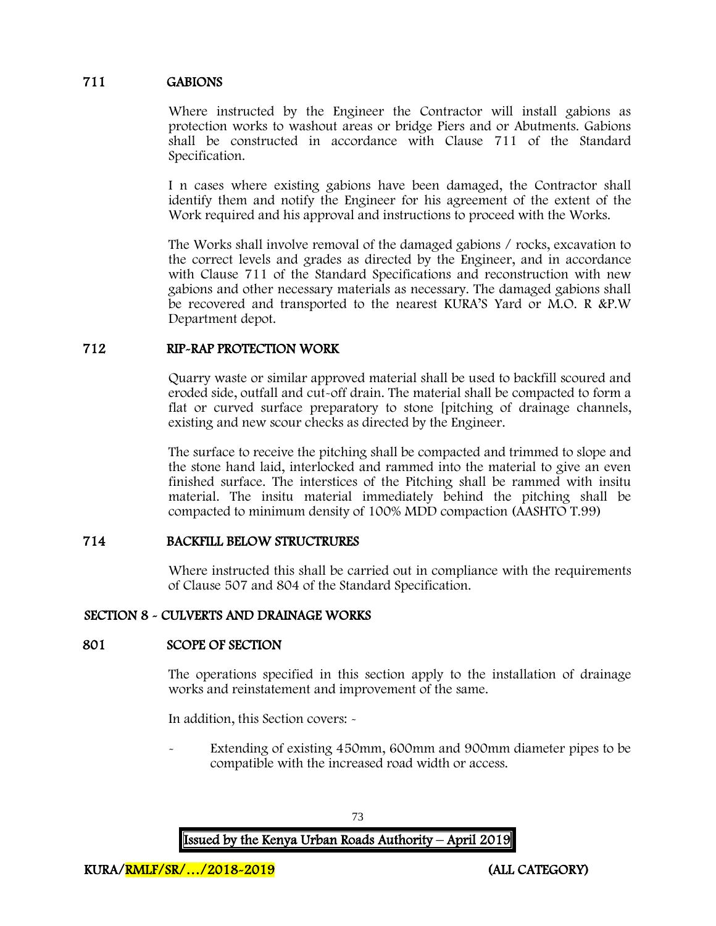### 711 GABIONS

Where instructed by the Engineer the Contractor will install gabions as protection works to washout areas or bridge Piers and or Abutments. Gabions shall be constructed in accordance with Clause 711 of the Standard Specification.

I n cases where existing gabions have been damaged, the Contractor shall identify them and notify the Engineer for his agreement of the extent of the Work required and his approval and instructions to proceed with the Works.

The Works shall involve removal of the damaged gabions / rocks, excavation to the correct levels and grades as directed by the Engineer, and in accordance with Clause 711 of the Standard Specifications and reconstruction with new gabions and other necessary materials as necessary. The damaged gabions shall be recovered and transported to the nearest KURA'S Yard or M.O. R &P.W Department depot.

### 712 RIP-RAP PROTECTION WORK

Quarry waste or similar approved material shall be used to backfill scoured and eroded side, outfall and cut-off drain. The material shall be compacted to form a flat or curved surface preparatory to stone [pitching of drainage channels, existing and new scour checks as directed by the Engineer.

The surface to receive the pitching shall be compacted and trimmed to slope and the stone hand laid, interlocked and rammed into the material to give an even finished surface. The interstices of the Pitching shall be rammed with insitu material. The insitu material immediately behind the pitching shall be compacted to minimum density of 100% MDD compaction (AASHTO T.99)

### 714 BACKFILL BELOW STRUCTRURES

Where instructed this shall be carried out in compliance with the requirements of Clause 507 and 804 of the Standard Specification.

## SECTION 8 - CULVERTS AND DRAINAGE WORKS

### 801 SCOPE OF SECTION

The operations specified in this section apply to the installation of drainage works and reinstatement and improvement of the same.

In addition, this Section covers: -

Extending of existing 450mm, 600mm and 900mm diameter pipes to be compatible with the increased road width or access.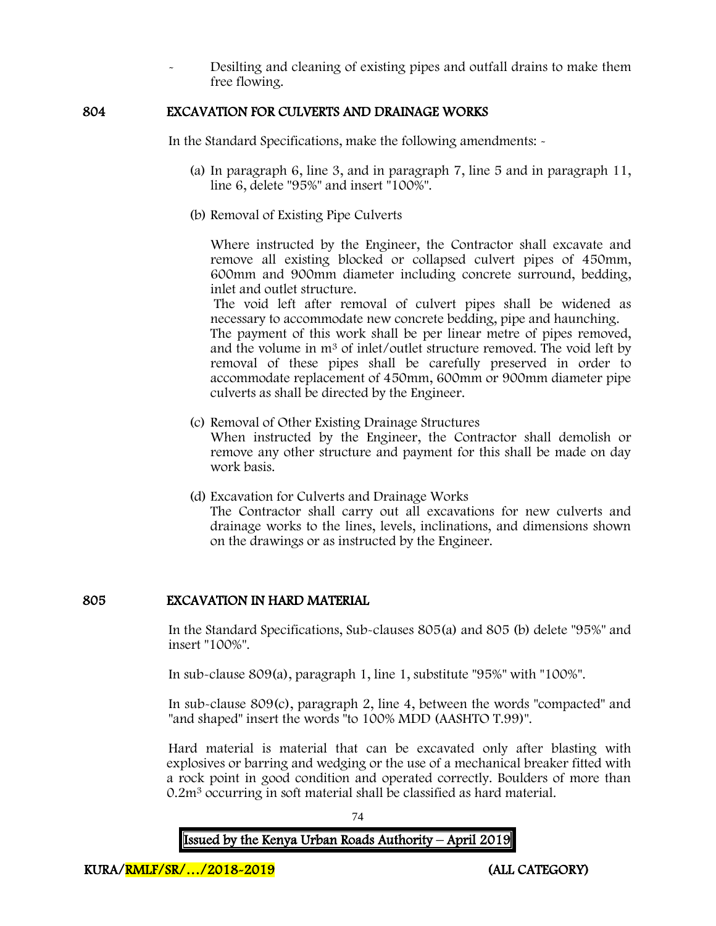Desilting and cleaning of existing pipes and outfall drains to make them free flowing.

### 804 EXCAVATION FOR CULVERTS AND DRAINAGE WORKS

In the Standard Specifications, make the following amendments: -

- (a) In paragraph 6, line 3, and in paragraph 7, line 5 and in paragraph 11, line 6, delete "95%" and insert "100%".
- (b) Removal of Existing Pipe Culverts

Where instructed by the Engineer, the Contractor shall excavate and remove all existing blocked or collapsed culvert pipes of 450mm, 600mm and 900mm diameter including concrete surround, bedding, inlet and outlet structure.

The void left after removal of culvert pipes shall be widened as necessary to accommodate new concrete bedding, pipe and haunching.

The payment of this work shall be per linear metre of pipes removed, and the volume in m<sup>3</sup> of inlet/outlet structure removed. The void left by removal of these pipes shall be carefully preserved in order to accommodate replacement of 450mm, 600mm or 900mm diameter pipe culverts as shall be directed by the Engineer.

- (c) Removal of Other Existing Drainage Structures When instructed by the Engineer, the Contractor shall demolish or remove any other structure and payment for this shall be made on day work basis.
- (d) Excavation for Culverts and Drainage Works The Contractor shall carry out all excavations for new culverts and drainage works to the lines, levels, inclinations, and dimensions shown on the drawings or as instructed by the Engineer.

### 805 EXCAVATION IN HARD MATERIAL

In the Standard Specifications, Sub-clauses 805(a) and 805 (b) delete "95%" and insert "100%".

In sub-clause 809(a), paragraph 1, line 1, substitute "95%" with "100%".

In sub-clause 809(c), paragraph 2, line 4, between the words "compacted" and "and shaped" insert the words "to 100% MDD (AASHTO T.99)".

Hard material is material that can be excavated only after blasting with explosives or barring and wedging or the use of a mechanical breaker fitted with a rock point in good condition and operated correctly. Boulders of more than 0.2m<sup>3</sup> occurring in soft material shall be classified as hard material.

> 74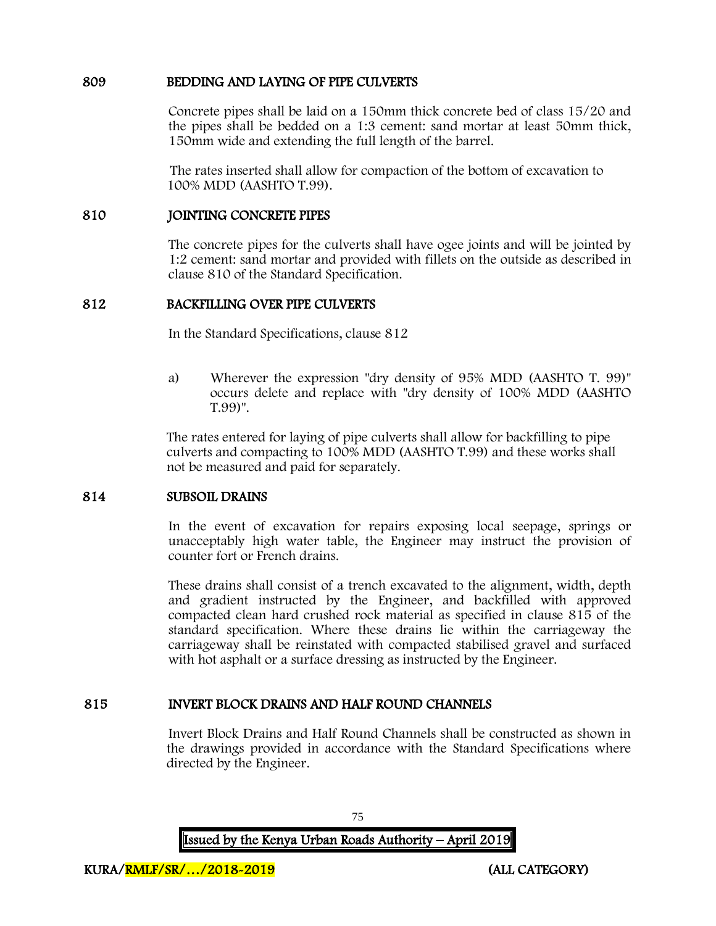#### 809 BEDDING AND LAYING OF PIPE CULVERTS

Concrete pipes shall be laid on a 150mm thick concrete bed of class 15/20 and the pipes shall be bedded on a 1:3 cement: sand mortar at least 50mm thick, 150mm wide and extending the full length of the barrel.

The rates inserted shall allow for compaction of the bottom of excavation to 100% MDD (AASHTO T.99).

#### 810 JOINTING CONCRETE PIPES

The concrete pipes for the culverts shall have ogee joints and will be jointed by 1:2 cement: sand mortar and provided with fillets on the outside as described in clause 810 of the Standard Specification.

#### 812 BACKFILLING OVER PIPE CULVERTS

In the Standard Specifications, clause 812

a) Wherever the expression "dry density of 95% MDD (AASHTO T. 99)" occurs delete and replace with "dry density of 100% MDD (AASHTO T.99)".

The rates entered for laying of pipe culverts shall allow for backfilling to pipe culverts and compacting to 100% MDD (AASHTO T.99) and these works shall not be measured and paid for separately.

#### 814 SUBSOIL DRAINS

In the event of excavation for repairs exposing local seepage, springs or unacceptably high water table, the Engineer may instruct the provision of counter fort or French drains.

These drains shall consist of a trench excavated to the alignment, width, depth and gradient instructed by the Engineer, and backfilled with approved compacted clean hard crushed rock material as specified in clause 815 of the standard specification. Where these drains lie within the carriageway the carriageway shall be reinstated with compacted stabilised gravel and surfaced with hot asphalt or a surface dressing as instructed by the Engineer.

### 815 INVERT BLOCK DRAINS AND HALF ROUND CHANNELS

Invert Block Drains and Half Round Channels shall be constructed as shown in the drawings provided in accordance with the Standard Specifications where directed by the Engineer.

 Issued by the Kenya Urban Roads Authority – April 2019

75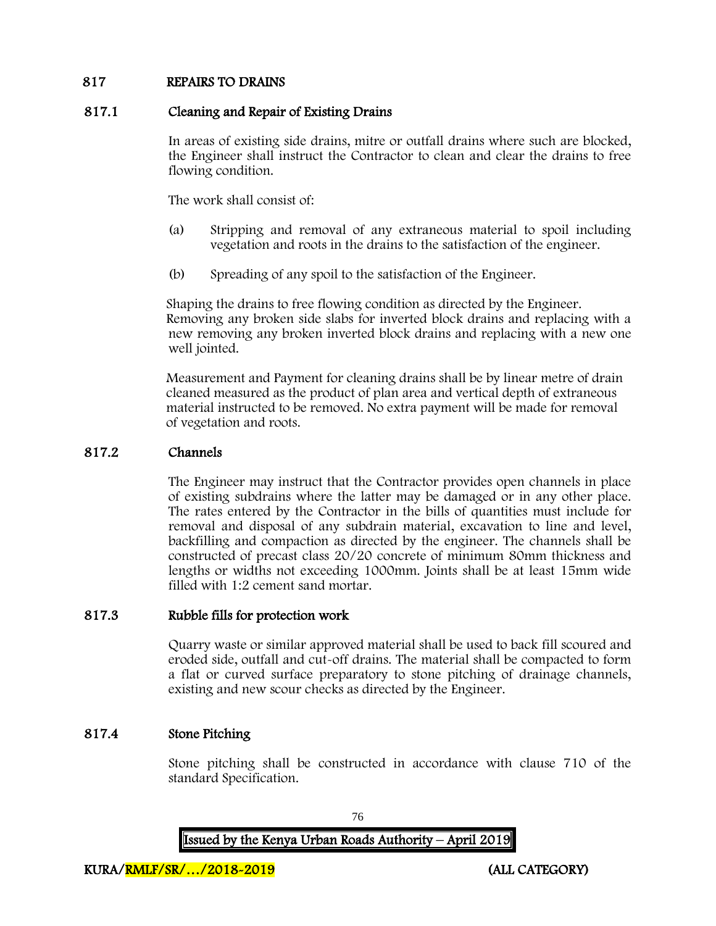## 817 REPAIRS TO DRAINS

## 817.1 Cleaning and Repair of Existing Drains

In areas of existing side drains, mitre or outfall drains where such are blocked, the Engineer shall instruct the Contractor to clean and clear the drains to free flowing condition.

The work shall consist of:

- (a) Stripping and removal of any extraneous material to spoil including vegetation and roots in the drains to the satisfaction of the engineer.
- (b) Spreading of any spoil to the satisfaction of the Engineer.

Shaping the drains to free flowing condition as directed by the Engineer. Removing any broken side slabs for inverted block drains and replacing with a new removing any broken inverted block drains and replacing with a new one well jointed.

Measurement and Payment for cleaning drains shall be by linear metre of drain cleaned measured as the product of plan area and vertical depth of extraneous material instructed to be removed. No extra payment will be made for removal of vegetation and roots.

## 817.2 Channels

The Engineer may instruct that the Contractor provides open channels in place of existing subdrains where the latter may be damaged or in any other place. The rates entered by the Contractor in the bills of quantities must include for removal and disposal of any subdrain material, excavation to line and level, backfilling and compaction as directed by the engineer. The channels shall be constructed of precast class 20/20 concrete of minimum 80mm thickness and lengths or widths not exceeding 1000mm. Joints shall be at least 15mm wide filled with 1:2 cement sand mortar.

## 817.3 Rubble fills for protection work

Quarry waste or similar approved material shall be used to back fill scoured and eroded side, outfall and cut-off drains. The material shall be compacted to form a flat or curved surface preparatory to stone pitching of drainage channels, existing and new scour checks as directed by the Engineer.

### 817.4 Stone Pitching

Stone pitching shall be constructed in accordance with clause 710 of the standard Specification.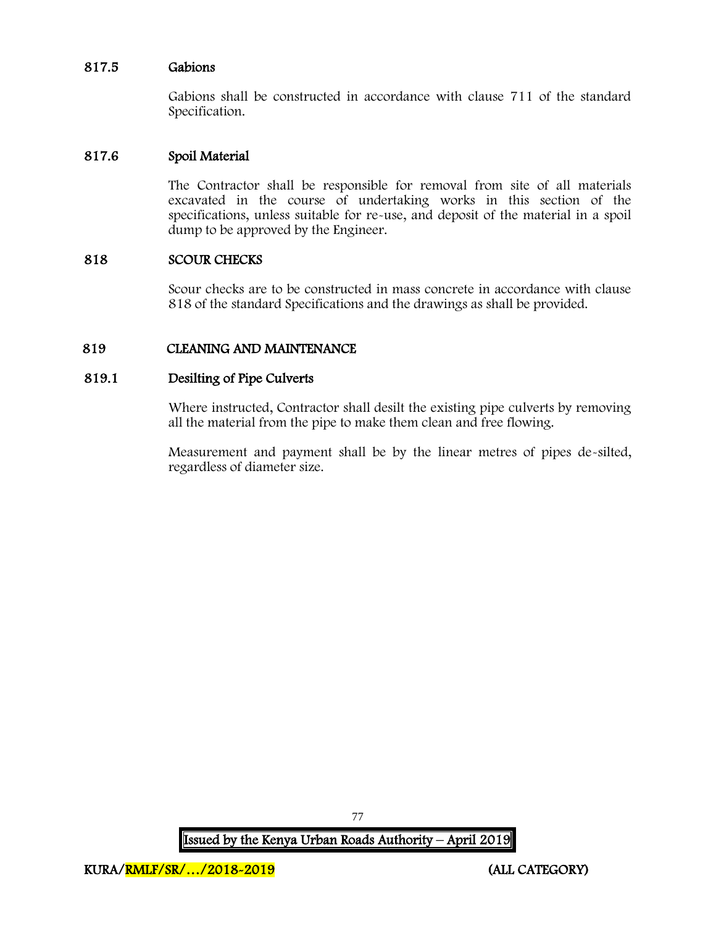### 817.5 Gabions

Gabions shall be constructed in accordance with clause 711 of the standard Specification.

#### 817.6 Spoil Material

The Contractor shall be responsible for removal from site of all materials excavated in the course of undertaking works in this section of the specifications, unless suitable for re-use, and deposit of the material in a spoil dump to be approved by the Engineer.

### 818 SCOUR CHECKS

Scour checks are to be constructed in mass concrete in accordance with clause 818 of the standard Specifications and the drawings as shall be provided.

#### 819 CLEANING AND MAINTENANCE

#### 819.1 Desilting of Pipe Culverts

Where instructed, Contractor shall desilt the existing pipe culverts by removing all the material from the pipe to make them clean and free flowing.

Measurement and payment shall be by the linear metres of pipes de-silted, regardless of diameter size.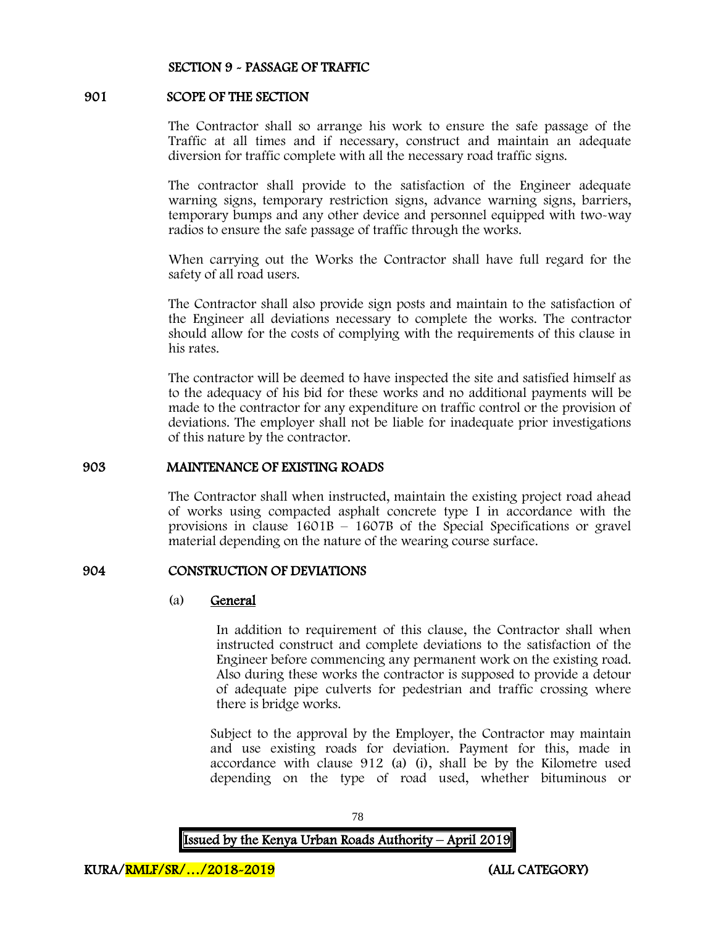#### SECTION 9 - PASSAGE OF TRAFFIC

#### 901 SCOPE OF THE SECTION

The Contractor shall so arrange his work to ensure the safe passage of the Traffic at all times and if necessary, construct and maintain an adequate diversion for traffic complete with all the necessary road traffic signs.

The contractor shall provide to the satisfaction of the Engineer adequate warning signs, temporary restriction signs, advance warning signs, barriers, temporary bumps and any other device and personnel equipped with two-way radios to ensure the safe passage of traffic through the works.

When carrying out the Works the Contractor shall have full regard for the safety of all road users.

The Contractor shall also provide sign posts and maintain to the satisfaction of the Engineer all deviations necessary to complete the works. The contractor should allow for the costs of complying with the requirements of this clause in his rates.

The contractor will be deemed to have inspected the site and satisfied himself as to the adequacy of his bid for these works and no additional payments will be made to the contractor for any expenditure on traffic control or the provision of deviations. The employer shall not be liable for inadequate prior investigations of this nature by the contractor.

#### 903 MAINTENANCE OF EXISTING ROADS

The Contractor shall when instructed, maintain the existing project road ahead of works using compacted asphalt concrete type I in accordance with the provisions in clause 1601B – 1607B of the Special Specifications or gravel material depending on the nature of the wearing course surface.

#### 904 CONSTRUCTION OF DEVIATIONS

#### (a) General

In addition to requirement of this clause, the Contractor shall when instructed construct and complete deviations to the satisfaction of the Engineer before commencing any permanent work on the existing road. Also during these works the contractor is supposed to provide a detour of adequate pipe culverts for pedestrian and traffic crossing where there is bridge works.

Subject to the approval by the Employer, the Contractor may maintain and use existing roads for deviation. Payment for this, made in accordance with clause 912 (a) (i), shall be by the Kilometre used depending on the type of road used, whether bituminous or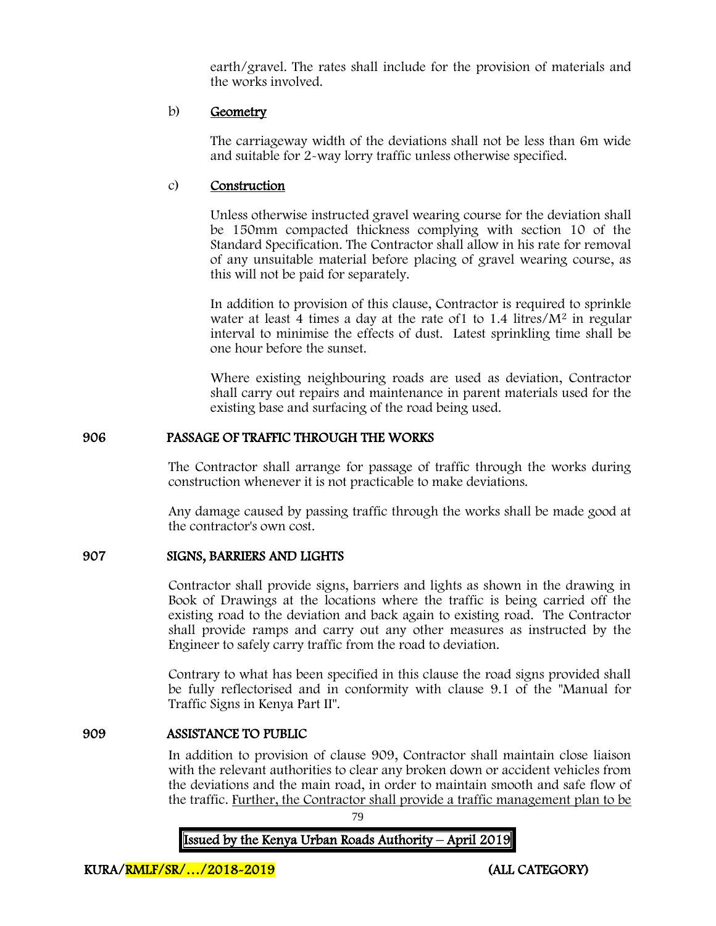earth/gravel. The rates shall include for the provision of materials and the works involved.

### b) Geometry

The carriageway width of the deviations shall not be less than 6m wide and suitable for 2-way lorry traffic unless otherwise specified.

## c) Construction

Unless otherwise instructed gravel wearing course for the deviation shall be 150mm compacted thickness complying with section 10 of the Standard Specification. The Contractor shall allow in his rate for removal of any unsuitable material before placing of gravel wearing course, as this will not be paid for separately.

In addition to provision of this clause, Contractor is required to sprinkle water at least 4 times a day at the rate of  $1$  to  $1.4$  litres/ $M<sup>2</sup>$  in regular interval to minimise the effects of dust. Latest sprinkling time shall be one hour before the sunset.

Where existing neighbouring roads are used as deviation, Contractor shall carry out repairs and maintenance in parent materials used for the existing base and surfacing of the road being used.

## 906 PASSAGE OF TRAFFIC THROUGH THE WORKS

The Contractor shall arrange for passage of traffic through the works during construction whenever it is not practicable to make deviations.

Any damage caused by passing traffic through the works shall be made good at the contractor's own cost.

## 907 SIGNS, BARRIERS AND LIGHTS

Contractor shall provide signs, barriers and lights as shown in the drawing in Book of Drawings at the locations where the traffic is being carried off the existing road to the deviation and back again to existing road. The Contractor shall provide ramps and carry out any other measures as instructed by the Engineer to safely carry traffic from the road to deviation.

Contrary to what has been specified in this clause the road signs provided shall be fully reflectorised and in conformity with clause 9.1 of the "Manual for Traffic Signs in Kenya Part II".

## 909 ASSISTANCE TO PUBLIC

In addition to provision of clause 909, Contractor shall maintain close liaison with the relevant authorities to clear any broken down or accident vehicles from the deviations and the main road, in order to maintain smooth and safe flow of the traffic. Further, the Contractor shall provide a traffic management plan to be

79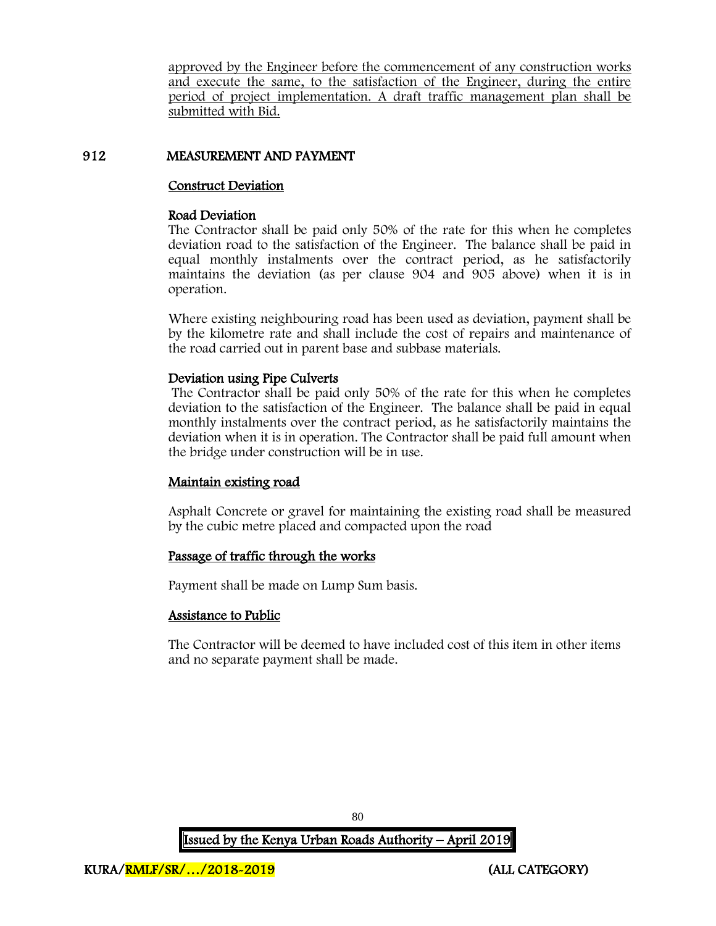approved by the Engineer before the commencement of any construction works and execute the same, to the satisfaction of the Engineer, during the entire period of project implementation. A draft traffic management plan shall be submitted with Bid.

### 912 MEASUREMENT AND PAYMENT

### Construct Deviation

#### Road Deviation

The Contractor shall be paid only 50% of the rate for this when he completes deviation road to the satisfaction of the Engineer. The balance shall be paid in equal monthly instalments over the contract period, as he satisfactorily maintains the deviation (as per clause 904 and 905 above) when it is in operation.

Where existing neighbouring road has been used as deviation, payment shall be by the kilometre rate and shall include the cost of repairs and maintenance of the road carried out in parent base and subbase materials.

#### Deviation using Pipe Culverts

The Contractor shall be paid only 50% of the rate for this when he completes deviation to the satisfaction of the Engineer. The balance shall be paid in equal monthly instalments over the contract period, as he satisfactorily maintains the deviation when it is in operation. The Contractor shall be paid full amount when the bridge under construction will be in use.

### Maintain existing road

Asphalt Concrete or gravel for maintaining the existing road shall be measured by the cubic metre placed and compacted upon the road

### Passage of traffic through the works

Payment shall be made on Lump Sum basis.

### Assistance to Public

The Contractor will be deemed to have included cost of this item in other items and no separate payment shall be made.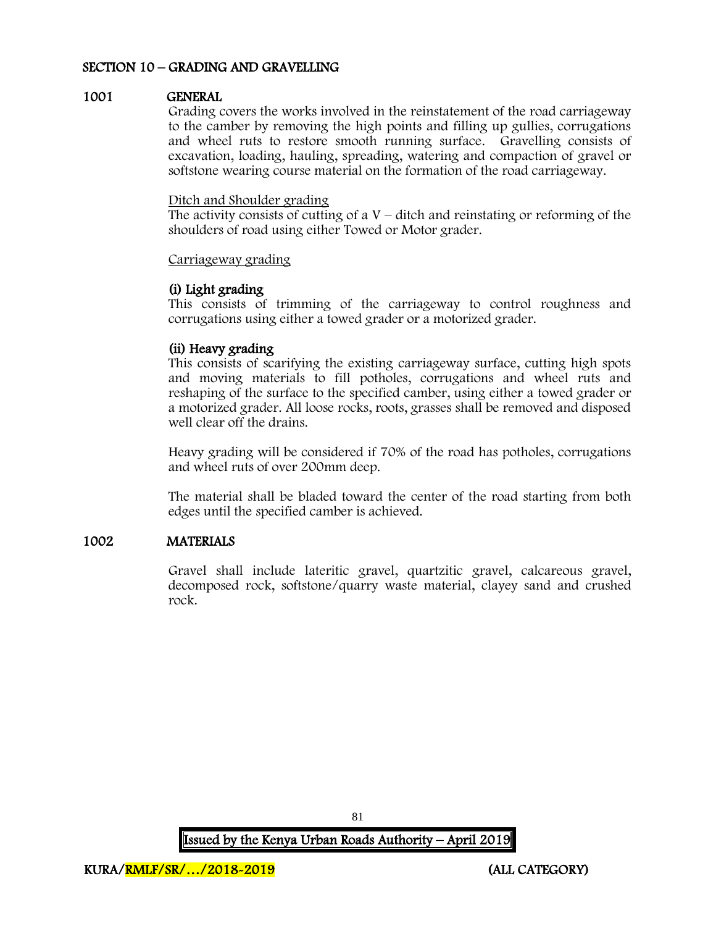### SECTION 10 – GRADING AND GRAVELLING

#### 1001 GENERAL

Grading covers the works involved in the reinstatement of the road carriageway to the camber by removing the high points and filling up gullies, corrugations and wheel ruts to restore smooth running surface. Gravelling consists of excavation, loading, hauling, spreading, watering and compaction of gravel or softstone wearing course material on the formation of the road carriageway.

#### Ditch and Shoulder grading

The activity consists of cutting of a  $V$  – ditch and reinstating or reforming of the shoulders of road using either Towed or Motor grader.

#### Carriageway grading

#### (i) Light grading

This consists of trimming of the carriageway to control roughness and corrugations using either a towed grader or a motorized grader.

#### (ii) Heavy grading

This consists of scarifying the existing carriageway surface, cutting high spots and moving materials to fill potholes, corrugations and wheel ruts and reshaping of the surface to the specified camber, using either a towed grader or a motorized grader. All loose rocks, roots, grasses shall be removed and disposed well clear off the drains.

Heavy grading will be considered if 70% of the road has potholes, corrugations and wheel ruts of over 200mm deep.

The material shall be bladed toward the center of the road starting from both edges until the specified camber is achieved.

### 1002 MATERIALS

Gravel shall include lateritic gravel, quartzitic gravel, calcareous gravel, decomposed rock, softstone/quarry waste material, clayey sand and crushed rock.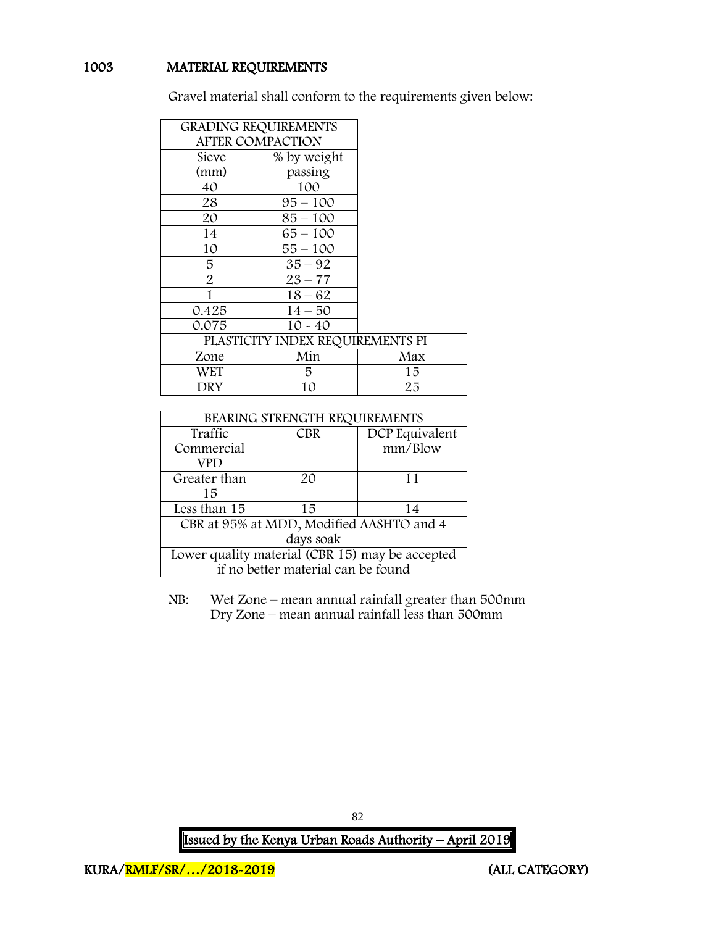## 1003 MATERIAL REQUIREMENTS

Gravel material shall conform to the requirements given below:

| <b>GRADING REQUIREMENTS</b> |                                  |     |
|-----------------------------|----------------------------------|-----|
| <b>AFTER COMPACTION</b>     |                                  |     |
| Sieve                       | % by weight                      |     |
| (mm)                        | passing                          |     |
| 40                          | 100                              |     |
| 28                          | $95 - 100$                       |     |
| 20                          | $85 - 100$                       |     |
| 14                          | $65 - 100$                       |     |
| 10                          | $55 - 100$                       |     |
| 5                           | $35 - 92$                        |     |
| $\overline{2}$              | $23 - 77$                        |     |
| 1                           | $18 - 62$                        |     |
| 0.425                       | $14 - 50$                        |     |
| 0.075                       | $10 - 40$                        |     |
|                             | PLASTICITY INDEX REQUIREMENTS PI |     |
| Zone                        | Min                              | Max |
| WET                         | 5.                               | 15  |
| DRY                         | 10                               | 25  |

| BEARING STRENGTH REQUIREMENTS                   |            |                |  |  |
|-------------------------------------------------|------------|----------------|--|--|
| Traffic                                         | <b>CBR</b> | DCP Equivalent |  |  |
| Commercial                                      |            | mm/Blow        |  |  |
| VPD                                             |            |                |  |  |
| Greater than                                    | 20         | 11             |  |  |
| 15                                              |            |                |  |  |
| Less than 15                                    | 15         | 14             |  |  |
| CBR at 95% at MDD, Modified AASHTO and 4        |            |                |  |  |
| days soak                                       |            |                |  |  |
| Lower quality material (CBR 15) may be accepted |            |                |  |  |
| if no better material can be found              |            |                |  |  |

NB: Wet Zone – mean annual rainfall greater than 500mm Dry Zone – mean annual rainfall less than 500mm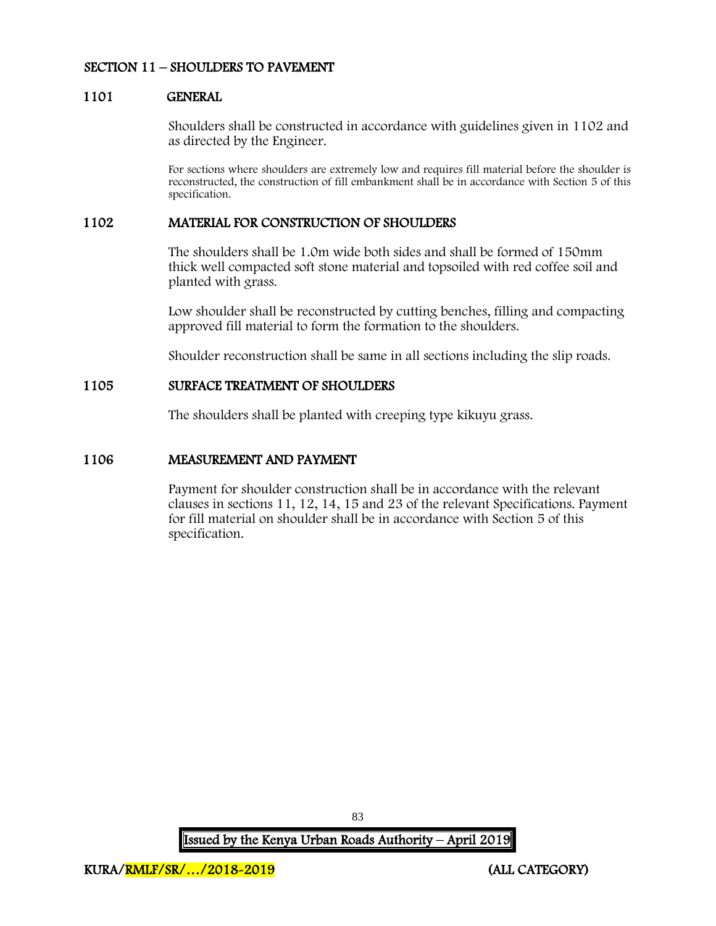### SECTION 11 – SHOULDERS TO PAVEMENT

#### 1101 GENERAL

Shoulders shall be constructed in accordance with guidelines given in 1102 and as directed by the Engineer.

For sections where shoulders are extremely low and requires fill material before the shoulder is reconstructed, the construction of fill embankment shall be in accordance with Section 5 of this specification.

#### 1102 MATERIAL FOR CONSTRUCTION OF SHOULDERS

The shoulders shall be 1.0m wide both sides and shall be formed of 150mm thick well compacted soft stone material and topsoiled with red coffee soil and planted with grass.

Low shoulder shall be reconstructed by cutting benches, filling and compacting approved fill material to form the formation to the shoulders.

Shoulder reconstruction shall be same in all sections including the slip roads.

#### 1105 SURFACE TREATMENT OF SHOULDERS

The shoulders shall be planted with creeping type kikuyu grass.

#### 1106 MEASUREMENT AND PAYMENT

Payment for shoulder construction shall be in accordance with the relevant clauses in sections 11, 12, 14, 15 and 23 of the relevant Specifications. Payment for fill material on shoulder shall be in accordance with Section 5 of this specification.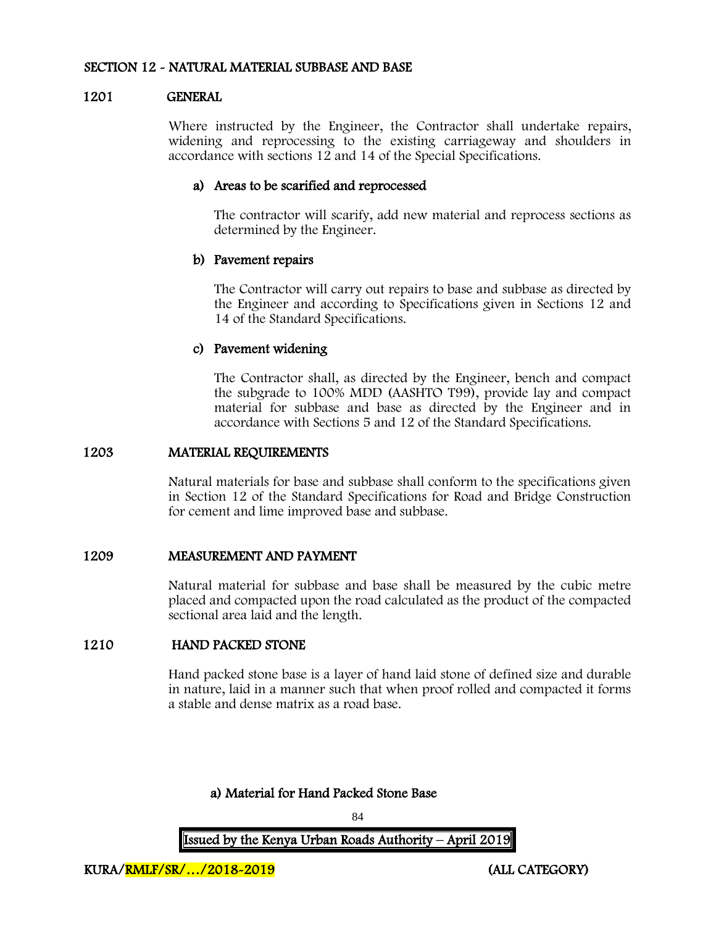#### SECTION 12 - NATURAL MATERIAL SUBBASE AND BASE

#### 1201 GENERAL

Where instructed by the Engineer, the Contractor shall undertake repairs, widening and reprocessing to the existing carriageway and shoulders in accordance with sections 12 and 14 of the Special Specifications.

#### a) Areas to be scarified and reprocessed

The contractor will scarify, add new material and reprocess sections as determined by the Engineer.

#### b) Pavement repairs

The Contractor will carry out repairs to base and subbase as directed by the Engineer and according to Specifications given in Sections 12 and 14 of the Standard Specifications.

#### c) Pavement widening

The Contractor shall, as directed by the Engineer, bench and compact the subgrade to 100% MDD (AASHTO T99), provide lay and compact material for subbase and base as directed by the Engineer and in accordance with Sections 5 and 12 of the Standard Specifications.

#### 1203 MATERIAL REQUIREMENTS

Natural materials for base and subbase shall conform to the specifications given in Section 12 of the Standard Specifications for Road and Bridge Construction for cement and lime improved base and subbase.

#### 1209 MEASUREMENT AND PAYMENT

Natural material for subbase and base shall be measured by the cubic metre placed and compacted upon the road calculated as the product of the compacted sectional area laid and the length.

### 1210 HAND PACKED STONE

Hand packed stone base is a layer of hand laid stone of defined size and durable in nature, laid in a manner such that when proof rolled and compacted it forms a stable and dense matrix as a road base.

a) Material for Hand Packed Stone Base

84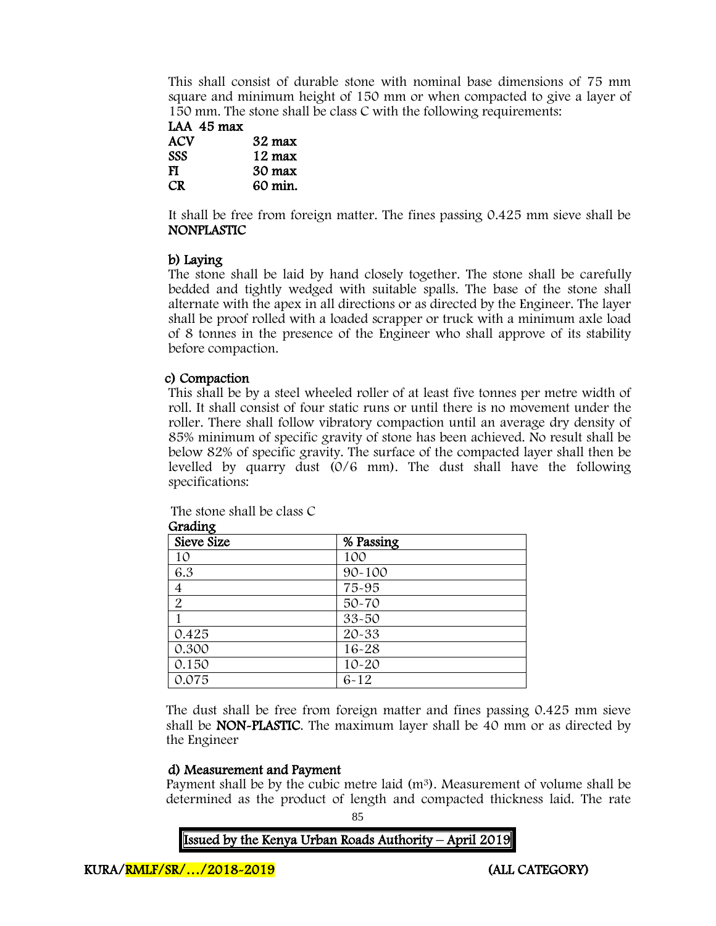This shall consist of durable stone with nominal base dimensions of 75 mm square and minimum height of 150 mm or when compacted to give a layer of 150 mm. The stone shall be class C with the following requirements:

LAA 45 max

| ACV        | 32 max           |
|------------|------------------|
| <b>SSS</b> | $12 \text{ max}$ |
| FI         | 30 max           |
| CR.        | 60 min.          |

It shall be free from foreign matter. The fines passing 0.425 mm sieve shall be NONPLASTIC

## b) Laying

The stone shall be laid by hand closely together. The stone shall be carefully bedded and tightly wedged with suitable spalls. The base of the stone shall alternate with the apex in all directions or as directed by the Engineer. The layer shall be proof rolled with a loaded scrapper or truck with a minimum axle load of 8 tonnes in the presence of the Engineer who shall approve of its stability before compaction.

### c) Compaction

This shall be by a steel wheeled roller of at least five tonnes per metre width of roll. It shall consist of four static runs or until there is no movement under the roller. There shall follow vibratory compaction until an average dry density of 85% minimum of specific gravity of stone has been achieved. No result shall be below 82% of specific gravity. The surface of the compacted layer shall then be levelled by quarry dust (0/6 mm). The dust shall have the following specifications:

The stone shall be class C

| Sieve Size     | % Passing |  |
|----------------|-----------|--|
| 10             | 100       |  |
| 6.3            | 90-100    |  |
| $\overline{4}$ | 75-95     |  |
| $\overline{2}$ | 50-70     |  |
|                | 33-50     |  |
| 0.425          | 20-33     |  |
| 0.300          | 16-28     |  |
| 0.150          | $10 - 20$ |  |
| 0.075          | $6 - 12$  |  |

Grading

The dust shall be free from foreign matter and fines passing 0.425 mm sieve shall be NON-PLASTIC. The maximum layer shall be 40 mm or as directed by the Engineer

### d) Measurement and Payment

Payment shall be by the cubic metre laid  $(m<sup>3</sup>)$ . Measurement of volume shall be determined as the product of length and compacted thickness laid. The rate

85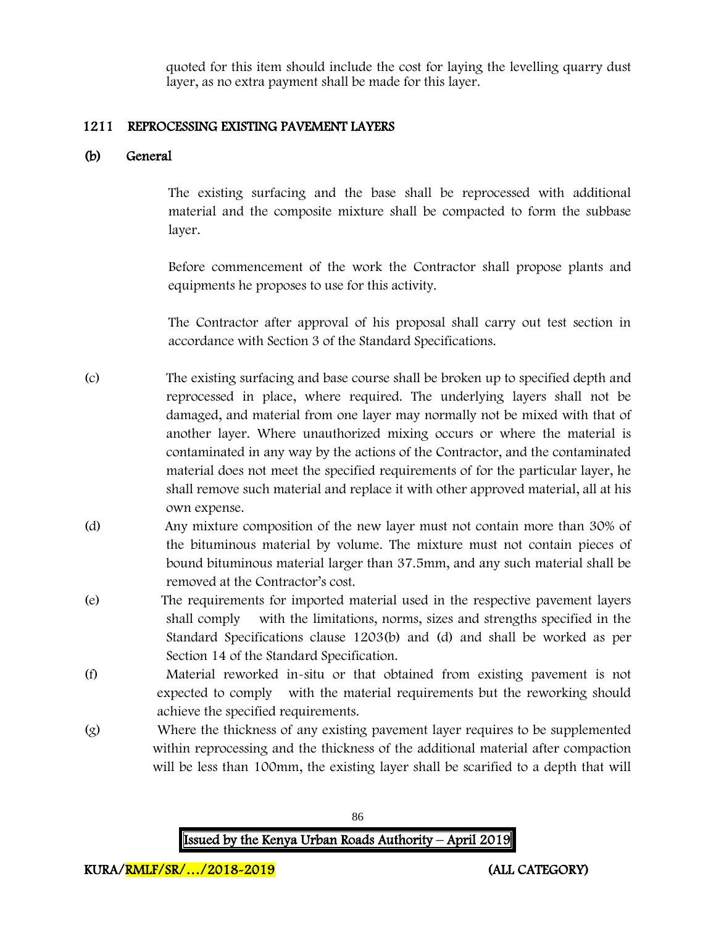quoted for this item should include the cost for laying the levelling quarry dust layer, as no extra payment shall be made for this layer.

## 1211 REPROCESSING EXISTING PAVEMENT LAYERS

## (b) General

The existing surfacing and the base shall be reprocessed with additional material and the composite mixture shall be compacted to form the subbase layer.

Before commencement of the work the Contractor shall propose plants and equipments he proposes to use for this activity.

The Contractor after approval of his proposal shall carry out test section in accordance with Section 3 of the Standard Specifications.

- (c) The existing surfacing and base course shall be broken up to specified depth and reprocessed in place, where required. The underlying layers shall not be damaged, and material from one layer may normally not be mixed with that of another layer. Where unauthorized mixing occurs or where the material is contaminated in any way by the actions of the Contractor, and the contaminated material does not meet the specified requirements of for the particular layer, he shall remove such material and replace it with other approved material, all at his own expense.
- (d) Any mixture composition of the new layer must not contain more than 30% of the bituminous material by volume. The mixture must not contain pieces of bound bituminous material larger than 37.5mm, and any such material shall be removed at the Contractor's cost.
- (e) The requirements for imported material used in the respective pavement layers shall comply with the limitations, norms, sizes and strengths specified in the Standard Specifications clause 1203(b) and (d) and shall be worked as per Section 14 of the Standard Specification.
- (f) Material reworked in-situ or that obtained from existing pavement is not expected to comply with the material requirements but the reworking should achieve the specified requirements.
- (g) Where the thickness of any existing pavement layer requires to be supplemented within reprocessing and the thickness of the additional material after compaction will be less than 100mm, the existing layer shall be scarified to a depth that will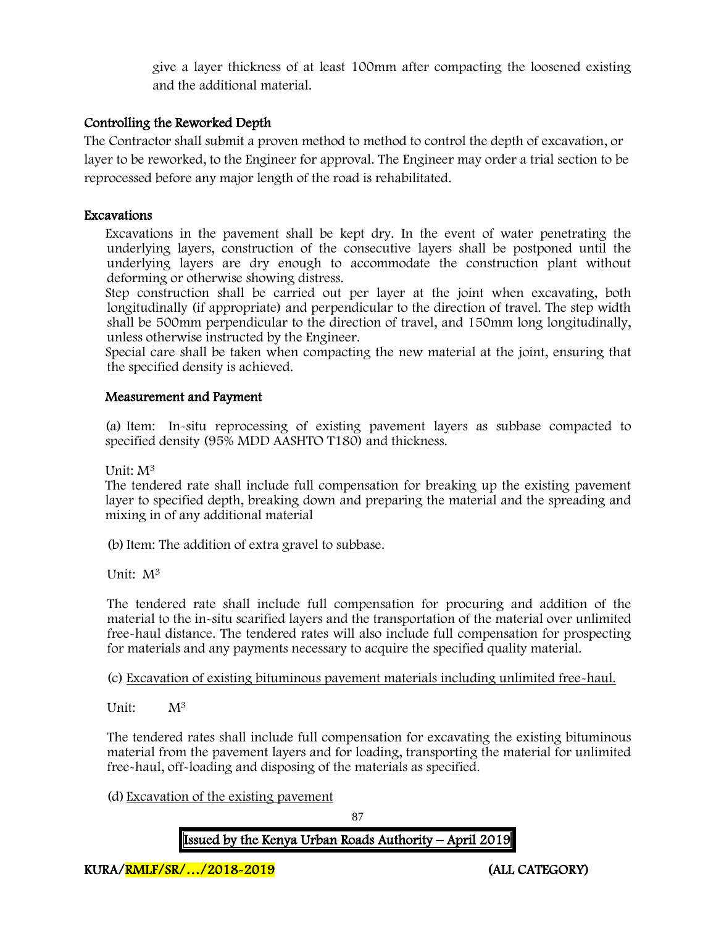give a layer thickness of at least 100mm after compacting the loosened existing and the additional material.

## Controlling the Reworked Depth

The Contractor shall submit a proven method to method to control the depth of excavation, or layer to be reworked, to the Engineer for approval. The Engineer may order a trial section to be reprocessed before any major length of the road is rehabilitated.

## Excavations

Excavations in the pavement shall be kept dry. In the event of water penetrating the underlying layers, construction of the consecutive layers shall be postponed until the underlying layers are dry enough to accommodate the construction plant without deforming or otherwise showing distress.

Step construction shall be carried out per layer at the joint when excavating, both longitudinally (if appropriate) and perpendicular to the direction of travel. The step width shall be 500mm perpendicular to the direction of travel, and 150mm long longitudinally, unless otherwise instructed by the Engineer.

Special care shall be taken when compacting the new material at the joint, ensuring that the specified density is achieved.

### Measurement and Payment

(a) Item: In-situ reprocessing of existing pavement layers as subbase compacted to specified density (95% MDD AASHTO T180) and thickness.

Unit: M<sup>3</sup>

The tendered rate shall include full compensation for breaking up the existing pavement layer to specified depth, breaking down and preparing the material and the spreading and mixing in of any additional material

(b)Item: The addition of extra gravel to subbase.

Unit: M<sup>3</sup>

The tendered rate shall include full compensation for procuring and addition of the material to the in-situ scarified layers and the transportation of the material over unlimited free-haul distance. The tendered rates will also include full compensation for prospecting for materials and any payments necessary to acquire the specified quality material.

(c) Excavation of existing bituminous pavement materials including unlimited free-haul.

Unit: M<sup>3</sup>

The tendered rates shall include full compensation for excavating the existing bituminous material from the pavement layers and for loading, transporting the material for unlimited free-haul, off-loading and disposing of the materials as specified.

(d) Excavation of the existing pavement

87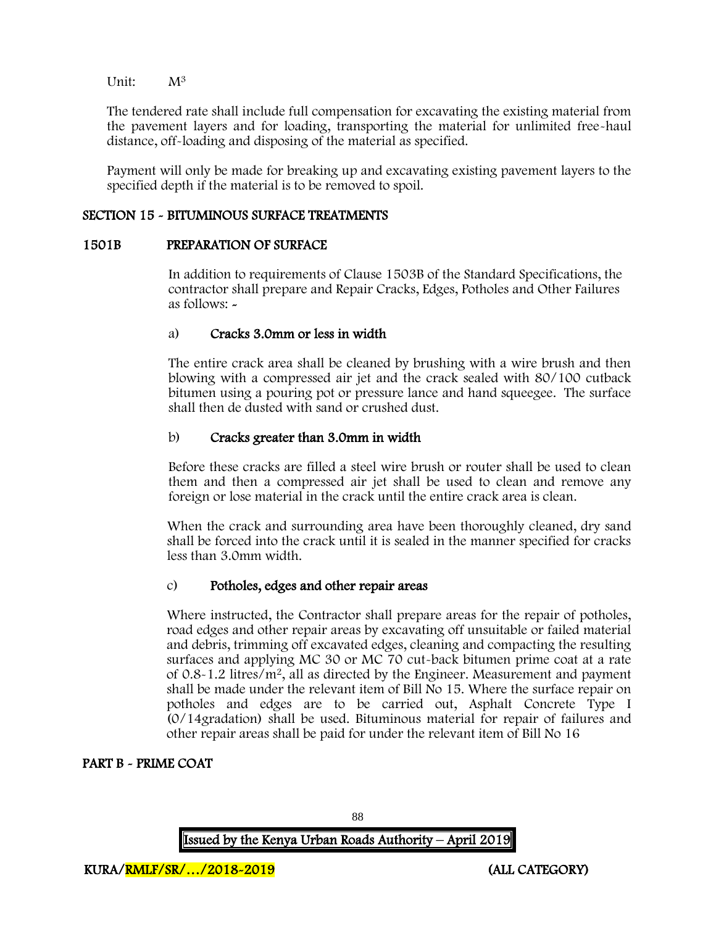Unit:  $M^3$ 

The tendered rate shall include full compensation for excavating the existing material from the pavement layers and for loading, transporting the material for unlimited free-haul distance, off-loading and disposing of the material as specified.

Payment will only be made for breaking up and excavating existing pavement layers to the specified depth if the material is to be removed to spoil.

## SECTION 15 - BITUMINOUS SURFACE TREATMENTS

### 1501B PREPARATION OF SURFACE

In addition to requirements of Clause 1503B of the Standard Specifications, the contractor shall prepare and Repair Cracks, Edges, Potholes and Other Failures as follows: -

## a) Cracks 3.0mm or less in width

The entire crack area shall be cleaned by brushing with a wire brush and then blowing with a compressed air jet and the crack sealed with 80/100 cutback bitumen using a pouring pot or pressure lance and hand squeegee. The surface shall then de dusted with sand or crushed dust.

## b) Cracks greater than 3.0mm in width

Before these cracks are filled a steel wire brush or router shall be used to clean them and then a compressed air jet shall be used to clean and remove any foreign or lose material in the crack until the entire crack area is clean.

When the crack and surrounding area have been thoroughly cleaned, dry sand shall be forced into the crack until it is sealed in the manner specified for cracks less than 3.0mm width.

## c) Potholes, edges and other repair areas

Where instructed, the Contractor shall prepare areas for the repair of potholes, road edges and other repair areas by excavating off unsuitable or failed material and debris, trimming off excavated edges, cleaning and compacting the resulting surfaces and applying MC 30 or MC 70 cut-back bitumen prime coat at a rate of 0.8-1.2 litres/m<sup>2</sup>, all as directed by the Engineer. Measurement and payment shall be made under the relevant item of Bill No 15. Where the surface repair on potholes and edges are to be carried out, Asphalt Concrete Type I (0/14gradation) shall be used. Bituminous material for repair of failures and other repair areas shall be paid for under the relevant item of Bill No 16

## PART B - PRIME COAT

 88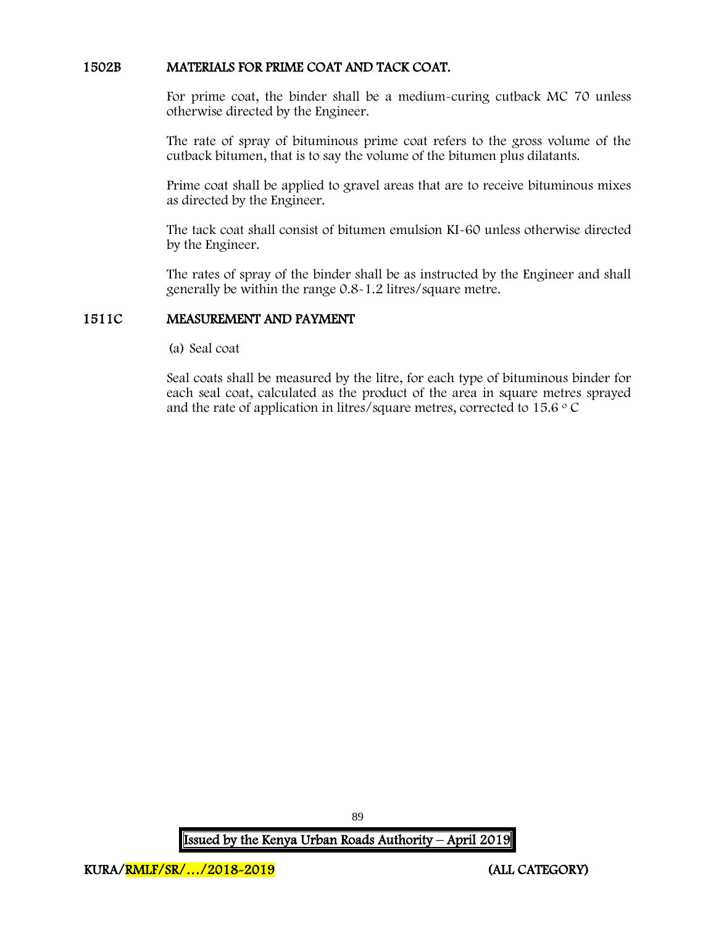### 1502B MATERIALS FOR PRIME COAT AND TACK COAT.

For prime coat, the binder shall be a medium-curing cutback MC 70 unless otherwise directed by the Engineer.

The rate of spray of bituminous prime coat refers to the gross volume of the cutback bitumen, that is to say the volume of the bitumen plus dilatants.

Prime coat shall be applied to gravel areas that are to receive bituminous mixes as directed by the Engineer.

The tack coat shall consist of bitumen emulsion KI-60 unless otherwise directed by the Engineer.

The rates of spray of the binder shall be as instructed by the Engineer and shall generally be within the range 0.8-1.2 litres/square metre.

#### 1511C MEASUREMENT AND PAYMENT

(a) Seal coat

Seal coats shall be measured by the litre, for each type of bituminous binder for each seal coat, calculated as the product of the area in square metres sprayed and the rate of application in litres/square metres, corrected to  $15.6 \degree$  C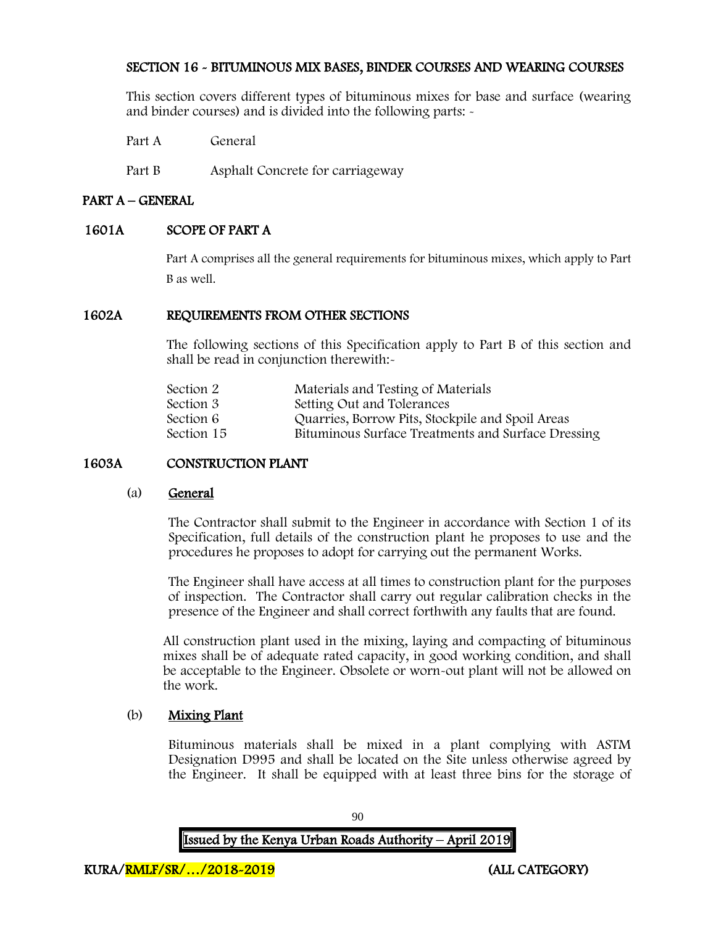## SECTION 16 - BITUMINOUS MIX BASES, BINDER COURSES AND WEARING COURSES

This section covers different types of bituminous mixes for base and surface (wearing and binder courses) and is divided into the following parts: -

Part A General

Part B Asphalt Concrete for carriageway

### PART A – GENERAL

### 1601A SCOPE OF PART A

Part A comprises all the general requirements for bituminous mixes, which apply to Part B as well.

### 1602A REQUIREMENTS FROM OTHER SECTIONS

The following sections of this Specification apply to Part B of this section and shall be read in conjunction therewith:-

| Section 2  | Materials and Testing of Materials                 |
|------------|----------------------------------------------------|
| Section 3  | Setting Out and Tolerances                         |
| Section 6  | Quarries, Borrow Pits, Stockpile and Spoil Areas   |
| Section 15 | Bituminous Surface Treatments and Surface Dressing |
|            |                                                    |

## 1603A CONSTRUCTION PLANT

#### (a) General

The Contractor shall submit to the Engineer in accordance with Section 1 of its Specification, full details of the construction plant he proposes to use and the procedures he proposes to adopt for carrying out the permanent Works.

The Engineer shall have access at all times to construction plant for the purposes of inspection. The Contractor shall carry out regular calibration checks in the presence of the Engineer and shall correct forthwith any faults that are found.

All construction plant used in the mixing, laying and compacting of bituminous mixes shall be of adequate rated capacity, in good working condition, and shall be acceptable to the Engineer. Obsolete or worn-out plant will not be allowed on the work.

### (b) Mixing Plant

Bituminous materials shall be mixed in a plant complying with ASTM Designation D995 and shall be located on the Site unless otherwise agreed by the Engineer. It shall be equipped with at least three bins for the storage of

90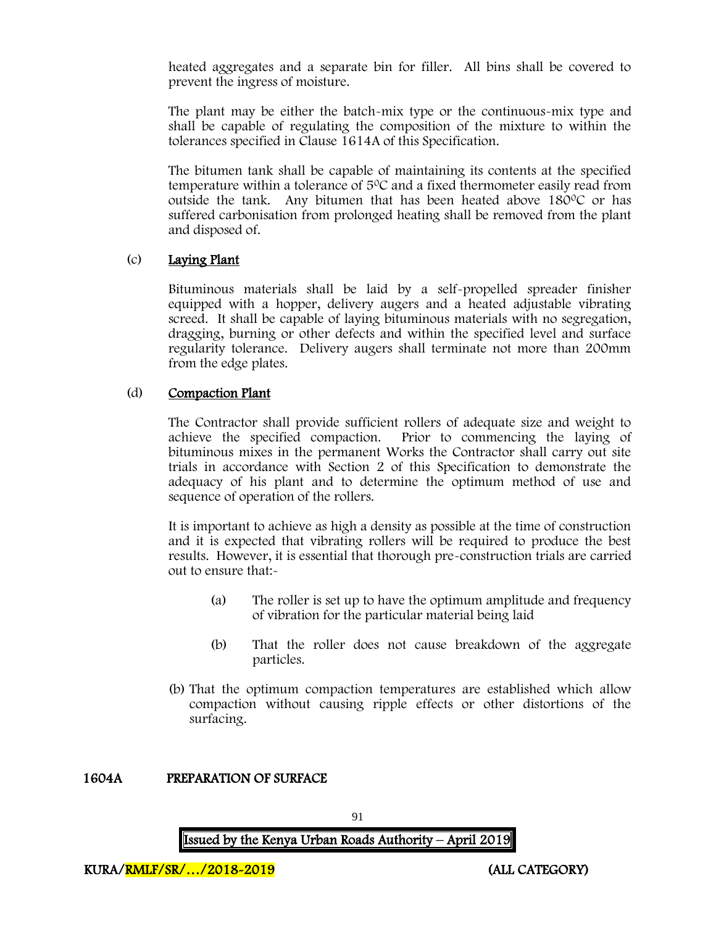heated aggregates and a separate bin for filler. All bins shall be covered to prevent the ingress of moisture.

The plant may be either the batch-mix type or the continuous-mix type and shall be capable of regulating the composition of the mixture to within the tolerances specified in Clause 1614A of this Specification.

The bitumen tank shall be capable of maintaining its contents at the specified temperature within a tolerance of 5<sup>0</sup>C and a fixed thermometer easily read from outside the tank. Any bitumen that has been heated above 180°C or has suffered carbonisation from prolonged heating shall be removed from the plant and disposed of.

### (c) Laying Plant

Bituminous materials shall be laid by a self-propelled spreader finisher equipped with a hopper, delivery augers and a heated adjustable vibrating screed. It shall be capable of laying bituminous materials with no segregation, dragging, burning or other defects and within the specified level and surface regularity tolerance. Delivery augers shall terminate not more than 200mm from the edge plates.

### (d) Compaction Plant

The Contractor shall provide sufficient rollers of adequate size and weight to achieve the specified compaction. Prior to commencing the laying of bituminous mixes in the permanent Works the Contractor shall carry out site trials in accordance with Section 2 of this Specification to demonstrate the adequacy of his plant and to determine the optimum method of use and sequence of operation of the rollers.

It is important to achieve as high a density as possible at the time of construction and it is expected that vibrating rollers will be required to produce the best results. However, it is essential that thorough pre-construction trials are carried out to ensure that:-

- (a) The roller is set up to have the optimum amplitude and frequency of vibration for the particular material being laid
- (b) That the roller does not cause breakdown of the aggregate particles.
- (b) That the optimum compaction temperatures are established which allow compaction without causing ripple effects or other distortions of the surfacing.

#### 1604A PREPARATION OF SURFACE

91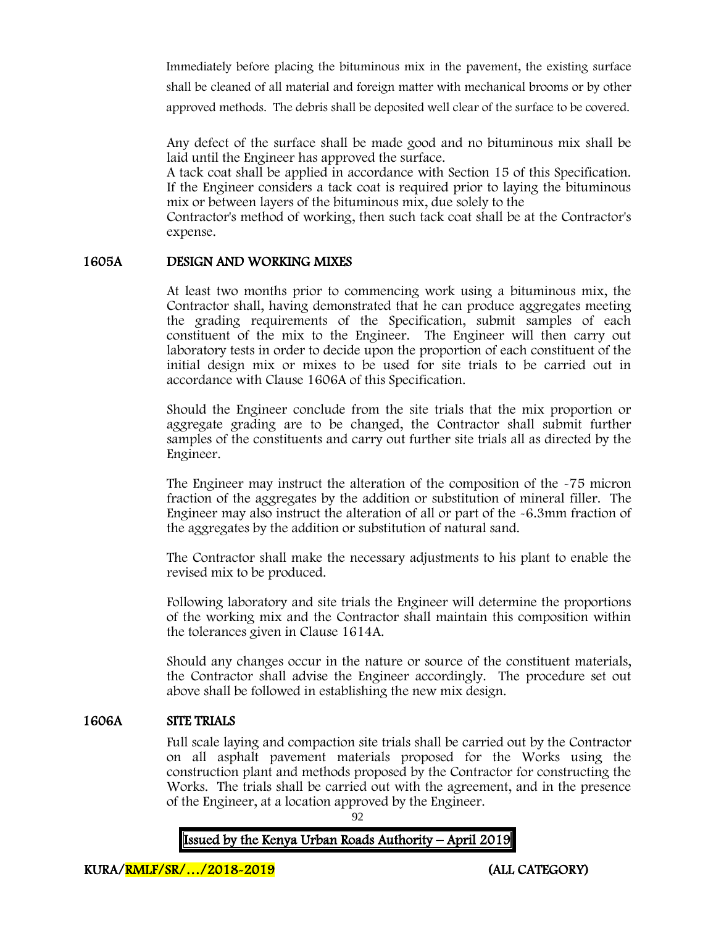Immediately before placing the bituminous mix in the pavement, the existing surface shall be cleaned of all material and foreign matter with mechanical brooms or by other approved methods. The debris shall be deposited well clear of the surface to be covered.

Any defect of the surface shall be made good and no bituminous mix shall be laid until the Engineer has approved the surface.

A tack coat shall be applied in accordance with Section 15 of this Specification. If the Engineer considers a tack coat is required prior to laying the bituminous mix or between layers of the bituminous mix, due solely to the

Contractor's method of working, then such tack coat shall be at the Contractor's expense.

### 1605A DESIGN AND WORKING MIXES

At least two months prior to commencing work using a bituminous mix, the Contractor shall, having demonstrated that he can produce aggregates meeting the grading requirements of the Specification, submit samples of each constituent of the mix to the Engineer. The Engineer will then carry out laboratory tests in order to decide upon the proportion of each constituent of the initial design mix or mixes to be used for site trials to be carried out in accordance with Clause 1606A of this Specification.

Should the Engineer conclude from the site trials that the mix proportion or aggregate grading are to be changed, the Contractor shall submit further samples of the constituents and carry out further site trials all as directed by the Engineer.

The Engineer may instruct the alteration of the composition of the -75 micron fraction of the aggregates by the addition or substitution of mineral filler. The Engineer may also instruct the alteration of all or part of the -6.3mm fraction of the aggregates by the addition or substitution of natural sand.

The Contractor shall make the necessary adjustments to his plant to enable the revised mix to be produced.

Following laboratory and site trials the Engineer will determine the proportions of the working mix and the Contractor shall maintain this composition within the tolerances given in Clause 1614A.

Should any changes occur in the nature or source of the constituent materials, the Contractor shall advise the Engineer accordingly. The procedure set out above shall be followed in establishing the new mix design.

### 1606A SITE TRIALS

Full scale laying and compaction site trials shall be carried out by the Contractor on all asphalt pavement materials proposed for the Works using the construction plant and methods proposed by the Contractor for constructing the Works. The trials shall be carried out with the agreement, and in the presence of the Engineer, at a location approved by the Engineer.

92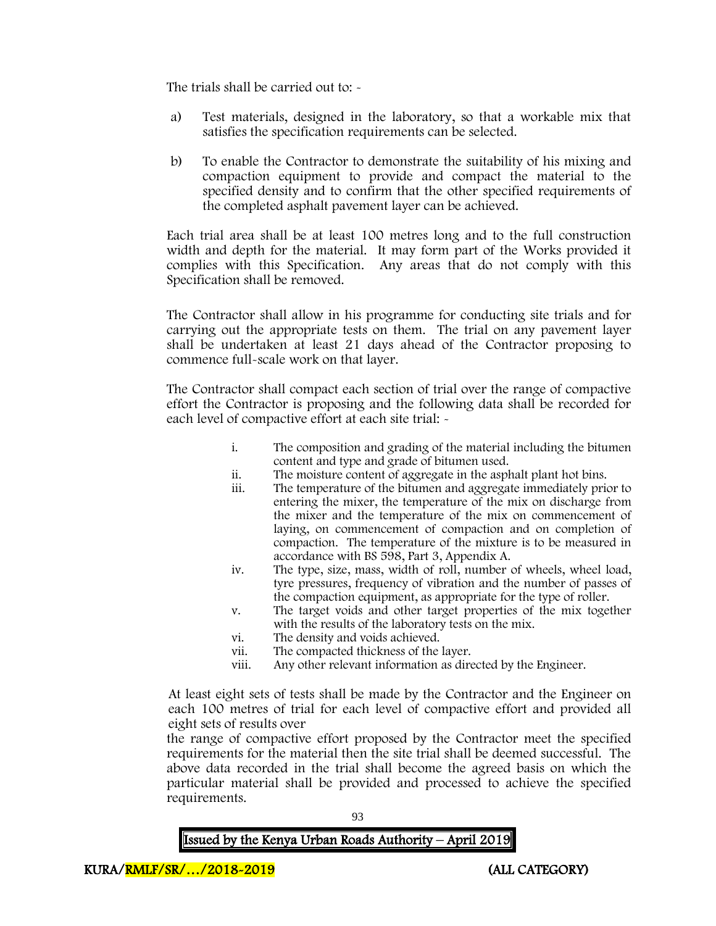The trials shall be carried out to: -

- a) Test materials, designed in the laboratory, so that a workable mix that satisfies the specification requirements can be selected.
- b) To enable the Contractor to demonstrate the suitability of his mixing and compaction equipment to provide and compact the material to the specified density and to confirm that the other specified requirements of the completed asphalt pavement layer can be achieved.

Each trial area shall be at least 100 metres long and to the full construction width and depth for the material. It may form part of the Works provided it complies with this Specification. Any areas that do not comply with this Specification shall be removed.

The Contractor shall allow in his programme for conducting site trials and for carrying out the appropriate tests on them. The trial on any pavement layer shall be undertaken at least 21 days ahead of the Contractor proposing to commence full-scale work on that layer.

The Contractor shall compact each section of trial over the range of compactive effort the Contractor is proposing and the following data shall be recorded for each level of compactive effort at each site trial:  $\sim$ 

- i. The composition and grading of the material including the bitumen content and type and grade of bitumen used.
- ii. The moisture content of aggregate in the asphalt plant hot bins.
- iii. The temperature of the bitumen and aggregate immediately prior to entering the mixer, the temperature of the mix on discharge from the mixer and the temperature of the mix on commencement of laying, on commencement of compaction and on completion of compaction. The temperature of the mixture is to be measured in accordance with BS 598, Part 3, Appendix A.
- iv. The type, size, mass, width of roll, number of wheels, wheel load, tyre pressures, frequency of vibration and the number of passes of the compaction equipment, as appropriate for the type of roller.
- v. The target voids and other target properties of the mix together with the results of the laboratory tests on the mix.
- vi. The density and voids achieved.
- vii. The compacted thickness of the layer.<br>viii. Any other relevant information as dire
- Any other relevant information as directed by the Engineer.

At least eight sets of tests shall be made by the Contractor and the Engineer on each 100 metres of trial for each level of compactive effort and provided all eight sets of results over

the range of compactive effort proposed by the Contractor meet the specified requirements for the material then the site trial shall be deemed successful. The above data recorded in the trial shall become the agreed basis on which the particular material shall be provided and processed to achieve the specified requirements.

93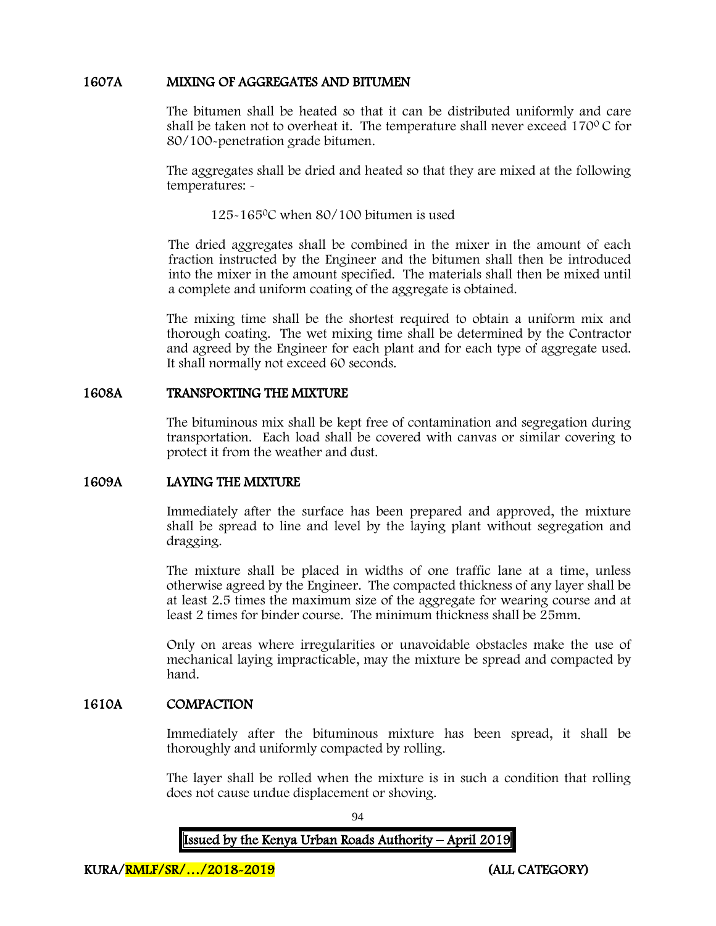#### 1607A MIXING OF AGGREGATES AND BITUMEN

The bitumen shall be heated so that it can be distributed uniformly and care shall be taken not to overheat it. The temperature shall never exceed 170 $\degree$ C for 80/100-penetration grade bitumen.

The aggregates shall be dried and heated so that they are mixed at the following temperatures: -

125-165<sup>0</sup>C when 80/100 bitumen is used

The dried aggregates shall be combined in the mixer in the amount of each fraction instructed by the Engineer and the bitumen shall then be introduced into the mixer in the amount specified. The materials shall then be mixed until a complete and uniform coating of the aggregate is obtained.

The mixing time shall be the shortest required to obtain a uniform mix and thorough coating. The wet mixing time shall be determined by the Contractor and agreed by the Engineer for each plant and for each type of aggregate used. It shall normally not exceed 60 seconds.

#### 1608A TRANSPORTING THE MIXTURE

The bituminous mix shall be kept free of contamination and segregation during transportation. Each load shall be covered with canvas or similar covering to protect it from the weather and dust.

### 1609A LAYING THE MIXTURE

Immediately after the surface has been prepared and approved, the mixture shall be spread to line and level by the laying plant without segregation and dragging.

The mixture shall be placed in widths of one traffic lane at a time, unless otherwise agreed by the Engineer. The compacted thickness of any layer shall be at least 2.5 times the maximum size of the aggregate for wearing course and at least 2 times for binder course. The minimum thickness shall be 25mm.

Only on areas where irregularities or unavoidable obstacles make the use of mechanical laying impracticable, may the mixture be spread and compacted by hand.

### 1610A COMPACTION

Immediately after the bituminous mixture has been spread, it shall be thoroughly and uniformly compacted by rolling.

The layer shall be rolled when the mixture is in such a condition that rolling does not cause undue displacement or shoving.

> 94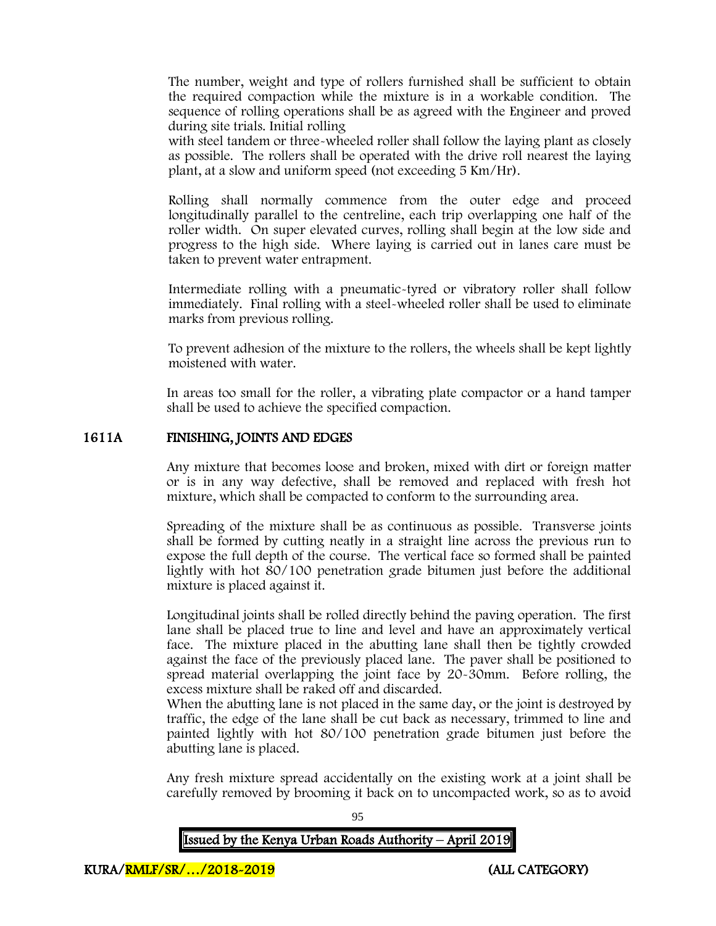The number, weight and type of rollers furnished shall be sufficient to obtain the required compaction while the mixture is in a workable condition. The sequence of rolling operations shall be as agreed with the Engineer and proved during site trials. Initial rolling

with steel tandem or three-wheeled roller shall follow the laying plant as closely as possible. The rollers shall be operated with the drive roll nearest the laying plant, at a slow and uniform speed (not exceeding 5 Km/Hr).

Rolling shall normally commence from the outer edge and proceed longitudinally parallel to the centreline, each trip overlapping one half of the roller width. On super elevated curves, rolling shall begin at the low side and progress to the high side. Where laying is carried out in lanes care must be taken to prevent water entrapment.

Intermediate rolling with a pneumatic-tyred or vibratory roller shall follow immediately. Final rolling with a steel-wheeled roller shall be used to eliminate marks from previous rolling.

To prevent adhesion of the mixture to the rollers, the wheels shall be kept lightly moistened with water.

In areas too small for the roller, a vibrating plate compactor or a hand tamper shall be used to achieve the specified compaction.

#### 1611A FINISHING, JOINTS AND EDGES

Any mixture that becomes loose and broken, mixed with dirt or foreign matter or is in any way defective, shall be removed and replaced with fresh hot mixture, which shall be compacted to conform to the surrounding area.

Spreading of the mixture shall be as continuous as possible. Transverse joints shall be formed by cutting neatly in a straight line across the previous run to expose the full depth of the course. The vertical face so formed shall be painted lightly with hot 80/100 penetration grade bitumen just before the additional mixture is placed against it.

Longitudinal joints shall be rolled directly behind the paving operation. The first lane shall be placed true to line and level and have an approximately vertical face. The mixture placed in the abutting lane shall then be tightly crowded against the face of the previously placed lane. The paver shall be positioned to spread material overlapping the joint face by 20-30mm. Before rolling, the excess mixture shall be raked off and discarded.

When the abutting lane is not placed in the same day, or the joint is destroyed by traffic, the edge of the lane shall be cut back as necessary, trimmed to line and painted lightly with hot 80/100 penetration grade bitumen just before the abutting lane is placed.

Any fresh mixture spread accidentally on the existing work at a joint shall be carefully removed by brooming it back on to uncompacted work, so as to avoid



 $95$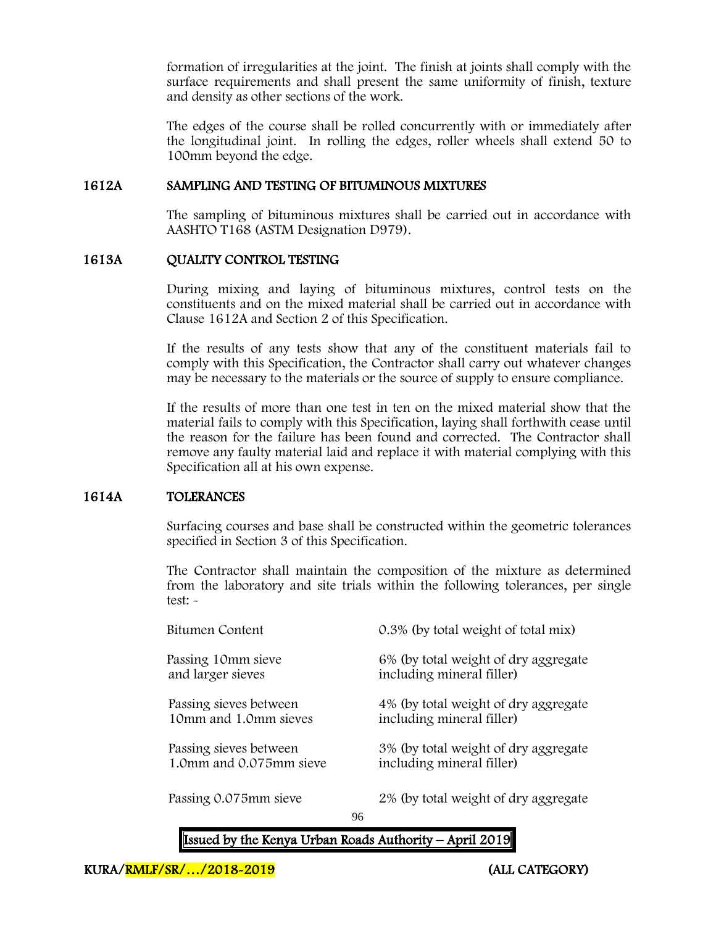formation of irregularities at the joint. The finish at joints shall comply with the surface requirements and shall present the same uniformity of finish, texture and density as other sections of the work.

The edges of the course shall be rolled concurrently with or immediately after the longitudinal joint. In rolling the edges, roller wheels shall extend 50 to 100mm beyond the edge.

#### 1612A SAMPLING AND TESTING OF BITUMINOUS MIXTURES

The sampling of bituminous mixtures shall be carried out in accordance with AASHTO T168 (ASTM Designation D979).

### 1613A QUALITY CONTROL TESTING

During mixing and laying of bituminous mixtures, control tests on the constituents and on the mixed material shall be carried out in accordance with Clause 1612A and Section 2 of this Specification.

If the results of any tests show that any of the constituent materials fail to comply with this Specification, the Contractor shall carry out whatever changes may be necessary to the materials or the source of supply to ensure compliance.

If the results of more than one test in ten on the mixed material show that the material fails to comply with this Specification, laying shall forthwith cease until the reason for the failure has been found and corrected. The Contractor shall remove any faulty material laid and replace it with material complying with this Specification all at his own expense.

### 1614A TOLERANCES

Surfacing courses and base shall be constructed within the geometric tolerances specified in Section 3 of this Specification.

The Contractor shall maintain the composition of the mixture as determined from the laboratory and site trials within the following tolerances, per single test: -

| Bitumen Content         | 0.3% (by total weight of total mix)  |
|-------------------------|--------------------------------------|
| Passing 10mm sieve      | 6% (by total weight of dry aggregate |
| and larger sieves       | including mineral filler)            |
| Passing sieves between  | 4% (by total weight of dry aggregate |
| 10mm and 1.0mm sieves   | including mineral filler)            |
| Passing sieves between  | 3% (by total weight of dry aggregate |
| 1.0mm and 0.075mm sieve | including mineral filler)            |
| Passing 0.075mm sieve   | 2% (by total weight of dry aggregate |

96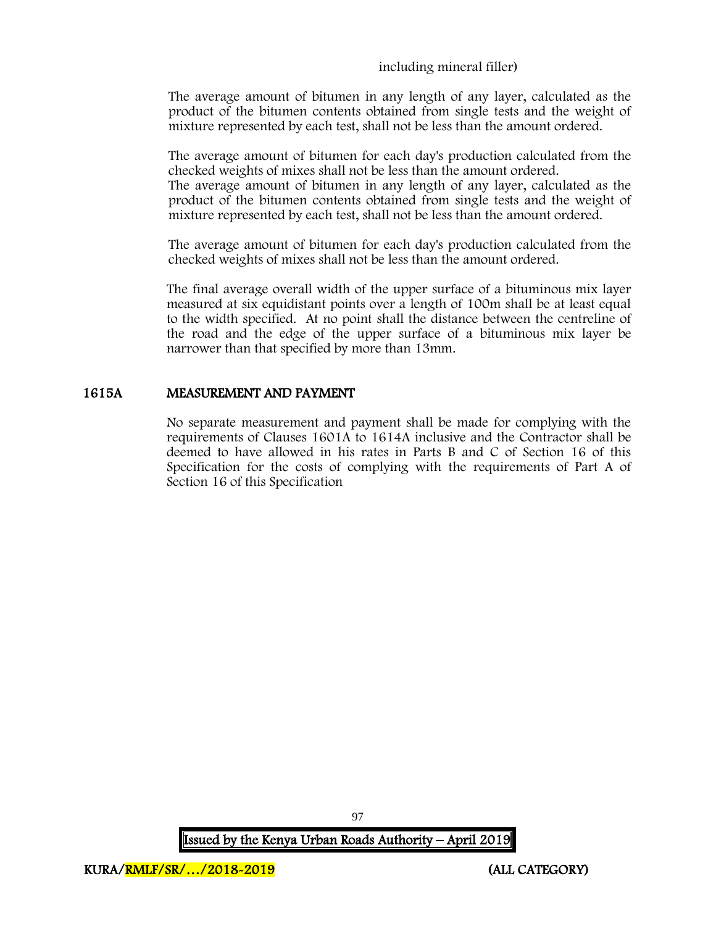### including mineral filler)

The average amount of bitumen in any length of any layer, calculated as the product of the bitumen contents obtained from single tests and the weight of mixture represented by each test, shall not be less than the amount ordered.

The average amount of bitumen for each day's production calculated from the checked weights of mixes shall not be less than the amount ordered.

The average amount of bitumen in any length of any layer, calculated as the product of the bitumen contents obtained from single tests and the weight of mixture represented by each test, shall not be less than the amount ordered.

The average amount of bitumen for each day's production calculated from the checked weights of mixes shall not be less than the amount ordered.

The final average overall width of the upper surface of a bituminous mix layer measured at six equidistant points over a length of 100m shall be at least equal to the width specified. At no point shall the distance between the centreline of the road and the edge of the upper surface of a bituminous mix layer be narrower than that specified by more than 13mm.

#### 1615A MEASUREMENT AND PAYMENT

No separate measurement and payment shall be made for complying with the requirements of Clauses 1601A to 1614A inclusive and the Contractor shall be deemed to have allowed in his rates in Parts B and C of Section 16 of this Specification for the costs of complying with the requirements of Part A of Section 16 of this Specification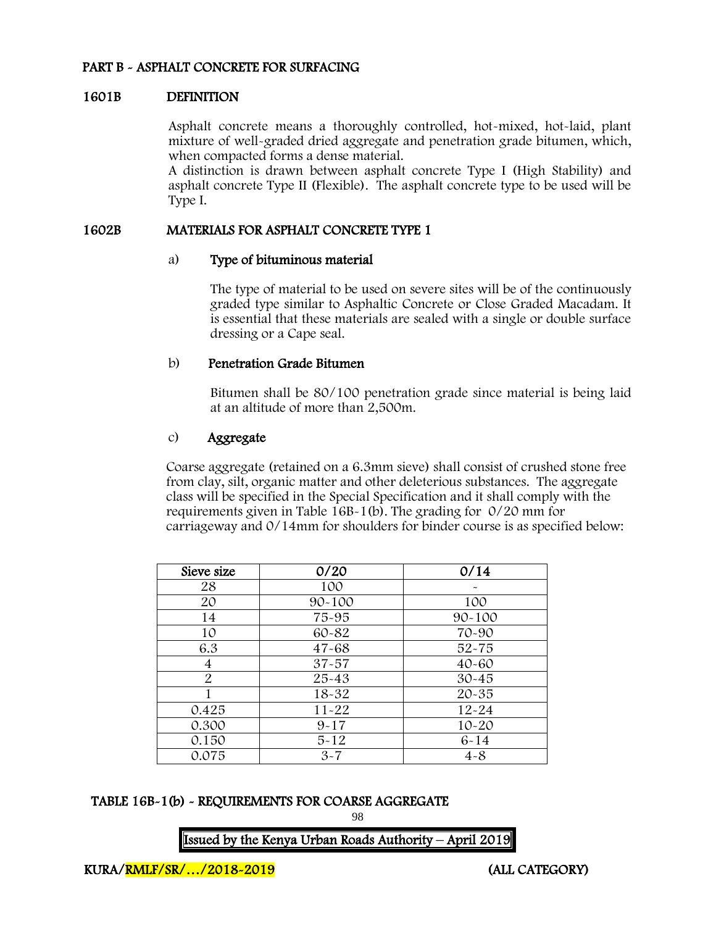### PART B - ASPHALT CONCRETE FOR SURFACING

#### 1601B DEFINITION

Asphalt concrete means a thoroughly controlled, hot-mixed, hot-laid, plant mixture of well-graded dried aggregate and penetration grade bitumen, which, when compacted forms a dense material.

A distinction is drawn between asphalt concrete Type I (High Stability) and asphalt concrete Type II (Flexible). The asphalt concrete type to be used will be Type I.

#### 1602B MATERIALS FOR ASPHALT CONCRETE TYPE 1

#### a) Type of bituminous material

The type of material to be used on severe sites will be of the continuously graded type similar to Asphaltic Concrete or Close Graded Macadam. It is essential that these materials are sealed with a single or double surface dressing or a Cape seal.

#### b) Penetration Grade Bitumen

Bitumen shall be 80/100 penetration grade since material is being laid at an altitude of more than 2,500m.

#### c) Aggregate

Coarse aggregate (retained on a 6.3mm sieve) shall consist of crushed stone free from clay, silt, organic matter and other deleterious substances. The aggregate class will be specified in the Special Specification and it shall comply with the requirements given in Table 16B-1(b). The grading for 0/20 mm for carriageway and 0/14mm for shoulders for binder course is as specified below:

| Sieve size     | 0/20       | 0/14       |
|----------------|------------|------------|
| 28             | 100        |            |
| 20             | $90 - 100$ | 100        |
| 14             | 75-95      | $90 - 100$ |
| 10             | 60-82      | 70-90      |
| 6.3            | $47 - 68$  | $52 - 75$  |
| 4              | $37 - 57$  | $40 - 60$  |
| $\overline{2}$ | $25 - 43$  | $30 - 45$  |
|                | $18 - 32$  | $20 - 35$  |
| 0.425          | $11 - 22$  | $12 - 24$  |
| 0.300          | $9 - 17$   | $10 - 20$  |
| 0.150          | $5 - 12$   | $6 - 14$   |
| 0.075          | $3 - 7$    | $4 - 8$    |

#### TABLE 16B-1(b) - REQUIREMENTS FOR COARSE AGGREGATE

98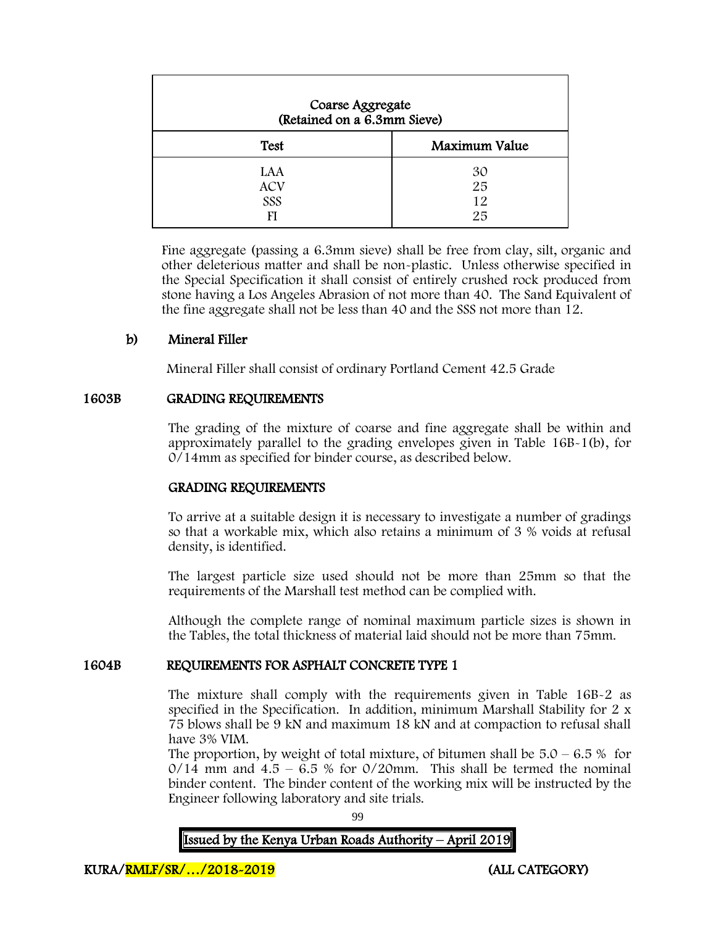| Coarse Aggregate<br>(Retained on a 6.3mm Sieve) |                      |  |  |  |
|-------------------------------------------------|----------------------|--|--|--|
| <b>Test</b>                                     | Maximum Value        |  |  |  |
| LAA<br><b>ACV</b><br>SSS                        | 30<br>25<br>12<br>25 |  |  |  |

Fine aggregate (passing a 6.3mm sieve) shall be free from clay, silt, organic and other deleterious matter and shall be non-plastic. Unless otherwise specified in the Special Specification it shall consist of entirely crushed rock produced from stone having a Los Angeles Abrasion of not more than 40. The Sand Equivalent of the fine aggregate shall not be less than 40 and the SSS not more than 12.

### b) Mineral Filler

Mineral Filler shall consist of ordinary Portland Cement 42.5 Grade

#### 1603B GRADING REQUIREMENTS

The grading of the mixture of coarse and fine aggregate shall be within and approximately parallel to the grading envelopes given in Table 16B-1(b), for 0/14mm as specified for binder course, as described below.

#### GRADING REQUIREMENTS

To arrive at a suitable design it is necessary to investigate a number of gradings so that a workable mix, which also retains a minimum of 3 % voids at refusal density, is identified.

The largest particle size used should not be more than 25mm so that the requirements of the Marshall test method can be complied with.

Although the complete range of nominal maximum particle sizes is shown in the Tables, the total thickness of material laid should not be more than 75mm.

### 1604B REQUIREMENTS FOR ASPHALT CONCRETE TYPE 1

The mixture shall comply with the requirements given in Table 16B-2 as specified in the Specification. In addition, minimum Marshall Stability for 2 x 75 blows shall be 9 kN and maximum 18 kN and at compaction to refusal shall have 3% VIM.

The proportion, by weight of total mixture, of bitumen shall be  $5.0 - 6.5\%$  for  $0/14$  mm and  $4.5 - 6.5$  % for  $0/20$ mm. This shall be termed the nominal binder content. The binder content of the working mix will be instructed by the Engineer following laboratory and site trials.

99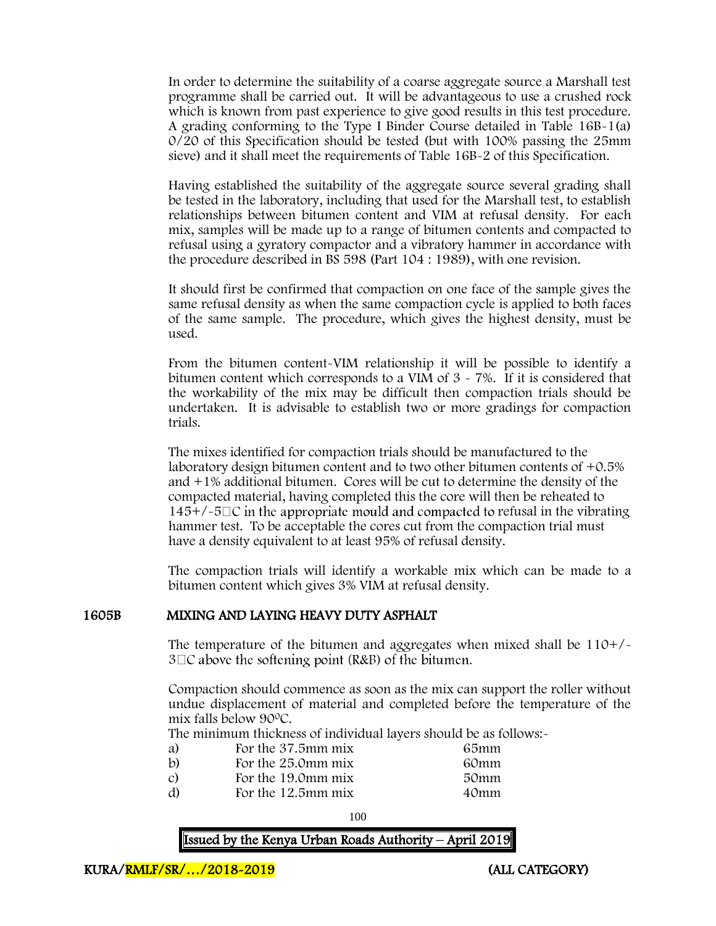In order to determine the suitability of a coarse aggregate source a Marshall test programme shall be carried out. It will be advantageous to use a crushed rock which is known from past experience to give good results in this test procedure. A grading conforming to the Type I Binder Course detailed in Table 16B-1(a) 0/20 of this Specification should be tested (but with 100% passing the 25mm sieve) and it shall meet the requirements of Table 16B-2 of this Specification.

Having established the suitability of the aggregate source several grading shall be tested in the laboratory, including that used for the Marshall test, to establish relationships between bitumen content and VIM at refusal density. For each mix, samples will be made up to a range of bitumen contents and compacted to refusal using a gyratory compactor and a vibratory hammer in accordance with the procedure described in BS 598 (Part 104 : 1989), with one revision.

It should first be confirmed that compaction on one face of the sample gives the same refusal density as when the same compaction cycle is applied to both faces of the same sample. The procedure, which gives the highest density, must be used.

From the bitumen content-VIM relationship it will be possible to identify a bitumen content which corresponds to a VIM of 3 - 7%. If it is considered that the workability of the mix may be difficult then compaction trials should be undertaken. It is advisable to establish two or more gradings for compaction trials.

The mixes identified for compaction trials should be manufactured to the laboratory design bitumen content and to two other bitumen contents of +0.5% and +1% additional bitumen. Cores will be cut to determine the density of the compacted material, having completed this the core will then be reheated to  $145+/-5\degree$  in the appropriate mould and compacted to refusal in the vibrating hammer test. To be acceptable the cores cut from the compaction trial must have a density equivalent to at least 95% of refusal density.

The compaction trials will identify a workable mix which can be made to a bitumen content which gives 3% VIM at refusal density.

#### 1605B MIXING AND LAYING HEAVY DUTY ASPHALT

The temperature of the bitumen and aggregates when mixed shall be  $110+/$  $3\Box C$  above the softening point (R&B) of the bitumen.

Compaction should commence as soon as the mix can support the roller without undue displacement of material and completed before the temperature of the mix falls below 90<sup>0</sup>C.

The minimum thickness of individual layers should be as follows:-

| a)            | For the 37.5mm mix | 65mm |
|---------------|--------------------|------|
| $\mathbf{b}$  | For the 25.0mm mix | 60mm |
| $\mathcal{C}$ | For the 19.0mm mix | 50mm |
| d)            | For the 12.5mm mix | 40mm |

100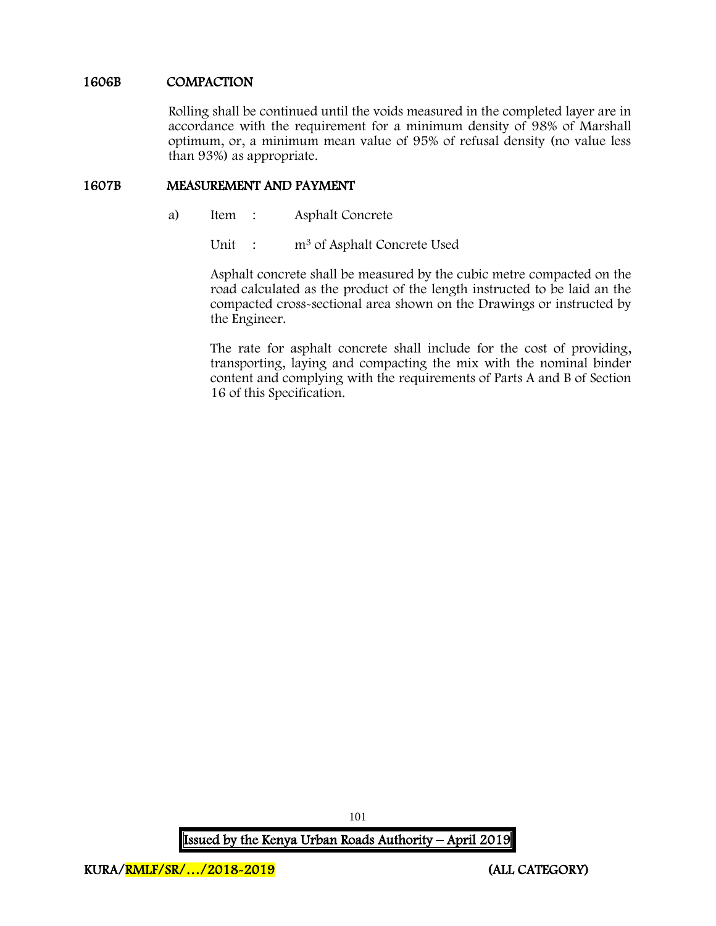### 1606B COMPACTION

Rolling shall be continued until the voids measured in the completed layer are in accordance with the requirement for a minimum density of 98% of Marshall optimum, or, a minimum mean value of 95% of refusal density (no value less than 93%) as appropriate.

### 1607B MEASUREMENT AND PAYMENT

- a) Item : Asphalt Concrete
	- Unit : m<sup>3</sup> of Asphalt Concrete Used

Asphalt concrete shall be measured by the cubic metre compacted on the road calculated as the product of the length instructed to be laid an the compacted cross-sectional area shown on the Drawings or instructed by the Engineer.

The rate for asphalt concrete shall include for the cost of providing, transporting, laying and compacting the mix with the nominal binder content and complying with the requirements of Parts A and B of Section 16 of this Specification.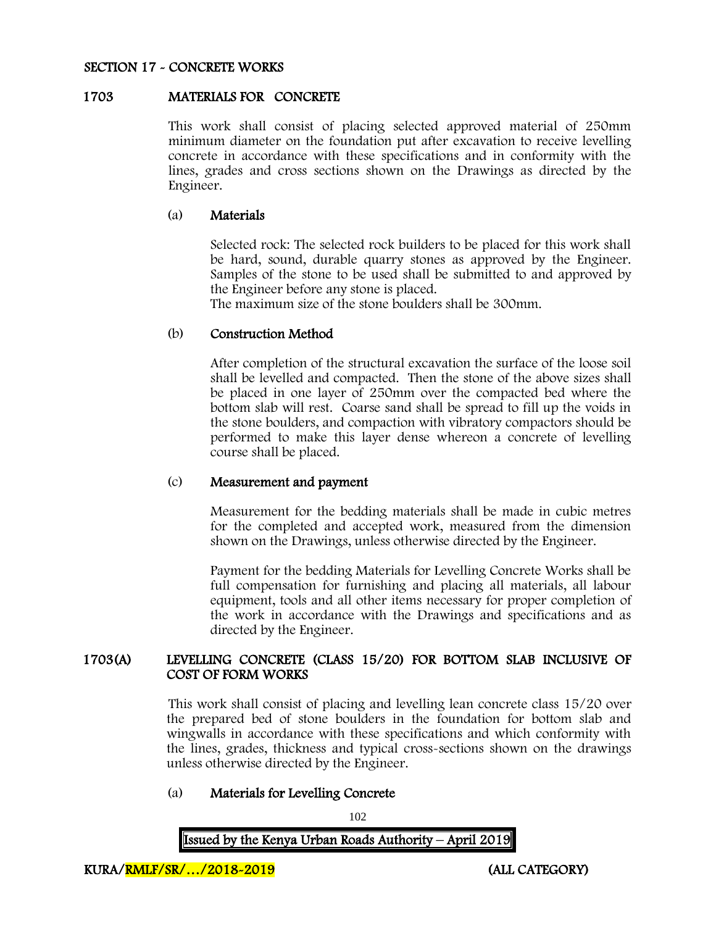#### SECTION 17 - CONCRETE WORKS

#### 1703 MATERIALS FOR CONCRETE

This work shall consist of placing selected approved material of 250mm minimum diameter on the foundation put after excavation to receive levelling concrete in accordance with these specifications and in conformity with the lines, grades and cross sections shown on the Drawings as directed by the Engineer.

#### (a) Materials

Selected rock: The selected rock builders to be placed for this work shall be hard, sound, durable quarry stones as approved by the Engineer. Samples of the stone to be used shall be submitted to and approved by the Engineer before any stone is placed.

The maximum size of the stone boulders shall be 300mm.

#### (b) Construction Method

After completion of the structural excavation the surface of the loose soil shall be levelled and compacted. Then the stone of the above sizes shall be placed in one layer of 250mm over the compacted bed where the bottom slab will rest. Coarse sand shall be spread to fill up the voids in the stone boulders, and compaction with vibratory compactors should be performed to make this layer dense whereon a concrete of levelling course shall be placed.

#### (c) Measurement and payment

Measurement for the bedding materials shall be made in cubic metres for the completed and accepted work, measured from the dimension shown on the Drawings, unless otherwise directed by the Engineer.

Payment for the bedding Materials for Levelling Concrete Works shall be full compensation for furnishing and placing all materials, all labour equipment, tools and all other items necessary for proper completion of the work in accordance with the Drawings and specifications and as directed by the Engineer.

#### 1703(A) LEVELLING CONCRETE (CLASS 15/20) FOR BOTTOM SLAB INCLUSIVE OF COST OF FORM WORKS

This work shall consist of placing and levelling lean concrete class 15/20 over the prepared bed of stone boulders in the foundation for bottom slab and wingwalls in accordance with these specifications and which conformity with the lines, grades, thickness and typical cross-sections shown on the drawings unless otherwise directed by the Engineer.

### (a) Materials for Levelling Concrete

102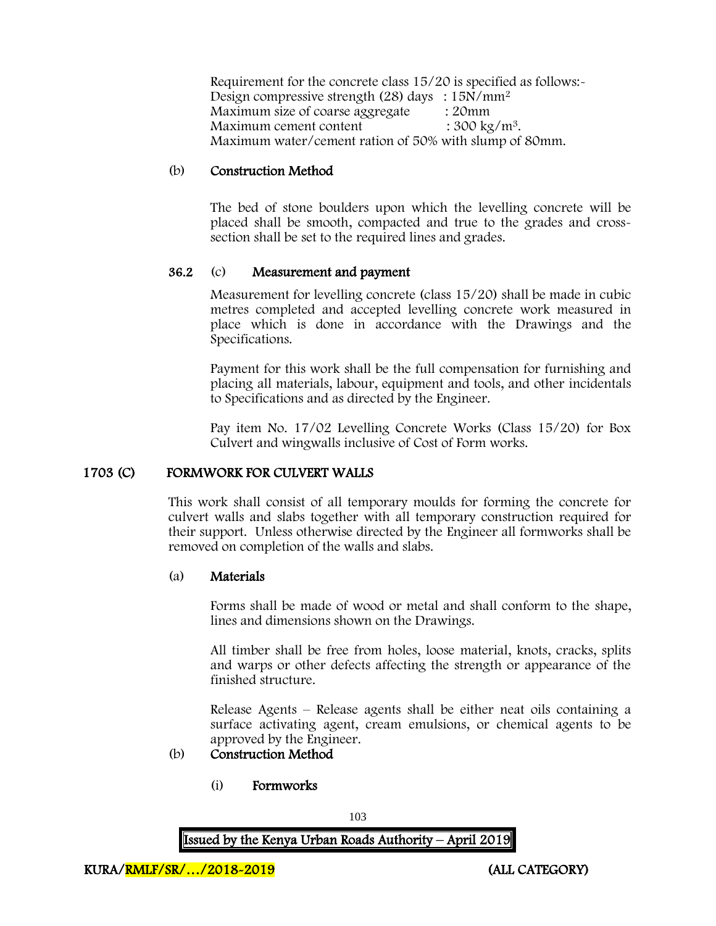Requirement for the concrete class 15/20 is specified as follows:- Design compressive strength (28) days : 15N/mm<sup>2</sup> Maximum size of coarse aggregate : 20mm Maximum cement content  $: 300 \text{ kg/m}^3$ . Maximum water/cement ration of 50% with slump of 80mm.

### (b) Construction Method

The bed of stone boulders upon which the levelling concrete will be placed shall be smooth, compacted and true to the grades and crosssection shall be set to the required lines and grades.

#### 36.2 (c) Measurement and payment

Measurement for levelling concrete (class 15/20) shall be made in cubic metres completed and accepted levelling concrete work measured in place which is done in accordance with the Drawings and the Specifications.

Payment for this work shall be the full compensation for furnishing and placing all materials, labour, equipment and tools, and other incidentals to Specifications and as directed by the Engineer.

Pay item No. 17/02 Levelling Concrete Works (Class 15/20) for Box Culvert and wingwalls inclusive of Cost of Form works.

#### 1703 (C) FORMWORK FOR CULVERT WALLS

This work shall consist of all temporary moulds for forming the concrete for culvert walls and slabs together with all temporary construction required for their support. Unless otherwise directed by the Engineer all formworks shall be removed on completion of the walls and slabs.

#### (a) Materials

Forms shall be made of wood or metal and shall conform to the shape, lines and dimensions shown on the Drawings.

All timber shall be free from holes, loose material, knots, cracks, splits and warps or other defects affecting the strength or appearance of the finished structure.

Release Agents – Release agents shall be either neat oils containing a surface activating agent, cream emulsions, or chemical agents to be approved by the Engineer.

### (b) Construction Method

(i) Formworks

103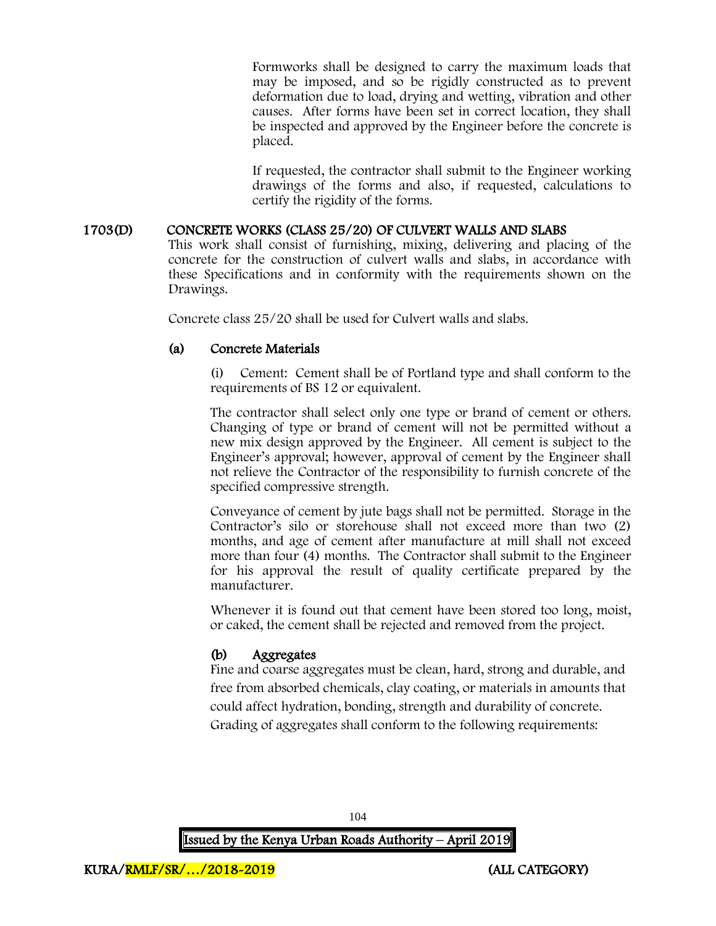Formworks shall be designed to carry the maximum loads that may be imposed, and so be rigidly constructed as to prevent deformation due to load, drying and wetting, vibration and other causes. After forms have been set in correct location, they shall be inspected and approved by the Engineer before the concrete is placed.

If requested, the contractor shall submit to the Engineer working drawings of the forms and also, if requested, calculations to certify the rigidity of the forms.

### 1703(D) CONCRETE WORKS (CLASS 25/20) OF CULVERT WALLS AND SLABS

This work shall consist of furnishing, mixing, delivering and placing of the concrete for the construction of culvert walls and slabs, in accordance with these Specifications and in conformity with the requirements shown on the Drawings.

Concrete class 25/20 shall be used for Culvert walls and slabs.

## (a) Concrete Materials

Cement: Cement shall be of Portland type and shall conform to the requirements of BS 12 or equivalent.

The contractor shall select only one type or brand of cement or others. Changing of type or brand of cement will not be permitted without a new mix design approved by the Engineer. All cement is subject to the Engineer's approval; however, approval of cement by the Engineer shall not relieve the Contractor of the responsibility to furnish concrete of the specified compressive strength.

Conveyance of cement by jute bags shall not be permitted. Storage in the Contractor's silo or storehouse shall not exceed more than two (2) months, and age of cement after manufacture at mill shall not exceed more than four (4) months. The Contractor shall submit to the Engineer for his approval the result of quality certificate prepared by the manufacturer.

Whenever it is found out that cement have been stored too long, moist, or caked, the cement shall be rejected and removed from the project.

# (b) Aggregates

Fine and coarse aggregates must be clean, hard, strong and durable, and free from absorbed chemicals, clay coating, or materials in amounts that could affect hydration, bonding, strength and durability of concrete. Grading of aggregates shall conform to the following requirements: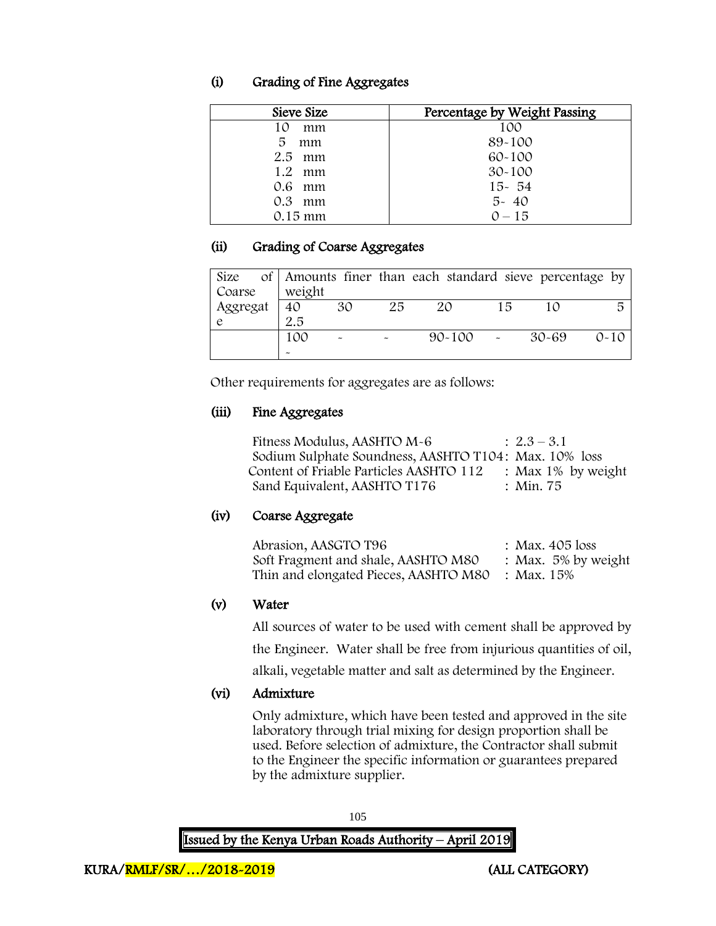# (i) Grading of Fine Aggregates

| Sieve Size | Percentage by Weight Passing |
|------------|------------------------------|
| mm<br>10   | 100                          |
| 5<br>mm    | 89-100                       |
| $2.5$ mm   | $60 - 100$                   |
| 1.2 mm     | $30 - 100$                   |
| 0.6 mm     | $15 - 54$                    |
| $0.3$ mm   | $5 - 40$                     |
| $0.15$ mm  | $0 - 15$                     |

## (ii) Grading of Coarse Aggregates

|          |        |                       |    |            |    | Size of Amounts finer than each standard sieve percentage by |          |
|----------|--------|-----------------------|----|------------|----|--------------------------------------------------------------|----------|
| Coarse   | weight |                       |    |            |    |                                                              |          |
| Aggregat | 40     | 30                    | 25 | 20         | 15 | 10                                                           |          |
|          | 2.5    |                       |    |            |    |                                                              |          |
|          | 100    | $\tilde{\phantom{a}}$ |    | $90 - 100$ |    | $30 - 69$                                                    | $0 - 10$ |
|          |        |                       |    |            |    |                                                              |          |

Other requirements for aggregates are as follows:

## (iii) Fine Aggregates

| Fitness Modulus, AASHTO M-6                           | $\therefore$ 2.3 – 3.1 |
|-------------------------------------------------------|------------------------|
| Sodium Sulphate Soundness, AASHTO T104: Max. 10% loss |                        |
| Content of Friable Particles AASHTO 112               | : Max $1\%$ by weight  |
| Sand Equivalent, AASHTO T176                          | $\therefore$ Min. 75   |

# (iv) Coarse Aggregate

| Abrasion, AASGTO T96                  | : Max. $405$ loss      |
|---------------------------------------|------------------------|
| Soft Fragment and shale, AASHTO M80   | : Max. $5\%$ by weight |
| Thin and elongated Pieces, AASHTO M80 | : Max. 15%             |

# (v) Water

All sources of water to be used with cement shall be approved by the Engineer. Water shall be free from injurious quantities of oil, alkali, vegetable matter and salt as determined by the Engineer.

# (vi) Admixture

Only admixture, which have been tested and approved in the site laboratory through trial mixing for design proportion shall be used. Before selection of admixture, the Contractor shall submit to the Engineer the specific information or guarantees prepared by the admixture supplier.

105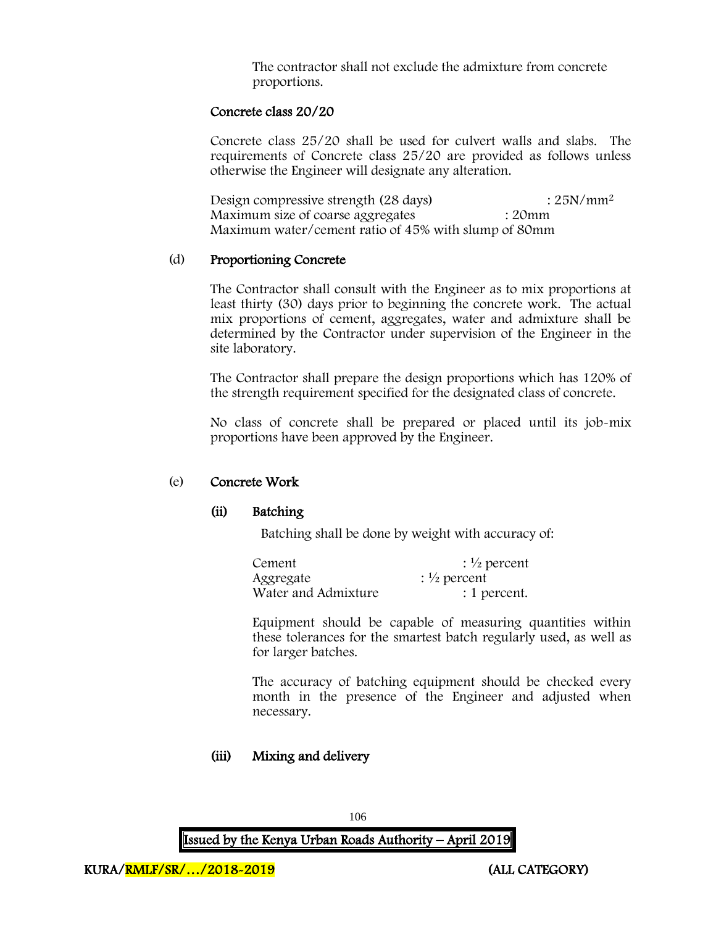The contractor shall not exclude the admixture from concrete proportions.

### Concrete class 20/20

Concrete class 25/20 shall be used for culvert walls and slabs. The requirements of Concrete class 25/20 are provided as follows unless otherwise the Engineer will designate any alteration.

Design compressive strength  $(28 \text{ days})$  :  $25N/mm^2$ Maximum size of coarse aggregates : 20mm Maximum water/cement ratio of 45% with slump of 80mm

#### (d) Proportioning Concrete

The Contractor shall consult with the Engineer as to mix proportions at least thirty (30) days prior to beginning the concrete work. The actual mix proportions of cement, aggregates, water and admixture shall be determined by the Contractor under supervision of the Engineer in the site laboratory.

The Contractor shall prepare the design proportions which has 120% of the strength requirement specified for the designated class of concrete.

No class of concrete shall be prepared or placed until its job-mix proportions have been approved by the Engineer.

### (e) Concrete Work

### (ii) Batching

Batching shall be done by weight with accuracy of:

| Cement              | $\frac{1}{2}$ percent |
|---------------------|-----------------------|
| Aggregate           | $\frac{1}{2}$ percent |
| Water and Admixture | : 1 percent.          |

Equipment should be capable of measuring quantities within these tolerances for the smartest batch regularly used, as well as for larger batches.

The accuracy of batching equipment should be checked every month in the presence of the Engineer and adjusted when necessary.

### (iii) Mixing and delivery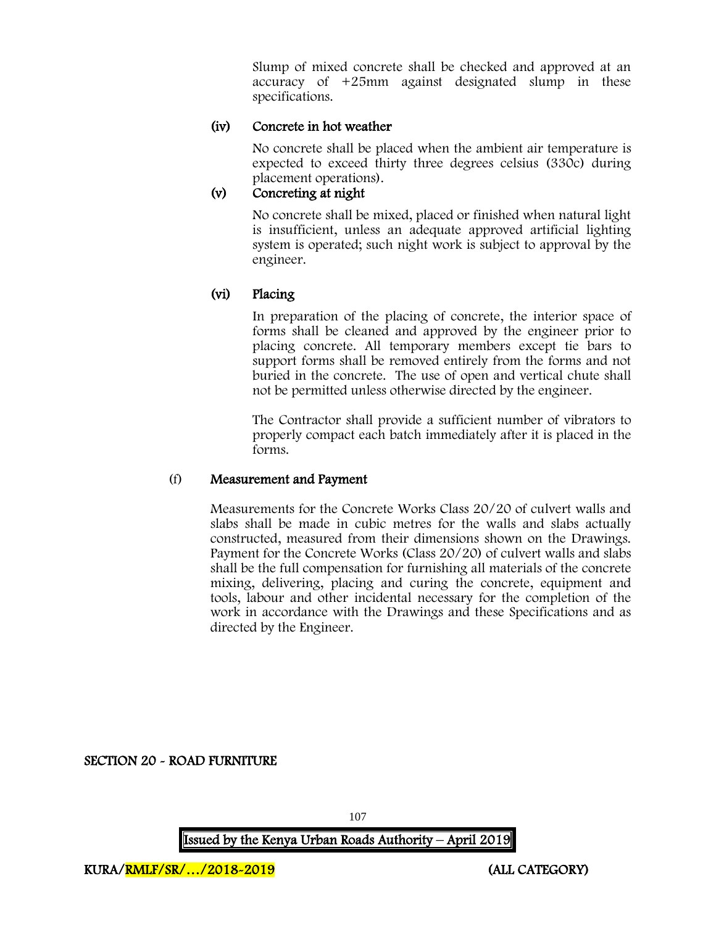Slump of mixed concrete shall be checked and approved at an accuracy of +25mm against designated slump in these specifications.

## (iv) Concrete in hot weather

No concrete shall be placed when the ambient air temperature is expected to exceed thirty three degrees celsius (330c) during placement operations).

# (v) Concreting at night

No concrete shall be mixed, placed or finished when natural light is insufficient, unless an adequate approved artificial lighting system is operated; such night work is subject to approval by the engineer.

## (vi) Placing

In preparation of the placing of concrete, the interior space of forms shall be cleaned and approved by the engineer prior to placing concrete. All temporary members except tie bars to support forms shall be removed entirely from the forms and not buried in the concrete. The use of open and vertical chute shall not be permitted unless otherwise directed by the engineer.

The Contractor shall provide a sufficient number of vibrators to properly compact each batch immediately after it is placed in the forms.

### (f) Measurement and Payment

Measurements for the Concrete Works Class 20/20 of culvert walls and slabs shall be made in cubic metres for the walls and slabs actually constructed, measured from their dimensions shown on the Drawings. Payment for the Concrete Works (Class 20/20) of culvert walls and slabs shall be the full compensation for furnishing all materials of the concrete mixing, delivering, placing and curing the concrete, equipment and tools, labour and other incidental necessary for the completion of the work in accordance with the Drawings and these Specifications and as directed by the Engineer.

SECTION 20 - ROAD FURNITURE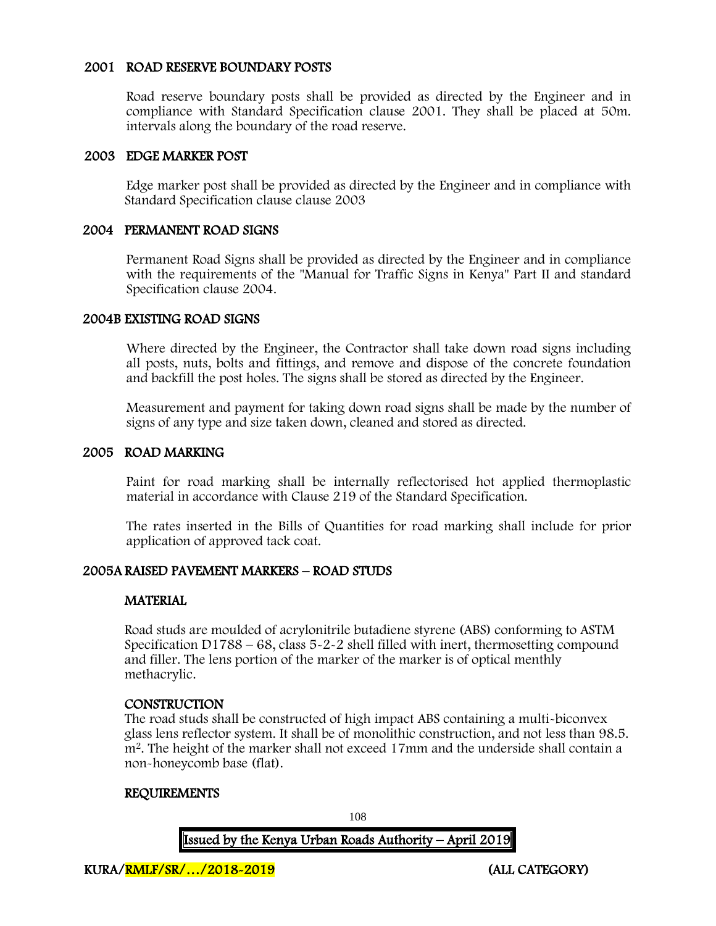### 2001 ROAD RESERVE BOUNDARY POSTS

Road reserve boundary posts shall be provided as directed by the Engineer and in compliance with Standard Specification clause 2001. They shall be placed at 50m. intervals along the boundary of the road reserve.

#### 2003 EDGE MARKER POST

Edge marker post shall be provided as directed by the Engineer and in compliance with Standard Specification clause clause 2003

# 2004 PERMANENT ROAD SIGNS

Permanent Road Signs shall be provided as directed by the Engineer and in compliance with the requirements of the "Manual for Traffic Signs in Kenya" Part II and standard Specification clause 2004.

#### 2004B EXISTING ROAD SIGNS

Where directed by the Engineer, the Contractor shall take down road signs including all posts, nuts, bolts and fittings, and remove and dispose of the concrete foundation and backfill the post holes. The signs shall be stored as directed by the Engineer.

Measurement and payment for taking down road signs shall be made by the number of signs of any type and size taken down, cleaned and stored as directed.

### 2005 ROAD MARKING

Paint for road marking shall be internally reflectorised hot applied thermoplastic material in accordance with Clause 219 of the Standard Specification.

The rates inserted in the Bills of Quantities for road marking shall include for prior application of approved tack coat.

# 2005A RAISED PAVEMENT MARKERS – ROAD STUDS

#### **MATERIAL**

Road studs are moulded of acrylonitrile butadiene styrene (ABS) conforming to ASTM Specification D1788 – 68, class 5-2-2 shell filled with inert, thermosetting compound and filler. The lens portion of the marker of the marker is of optical menthly methacrylic.

# **CONSTRUCTION**

The road studs shall be constructed of high impact ABS containing a multi-biconvex glass lens reflector system. It shall be of monolithic construction, and not less than 98.5. m<sup>2</sup>. The height of the marker shall not exceed 17mm and the underside shall contain a non-honeycomb base (flat).

# REQUIREMENTS

108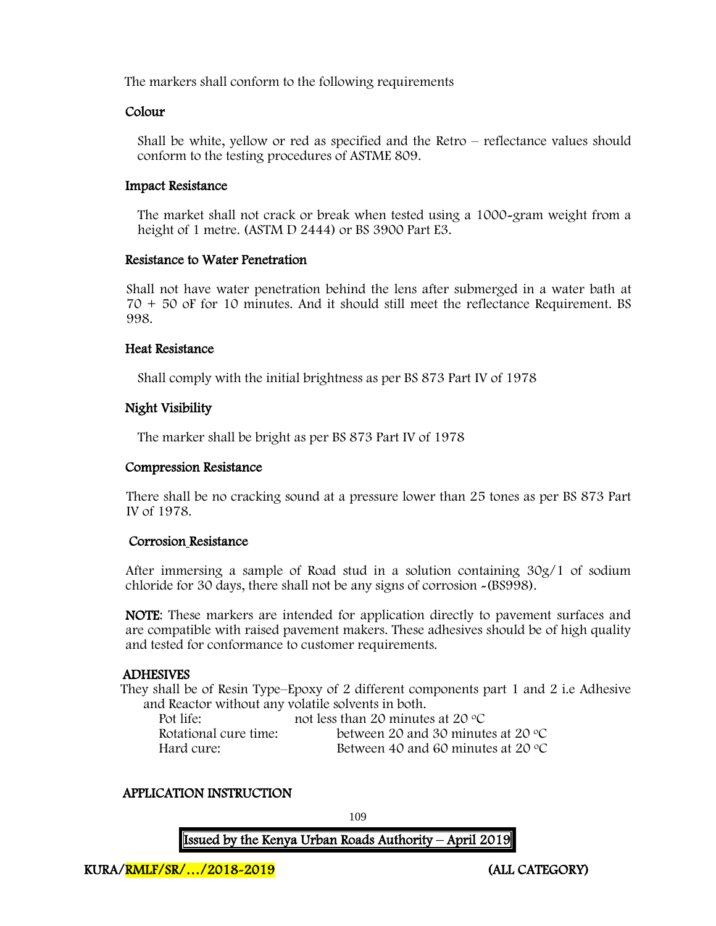The markers shall conform to the following requirements

### Colour

Shall be white, yellow or red as specified and the Retro – reflectance values should conform to the testing procedures of ASTME 809.

#### Impact Resistance

The market shall not crack or break when tested using a 1000-gram weight from a height of 1 metre. (ASTM D 2444) or BS 3900 Part E3.

### Resistance to Water Penetration

Shall not have water penetration behind the lens after submerged in a water bath at 70 + 50 oF for 10 minutes. And it should still meet the reflectance Requirement. BS 998.

#### Heat Resistance

Shall comply with the initial brightness as per BS 873 Part IV of 1978

# Night Visibility

The marker shall be bright as per BS 873 Part IV of 1978

#### Compression Resistance

There shall be no cracking sound at a pressure lower than 25 tones as per BS 873 Part IV of 1978.

#### Corrosion Resistance

After immersing a sample of Road stud in a solution containing 30g/1 of sodium chloride for 30 days, there shall not be any signs of corrosion -(BS998).

NOTE: These markers are intended for application directly to pavement surfaces and are compatible with raised pavement makers. These adhesives should be of high quality and tested for conformance to customer requirements.

#### ADHESIVES

They shall be of Resin Type–Epoxy of 2 different components part 1 and 2 i.e Adhesive and Reactor without any volatile solvents in both.

| Pot life:             | not less than 20 minutes at 20 $\degree$ C  |
|-----------------------|---------------------------------------------|
| Rotational cure time: | between 20 and 30 minutes at 20 $\degree$ C |
| Hard cure:-           | Between 40 and 60 minutes at 20 $\degree$ C |

# APPLICATION INSTRUCTION

109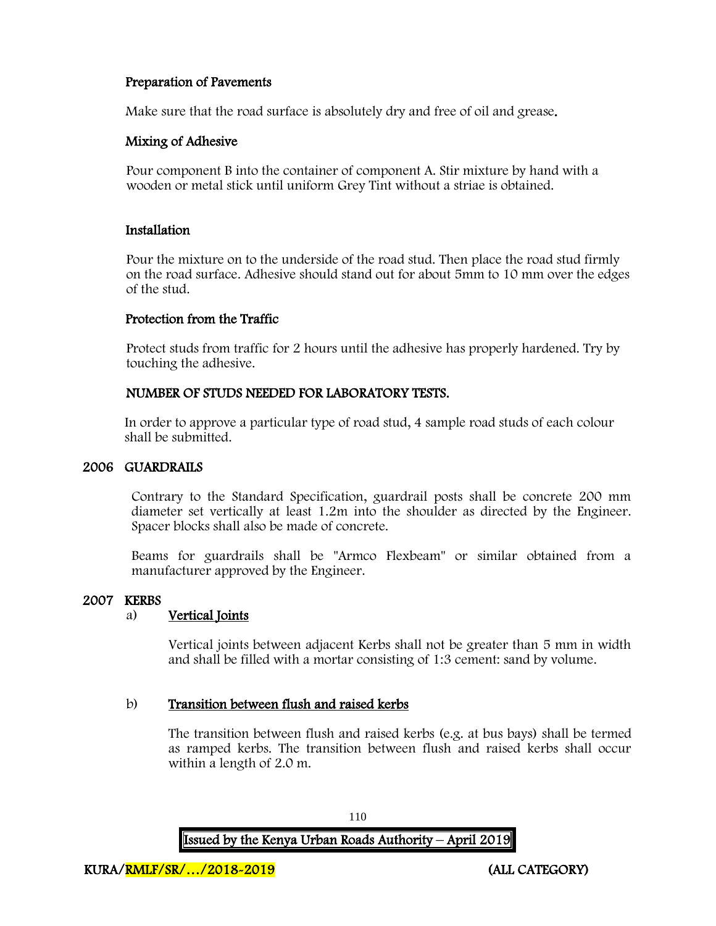# Preparation of Pavements

Make sure that the road surface is absolutely dry and free of oil and grease.

# Mixing of Adhesive

Pour component B into the container of component A. Stir mixture by hand with a wooden or metal stick until uniform Grey Tint without a striae is obtained.

# Installation

Pour the mixture on to the underside of the road stud. Then place the road stud firmly on the road surface. Adhesive should stand out for about 5mm to 10 mm over the edges of the stud.

# Protection from the Traffic

Protect studs from traffic for 2 hours until the adhesive has properly hardened. Try by touching the adhesive.

# NUMBER OF STUDS NEEDED FOR LABORATORY TESTS.

In order to approve a particular type of road stud, 4 sample road studs of each colour shall be submitted.

# 2006 GUARDRAILS

Contrary to the Standard Specification, guardrail posts shall be concrete 200 mm diameter set vertically at least 1.2m into the shoulder as directed by the Engineer. Spacer blocks shall also be made of concrete.

Beams for guardrails shall be "Armco Flexbeam" or similar obtained from a manufacturer approved by the Engineer.

# 2007 KERBS

# a) Vertical Joints

Vertical joints between adjacent Kerbs shall not be greater than 5 mm in width and shall be filled with a mortar consisting of 1:3 cement: sand by volume.

# b) Transition between flush and raised kerbs

The transition between flush and raised kerbs (e.g. at bus bays) shall be termed as ramped kerbs. The transition between flush and raised kerbs shall occur within a length of 2.0 m.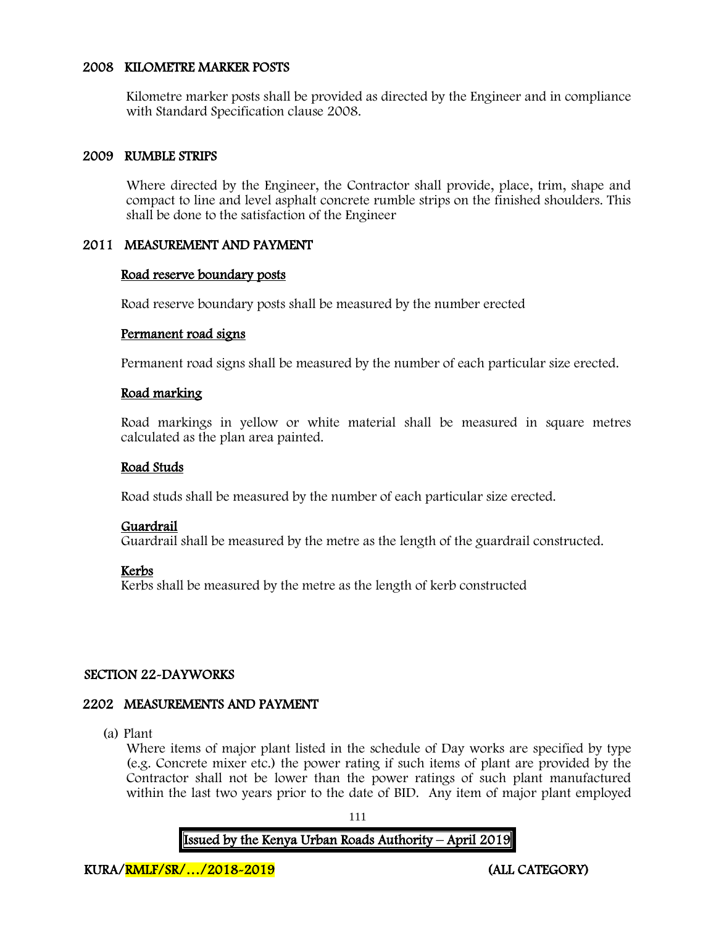# 2008 KILOMETRE MARKER POSTS

Kilometre marker posts shall be provided as directed by the Engineer and in compliance with Standard Specification clause 2008.

#### 2009 RUMBLE STRIPS

Where directed by the Engineer, the Contractor shall provide, place, trim, shape and compact to line and level asphalt concrete rumble strips on the finished shoulders. This shall be done to the satisfaction of the Engineer

### 2011 MEASUREMENT AND PAYMENT

#### Road reserve boundary posts

Road reserve boundary posts shall be measured by the number erected

#### Permanent road signs

Permanent road signs shall be measured by the number of each particular size erected.

### Road marking

Road markings in yellow or white material shall be measured in square metres calculated as the plan area painted.

#### Road Studs

Road studs shall be measured by the number of each particular size erected.

#### Guardrail

Guardrail shall be measured by the metre as the length of the guardrail constructed.

#### Kerbs

Kerbs shall be measured by the metre as the length of kerb constructed

#### SECTION 22-DAYWORKS

# 2202 MEASUREMENTS AND PAYMENT

(a) Plant

Where items of major plant listed in the schedule of Day works are specified by type (e.g. Concrete mixer etc.) the power rating if such items of plant are provided by the Contractor shall not be lower than the power ratings of such plant manufactured within the last two years prior to the date of BID. Any item of major plant employed

111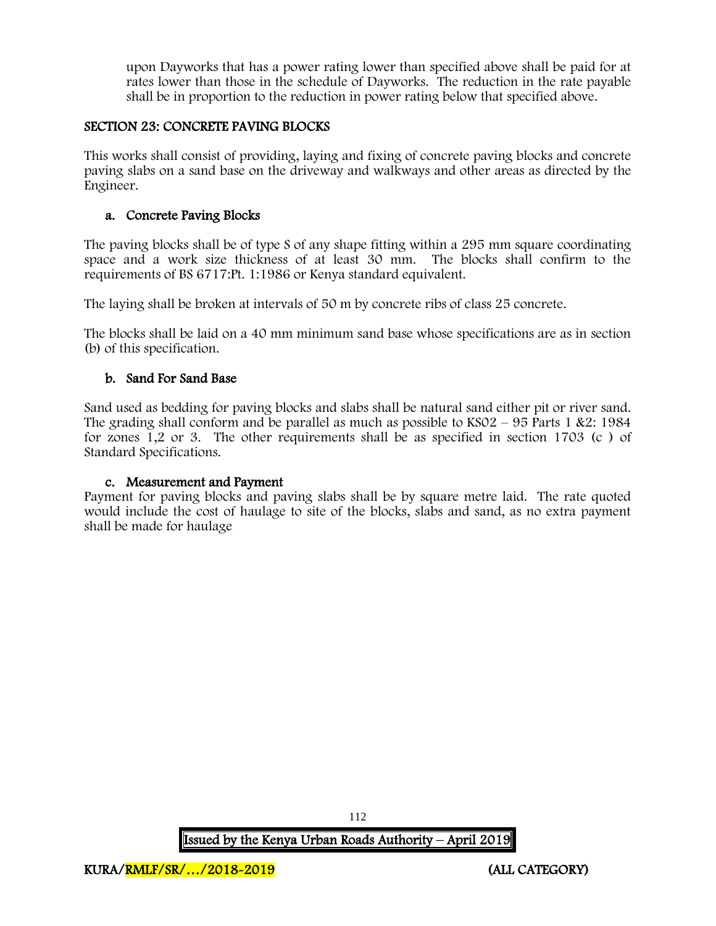upon Dayworks that has a power rating lower than specified above shall be paid for at rates lower than those in the schedule of Dayworks. The reduction in the rate payable shall be in proportion to the reduction in power rating below that specified above.

# SECTION 23: CONCRETE PAVING BLOCKS

This works shall consist of providing, laying and fixing of concrete paving blocks and concrete paving slabs on a sand base on the driveway and walkways and other areas as directed by the Engineer.

# a. Concrete Paving Blocks

The paving blocks shall be of type S of any shape fitting within a 295 mm square coordinating space and a work size thickness of at least 30 mm. The blocks shall confirm to the requirements of BS 6717:Pt. 1:1986 or Kenya standard equivalent.

The laying shall be broken at intervals of 50 m by concrete ribs of class 25 concrete.

The blocks shall be laid on a 40 mm minimum sand base whose specifications are as in section (b) of this specification.

# b. Sand For Sand Base

Sand used as bedding for paving blocks and slabs shall be natural sand either pit or river sand. The grading shall conform and be parallel as much as possible to  $KSO2 - 95$  Parts 1 &2: 1984 for zones 1,2 or 3. The other requirements shall be as specified in section 1703 (c ) of Standard Specifications.

# c. Measurement and Payment

Payment for paving blocks and paving slabs shall be by square metre laid. The rate quoted would include the cost of haulage to site of the blocks, slabs and sand, as no extra payment shall be made for haulage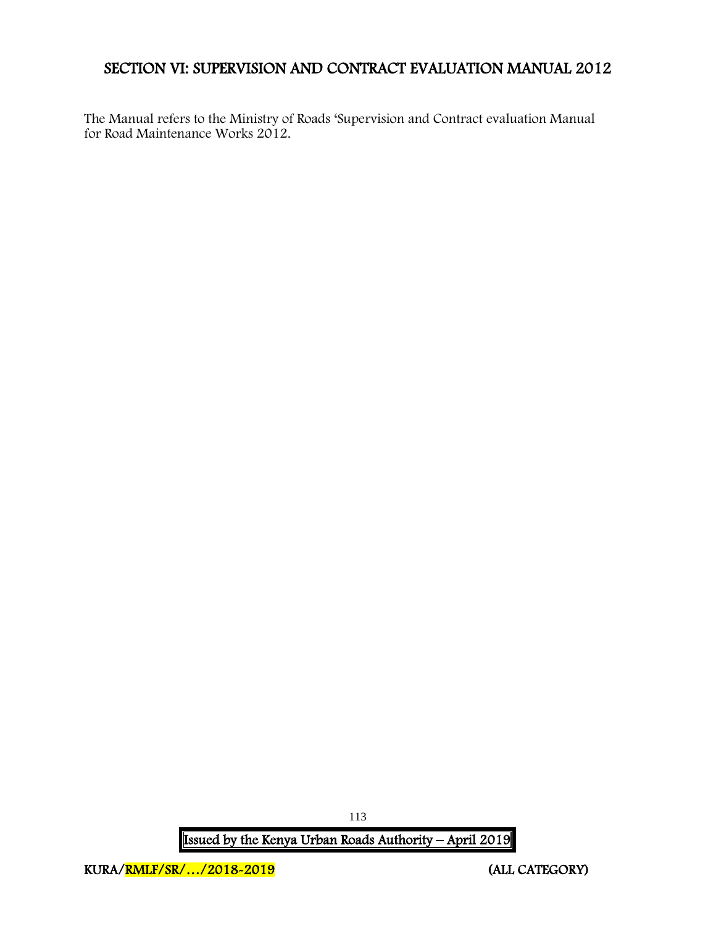# SECTION VI: SUPERVISION AND CONTRACT EVALUATION MANUAL 2012

The Manual refers to the Ministry of Roads 'Supervision and Contract evaluation Manual for Road Maintenance Works 2012.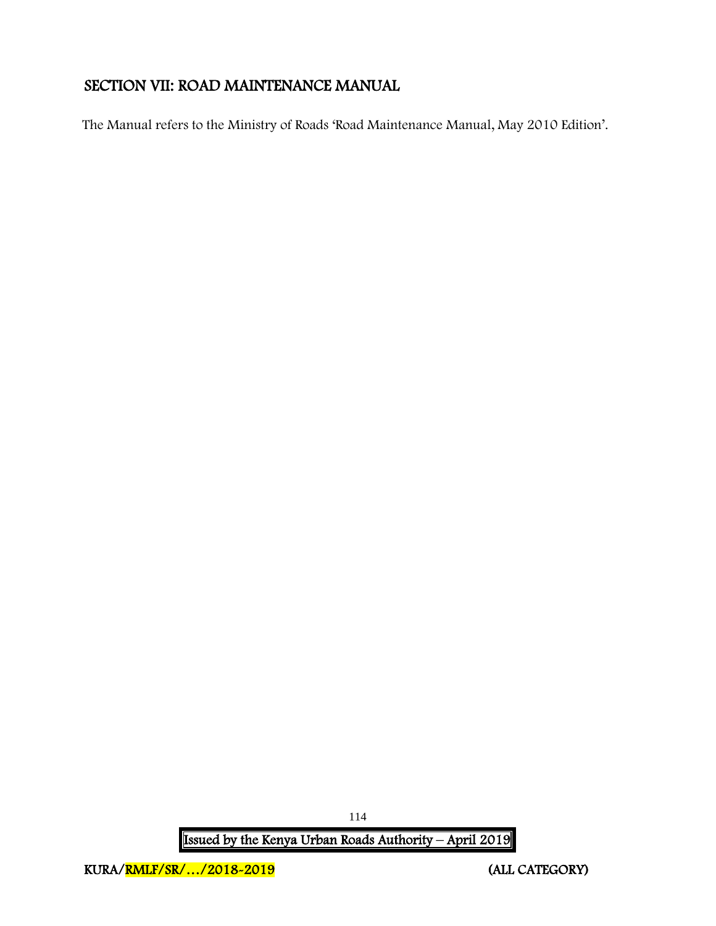# SECTION VII: ROAD MAINTENANCE MANUAL

The Manual refers to the Ministry of Roads 'Road Maintenance Manual, May 2010 Edition'.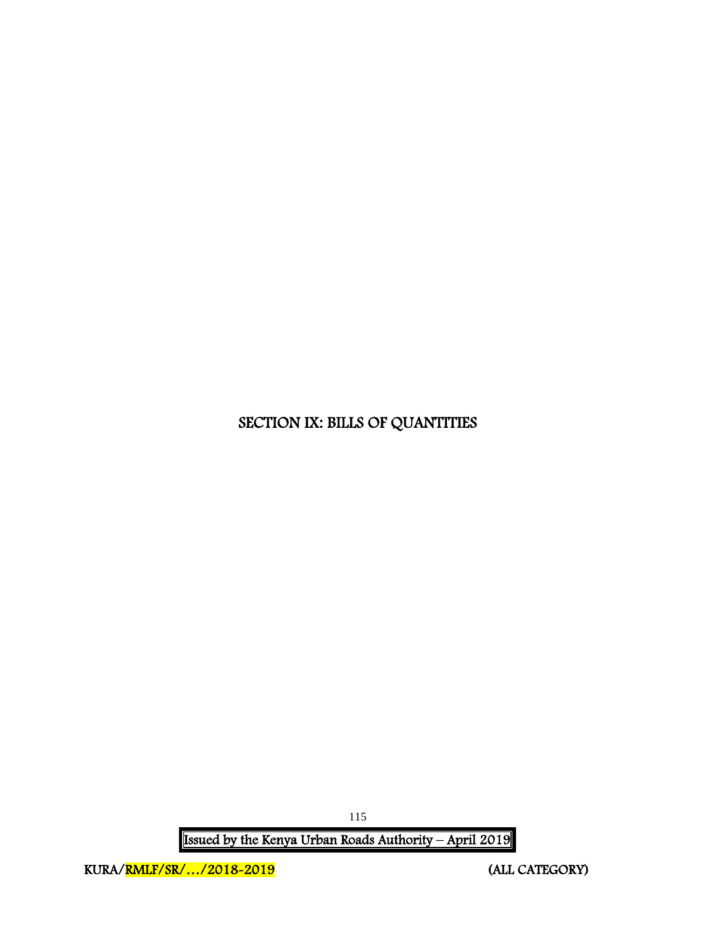SECTION IX: BILLS OF QUANTITIES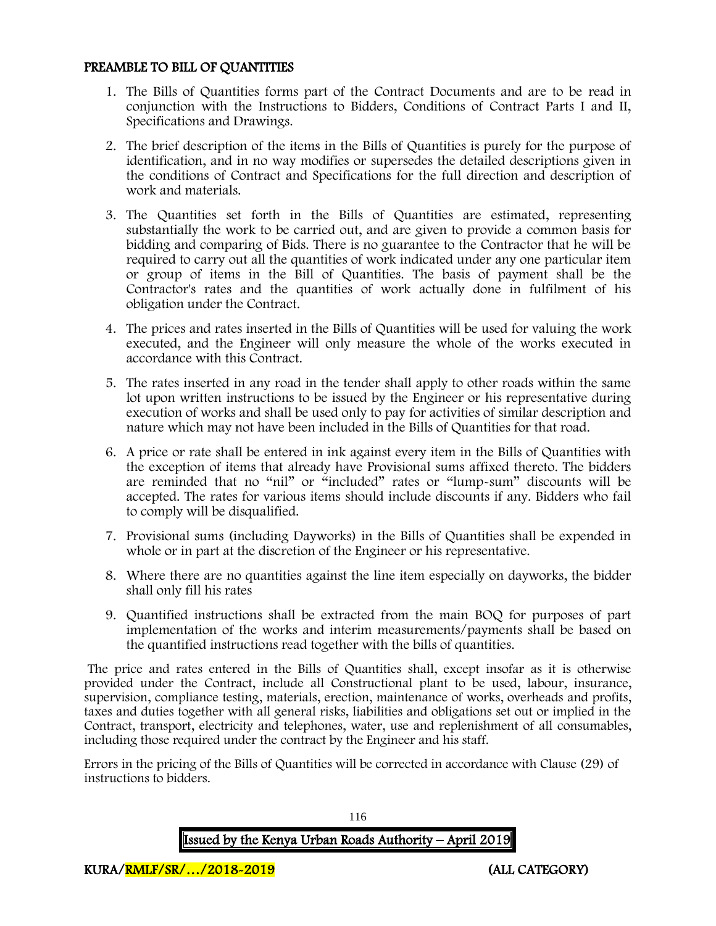### PREAMBLE TO BILL OF QUANTITIES

- 1. The Bills of Quantities forms part of the Contract Documents and are to be read in conjunction with the Instructions to Bidders, Conditions of Contract Parts I and II, Specifications and Drawings.
- 2. The brief description of the items in the Bills of Quantities is purely for the purpose of identification, and in no way modifies or supersedes the detailed descriptions given in the conditions of Contract and Specifications for the full direction and description of work and materials.
- 3. The Quantities set forth in the Bills of Quantities are estimated, representing substantially the work to be carried out, and are given to provide a common basis for bidding and comparing of Bids. There is no guarantee to the Contractor that he will be required to carry out all the quantities of work indicated under any one particular item or group of items in the Bill of Quantities. The basis of payment shall be the Contractor's rates and the quantities of work actually done in fulfilment of his obligation under the Contract.
- 4. The prices and rates inserted in the Bills of Quantities will be used for valuing the work executed, and the Engineer will only measure the whole of the works executed in accordance with this Contract.
- 5. The rates inserted in any road in the tender shall apply to other roads within the same lot upon written instructions to be issued by the Engineer or his representative during execution of works and shall be used only to pay for activities of similar description and nature which may not have been included in the Bills of Quantities for that road.
- 6. A price or rate shall be entered in ink against every item in the Bills of Quantities with the exception of items that already have Provisional sums affixed thereto. The bidders are reminded that no "nil" or "included" rates or "lump-sum" discounts will be accepted. The rates for various items should include discounts if any. Bidders who fail to comply will be disqualified.
- 7. Provisional sums (including Dayworks) in the Bills of Quantities shall be expended in whole or in part at the discretion of the Engineer or his representative.
- 8. Where there are no quantities against the line item especially on dayworks, the bidder shall only fill his rates
- 9. Quantified instructions shall be extracted from the main BOQ for purposes of part implementation of the works and interim measurements/payments shall be based on the quantified instructions read together with the bills of quantities.

The price and rates entered in the Bills of Quantities shall, except insofar as it is otherwise provided under the Contract, include all Constructional plant to be used, labour, insurance, supervision, compliance testing, materials, erection, maintenance of works, overheads and profits, taxes and duties together with all general risks, liabilities and obligations set out or implied in the Contract, transport, electricity and telephones, water, use and replenishment of all consumables, including those required under the contract by the Engineer and his staff.

Errors in the pricing of the Bills of Quantities will be corrected in accordance with Clause (29) of instructions to bidders.

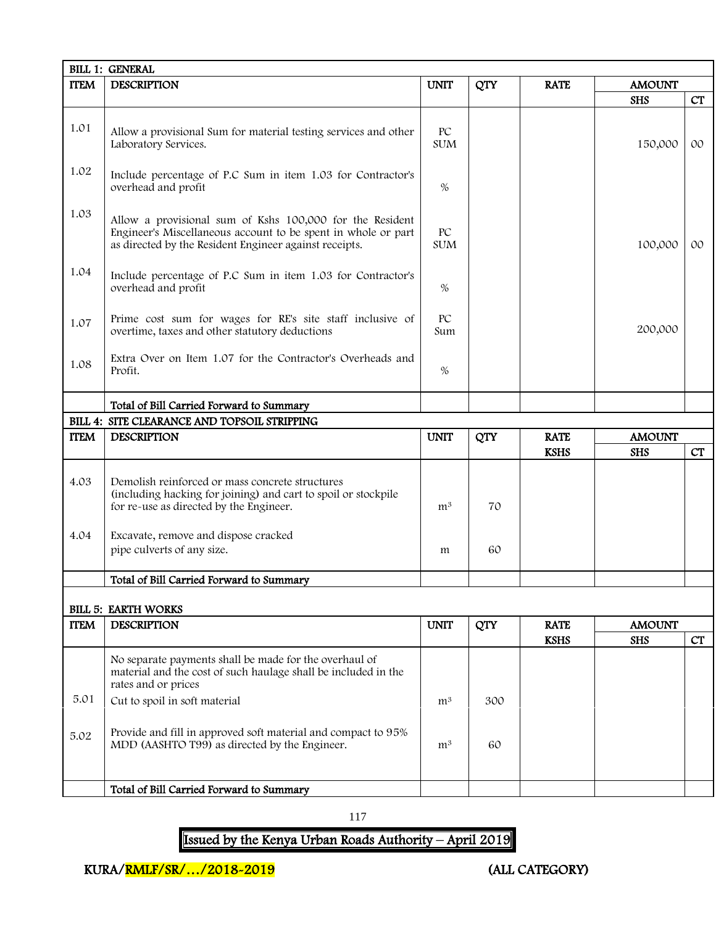|              | BILL 1: GENERAL                                                                                                                                                                                                                    |                       |            |             |               |                 |
|--------------|------------------------------------------------------------------------------------------------------------------------------------------------------------------------------------------------------------------------------------|-----------------------|------------|-------------|---------------|-----------------|
| <b>ITEM</b>  | <b>DESCRIPTION</b>                                                                                                                                                                                                                 | <b>UNIT</b>           | <b>QTY</b> | <b>RATE</b> | <b>AMOUNT</b> |                 |
|              |                                                                                                                                                                                                                                    |                       |            |             | <b>SHS</b>    | CT              |
| 1.01         | Allow a provisional Sum for material testing services and other<br>Laboratory Services.                                                                                                                                            | PC<br><b>SUM</b>      |            |             | 150,000       | 00 <sup>o</sup> |
| 1.02         | Include percentage of P.C Sum in item 1.03 for Contractor's<br>overhead and profit                                                                                                                                                 | %                     |            |             |               |                 |
| 1.03         | Allow a provisional sum of Kshs 100,000 for the Resident<br>Engineer's Miscellaneous account to be spent in whole or part<br>as directed by the Resident Engineer against receipts.                                                | PC<br><b>SUM</b>      |            |             | 100,000       | $00\degree$     |
| 1.04         | Include percentage of P.C Sum in item 1.03 for Contractor's<br>overhead and profit                                                                                                                                                 | %                     |            |             |               |                 |
| 1.07         | Prime cost sum for wages for RE's site staff inclusive of<br>overtime, taxes and other statutory deductions                                                                                                                        | PC<br>Sum             |            |             | 200,000       |                 |
| 1.08         | Extra Over on Item 1.07 for the Contractor's Overheads and<br>Profit.                                                                                                                                                              | $\%$                  |            |             |               |                 |
|              | Total of Bill Carried Forward to Summary                                                                                                                                                                                           |                       |            |             |               |                 |
|              | BILL 4: SITE CLEARANCE AND TOPSOIL STRIPPING                                                                                                                                                                                       |                       |            |             |               |                 |
| <b>ITEM</b>  | <b>DESCRIPTION</b>                                                                                                                                                                                                                 | <b>UNIT</b>           | <b>QTY</b> | <b>RATE</b> | <b>AMOUNT</b> |                 |
|              |                                                                                                                                                                                                                                    |                       |            | <b>KSHS</b> | <b>SHS</b>    | CT              |
| 4.03<br>4.04 | Demolish reinforced or mass concrete structures<br>(including hacking for joining) and cart to spoil or stockpile<br>for re-use as directed by the Engineer.<br>Excavate, remove and dispose cracked<br>pipe culverts of any size. | $\mathfrak{m}^3$<br>m | 70<br>60   |             |               |                 |
|              | Total of Bill Carried Forward to Summary                                                                                                                                                                                           |                       |            |             |               |                 |
|              |                                                                                                                                                                                                                                    |                       |            |             |               |                 |
|              | <b>BILL 5: EARTH WORKS</b>                                                                                                                                                                                                         |                       |            |             |               |                 |
| <b>ITEM</b>  | <b>DESCRIPTION</b>                                                                                                                                                                                                                 | <b>UNIT</b>           | <b>QTY</b> | <b>RATE</b> | <b>AMOUNT</b> |                 |
|              |                                                                                                                                                                                                                                    |                       |            | <b>KSHS</b> | <b>SHS</b>    | CT              |
|              | No separate payments shall be made for the overhaul of<br>material and the cost of such haulage shall be included in the<br>rates and or prices                                                                                    |                       |            |             |               |                 |
| 5.01         | Cut to spoil in soft material                                                                                                                                                                                                      | $\mathfrak{m}^3$      | 300        |             |               |                 |
| 5.02         | Provide and fill in approved soft material and compact to 95%<br>MDD (AASHTO T99) as directed by the Engineer.                                                                                                                     | m <sup>3</sup>        | 60         |             |               |                 |
|              | Total of Bill Carried Forward to Summary                                                                                                                                                                                           |                       |            |             |               |                 |
|              |                                                                                                                                                                                                                                    |                       |            |             |               |                 |

117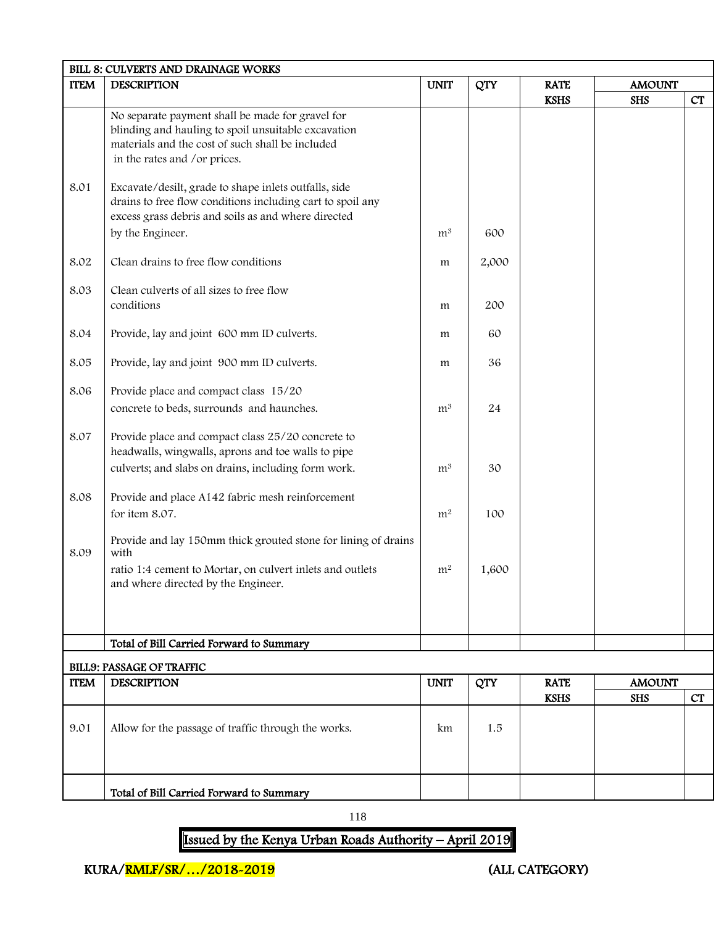|             | <b>BILL 8: CULVERTS AND DRAINAGE WORKS</b>                                                                                                                                                     |                |            |             |               |    |
|-------------|------------------------------------------------------------------------------------------------------------------------------------------------------------------------------------------------|----------------|------------|-------------|---------------|----|
| <b>ITEM</b> | <b>DESCRIPTION</b>                                                                                                                                                                             | <b>UNIT</b>    | <b>QTY</b> | <b>RATE</b> | <b>AMOUNT</b> |    |
|             |                                                                                                                                                                                                |                |            | <b>KSHS</b> | <b>SHS</b>    | CT |
|             | No separate payment shall be made for gravel for<br>blinding and hauling to spoil unsuitable excavation<br>materials and the cost of such shall be included<br>in the rates and /or prices.    |                |            |             |               |    |
| 8.01        | Excavate/desilt, grade to shape inlets outfalls, side<br>drains to free flow conditions including cart to spoil any<br>excess grass debris and soils as and where directed<br>by the Engineer. | m <sup>3</sup> | 600        |             |               |    |
|             |                                                                                                                                                                                                |                |            |             |               |    |
| 8.02        | Clean drains to free flow conditions                                                                                                                                                           | m              | 2,000      |             |               |    |
| 8.03        | Clean culverts of all sizes to free flow                                                                                                                                                       |                |            |             |               |    |
|             | conditions                                                                                                                                                                                     | m              | 200        |             |               |    |
| 8.04        | Provide, lay and joint 600 mm ID culverts.                                                                                                                                                     | m              | 60         |             |               |    |
| 8.05        | Provide, lay and joint 900 mm ID culverts.                                                                                                                                                     | m              | 36         |             |               |    |
| 8.06        | Provide place and compact class 15/20                                                                                                                                                          |                |            |             |               |    |
|             | concrete to beds, surrounds and haunches.                                                                                                                                                      | m <sup>3</sup> | 24         |             |               |    |
| 8.07        | Provide place and compact class 25/20 concrete to<br>headwalls, wingwalls, aprons and toe walls to pipe<br>culverts; and slabs on drains, including form work.                                 | m <sup>3</sup> | 30         |             |               |    |
|             |                                                                                                                                                                                                |                |            |             |               |    |
| 8.08        | Provide and place A142 fabric mesh reinforcement                                                                                                                                               |                |            |             |               |    |
|             | for item 8.07.                                                                                                                                                                                 | m <sup>2</sup> | 100        |             |               |    |
| 8.09        | Provide and lay 150mm thick grouted stone for lining of drains<br>with                                                                                                                         |                |            |             |               |    |
|             | ratio 1:4 cement to Mortar, on culvert inlets and outlets<br>and where directed by the Engineer.                                                                                               | m <sup>2</sup> | 1,600      |             |               |    |
|             | Total of Bill Carried Forward to Summary                                                                                                                                                       |                |            |             |               |    |
|             |                                                                                                                                                                                                |                |            |             |               |    |
| <b>ITEM</b> | <b>BILL9: PASSAGE OF TRAFFIC</b><br><b>DESCRIPTION</b>                                                                                                                                         | <b>UNIT</b>    | <b>QTY</b> | <b>RATE</b> | <b>AMOUNT</b> |    |
|             |                                                                                                                                                                                                |                |            | <b>KSHS</b> | <b>SHS</b>    | CT |
| 9.01        | Allow for the passage of traffic through the works.                                                                                                                                            | km             | 1.5        |             |               |    |
|             | Total of Bill Carried Forward to Summary                                                                                                                                                       |                |            |             |               |    |
|             |                                                                                                                                                                                                |                |            |             |               |    |

118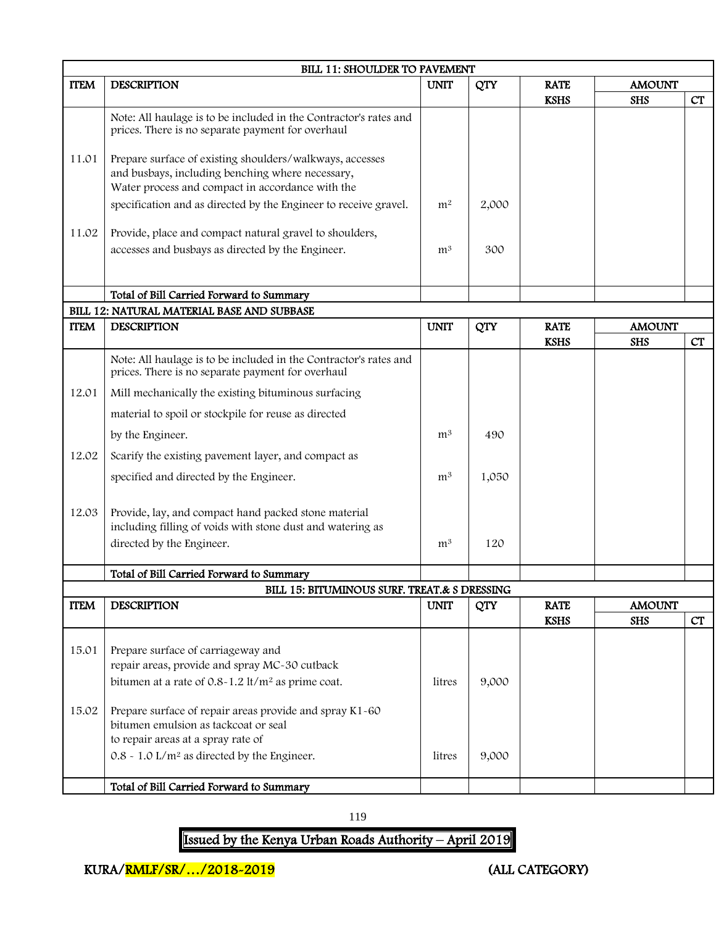|             | <b>BILL 11: SHOULDER TO PAVEMENT</b>                              |                |            |                            |                             |    |
|-------------|-------------------------------------------------------------------|----------------|------------|----------------------------|-----------------------------|----|
| <b>ITEM</b> | <b>DESCRIPTION</b>                                                | <b>UNIT</b>    | <b>QTY</b> | <b>RATE</b>                | <b>AMOUNT</b>               |    |
|             |                                                                   |                |            | <b>KSHS</b>                | <b>SHS</b>                  | CT |
|             | Note: All haulage is to be included in the Contractor's rates and |                |            |                            |                             |    |
|             | prices. There is no separate payment for overhaul                 |                |            |                            |                             |    |
| 11.01       | Prepare surface of existing shoulders/walkways, accesses          |                |            |                            |                             |    |
|             | and busbays, including benching where necessary,                  |                |            |                            |                             |    |
|             | Water process and compact in accordance with the                  |                |            |                            |                             |    |
|             | specification and as directed by the Engineer to receive gravel.  | m <sup>2</sup> | 2,000      |                            |                             |    |
| 11.02       | Provide, place and compact natural gravel to shoulders,           |                |            |                            |                             |    |
|             | accesses and busbays as directed by the Engineer.                 | m <sup>3</sup> | 300        |                            |                             |    |
|             |                                                                   |                |            |                            |                             |    |
|             |                                                                   |                |            |                            |                             |    |
|             | Total of Bill Carried Forward to Summary                          |                |            |                            |                             |    |
|             | BILL 12: NATURAL MATERIAL BASE AND SUBBASE                        |                |            |                            |                             |    |
| <b>ITEM</b> | <b>DESCRIPTION</b>                                                | <b>UNIT</b>    | <b>QTY</b> | <b>RATE</b><br><b>KSHS</b> | <b>AMOUNT</b><br><b>SHS</b> | CT |
|             | Note: All haulage is to be included in the Contractor's rates and |                |            |                            |                             |    |
|             | prices. There is no separate payment for overhaul                 |                |            |                            |                             |    |
| 12.01       | Mill mechanically the existing bituminous surfacing               |                |            |                            |                             |    |
|             | material to spoil or stockpile for reuse as directed              |                |            |                            |                             |    |
|             | by the Engineer.                                                  | m <sup>3</sup> | 490        |                            |                             |    |
| 12.02       | Scarify the existing pavement layer, and compact as               |                |            |                            |                             |    |
|             | specified and directed by the Engineer.                           | m <sup>3</sup> | 1,050      |                            |                             |    |
|             |                                                                   |                |            |                            |                             |    |
| 12.03       | Provide, lay, and compact hand packed stone material              |                |            |                            |                             |    |
|             | including filling of voids with stone dust and watering as        |                |            |                            |                             |    |
|             | directed by the Engineer.                                         | m <sup>3</sup> | 120        |                            |                             |    |
|             | Total of Bill Carried Forward to Summary                          |                |            |                            |                             |    |
|             | BILL 15: BITUMINOUS SURF. TREAT.& S DRESSING                      |                |            |                            |                             |    |
| <b>ITEM</b> | <b>DESCRIPTION</b>                                                | <b>UNIT</b>    | <b>QTY</b> | <b>RATE</b>                | <b>AMOUNT</b>               |    |
|             |                                                                   |                |            | <b>KSHS</b>                | <b>SHS</b>                  | CT |
| 15.01       | Prepare surface of carriageway and                                |                |            |                            |                             |    |
|             | repair areas, provide and spray MC-30 cutback                     |                |            |                            |                             |    |
|             | bitumen at a rate of $0.8 - 1.2$ lt/m <sup>2</sup> as prime coat. | litres         | 9,000      |                            |                             |    |
|             |                                                                   |                |            |                            |                             |    |
| 15.02       | Prepare surface of repair areas provide and spray K1-60           |                |            |                            |                             |    |
|             | bitumen emulsion as tackcoat or seal                              |                |            |                            |                             |    |
|             | to repair areas at a spray rate of                                |                |            |                            |                             |    |
|             | $0.8 - 1.0$ L/m <sup>2</sup> as directed by the Engineer.         | litres         | 9,000      |                            |                             |    |
|             | Total of Bill Carried Forward to Summary                          |                |            |                            |                             |    |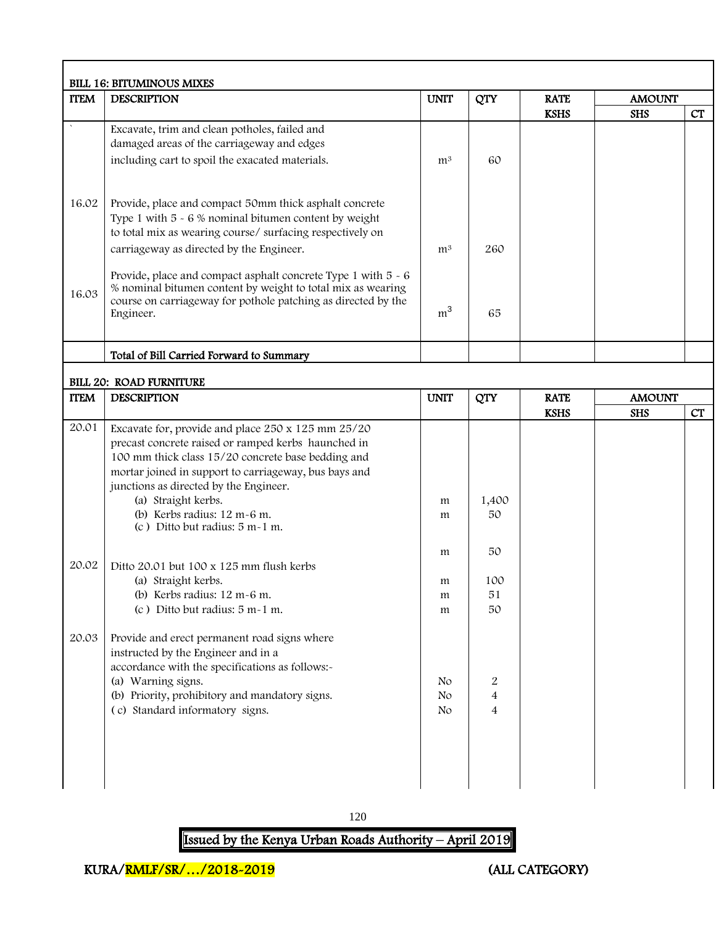|             | <b>BILL 16: BITUMINOUS MIXES</b>                                                                                               |                |                          |             |               |    |
|-------------|--------------------------------------------------------------------------------------------------------------------------------|----------------|--------------------------|-------------|---------------|----|
| <b>ITEM</b> | <b>DESCRIPTION</b>                                                                                                             | <b>UNIT</b>    | <b>QTY</b>               | <b>RATE</b> | <b>AMOUNT</b> |    |
|             |                                                                                                                                |                |                          | <b>KSHS</b> | <b>SHS</b>    | CT |
|             | Excavate, trim and clean potholes, failed and                                                                                  |                |                          |             |               |    |
|             | damaged areas of the carriageway and edges                                                                                     |                |                          |             |               |    |
|             | including cart to spoil the exacated materials.                                                                                | m <sup>3</sup> | 60                       |             |               |    |
|             |                                                                                                                                |                |                          |             |               |    |
|             |                                                                                                                                |                |                          |             |               |    |
| 16.02       | Provide, place and compact 50mm thick asphalt concrete                                                                         |                |                          |             |               |    |
|             | Type 1 with $5 - 6$ % nominal bitumen content by weight                                                                        |                |                          |             |               |    |
|             | to total mix as wearing course/ surfacing respectively on                                                                      |                |                          |             |               |    |
|             | carriageway as directed by the Engineer.                                                                                       | m <sup>3</sup> | 260                      |             |               |    |
|             |                                                                                                                                |                |                          |             |               |    |
|             | Provide, place and compact asphalt concrete Type 1 with $5 - 6$<br>% nominal bitumen content by weight to total mix as wearing |                |                          |             |               |    |
| 16.03       | course on carriageway for pothole patching as directed by the                                                                  |                |                          |             |               |    |
|             | Engineer.                                                                                                                      | m <sup>3</sup> | 65                       |             |               |    |
|             |                                                                                                                                |                |                          |             |               |    |
|             | Total of Bill Carried Forward to Summary                                                                                       |                |                          |             |               |    |
|             |                                                                                                                                |                |                          |             |               |    |
|             | BILL 20: ROAD FURNITURE                                                                                                        |                |                          |             |               |    |
| <b>ITEM</b> | <b>DESCRIPTION</b>                                                                                                             | <b>UNIT</b>    | <b>QTY</b>               | <b>RATE</b> | <b>AMOUNT</b> |    |
|             |                                                                                                                                |                |                          | <b>KSHS</b> | <b>SHS</b>    | CT |
| 20.01       | Excavate for, provide and place 250 x 125 mm 25/20                                                                             |                |                          |             |               |    |
|             | precast concrete raised or ramped kerbs haunched in                                                                            |                |                          |             |               |    |
|             | 100 mm thick class 15/20 concrete base bedding and                                                                             |                |                          |             |               |    |
|             | mortar joined in support to carriageway, bus bays and                                                                          |                |                          |             |               |    |
|             | junctions as directed by the Engineer.                                                                                         |                |                          |             |               |    |
|             | (a) Straight kerbs.                                                                                                            | m              | 1,400                    |             |               |    |
|             | (b) Kerbs radius: 12 m-6 m.<br>$(c)$ Ditto but radius: $5 m-1 m$ .                                                             | m              | 50                       |             |               |    |
|             |                                                                                                                                |                |                          |             |               |    |
|             |                                                                                                                                | m              | 50                       |             |               |    |
| 20.02       | Ditto $20.01$ but $100 \times 125$ mm flush kerbs                                                                              |                |                          |             |               |    |
|             | (a) Straight kerbs.                                                                                                            | m              | 100                      |             |               |    |
|             | (b) Kerbs radius: 12 m-6 m.                                                                                                    | m              | 51                       |             |               |    |
|             | $(c)$ Ditto but radius: 5 m - 1 m.                                                                                             | m              | 50                       |             |               |    |
|             |                                                                                                                                |                |                          |             |               |    |
| 20.03       | Provide and erect permanent road signs where                                                                                   |                |                          |             |               |    |
|             | instructed by the Engineer and in a                                                                                            |                |                          |             |               |    |
|             | accordance with the specifications as follows:-                                                                                |                |                          |             |               |    |
|             | (a) Warning signs.                                                                                                             | No             | 2                        |             |               |    |
|             | (b) Priority, prohibitory and mandatory signs.                                                                                 | No             | 4                        |             |               |    |
|             | (c) Standard informatory signs.                                                                                                | No             | $\overline{\mathcal{L}}$ |             |               |    |
|             |                                                                                                                                |                |                          |             |               |    |
|             |                                                                                                                                |                |                          |             |               |    |
|             |                                                                                                                                |                |                          |             |               |    |
|             |                                                                                                                                |                |                          |             |               |    |

120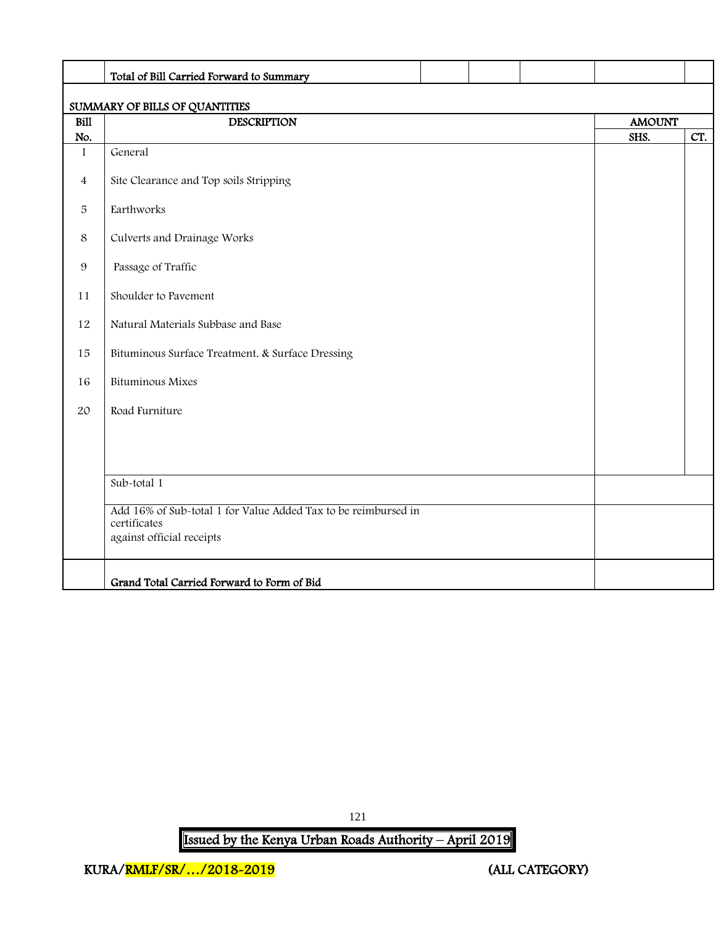|                  | Total of Bill Carried Forward to Summary                                       |               |     |
|------------------|--------------------------------------------------------------------------------|---------------|-----|
|                  | SUMMARY OF BILLS OF QUANTITIES                                                 |               |     |
| Bill             | <b>DESCRIPTION</b>                                                             | <b>AMOUNT</b> |     |
| No.              |                                                                                | SHS.          | CT. |
| $\mathbf{1}$     | General                                                                        |               |     |
| $\overline{4}$   | Site Clearance and Top soils Stripping                                         |               |     |
| $\sqrt{5}$       | Earthworks                                                                     |               |     |
| $\,8\,$          | Culverts and Drainage Works                                                    |               |     |
| $\boldsymbol{9}$ | Passage of Traffic                                                             |               |     |
| 11               | Shoulder to Pavement                                                           |               |     |
| 12               | Natural Materials Subbase and Base                                             |               |     |
| 15               | Bituminous Surface Treatment. & Surface Dressing                               |               |     |
| 16               | <b>Bituminous Mixes</b>                                                        |               |     |
| 20               | Road Furniture                                                                 |               |     |
|                  |                                                                                |               |     |
|                  |                                                                                |               |     |
|                  | Sub-total 1                                                                    |               |     |
|                  | Add 16% of Sub-total 1 for Value Added Tax to be reimbursed in<br>certificates |               |     |
|                  | against official receipts                                                      |               |     |
|                  | Grand Total Carried Forward to Form of Bid                                     |               |     |

121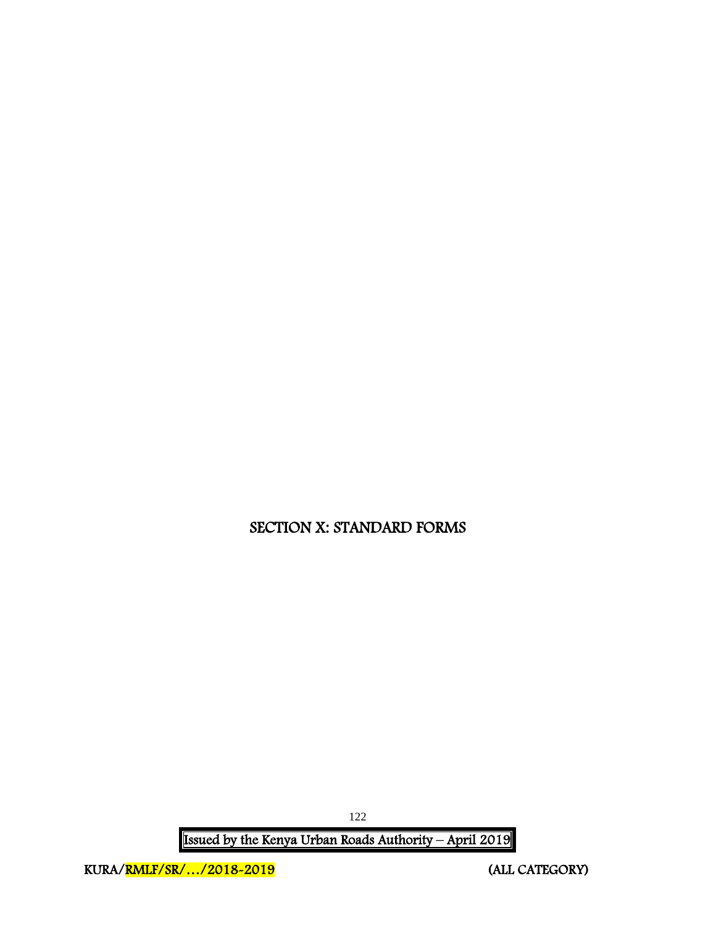SECTION X: STANDARD FORMS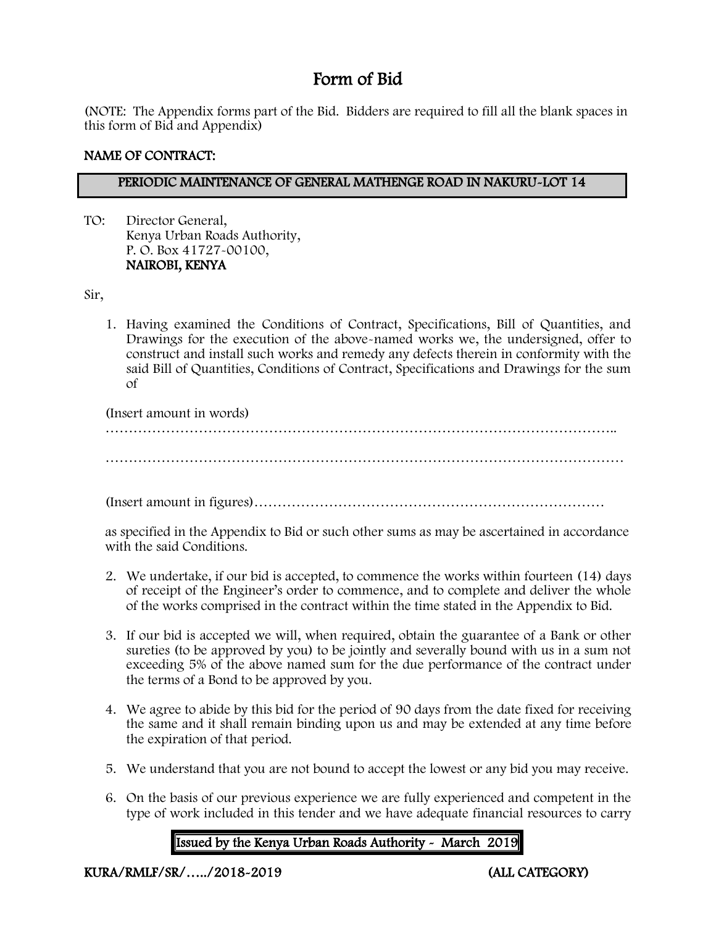# Form of Bid

(NOTE: The Appendix forms part of the Bid. Bidders are required to fill all the blank spaces in this form of Bid and Appendix)

# NAME OF CONTRACT:

# PERIODIC MAINTENANCE OF GENERAL MATHENGE ROAD IN NAKURU-LOT 14

TO: Director General, Kenya Urban Roads Authority, P. O. Box 41727-00100, NAIROBI, KENYA

Sir,

1. Having examined the Conditions of Contract, Specifications, Bill of Quantities, and Drawings for the execution of the above-named works we, the undersigned, offer to construct and install such works and remedy any defects therein in conformity with the said Bill of Quantities, Conditions of Contract, Specifications and Drawings for the sum of

(Insert amount in words)

…………………………………………………………………………………………………

(Insert amount in figures)…………………………………………………………………

as specified in the Appendix to Bid or such other sums as may be ascertained in accordance with the said Conditions.

- 2. We undertake, if our bid is accepted, to commence the works within fourteen (14) days of receipt of the Engineer's order to commence, and to complete and deliver the whole of the works comprised in the contract within the time stated in the Appendix to Bid.
- 3. If our bid is accepted we will, when required, obtain the guarantee of a Bank or other sureties (to be approved by you) to be jointly and severally bound with us in a sum not exceeding 5% of the above named sum for the due performance of the contract under the terms of a Bond to be approved by you.
- 4. We agree to abide by this bid for the period of 90 days from the date fixed for receiving the same and it shall remain binding upon us and may be extended at any time before the expiration of that period.
- 5. We understand that you are not bound to accept the lowest or any bid you may receive.
- 6. On the basis of our previous experience we are fully experienced and competent in the type of work included in this tender and we have adequate financial resources to carry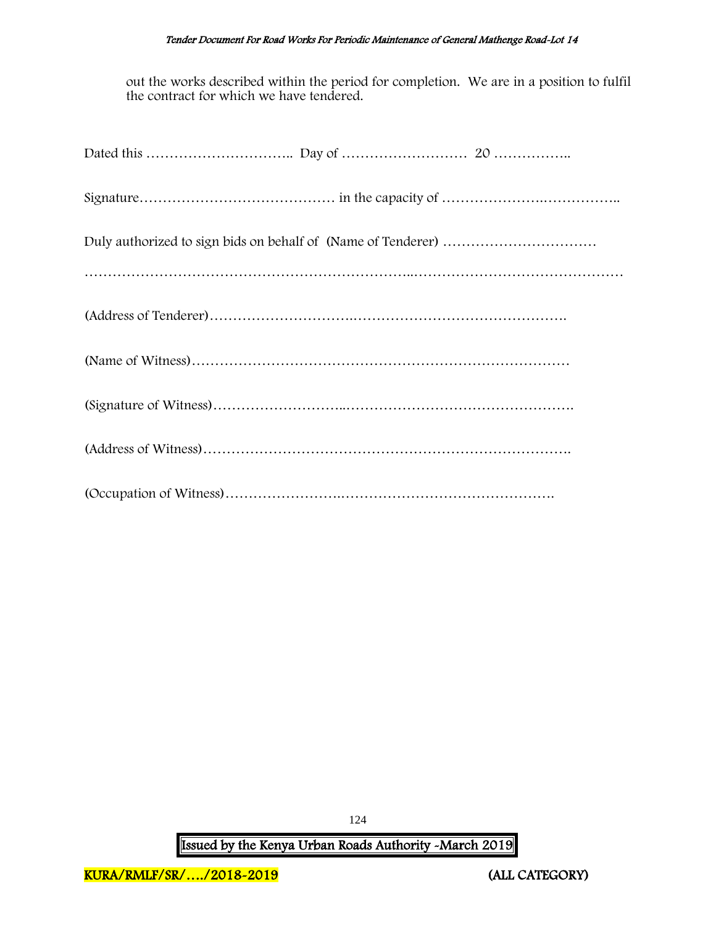#### Tender Document For Road Works For Periodic Maintenance of General Mathenge Road-Lot 14

out the works described within the period for completion. We are in a position to fulfil the contract for which we have tendered.

Issued by the Kenya Urban Roads Authority -March 2019

124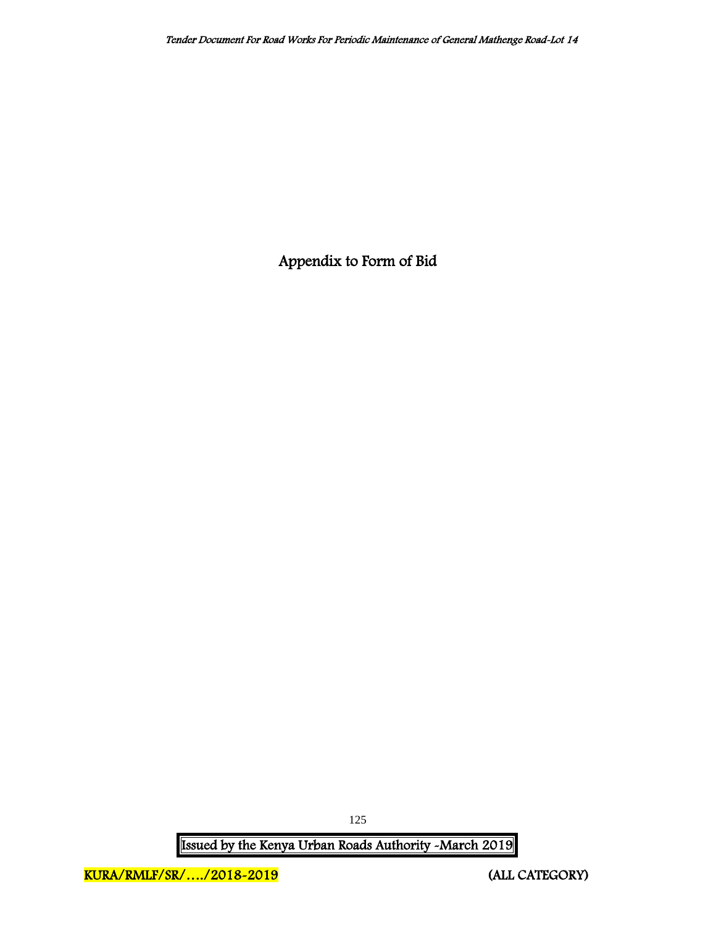Appendix to Form of Bid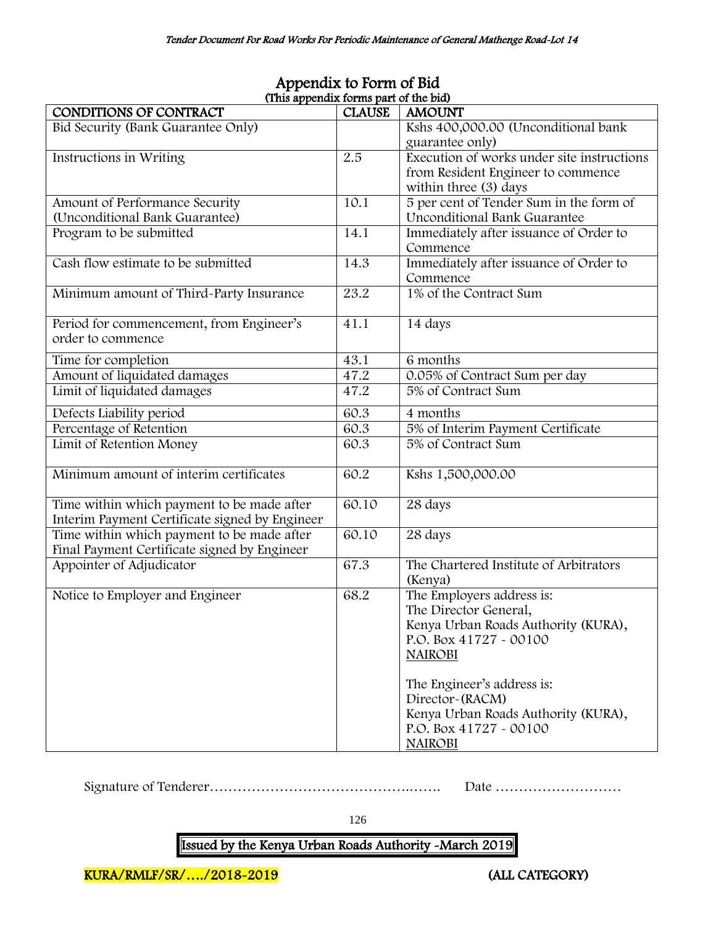| (This appendix forms part of the bid) |                                                                                               |
|---------------------------------------|-----------------------------------------------------------------------------------------------|
|                                       | <b>AMOUNT</b>                                                                                 |
|                                       | Kshs 400,000.00 (Unconditional bank                                                           |
|                                       | guarantee only)                                                                               |
| 2.5                                   | Execution of works under site instructions                                                    |
|                                       | from Resident Engineer to commence                                                            |
|                                       | within three (3) days                                                                         |
|                                       | 5 per cent of Tender Sum in the form of                                                       |
|                                       | Unconditional Bank Guarantee                                                                  |
|                                       | Immediately after issuance of Order to                                                        |
|                                       | Commence                                                                                      |
|                                       | Immediately after issuance of Order to                                                        |
|                                       | Commence                                                                                      |
|                                       | 1% of the Contract Sum                                                                        |
|                                       |                                                                                               |
|                                       | 14 days                                                                                       |
|                                       |                                                                                               |
|                                       |                                                                                               |
|                                       | 6 months                                                                                      |
|                                       | 0.05% of Contract Sum per day                                                                 |
|                                       | 5% of Contract Sum                                                                            |
| 60.3                                  | 4 months                                                                                      |
| 60.3                                  | 5% of Interim Payment Certificate                                                             |
| 60.3                                  | 5% of Contract Sum                                                                            |
|                                       |                                                                                               |
| 60.2                                  | Kshs 1,500,000.00                                                                             |
|                                       |                                                                                               |
| 60.10                                 | 28 days                                                                                       |
|                                       |                                                                                               |
| 60.10                                 | 28 days                                                                                       |
|                                       |                                                                                               |
|                                       | The Chartered Institute of Arbitrators                                                        |
|                                       | (Kenya)                                                                                       |
|                                       | The Employers address is:                                                                     |
|                                       | The Director General,                                                                         |
|                                       | Kenya Urban Roads Authority (KURA),                                                           |
|                                       | P.O. Box 41727 - 00100                                                                        |
|                                       | <b>NAIROBI</b>                                                                                |
|                                       |                                                                                               |
|                                       | The Engineer's address is:                                                                    |
|                                       | Director-(RACM)                                                                               |
|                                       | Kenya Urban Roads Authority (KURA),                                                           |
|                                       | P.O. Box 41727 - 00100                                                                        |
|                                       | <b>NAIROBI</b>                                                                                |
|                                       | <b>CLAUSE</b><br>10.1<br>14.1<br>14.3<br>23.2<br>41.1<br>43.1<br>47.2<br>47.2<br>67.3<br>68.2 |

# Appendix to Form of Bid (This appendix forms part of the bid)

Signature of Tenderer…………………………………….……. Date ………………………

126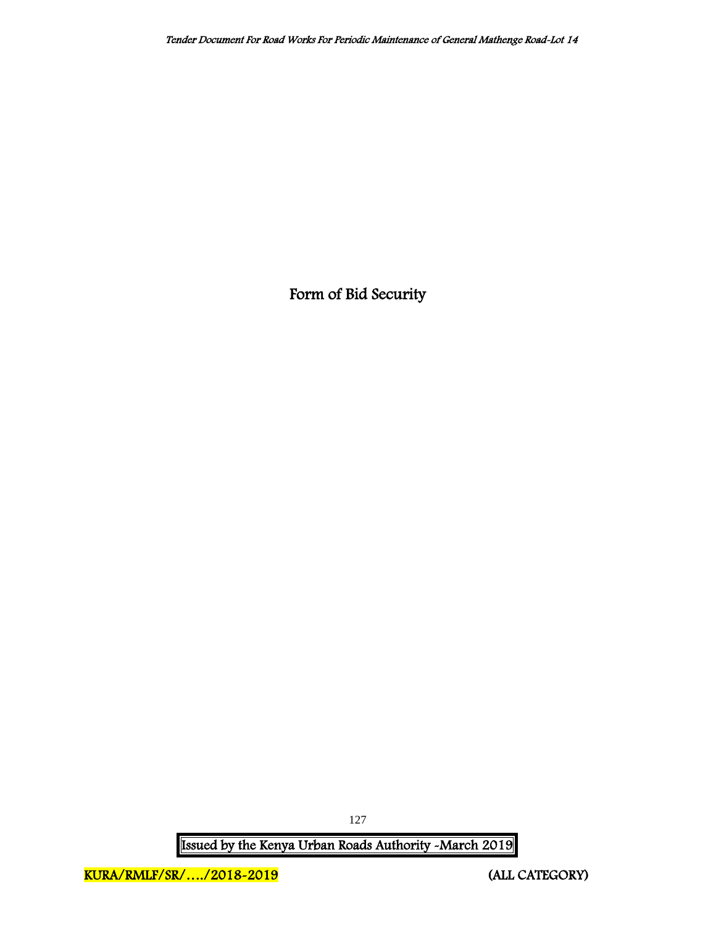Form of Bid Security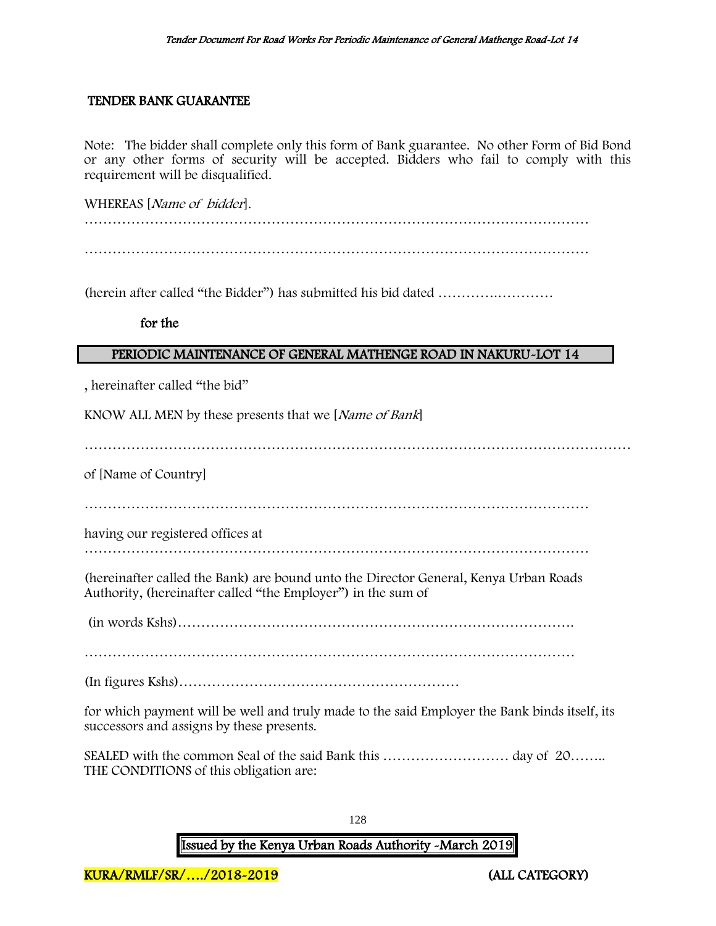#### TENDER BANK GUARANTEE

Note: The bidder shall complete only this form of Bank guarantee. No other Form of Bid Bond or any other forms of security will be accepted. Bidders who fail to comply with this requirement will be disqualified.

WHEREAS [Name of bidder]. ………………………………………………………………………………………………

………………………………………………………………………………………………

(herein after called "the Bidder") has submitted his bid dated ………….…………

#### for the

### PERIODIC MAINTENANCE OF GENERAL MATHENGE ROAD IN NAKURU-LOT 14

, hereinafter called "the bid"

KNOW ALL MEN by these presents that we [Name of Bank]

………………………………………………………………………………………………………

of [Name of Country]

………………………………………………………………………………………………

having our registered offices at

………………………………………………………………………………………………

(hereinafter called the Bank) are bound unto the Director General, Kenya Urban Roads Authority, (hereinafter called "the Employer") in the sum of

(in words Kshs)………………………………………………………………………….

……………………………………………………………………………………………

(In figures Kshs)……………………………………………………

for which payment will be well and truly made to the said Employer the Bank binds itself, its successors and assigns by these presents.

SEALED with the common Seal of the said Bank this ……………………… day of 20…….. THE CONDITIONS of this obligation are:

128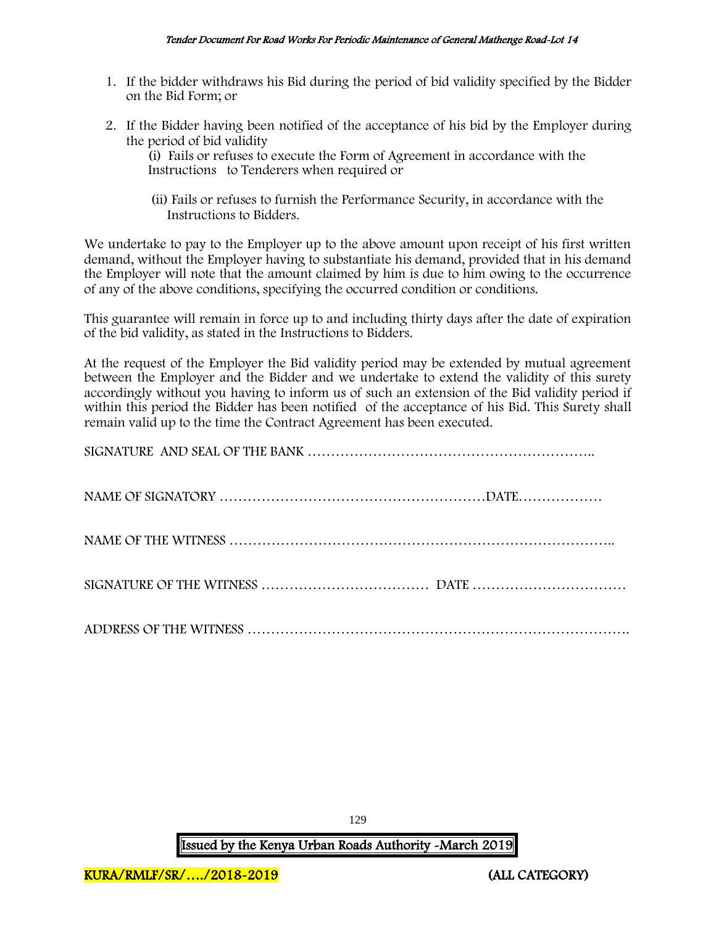- 1. If the bidder withdraws his Bid during the period of bid validity specified by the Bidder on the Bid Form; or
- 2. If the Bidder having been notified of the acceptance of his bid by the Employer during the period of bid validity

(i) Fails or refuses to execute the Form of Agreement in accordance with the Instructions to Tenderers when required or

 (ii) Fails or refuses to furnish the Performance Security, in accordance with the Instructions to Bidders.

We undertake to pay to the Employer up to the above amount upon receipt of his first written demand, without the Employer having to substantiate his demand, provided that in his demand the Employer will note that the amount claimed by him is due to him owing to the occurrence of any of the above conditions, specifying the occurred condition or conditions.

This guarantee will remain in force up to and including thirty days after the date of expiration of the bid validity, as stated in the Instructions to Bidders.

At the request of the Employer the Bid validity period may be extended by mutual agreement between the Employer and the Bidder and we undertake to extend the validity of this surety accordingly without you having to inform us of such an extension of the Bid validity period if within this period the Bidder has been notified of the acceptance of his Bid. This Surety shall remain valid up to the time the Contract Agreement has been executed.

129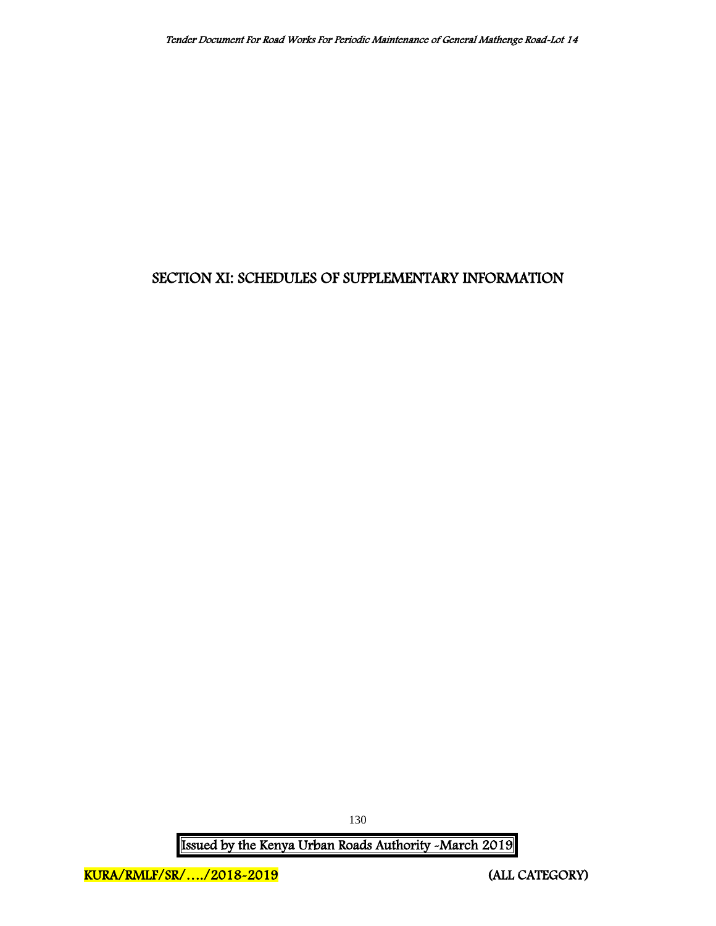# SECTION XI: SCHEDULES OF SUPPLEMENTARY INFORMATION

Issued by the Kenya Urban Roads Authority -March 2019

130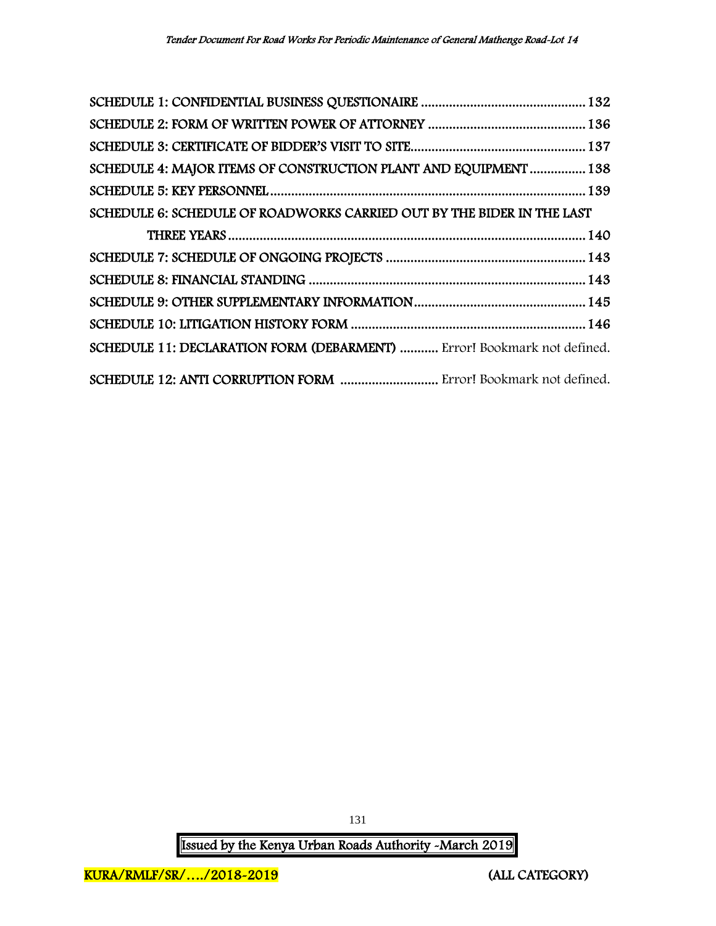| SCHEDULE 4: MAJOR ITEMS OF CONSTRUCTION PLANT AND EQUIPMENT  138        |  |
|-------------------------------------------------------------------------|--|
|                                                                         |  |
| SCHEDULE 6: SCHEDULE OF ROADWORKS CARRIED OUT BY THE BIDER IN THE LAST  |  |
|                                                                         |  |
|                                                                         |  |
|                                                                         |  |
|                                                                         |  |
|                                                                         |  |
| SCHEDULE 11: DECLARATION FORM (DEBARMENT)  Error! Bookmark not defined. |  |
| SCHEDULE 12: ANTI CORRUPTION FORM  Error! Bookmark not defined.         |  |

131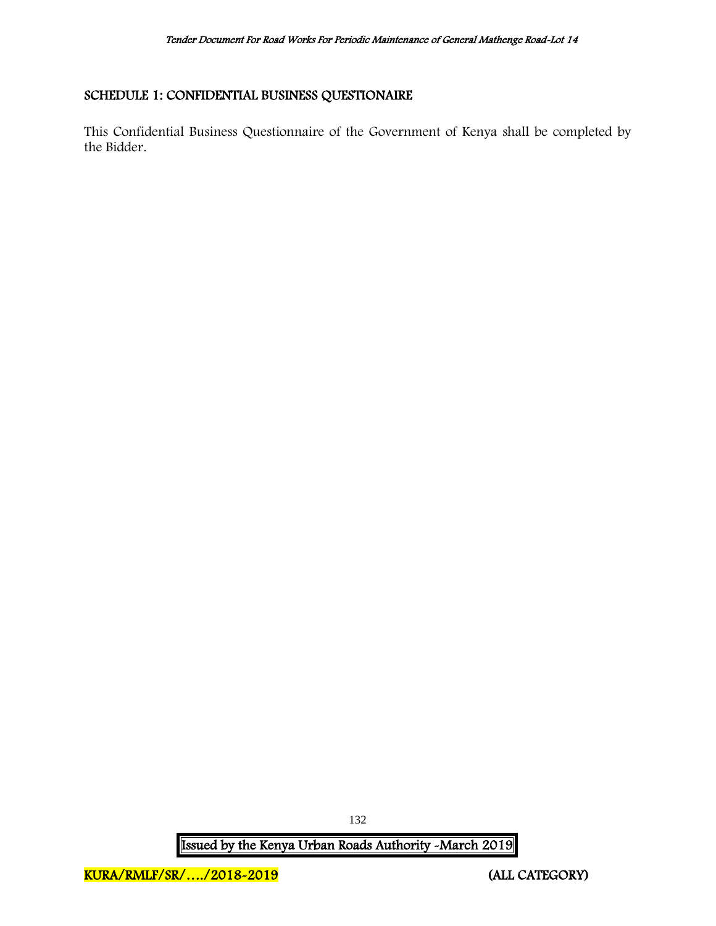# <span id="page-132-0"></span>SCHEDULE 1: CONFIDENTIAL BUSINESS QUESTIONAIRE

This Confidential Business Questionnaire of the Government of Kenya shall be completed by the Bidder.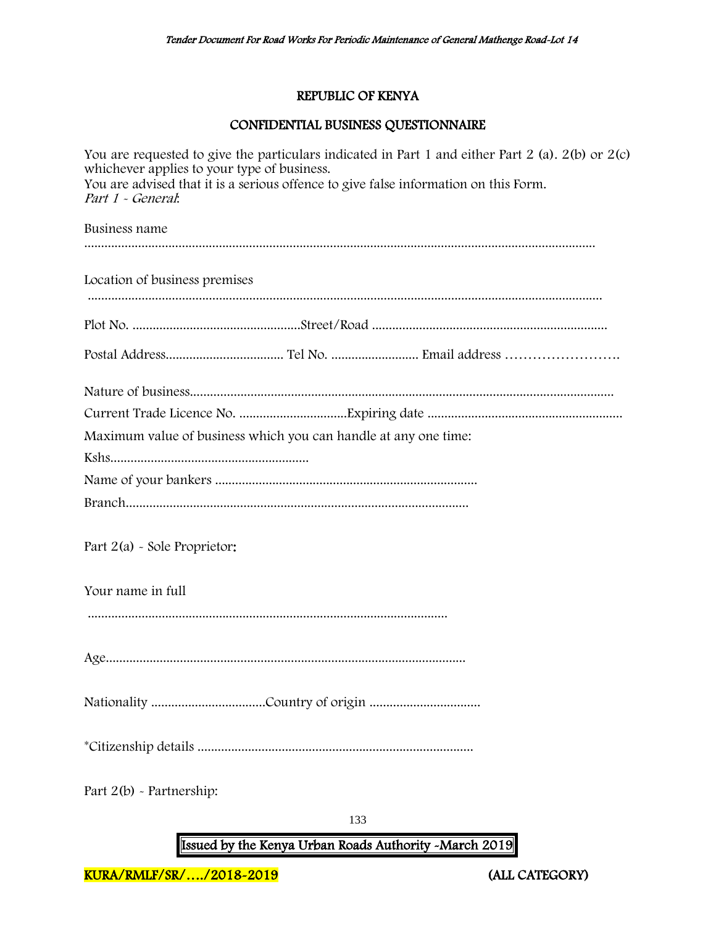# REPUBLIC OF KENYA

# CONFIDENTIAL BUSINESS QUESTIONNAIRE

| You are requested to give the particulars indicated in Part 1 and either Part 2 (a). $2(b)$ or $2(c)$<br>whichever applies to your type of business.<br>You are advised that it is a serious offence to give false information on this Form.<br>Part 1 - General: |
|-------------------------------------------------------------------------------------------------------------------------------------------------------------------------------------------------------------------------------------------------------------------|
| Business name                                                                                                                                                                                                                                                     |
| Location of business premises                                                                                                                                                                                                                                     |
|                                                                                                                                                                                                                                                                   |
|                                                                                                                                                                                                                                                                   |
|                                                                                                                                                                                                                                                                   |
|                                                                                                                                                                                                                                                                   |
| Maximum value of business which you can handle at any one time:                                                                                                                                                                                                   |
|                                                                                                                                                                                                                                                                   |
|                                                                                                                                                                                                                                                                   |
|                                                                                                                                                                                                                                                                   |
| Part 2(a) - Sole Proprietor:                                                                                                                                                                                                                                      |
| Your name in full                                                                                                                                                                                                                                                 |
|                                                                                                                                                                                                                                                                   |
|                                                                                                                                                                                                                                                                   |
|                                                                                                                                                                                                                                                                   |
|                                                                                                                                                                                                                                                                   |
| Part $2(b)$ - Partnership:                                                                                                                                                                                                                                        |
| 133                                                                                                                                                                                                                                                               |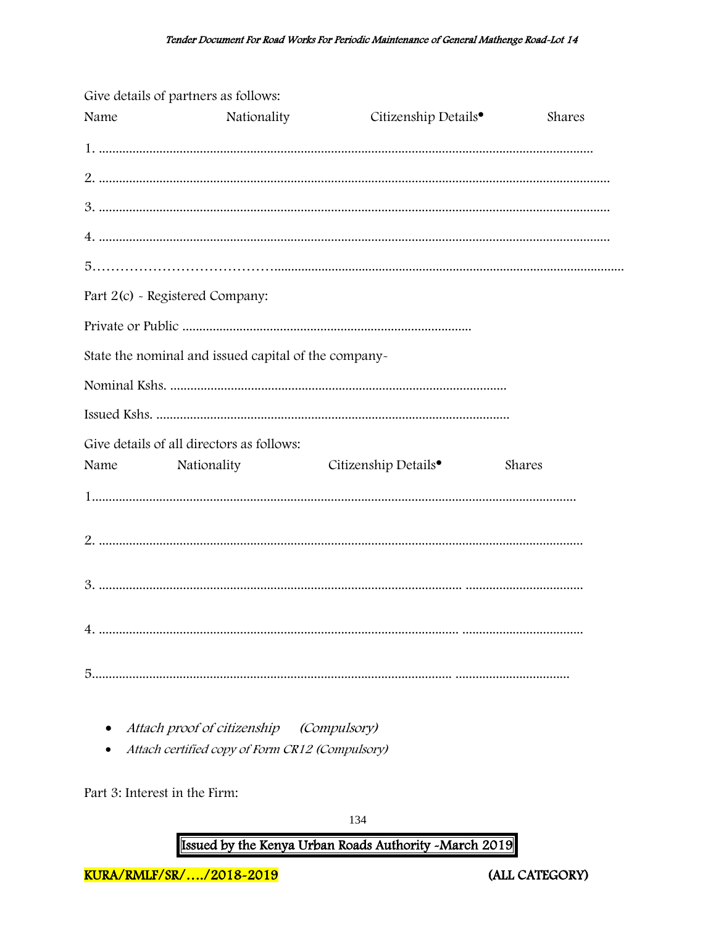|      | Give details of partners as follows:                 |                                  |        |
|------|------------------------------------------------------|----------------------------------|--------|
| Name | Nationality                                          | Citizenship Details <sup>•</sup> | Shares |
|      |                                                      |                                  |        |
|      |                                                      |                                  |        |
|      |                                                      |                                  |        |
|      |                                                      |                                  |        |
|      |                                                      |                                  |        |
|      | Part 2(c) - Registered Company:                      |                                  |        |
|      |                                                      |                                  |        |
|      | State the nominal and issued capital of the company- |                                  |        |
|      |                                                      |                                  |        |
|      |                                                      |                                  |        |
|      | Give details of all directors as follows:            |                                  |        |
| Name | Nationality                                          | Citizenship Details <sup>•</sup> | Shares |
|      |                                                      |                                  |        |
|      |                                                      |                                  |        |
|      |                                                      |                                  |        |
|      |                                                      |                                  |        |
|      |                                                      |                                  |        |

- Attach proof of citizenship (Compulsory)
- Attach certified copy of Form CR12 (Compulsory)

Part 3: Interest in the Firm: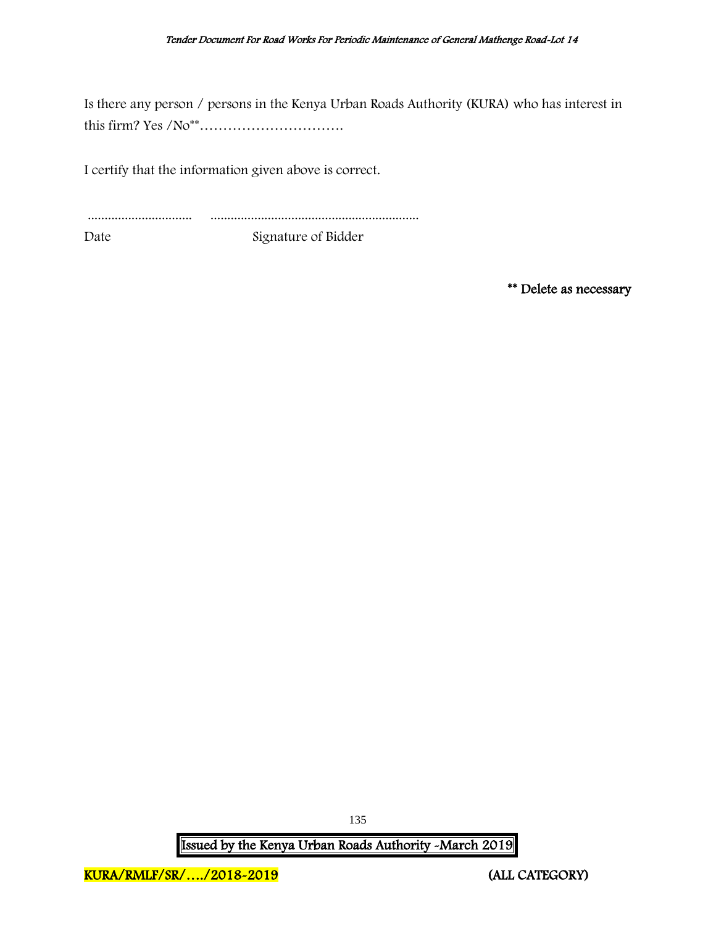Is there any person / persons in the Kenya Urban Roads Authority (KURA) who has interest in this firm? Yes /No\*\*………………………….

I certify that the information given above is correct.

............................... .............................................................. Date Signature of Bidder

\*\* Delete as necessary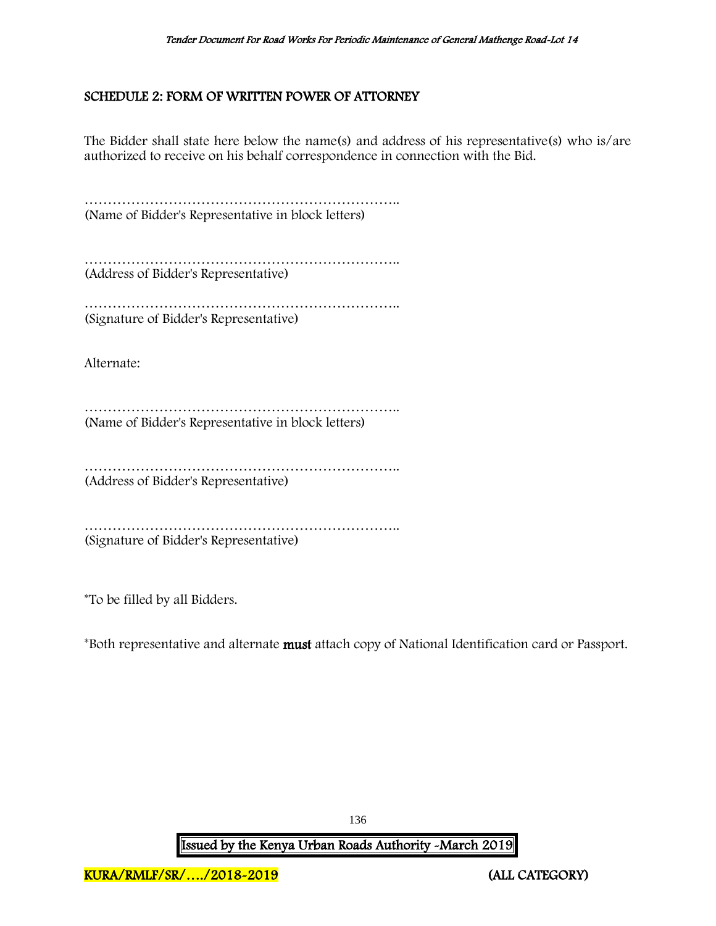# <span id="page-136-0"></span>SCHEDULE 2: FORM OF WRITTEN POWER OF ATTORNEY

The Bidder shall state here below the name(s) and address of his representative(s) who is/are authorized to receive on his behalf correspondence in connection with the Bid.

………………………………………………………….. (Name of Bidder's Representative in block letters)

………………………………………………………….. (Address of Bidder's Representative)

………………………………………………………….. (Signature of Bidder's Representative)

Alternate:

………………………………………………………….. (Name of Bidder's Representative in block letters)

………………………………………………………….. (Address of Bidder's Representative)

………………………………………………………………………… (Signature of Bidder's Representative)

\*To be filled by all Bidders.

\*Both representative and alternate must attach copy of National Identification card or Passport.

136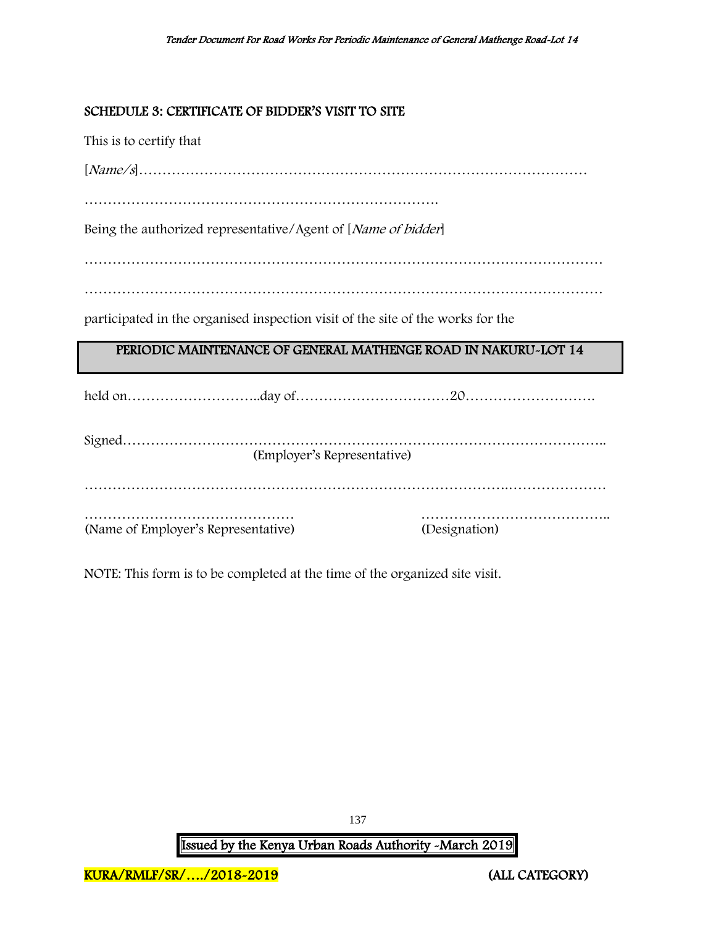## <span id="page-137-0"></span>SCHEDULE 3: CERTIFICATE OF BIDDER'S VISIT TO SITE

This is to certify that

[Name/s]……………………………………………………………………………………

………………………………………………………………….

Being the authorized representative/Agent of [Name of bidder]

…………………………………………………………………………………………………

…………………………………………………………………………………………………

participated in the organised inspection visit of the site of the works for the

# PERIODIC MAINTENANCE OF GENERAL MATHENGE ROAD IN NAKURU-LOT 14

|                                     | (Employer's Representative) |               |
|-------------------------------------|-----------------------------|---------------|
|                                     |                             |               |
|                                     |                             |               |
|                                     |                             |               |
| (Name of Employer's Representative) |                             | (Designation) |

NOTE: This form is to be completed at the time of the organized site visit.

137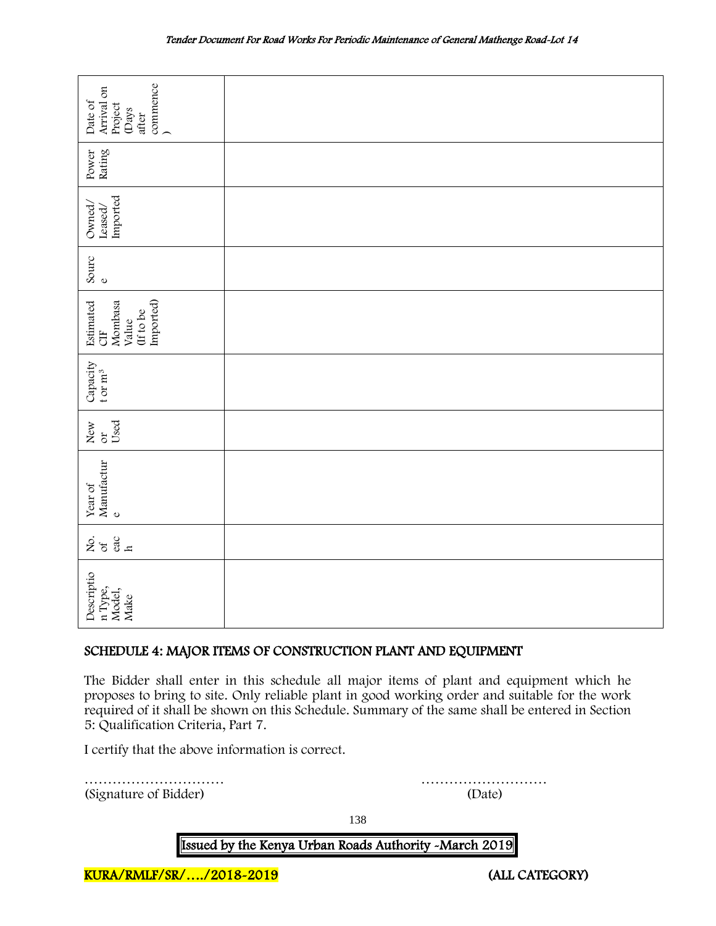| commence<br>Arrival on<br>Date of<br>Project<br>(Days<br>after                                                                                                                                                                                                                                                                     |             |  |  |  |
|------------------------------------------------------------------------------------------------------------------------------------------------------------------------------------------------------------------------------------------------------------------------------------------------------------------------------------|-------------|--|--|--|
| Rating<br>Power                                                                                                                                                                                                                                                                                                                    |             |  |  |  |
| Imported<br>Owned,<br>Leased/                                                                                                                                                                                                                                                                                                      |             |  |  |  |
| Sourc<br>$\mathbf 0$                                                                                                                                                                                                                                                                                                               |             |  |  |  |
| Imported)<br>Mombasa<br>Estimated<br>(If to be<br>Value<br>UE                                                                                                                                                                                                                                                                      |             |  |  |  |
| Capacity<br>t or $m^3$                                                                                                                                                                                                                                                                                                             |             |  |  |  |
| Used<br>New<br>$\sigma$                                                                                                                                                                                                                                                                                                            |             |  |  |  |
| $\operatorname*{Year}$ of $\operatorname*{Mannfactur}$<br>$\circ$                                                                                                                                                                                                                                                                  |             |  |  |  |
| 258                                                                                                                                                                                                                                                                                                                                |             |  |  |  |
| Descriptio<br>n Type,<br>Model,<br>Make                                                                                                                                                                                                                                                                                            |             |  |  |  |
| SCHEDULE 4: MAJOR ITEMS OF CONSTRUCTION PLANT AND EQUIPMENT                                                                                                                                                                                                                                                                        |             |  |  |  |
| The Bidder shall enter in this schedule all major items of plant and equipment which he<br>proposes to bring to site. Only reliable plant in good working order and suitable for the work<br>required of it shall be shown on this Schedule. Summary of the same shall be entered in Section<br>5: Qualification Criteria, Part 7. |             |  |  |  |
| I certify that the above information is correct.                                                                                                                                                                                                                                                                                   |             |  |  |  |
| (Signature of Bidder)                                                                                                                                                                                                                                                                                                              | .<br>(Date) |  |  |  |

#### <span id="page-138-0"></span>SCHEDULE 4: MAJOR ITEMS OF CONSTRUCTION PLANT AND EQUIPMENT

138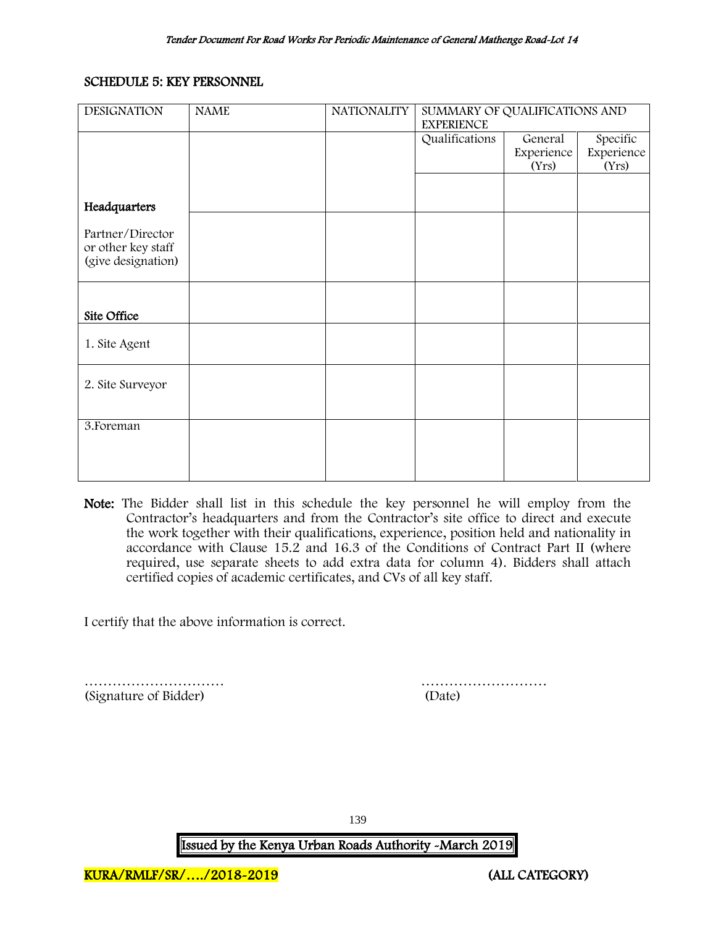### <span id="page-139-0"></span>SCHEDULE 5: KEY PERSONNEL

| <b>DESIGNATION</b>                       | <b>NAME</b> | <b>NATIONALITY</b> | SUMMARY OF QUALIFICATIONS AND<br><b>EXPERIENCE</b> |            |            |
|------------------------------------------|-------------|--------------------|----------------------------------------------------|------------|------------|
|                                          |             |                    | Qualifications                                     | General    | Specific   |
|                                          |             |                    |                                                    | Experience | Experience |
|                                          |             |                    |                                                    | (Yrs)      | (Yrs)      |
|                                          |             |                    |                                                    |            |            |
| Headquarters                             |             |                    |                                                    |            |            |
|                                          |             |                    |                                                    |            |            |
| Partner/Director                         |             |                    |                                                    |            |            |
| or other key staff<br>(give designation) |             |                    |                                                    |            |            |
|                                          |             |                    |                                                    |            |            |
|                                          |             |                    |                                                    |            |            |
|                                          |             |                    |                                                    |            |            |
| Site Office                              |             |                    |                                                    |            |            |
|                                          |             |                    |                                                    |            |            |
| 1. Site Agent                            |             |                    |                                                    |            |            |
|                                          |             |                    |                                                    |            |            |
| 2. Site Surveyor                         |             |                    |                                                    |            |            |
|                                          |             |                    |                                                    |            |            |
|                                          |             |                    |                                                    |            |            |
| 3. Foreman                               |             |                    |                                                    |            |            |
|                                          |             |                    |                                                    |            |            |
|                                          |             |                    |                                                    |            |            |
|                                          |             |                    |                                                    |            |            |

Note: The Bidder shall list in this schedule the key personnel he will employ from the Contractor's headquarters and from the Contractor's site office to direct and execute the work together with their qualifications, experience, position held and nationality in accordance with Clause 15.2 and 16.3 of the Conditions of Contract Part II (where required, use separate sheets to add extra data for column 4). Bidders shall attach certified copies of academic certificates, and CVs of all key staff.

I certify that the above information is correct.

(Signature of Bidder) (Date)

………………………… ………………………

139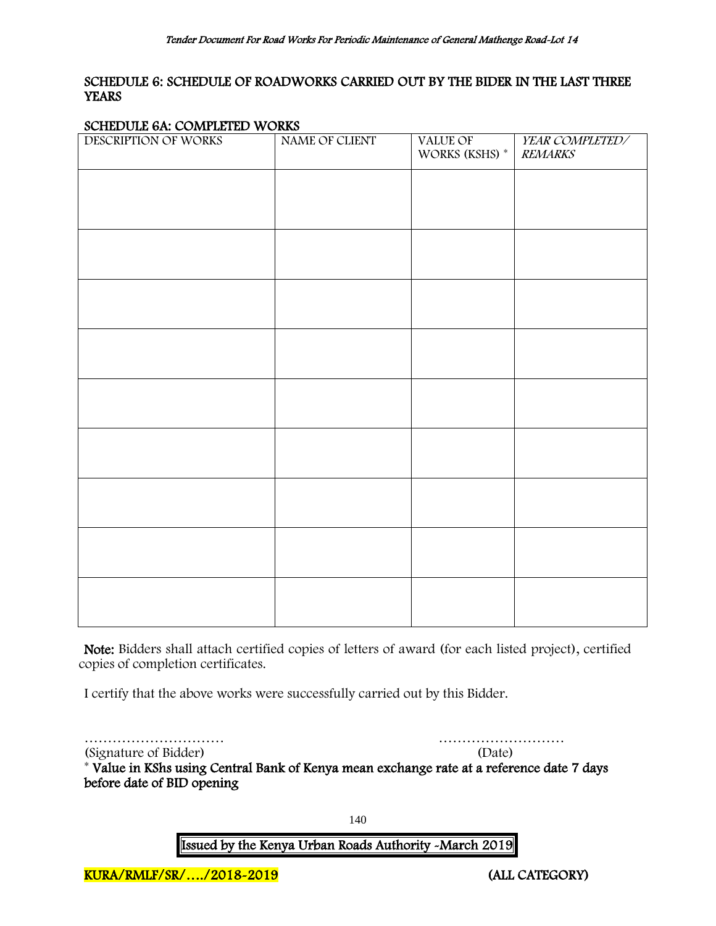## <span id="page-140-0"></span>SCHEDULE 6: SCHEDULE OF ROADWORKS CARRIED OUT BY THE BIDER IN THE LAST THREE **YEARS**

#### SCHEDULE 6A: COMPLETED WORKS

| DESCRIPTION OF WORKS | ----<br>NAME OF CLIENT | VALUE OF<br>WORKS (KSHS) * | YEAR COMPLETED/<br><b>REMARKS</b> |
|----------------------|------------------------|----------------------------|-----------------------------------|
|                      |                        |                            |                                   |
|                      |                        |                            |                                   |
|                      |                        |                            |                                   |
|                      |                        |                            |                                   |
|                      |                        |                            |                                   |
|                      |                        |                            |                                   |
|                      |                        |                            |                                   |
|                      |                        |                            |                                   |
|                      |                        |                            |                                   |
|                      |                        |                            |                                   |
|                      |                        |                            |                                   |
|                      |                        |                            |                                   |
|                      |                        |                            |                                   |
|                      |                        |                            |                                   |
|                      |                        |                            |                                   |
|                      |                        |                            |                                   |
|                      |                        |                            |                                   |

Note: Bidders shall attach certified copies of letters of award (for each listed project), certified copies of completion certificates.

I certify that the above works were successfully carried out by this Bidder.

………………………… ………………………

(Signature of Bidder) (Date) \* Value in KShs using Central Bank of Kenya mean exchange rate at a reference date 7 days before date of BID opening

140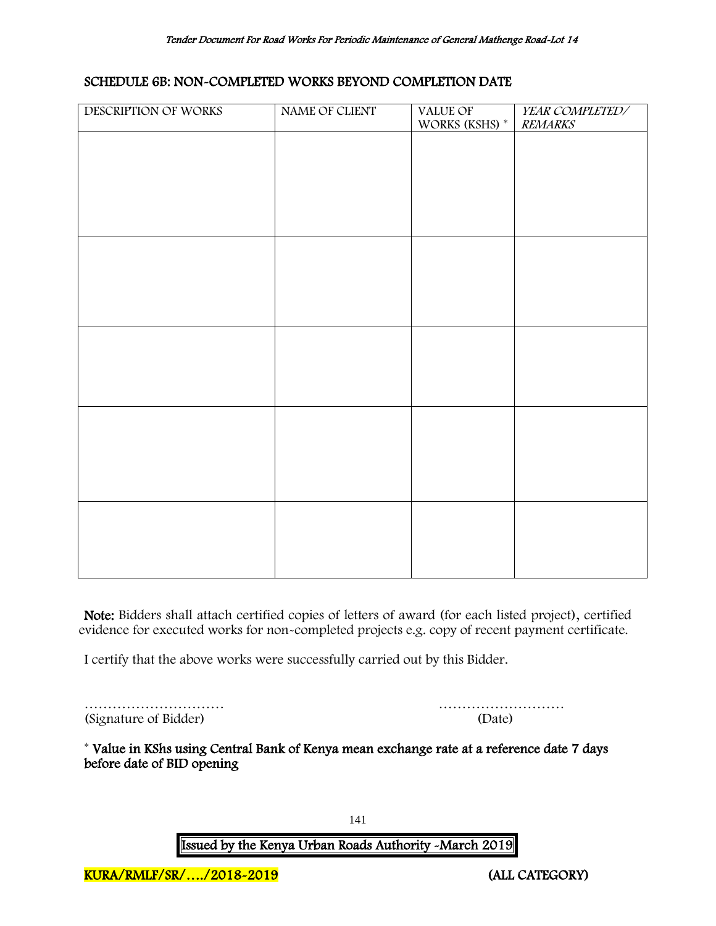# SCHEDULE 6B: NON-COMPLETED WORKS BEYOND COMPLETION DATE

| DESCRIPTION OF WORKS | NAME OF CLIENT | VALUE OF<br>WORKS (KSHS) * | YEAR COMPLETED/<br><b>REMARKS</b> |
|----------------------|----------------|----------------------------|-----------------------------------|
|                      |                |                            |                                   |
|                      |                |                            |                                   |
|                      |                |                            |                                   |
|                      |                |                            |                                   |
|                      |                |                            |                                   |
|                      |                |                            |                                   |
|                      |                |                            |                                   |
|                      |                |                            |                                   |
|                      |                |                            |                                   |
|                      |                |                            |                                   |
|                      |                |                            |                                   |
|                      |                |                            |                                   |
|                      |                |                            |                                   |
|                      |                |                            |                                   |
|                      |                |                            |                                   |
|                      |                |                            |                                   |

Note: Bidders shall attach certified copies of letters of award (for each listed project), certified evidence for executed works for non-completed projects e.g. copy of recent payment certificate.

I certify that the above works were successfully carried out by this Bidder.

|                       | .      |
|-----------------------|--------|
| (Signature of Bidder) | (Date) |

………………………… ………………………

\* Value in KShs using Central Bank of Kenya mean exchange rate at a reference date 7 days before date of BID opening

141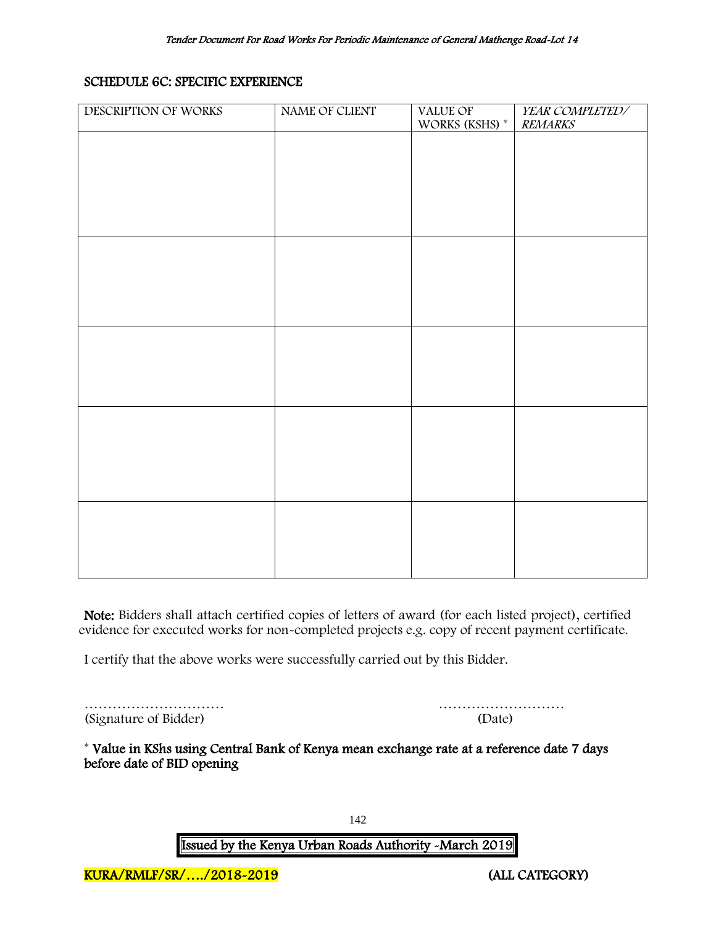# SCHEDULE 6C: SPECIFIC EXPERIENCE

| DESCRIPTION OF WORKS | NAME OF CLIENT | VALUE OF<br>WORKS (KSHS) $^\ast$ | YEAR COMPLETED/<br><b>REMARKS</b> |
|----------------------|----------------|----------------------------------|-----------------------------------|
|                      |                |                                  |                                   |
|                      |                |                                  |                                   |
|                      |                |                                  |                                   |
|                      |                |                                  |                                   |
|                      |                |                                  |                                   |
|                      |                |                                  |                                   |
|                      |                |                                  |                                   |
|                      |                |                                  |                                   |
|                      |                |                                  |                                   |
|                      |                |                                  |                                   |
|                      |                |                                  |                                   |
|                      |                |                                  |                                   |
|                      |                |                                  |                                   |
|                      |                |                                  |                                   |
|                      |                |                                  |                                   |
|                      |                |                                  |                                   |

Note: Bidders shall attach certified copies of letters of award (for each listed project), certified evidence for executed works for non-completed projects e.g. copy of recent payment certificate.

I certify that the above works were successfully carried out by this Bidder.

|                       | .      |
|-----------------------|--------|
| (Signature of Bidder) | (Date) |

| (Signature of Bidder) | (Date) |
|-----------------------|--------|

<span id="page-142-0"></span>\* Value in KShs using Central Bank of Kenya mean exchange rate at a reference date 7 days before date of BID opening

142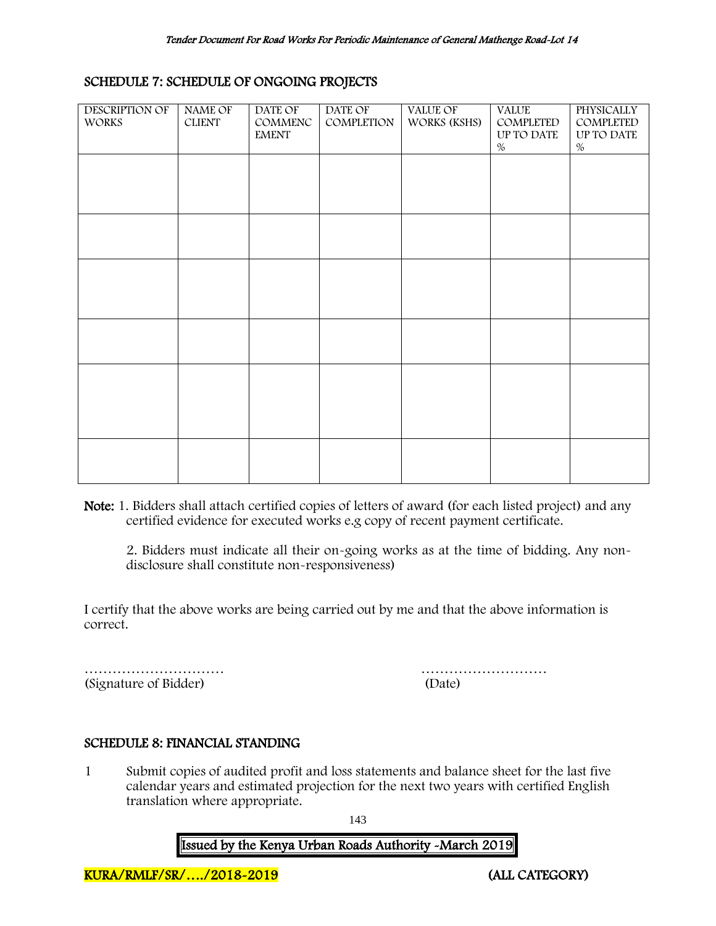# SCHEDULE 7: SCHEDULE OF ONGOING PROJECTS

| <b>DESCRIPTION OF</b><br><b>WORKS</b> | NAME OF<br><b>CLIENT</b> | DATE OF<br>COMMENC<br><b>EMENT</b> | DATE OF<br>COMPLETION | VALUE OF<br>WORKS (KSHS) | <b>VALUE</b><br>COMPLETED<br>UP TO DATE<br>$\%$ | <b>PHYSICALLY</b><br>COMPLETED<br>UP TO DATE<br>$\%$ |
|---------------------------------------|--------------------------|------------------------------------|-----------------------|--------------------------|-------------------------------------------------|------------------------------------------------------|
|                                       |                          |                                    |                       |                          |                                                 |                                                      |
|                                       |                          |                                    |                       |                          |                                                 |                                                      |
|                                       |                          |                                    |                       |                          |                                                 |                                                      |
|                                       |                          |                                    |                       |                          |                                                 |                                                      |
|                                       |                          |                                    |                       |                          |                                                 |                                                      |
|                                       |                          |                                    |                       |                          |                                                 |                                                      |

Note: 1. Bidders shall attach certified copies of letters of award (for each listed project) and any certified evidence for executed works e.g copy of recent payment certificate.

2. Bidders must indicate all their on-going works as at the time of bidding. Any nondisclosure shall constitute non-responsiveness)

I certify that the above works are being carried out by me and that the above information is correct.

(Signature of Bidder) (Date)

………………………… ………………………

# <span id="page-143-0"></span>SCHEDULE 8: FINANCIAL STANDING

1 Submit copies of audited profit and loss statements and balance sheet for the last five calendar years and estimated projection for the next two years with certified English translation where appropriate.

143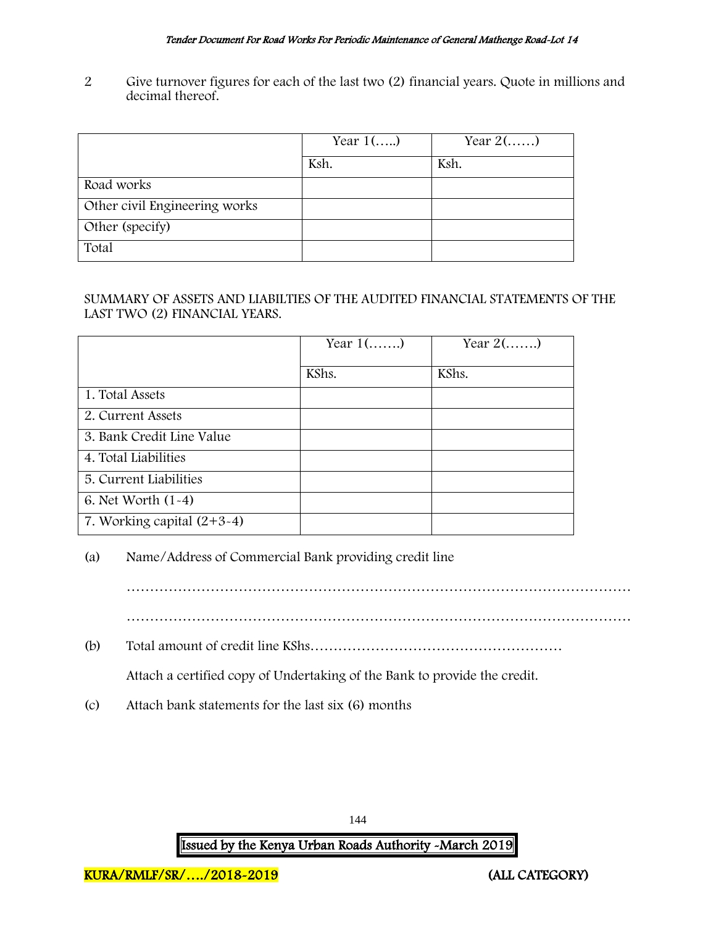2 Give turnover figures for each of the last two (2) financial years. Quote in millions and decimal thereof.

|                               | Year $1()$ | Year $2(\ldots)$ |
|-------------------------------|------------|------------------|
|                               | Ksh.       | Ksh.             |
| Road works                    |            |                  |
| Other civil Engineering works |            |                  |
| Other (specify)               |            |                  |
| Total                         |            |                  |

## SUMMARY OF ASSETS AND LIABILTIES OF THE AUDITED FINANCIAL STATEMENTS OF THE LAST TWO (2) FINANCIAL YEARS.

|                              | Year $1$ () | Year $2(\ldots)$ |
|------------------------------|-------------|------------------|
|                              | KShs.       | KShs.            |
| 1. Total Assets              |             |                  |
| 2. Current Assets            |             |                  |
| 3. Bank Credit Line Value    |             |                  |
| 4. Total Liabilities         |             |                  |
| 5. Current Liabilities       |             |                  |
| 6. Net Worth $(1-4)$         |             |                  |
| 7. Working capital $(2+3-4)$ |             |                  |

(a) Name/Address of Commercial Bank providing credit line

………………………………………………………………………………………………

………………………………………………………………………………………………

(b) Total amount of credit line KShs………………………………………………

Attach a certified copy of Undertaking of the Bank to provide the credit.

(c) Attach bank statements for the last six (6) months

144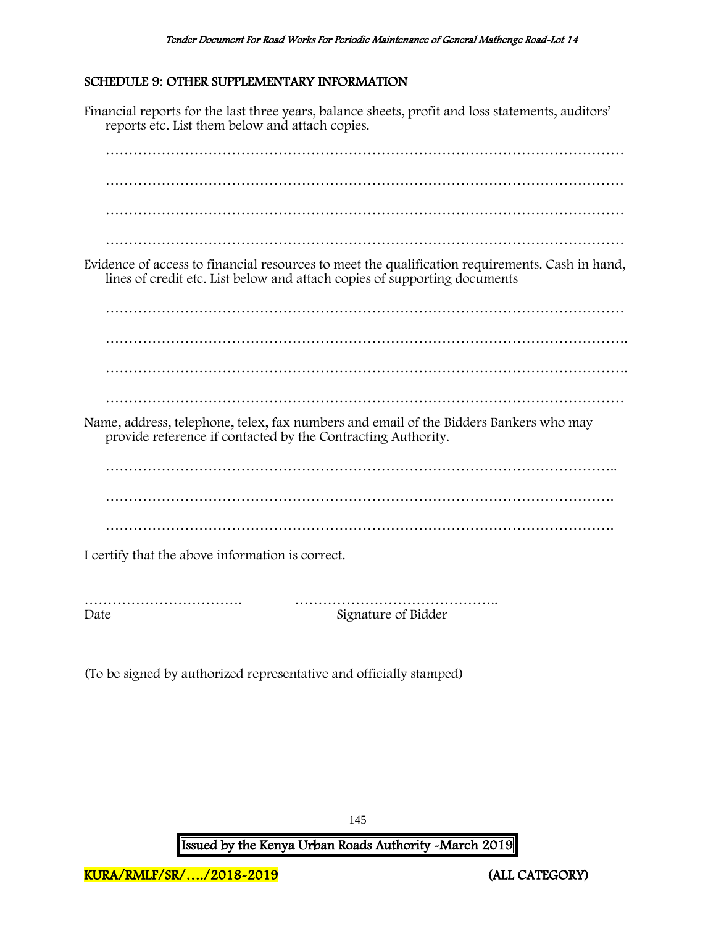## SCHEDULE 9: OTHER SUPPLEMENTARY INFORMATION

Financial reports for the last three years, balance sheets, profit and loss statements, auditors' reports etc. List them below and attach copies. ………………………………………………………………………………………………… ………………………………………………………………………………………………… ………………………………………………………………………………………………… Evidence of access to financial resources to meet the qualification requirements. Cash in hand, lines of credit etc. List below and attach copies of supporting documents ………………………………………………………………………………………………… …………………………………………………………………………………………………. …………………………………………………………………………………………………. ………………………………………………………………………………………………… Name, address, telephone, telex, fax numbers and email of the Bidders Bankers who may provide reference if contacted by the Contracting Authority. ………………………………………………………………………………………………. ………………………………………………………………………………………………. I certify that the above information is correct. ……………………………. …………………………………….. Date Signature of Bidder

(To be signed by authorized representative and officially stamped)

145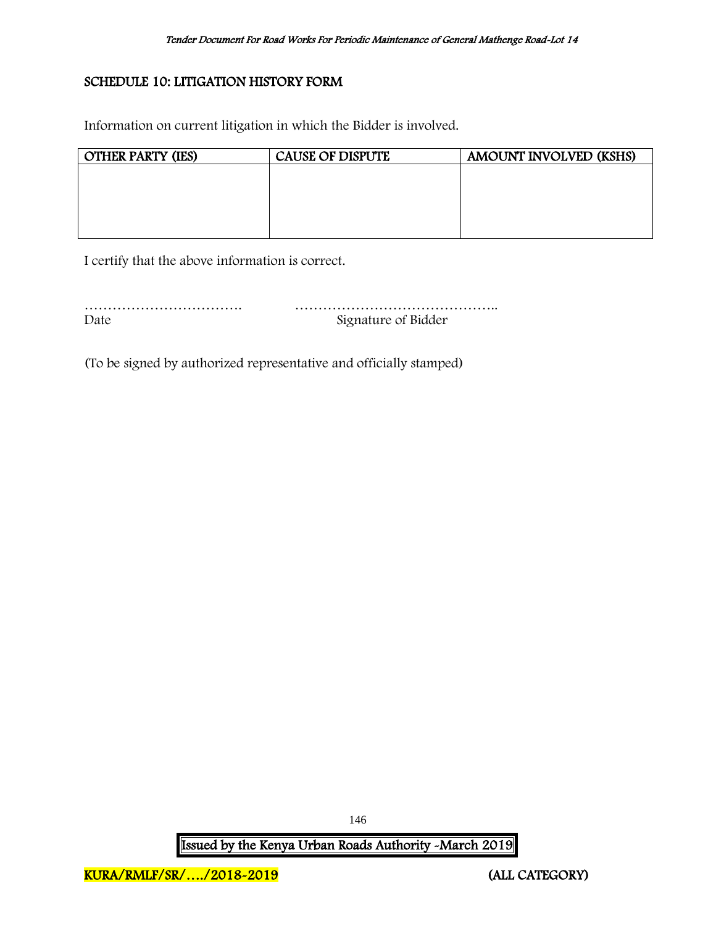## SCHEDULE 10: LITIGATION HISTORY FORM

Information on current litigation in which the Bidder is involved.

| <b>OTHER PARTY (IES)</b> | <b>CAUSE OF DISPUTE</b> | AMOUNT INVOLVED (KSHS) |
|--------------------------|-------------------------|------------------------|
|                          |                         |                        |
|                          |                         |                        |
|                          |                         |                        |
|                          |                         |                        |
|                          |                         |                        |

I certify that the above information is correct.

| Date | Signature of Bidder |
|------|---------------------|

(To be signed by authorized representative and officially stamped)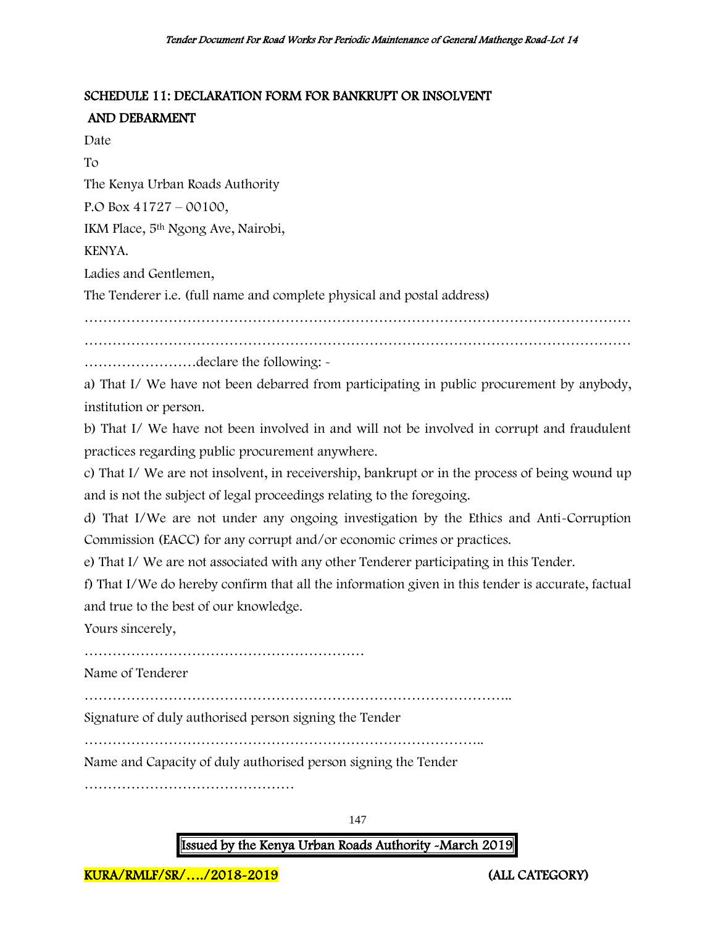## SCHEDULE 11: DECLARATION FORM FOR BANKRUPT OR INSOLVENT AND DEBARMENT

Date

To

The Kenya Urban Roads Authority

P.O Box 41727 – 00100,

IKM Place, 5th Ngong Ave, Nairobi,

KENYA.

Ladies and Gentlemen,

The Tenderer i.e. (full name and complete physical and postal address)

……………………………………………………………………………………………………… ……………………………………………………………………………………………………… ……………………declare the following: -

a) That I/ We have not been debarred from participating in public procurement by anybody, institution or person.

b) That I/ We have not been involved in and will not be involved in corrupt and fraudulent practices regarding public procurement anywhere.

c) That I/ We are not insolvent, in receivership, bankrupt or in the process of being wound up and is not the subject of legal proceedings relating to the foregoing.

d) That I/We are not under any ongoing investigation by the Ethics and Anti-Corruption Commission (EACC) for any corrupt and/or economic crimes or practices.

e) That I/ We are not associated with any other Tenderer participating in this Tender.

f) That I/We do hereby confirm that all the information given in this tender is accurate, factual and true to the best of our knowledge.

Yours sincerely,

……………………………………………………

Name of Tenderer

………………………………………………………………………………..

Signature of duly authorised person signing the Tender

…………………………………………………………………………..

Name and Capacity of duly authorised person signing the Tender

………………………………………………………

147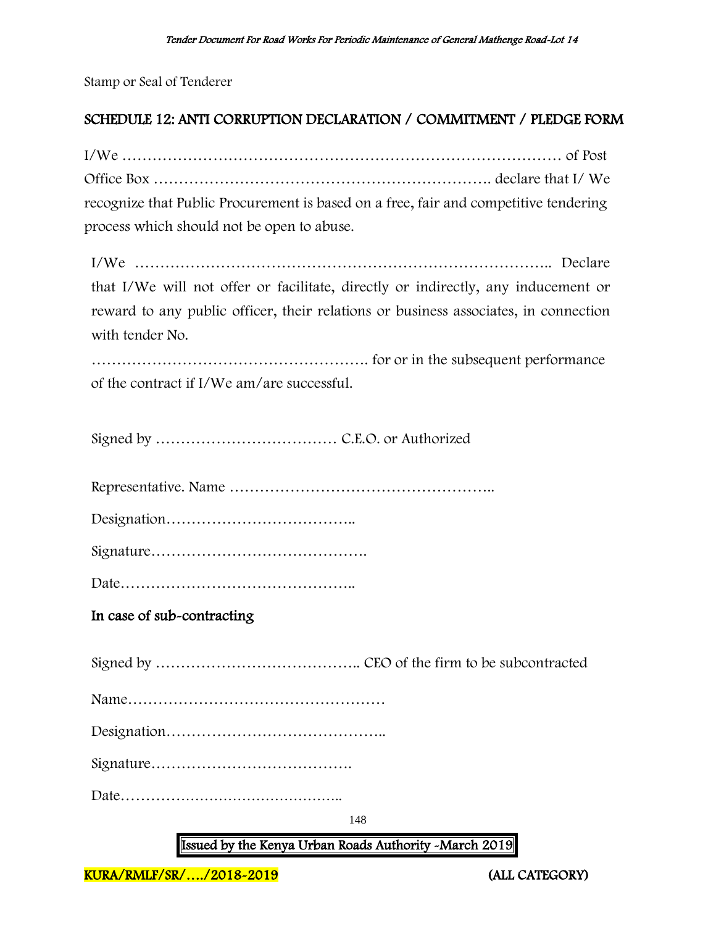Stamp or Seal of Tenderer

## SCHEDULE 12: ANTI CORRUPTION DECLARATION / COMMITMENT / PLEDGE FORM

I/We …………………………………………………………………………… of Post Office Box …………………………………………………………. declare that I/ We recognize that Public Procurement is based on a free, fair and competitive tendering process which should not be open to abuse.

I/We ……………………………………………………………………….. Declare that I/We will not offer or facilitate, directly or indirectly, any inducement or reward to any public officer, their relations or business associates, in connection with tender No.

………………………………………………. for or in the subsequent performance of the contract if I/We am/are successful.

Signed by ……………………………… C.E.O. or Authorized

Representative. Name ……………………………………………..

Designation………………………………..

Signature…………………………………….

Date………………………………………..

In case of sub-contracting

Signed by ………………………………….. CEO of the firm to be subcontracted

Name……………………………………………

Designation……………………………………..

Signature………………………………….

Date………………………………………..

148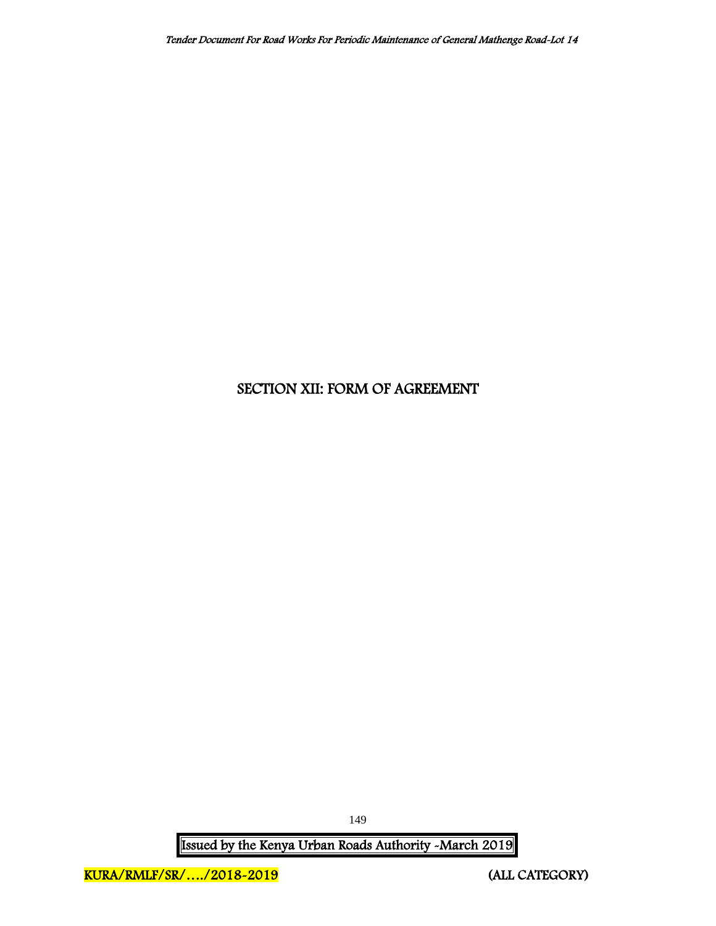## SECTION XII: FORM OF AGREEMENT

Issued by the Kenya Urban Roads Authority -March 2019

149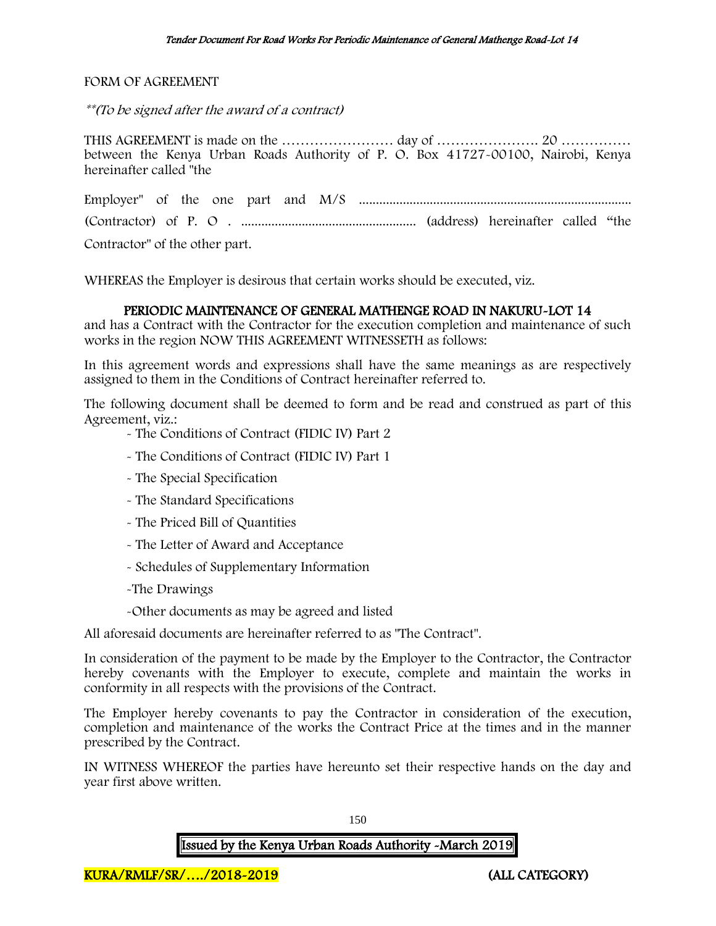FORM OF AGREEMENT

\*\*(To be signed after the award of a contract)

THIS AGREEMENT is made on the …………………… day of …………………. 20 …………… between the Kenya Urban Roads Authority of P. O. Box 41727-00100, Nairobi, Kenya hereinafter called "the

Employer" of the one part and M/S ................................................................................. (Contractor) of P. O . .................................................... (address) hereinafter called "the

Contractor" of the other part.

WHEREAS the Employer is desirous that certain works should be executed, viz.

### PERIODIC MAINTENANCE OF GENERAL MATHENGE ROAD IN NAKURU-LOT 14

and has a Contract with the Contractor for the execution completion and maintenance of such works in the region NOW THIS AGREEMENT WITNESSETH as follows:

In this agreement words and expressions shall have the same meanings as are respectively assigned to them in the Conditions of Contract hereinafter referred to.

The following document shall be deemed to form and be read and construed as part of this Agreement, viz.:

- The Conditions of Contract (FIDIC IV) Part 2
- The Conditions of Contract (FIDIC IV) Part 1
- The Special Specification
- The Standard Specifications
- The Priced Bill of Quantities
- The Letter of Award and Acceptance
- Schedules of Supplementary Information
- -The Drawings
- -Other documents as may be agreed and listed

All aforesaid documents are hereinafter referred to as "The Contract".

In consideration of the payment to be made by the Employer to the Contractor, the Contractor hereby covenants with the Employer to execute, complete and maintain the works in conformity in all respects with the provisions of the Contract.

The Employer hereby covenants to pay the Contractor in consideration of the execution, completion and maintenance of the works the Contract Price at the times and in the manner prescribed by the Contract.

IN WITNESS WHEREOF the parties have hereunto set their respective hands on the day and year first above written.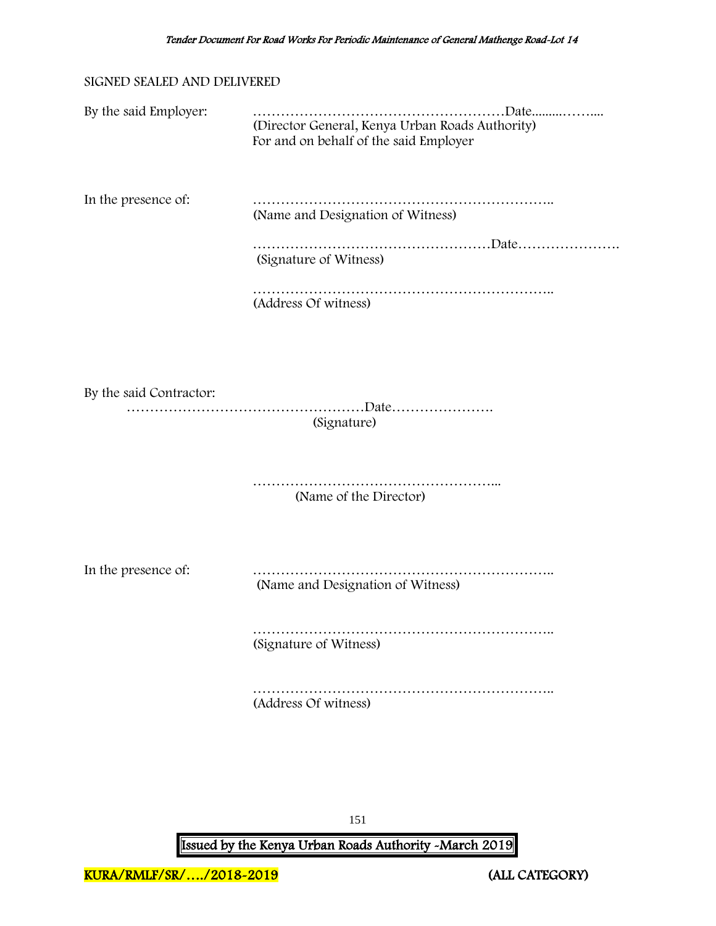#### SIGNED SEALED AND DELIVERED

| By the said Employer:   | (Director General, Kenya Urban Roads Authority)<br>For and on behalf of the said Employer |
|-------------------------|-------------------------------------------------------------------------------------------|
| In the presence of:     | (Name and Designation of Witness)<br>(Signature of Witness)                               |
|                         | (Address Of witness)                                                                      |
| By the said Contractor: | (Signature)                                                                               |
|                         | (Name of the Director)                                                                    |
| In the presence of:     | (Name and Designation of Witness)                                                         |
|                         | (Signature of Witness)                                                                    |
|                         | (Address Of witness)                                                                      |

151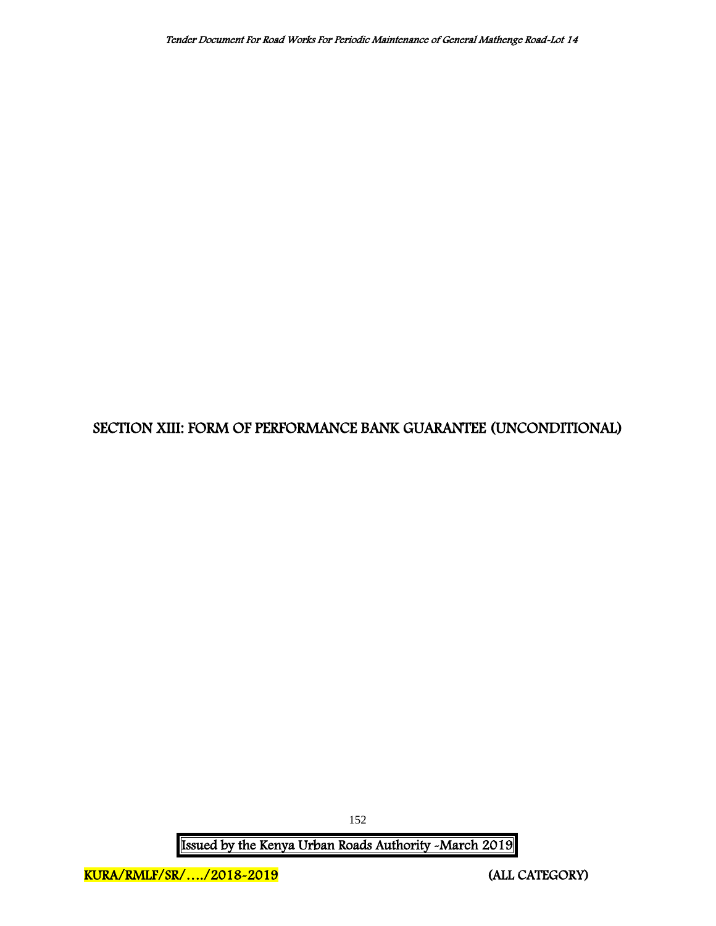# SECTION XIII: FORM OF PERFORMANCE BANK GUARANTEE (UNCONDITIONAL)

152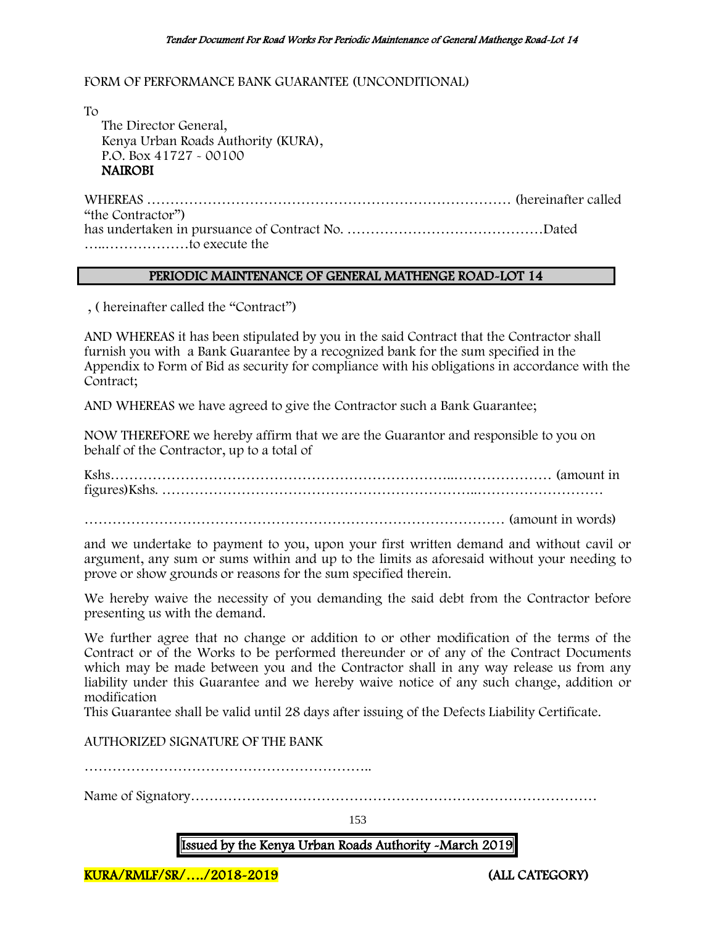FORM OF PERFORMANCE BANK GUARANTEE (UNCONDITIONAL)

To The Director General, Kenya Urban Roads Authority (KURA), P.O. Box 41727 - 00100 NAIROBI

WHEREAS …………………………………………………………………… (hereinafter called "the Contractor") has undertaken in pursuance of Contract No. ……………………………………Dated …..………………to execute the

#### PERIODIC MAINTENANCE OF GENERAL MATHENGE ROAD-LOT 14

, ( hereinafter called the "Contract")

AND WHEREAS it has been stipulated by you in the said Contract that the Contractor shall furnish you with a Bank Guarantee by a recognized bank for the sum specified in the Appendix to Form of Bid as security for compliance with his obligations in accordance with the Contract;

AND WHEREAS we have agreed to give the Contractor such a Bank Guarantee;

NOW THEREFORE we hereby affirm that we are the Guarantor and responsible to you on behalf of the Contractor, up to a total of

Kshs………………………………………………………………..………………… (amount in figures)Kshs. …………………………………………………………..………………………

……………………………………………………………………………… (amount in words)

and we undertake to payment to you, upon your first written demand and without cavil or argument, any sum or sums within and up to the limits as aforesaid without your needing to prove or show grounds or reasons for the sum specified therein.

We hereby waive the necessity of you demanding the said debt from the Contractor before presenting us with the demand.

We further agree that no change or addition to or other modification of the terms of the Contract or of the Works to be performed thereunder or of any of the Contract Documents which may be made between you and the Contractor shall in any way release us from any liability under this Guarantee and we hereby waive notice of any such change, addition or modification

This Guarantee shall be valid until 28 days after issuing of the Defects Liability Certificate.

AUTHORIZED SIGNATURE OF THE BANK

……………………………………………………..

Name of Signatory……………………………………………………………………………

153